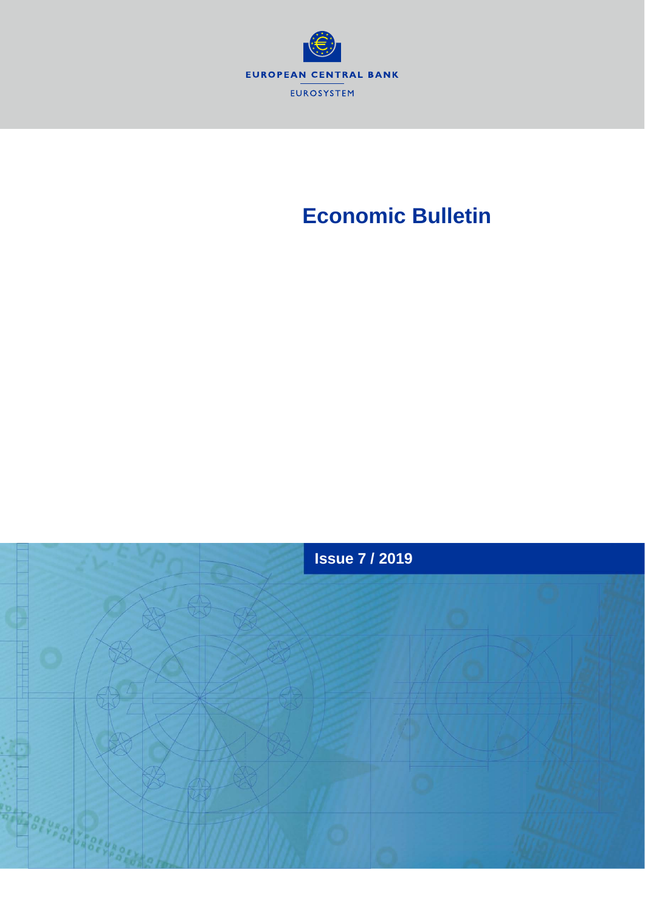

# **Economic Bulletin**

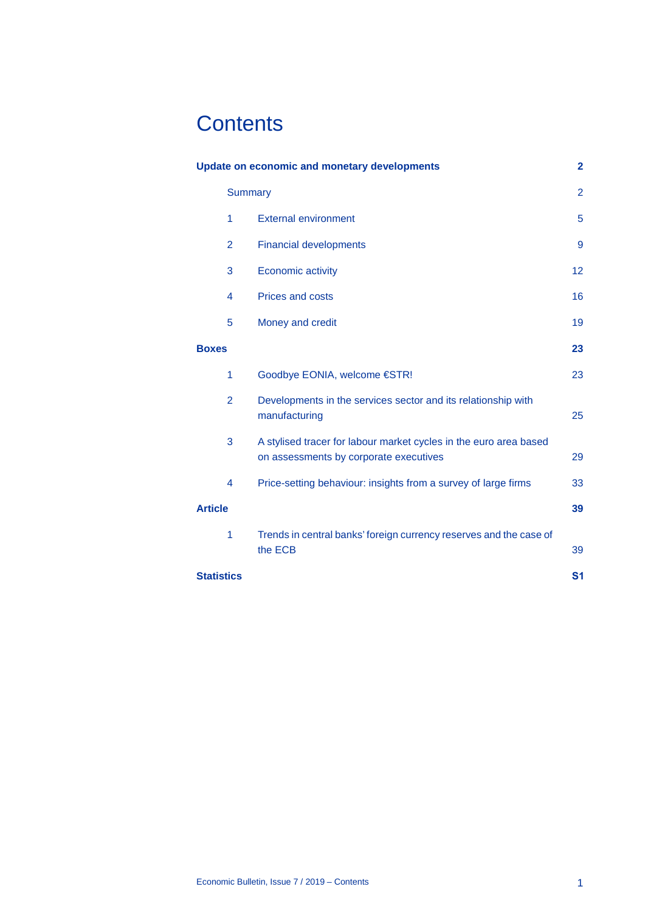# **Contents**

| <b>Update on economic and monetary developments</b> |                |                                                                                                             | $\mathbf{2}$   |
|-----------------------------------------------------|----------------|-------------------------------------------------------------------------------------------------------------|----------------|
|                                                     | <b>Summary</b> |                                                                                                             |                |
|                                                     | 1              | <b>External environment</b>                                                                                 | 5              |
|                                                     | $\overline{2}$ | <b>Financial developments</b>                                                                               | 9              |
|                                                     | 3              | <b>Economic activity</b>                                                                                    | 12             |
|                                                     | 4              | <b>Prices and costs</b>                                                                                     | 16             |
|                                                     | 5              | Money and credit                                                                                            | 19             |
| <b>Boxes</b>                                        |                |                                                                                                             | 23             |
|                                                     | 1              | Goodbye EONIA, welcome €STR!                                                                                | 23             |
|                                                     | $\overline{2}$ | Developments in the services sector and its relationship with<br>manufacturing                              | 25             |
|                                                     | 3              | A stylised tracer for labour market cycles in the euro area based<br>on assessments by corporate executives | 29             |
|                                                     | 4              | Price-setting behaviour: insights from a survey of large firms                                              | 33             |
| <b>Article</b>                                      |                | 39                                                                                                          |                |
|                                                     | 1              | Trends in central banks' foreign currency reserves and the case of<br>the ECB                               | 39             |
| <b>Statistics</b>                                   |                |                                                                                                             | S <sub>1</sub> |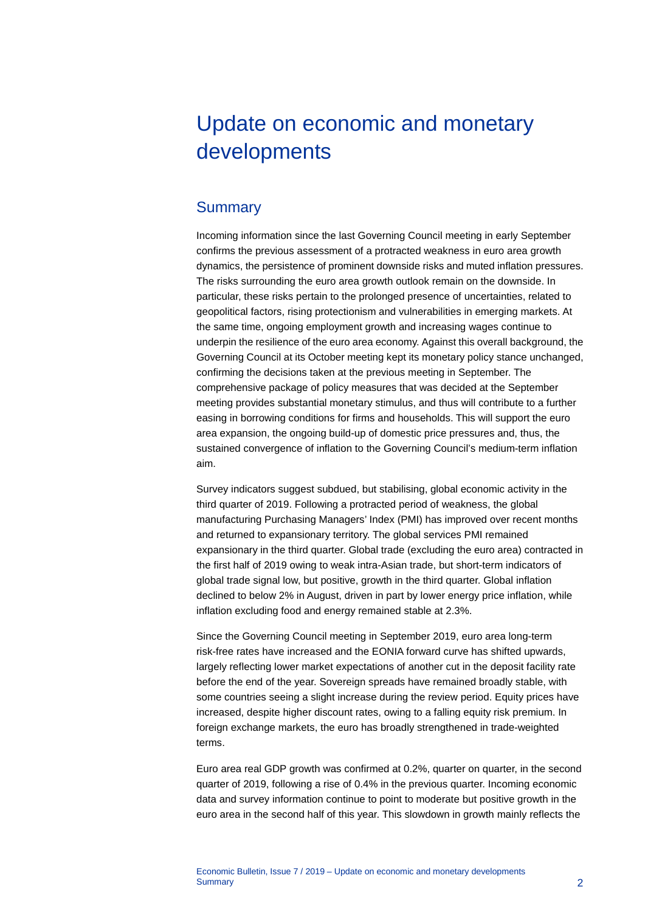# <span id="page-2-0"></span>Update on economic and monetary developments

## <span id="page-2-1"></span>**Summary**

Incoming information since the last Governing Council meeting in early September confirms the previous assessment of a protracted weakness in euro area growth dynamics, the persistence of prominent downside risks and muted inflation pressures. The risks surrounding the euro area growth outlook remain on the downside. In particular, these risks pertain to the prolonged presence of uncertainties, related to geopolitical factors, rising protectionism and vulnerabilities in emerging markets. At the same time, ongoing employment growth and increasing wages continue to underpin the resilience of the euro area economy. Against this overall background, the Governing Council at its October meeting kept its monetary policy stance unchanged, confirming the decisions taken at the previous meeting in September. The comprehensive package of policy measures that was decided at the September meeting provides substantial monetary stimulus, and thus will contribute to a further easing in borrowing conditions for firms and households. This will support the euro area expansion, the ongoing build-up of domestic price pressures and, thus, the sustained convergence of inflation to the Governing Council's medium-term inflation aim.

Survey indicators suggest subdued, but stabilising, global economic activity in the third quarter of 2019. Following a protracted period of weakness, the global manufacturing Purchasing Managers' Index (PMI) has improved over recent months and returned to expansionary territory. The global services PMI remained expansionary in the third quarter. Global trade (excluding the euro area) contracted in the first half of 2019 owing to weak intra-Asian trade, but short-term indicators of global trade signal low, but positive, growth in the third quarter. Global inflation declined to below 2% in August, driven in part by lower energy price inflation, while inflation excluding food and energy remained stable at 2.3%.

Since the Governing Council meeting in September 2019, euro area long-term risk-free rates have increased and the EONIA forward curve has shifted upwards, largely reflecting lower market expectations of another cut in the deposit facility rate before the end of the year. Sovereign spreads have remained broadly stable, with some countries seeing a slight increase during the review period. Equity prices have increased, despite higher discount rates, owing to a falling equity risk premium. In foreign exchange markets, the euro has broadly strengthened in trade-weighted terms.

Euro area real GDP growth was confirmed at 0.2%, quarter on quarter, in the second quarter of 2019, following a rise of 0.4% in the previous quarter. Incoming economic data and survey information continue to point to moderate but positive growth in the euro area in the second half of this year. This slowdown in growth mainly reflects the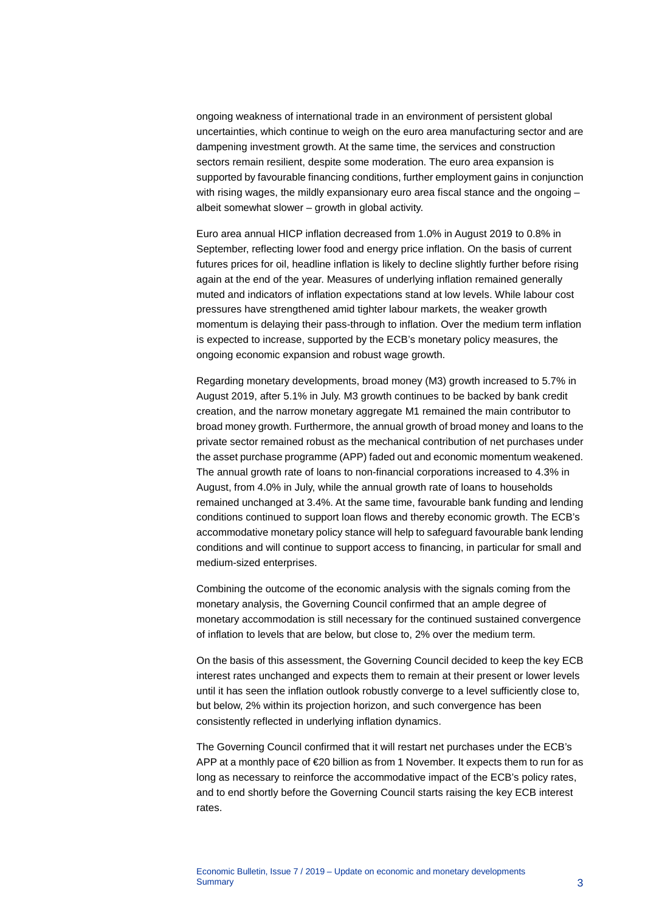ongoing weakness of international trade in an environment of persistent global uncertainties, which continue to weigh on the euro area manufacturing sector and are dampening investment growth. At the same time, the services and construction sectors remain resilient, despite some moderation. The euro area expansion is supported by favourable financing conditions, further employment gains in conjunction with rising wages, the mildly expansionary euro area fiscal stance and the ongoing albeit somewhat slower – growth in global activity.

Euro area annual HICP inflation decreased from 1.0% in August 2019 to 0.8% in September, reflecting lower food and energy price inflation. On the basis of current futures prices for oil, headline inflation is likely to decline slightly further before rising again at the end of the year. Measures of underlying inflation remained generally muted and indicators of inflation expectations stand at low levels. While labour cost pressures have strengthened amid tighter labour markets, the weaker growth momentum is delaying their pass-through to inflation. Over the medium term inflation is expected to increase, supported by the ECB's monetary policy measures, the ongoing economic expansion and robust wage growth.

Regarding monetary developments, broad money (M3) growth increased to 5.7% in August 2019, after 5.1% in July. M3 growth continues to be backed by bank credit creation, and the narrow monetary aggregate M1 remained the main contributor to broad money growth. Furthermore, the annual growth of broad money and loans to the private sector remained robust as the mechanical contribution of net purchases under the asset purchase programme (APP) faded out and economic momentum weakened. The annual growth rate of loans to non-financial corporations increased to 4.3% in August, from 4.0% in July, while the annual growth rate of loans to households remained unchanged at 3.4%. At the same time, favourable bank funding and lending conditions continued to support loan flows and thereby economic growth. The ECB's accommodative monetary policy stance will help to safeguard favourable bank lending conditions and will continue to support access to financing, in particular for small and medium-sized enterprises.

Combining the outcome of the economic analysis with the signals coming from the monetary analysis, the Governing Council confirmed that an ample degree of monetary accommodation is still necessary for the continued sustained convergence of inflation to levels that are below, but close to, 2% over the medium term.

On the basis of this assessment, the Governing Council decided to keep the key ECB interest rates unchanged and expects them to remain at their present or lower levels until it has seen the inflation outlook robustly converge to a level sufficiently close to, but below, 2% within its projection horizon, and such convergence has been consistently reflected in underlying inflation dynamics.

The Governing Council confirmed that it will restart net purchases under the ECB's APP at a monthly pace of €20 billion as from 1 November. It expects them to run for as long as necessary to reinforce the accommodative impact of the ECB's policy rates, and to end shortly before the Governing Council starts raising the key ECB interest rates.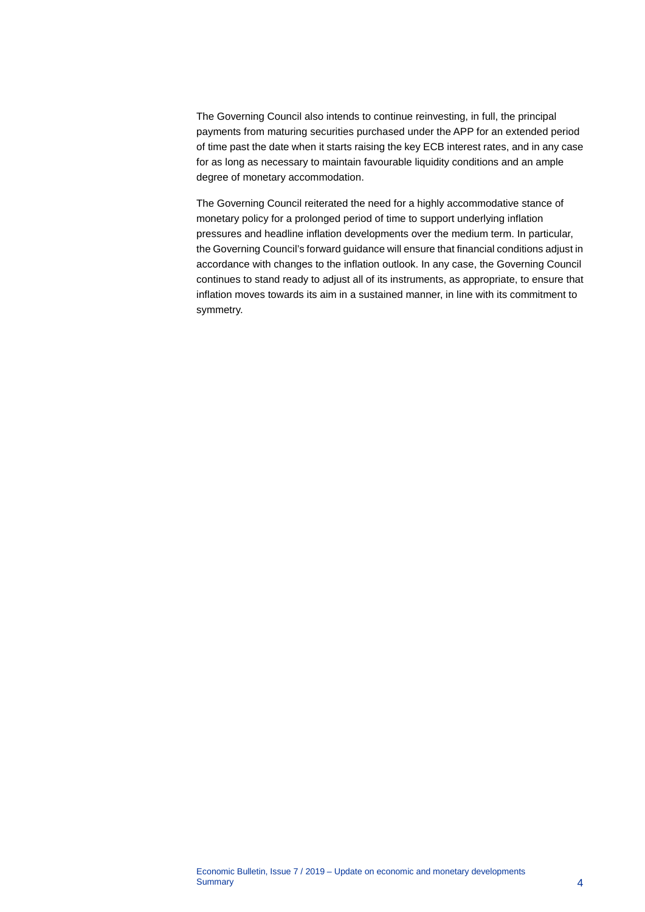The Governing Council also intends to continue reinvesting, in full, the principal payments from maturing securities purchased under the APP for an extended period of time past the date when it starts raising the key ECB interest rates, and in any case for as long as necessary to maintain favourable liquidity conditions and an ample degree of monetary accommodation.

The Governing Council reiterated the need for a highly accommodative stance of monetary policy for a prolonged period of time to support underlying inflation pressures and headline inflation developments over the medium term. In particular, the Governing Council's forward guidance will ensure that financial conditions adjust in accordance with changes to the inflation outlook. In any case, the Governing Council continues to stand ready to adjust all of its instruments, as appropriate, to ensure that inflation moves towards its aim in a sustained manner, in line with its commitment to symmetry.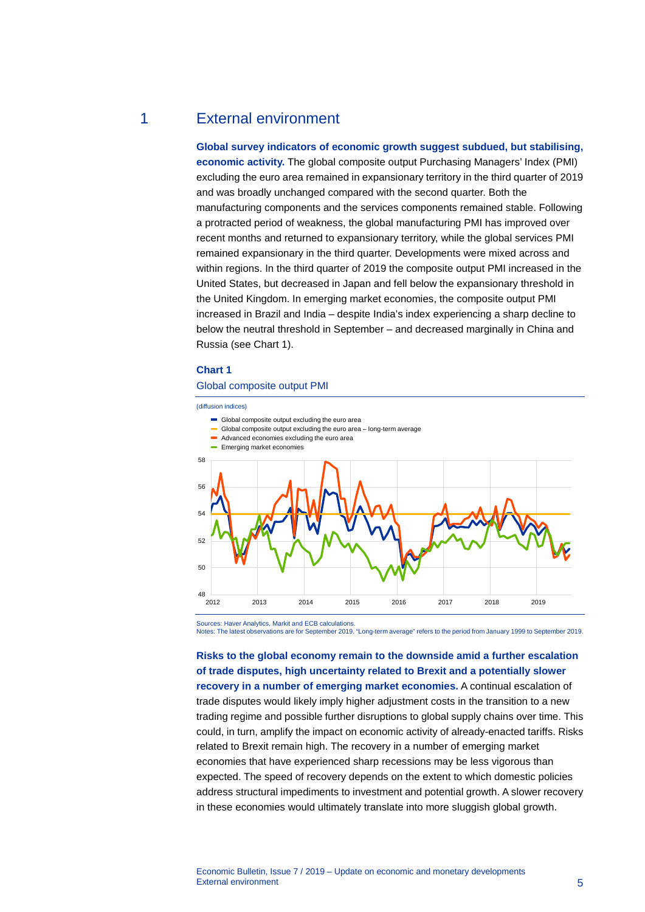### 1 External environment

<span id="page-5-0"></span>**Global survey indicators of economic growth suggest subdued, but stabilising, economic activity.** The global composite output Purchasing Managers' Index (PMI) excluding the euro area remained in expansionary territory in the third quarter of 2019 and was broadly unchanged compared with the second quarter. Both the manufacturing components and the services components remained stable. Following a protracted period of weakness, the global manufacturing PMI has improved over recent months and returned to expansionary territory, while the global services PMI remained expansionary in the third quarter. Developments were mixed across and within regions. In the third quarter of 2019 the composite output PMI increased in the United States, but decreased in Japan and fell below the expansionary threshold in the United Kingdom. In emerging market economies, the composite output PMI increased in Brazil and India – despite India's index experiencing a sharp decline to below the neutral threshold in September – and decreased marginally in China and Russia (see Chart 1).

#### **Chart 1**

#### Global composite output PMI

(diffusion indices)  $48$ <br> $2012$ 50 52 54 56 58 2012 2013 2014 2015 2016 2017 2018 2019 Global composite output excluding the euro area Global composite output excluding the euro area - long-term average Advanced economies excluding the euro area **Emerging market economies** 

Notes: The latest observations are for September 2019. "Long-term average" refers to the period from January 1999 to September 2019.

**Risks to the global economy remain to the downside amid a further escalation of trade disputes, high uncertainty related to Brexit and a potentially slower recovery in a number of emerging market economies.** A continual escalation of trade disputes would likely imply higher adjustment costs in the transition to a new trading regime and possible further disruptions to global supply chains over time. This could, in turn, amplify the impact on economic activity of already-enacted tariffs. Risks related to Brexit remain high. The recovery in a number of emerging market economies that have experienced sharp recessions may be less vigorous than expected. The speed of recovery depends on the extent to which domestic policies address structural impediments to investment and potential growth. A slower recovery in these economies would ultimately translate into more sluggish global growth.

Sources: Haver Analytics, Markit and ECB calculations.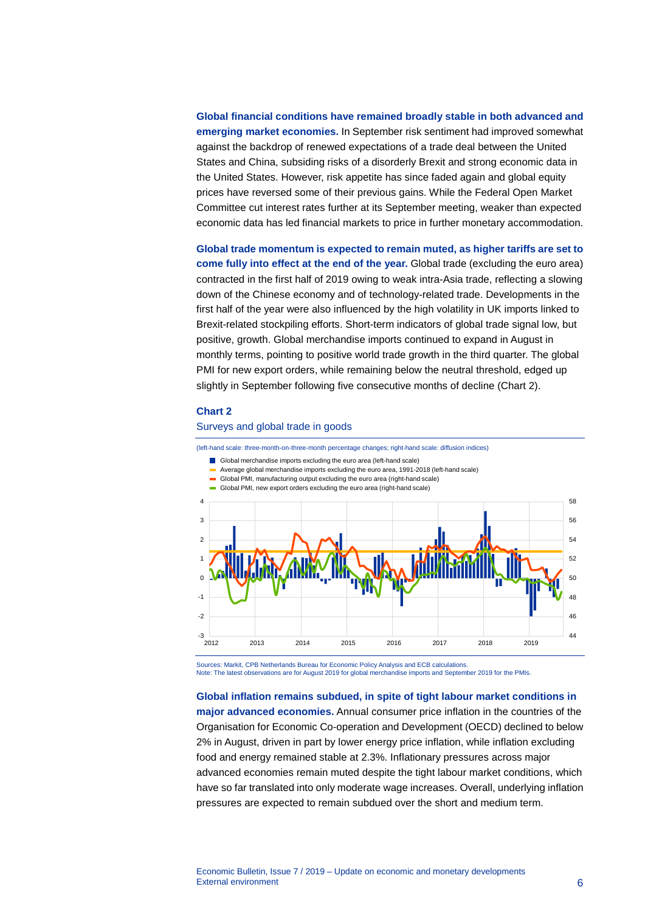**Global financial conditions have remained broadly stable in both advanced and emerging market economies.** In September risk sentiment had improved somewhat against the backdrop of renewed expectations of a trade deal between the United States and China, subsiding risks of a disorderly Brexit and strong economic data in the United States. However, risk appetite has since faded again and global equity prices have reversed some of their previous gains. While the Federal Open Market Committee cut interest rates further at its September meeting, weaker than expected economic data has led financial markets to price in further monetary accommodation.

**Global trade momentum is expected to remain muted, as higher tariffs are set to come fully into effect at the end of the year.** Global trade (excluding the euro area) contracted in the first half of 2019 owing to weak intra-Asia trade, reflecting a slowing down of the Chinese economy and of technology-related trade. Developments in the first half of the year were also influenced by the high volatility in UK imports linked to Brexit-related stockpiling efforts. Short-term indicators of global trade signal low, but positive, growth. Global merchandise imports continued to expand in August in monthly terms, pointing to positive world trade growth in the third quarter. The global PMI for new export orders, while remaining below the neutral threshold, edged up slightly in September following five consecutive months of decline (Chart 2).

### **Chart 2**

### Surveys and global trade in goods

(left-hand scale: three-month-on-three-month percentage changes; right-hand scale: diffusion indices)

- Global merchandise imports excluding the euro area (left-hand scale)
- Average global merchandise imports excluding the euro area, 1991-2018 (left-hand scale)
- Global PMI, manufacturing output excluding the euro area (right-hand scale)
- Global PMI, new export orders excluding the euro area (right-hand scale)



Sources: Markit, CPB Netherlands Bureau for Economic Policy Analysis and ECB calculations. Note: The latest observations are for August 2019 for global merchandise imports and September 2019 for the PMIs.

#### **Global inflation remains subdued, in spite of tight labour market conditions in**

**major advanced economies.** Annual consumer price inflation in the countries of the Organisation for Economic Co-operation and Development (OECD) declined to below 2% in August, driven in part by lower energy price inflation, while inflation excluding food and energy remained stable at 2.3%. Inflationary pressures across major advanced economies remain muted despite the tight labour market conditions, which have so far translated into only moderate wage increases. Overall, underlying inflation pressures are expected to remain subdued over the short and medium term.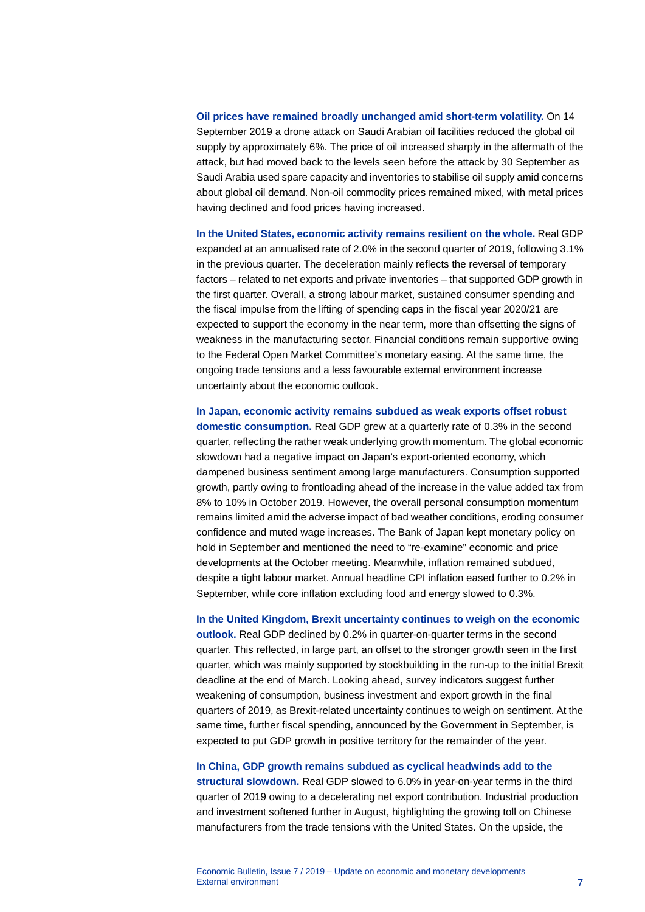**Oil prices have remained broadly unchanged amid short-term volatility.** On 14 September 2019 a drone attack on Saudi Arabian oil facilities reduced the global oil supply by approximately 6%. The price of oil increased sharply in the aftermath of the attack, but had moved back to the levels seen before the attack by 30 September as Saudi Arabia used spare capacity and inventories to stabilise oil supply amid concerns about global oil demand. Non-oil commodity prices remained mixed, with metal prices having declined and food prices having increased.

**In the United States, economic activity remains resilient on the whole.** Real GDP expanded at an annualised rate of 2.0% in the second quarter of 2019, following 3.1% in the previous quarter. The deceleration mainly reflects the reversal of temporary factors – related to net exports and private inventories – that supported GDP growth in the first quarter. Overall, a strong labour market, sustained consumer spending and the fiscal impulse from the lifting of spending caps in the fiscal year 2020/21 are expected to support the economy in the near term, more than offsetting the signs of weakness in the manufacturing sector. Financial conditions remain supportive owing to the Federal Open Market Committee's monetary easing. At the same time, the ongoing trade tensions and a less favourable external environment increase uncertainty about the economic outlook.

**In Japan, economic activity remains subdued as weak exports offset robust domestic consumption.** Real GDP grew at a quarterly rate of 0.3% in the second quarter, reflecting the rather weak underlying growth momentum. The global economic slowdown had a negative impact on Japan's export-oriented economy, which dampened business sentiment among large manufacturers. Consumption supported growth, partly owing to frontloading ahead of the increase in the value added tax from 8% to 10% in October 2019. However, the overall personal consumption momentum remains limited amid the adverse impact of bad weather conditions, eroding consumer confidence and muted wage increases. The Bank of Japan kept monetary policy on hold in September and mentioned the need to "re-examine" economic and price developments at the October meeting. Meanwhile, inflation remained subdued, despite a tight labour market. Annual headline CPI inflation eased further to 0.2% in September, while core inflation excluding food and energy slowed to 0.3%.

**In the United Kingdom, Brexit uncertainty continues to weigh on the economic outlook.** Real GDP declined by 0.2% in quarter-on-quarter terms in the second quarter. This reflected, in large part, an offset to the stronger growth seen in the first quarter, which was mainly supported by stockbuilding in the run-up to the initial Brexit deadline at the end of March. Looking ahead, survey indicators suggest further weakening of consumption, business investment and export growth in the final quarters of 2019, as Brexit-related uncertainty continues to weigh on sentiment. At the same time, further fiscal spending, announced by the Government in September, is expected to put GDP growth in positive territory for the remainder of the year.

**In China, GDP growth remains subdued as cyclical headwinds add to the structural slowdown.** Real GDP slowed to 6.0% in year-on-year terms in the third quarter of 2019 owing to a decelerating net export contribution. Industrial production and investment softened further in August, highlighting the growing toll on Chinese manufacturers from the trade tensions with the United States. On the upside, the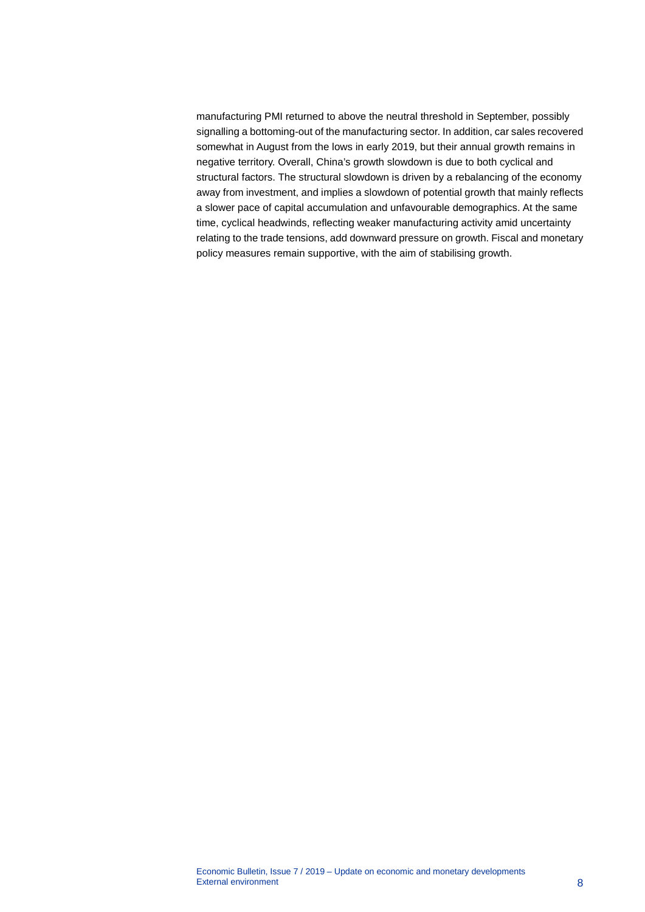manufacturing PMI returned to above the neutral threshold in September, possibly signalling a bottoming-out of the manufacturing sector. In addition, car sales recovered somewhat in August from the lows in early 2019, but their annual growth remains in negative territory. Overall, China's growth slowdown is due to both cyclical and structural factors. The structural slowdown is driven by a rebalancing of the economy away from investment, and implies a slowdown of potential growth that mainly reflects a slower pace of capital accumulation and unfavourable demographics. At the same time, cyclical headwinds, reflecting weaker manufacturing activity amid uncertainty relating to the trade tensions, add downward pressure on growth. Fiscal and monetary policy measures remain supportive, with the aim of stabilising growth.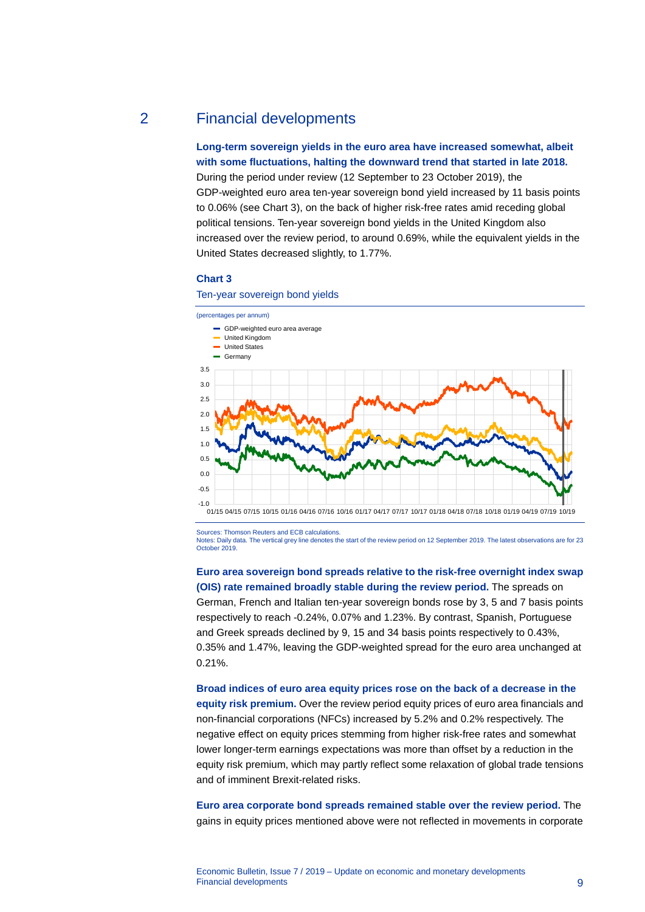### 2 Financial developments

<span id="page-9-0"></span>**Long-term sovereign yields in the euro area have increased somewhat, albeit with some fluctuations, halting the downward trend that started in late 2018.**

During the period under review (12 September to 23 October 2019), the GDP-weighted euro area ten-year sovereign bond yield increased by 11 basis points to 0.06% (see Chart 3), on the back of higher risk-free rates amid receding global political tensions. Ten-year sovereign bond yields in the United Kingdom also increased over the review period, to around 0.69%, while the equivalent yields in the United States decreased slightly, to 1.77%.

### **Chart 3**

#### Ten-year sovereign bond yields



Sources: Thomson Reuters and ECB calculations.

Notes: Daily data. The vertical grey line denotes the start of the review period on 12 September 2019. The latest observations are for 23 October 2019.

### **Euro area sovereign bond spreads relative to the risk-free overnight index swap (OIS) rate remained broadly stable during the review period.** The spreads on

German, French and Italian ten-year sovereign bonds rose by 3, 5 and 7 basis points respectively to reach -0.24%, 0.07% and 1.23%. By contrast, Spanish, Portuguese and Greek spreads declined by 9, 15 and 34 basis points respectively to 0.43%, 0.35% and 1.47%, leaving the GDP-weighted spread for the euro area unchanged at 0.21%.

**Broad indices of euro area equity prices rose on the back of a decrease in the equity risk premium.** Over the review period equity prices of euro area financials and non-financial corporations (NFCs) increased by 5.2% and 0.2% respectively. The negative effect on equity prices stemming from higher risk-free rates and somewhat lower longer-term earnings expectations was more than offset by a reduction in the equity risk premium, which may partly reflect some relaxation of global trade tensions and of imminent Brexit-related risks.

**Euro area corporate bond spreads remained stable over the review period.** The gains in equity prices mentioned above were not reflected in movements in corporate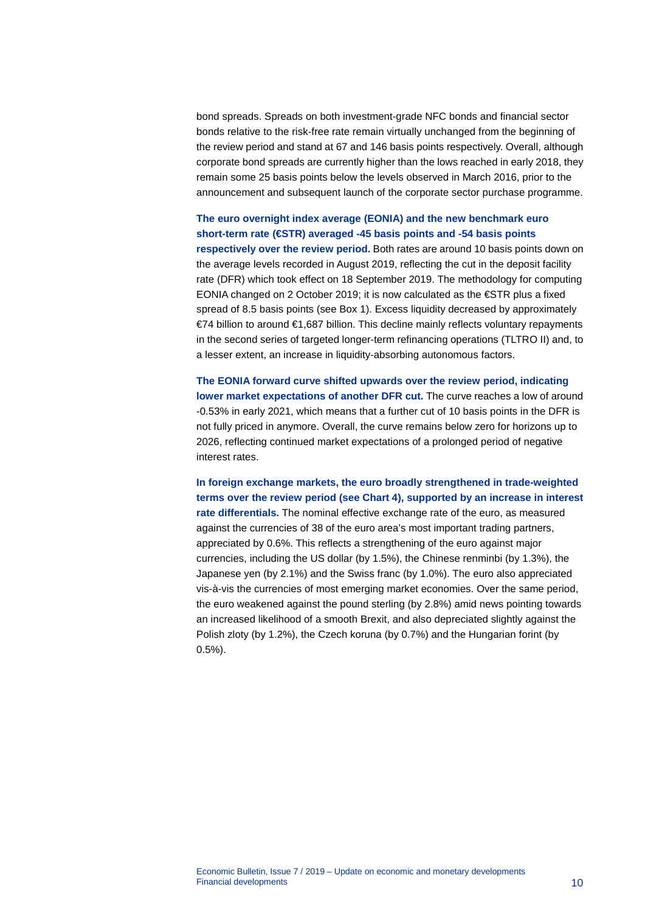bond spreads. Spreads on both investment-grade NFC bonds and financial sector bonds relative to the risk-free rate remain virtually unchanged from the beginning of the review period and stand at 67 and 146 basis points respectively. Overall, although corporate bond spreads are currently higher than the lows reached in early 2018, they remain some 25 basis points below the levels observed in March 2016, prior to the announcement and subsequent launch of the corporate sector purchase programme.

### **The euro overnight index average (EONIA) and the new benchmark euro short-term rate (€STR) averaged -45 basis points and -54 basis points respectively over the review period.** Both rates are around 10 basis points down on the average levels recorded in August 2019, reflecting the cut in the deposit facility rate (DFR) which took effect on 18 September 2019. The methodology for computing EONIA changed on 2 October 2019; it is now calculated as the €STR plus a fixed spread of 8.5 basis points (see Box 1). Excess liquidity decreased by approximately €74 billion to around €1,687 billion. This decline mainly reflects voluntary repayments in the second series of targeted longer-term refinancing operations (TLTRO II) and, to a lesser extent, an increase in liquidity-absorbing autonomous factors.

**The EONIA forward curve shifted upwards over the review period, indicating lower market expectations of another DFR cut.** The curve reaches a low of around -0.53% in early 2021, which means that a further cut of 10 basis points in the DFR is not fully priced in anymore. Overall, the curve remains below zero for horizons up to 2026, reflecting continued market expectations of a prolonged period of negative interest rates.

**In foreign exchange markets, the euro broadly strengthened in trade-weighted terms over the review period (see Chart 4), supported by an increase in interest rate differentials.** The nominal effective exchange rate of the euro, as measured against the currencies of 38 of the euro area's most important trading partners, appreciated by 0.6%. This reflects a strengthening of the euro against major currencies, including the US dollar (by 1.5%), the Chinese renminbi (by 1.3%), the Japanese yen (by 2.1%) and the Swiss franc (by 1.0%). The euro also appreciated vis-à-vis the currencies of most emerging market economies. Over the same period, the euro weakened against the pound sterling (by 2.8%) amid news pointing towards an increased likelihood of a smooth Brexit, and also depreciated slightly against the Polish zloty (by 1.2%), the Czech koruna (by 0.7%) and the Hungarian forint (by 0.5%).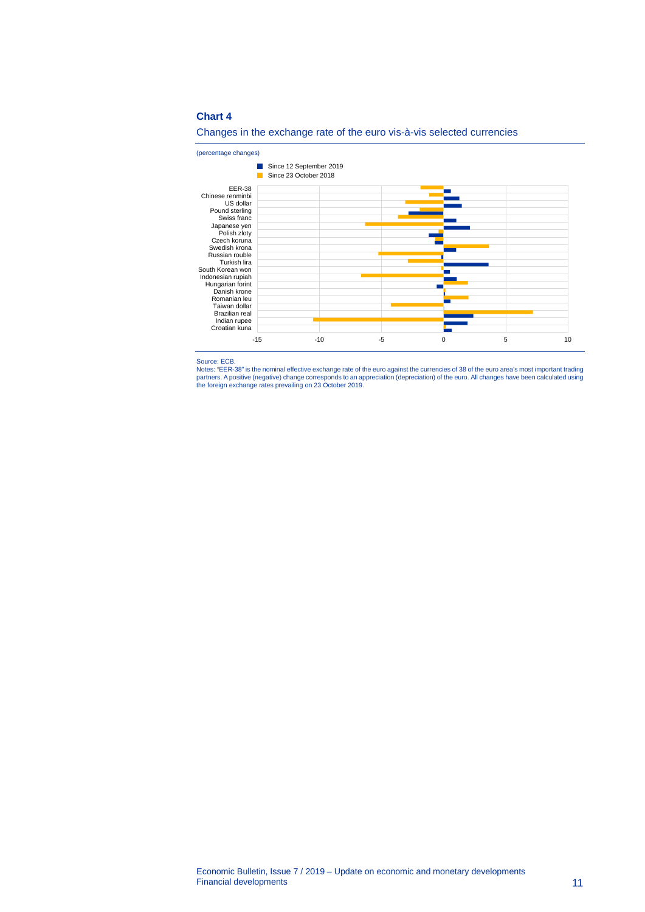### **Chart 4**



### Changes in the exchange rate of the euro vis-à-vis selected currencies

Source: ECB.

Notes: "EER-38" is the nominal effective exchange rate of the euro against the currencies of 38 of the euro area's most important trading<br>partners. A positive (negative) change corresponds to an appreciation (depreciation)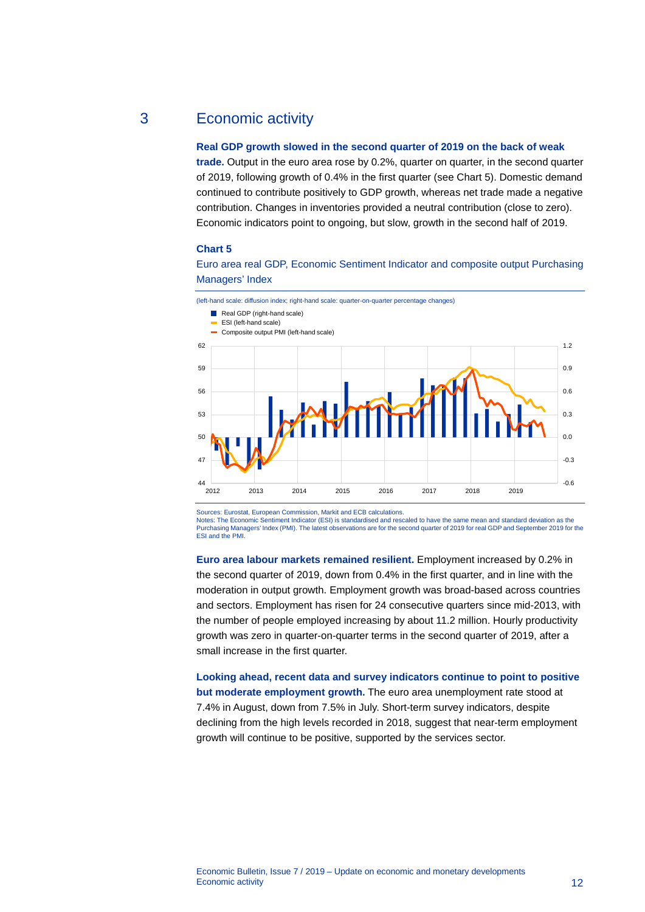### 3 Economic activity

### <span id="page-12-0"></span>**Real GDP growth slowed in the second quarter of 2019 on the back of weak**

**trade.** Output in the euro area rose by 0.2%, quarter on quarter, in the second quarter of 2019, following growth of 0.4% in the first quarter (see Chart 5). Domestic demand continued to contribute positively to GDP growth, whereas net trade made a negative contribution. Changes in inventories provided a neutral contribution (close to zero). Economic indicators point to ongoing, but slow, growth in the second half of 2019.

### **Chart 5**

Euro area real GDP, Economic Sentiment Indicator and composite output Purchasing Managers' Index



Sources: Eurostat, European Commission, Markit and ECB calculations.

Notes: The Economic Sentiment Indicator (ESI) is standardised and rescaled to have the same mean and standard deviation as the Purchasing Managers' Index (PMI). The latest observations are for the second quarter of 2019 for real GDP and September 2019 for the ESI and the PMI.

**Euro area labour markets remained resilient.** Employment increased by 0.2% in the second quarter of 2019, down from 0.4% in the first quarter, and in line with the moderation in output growth. Employment growth was broad-based across countries and sectors. Employment has risen for 24 consecutive quarters since mid-2013, with the number of people employed increasing by about 11.2 million. Hourly productivity growth was zero in quarter-on-quarter terms in the second quarter of 2019, after a small increase in the first quarter.

**Looking ahead, recent data and survey indicators continue to point to positive but moderate employment growth.** The euro area unemployment rate stood at 7.4% in August, down from 7.5% in July. Short-term survey indicators, despite declining from the high levels recorded in 2018, suggest that near-term employment growth will continue to be positive, supported by the services sector.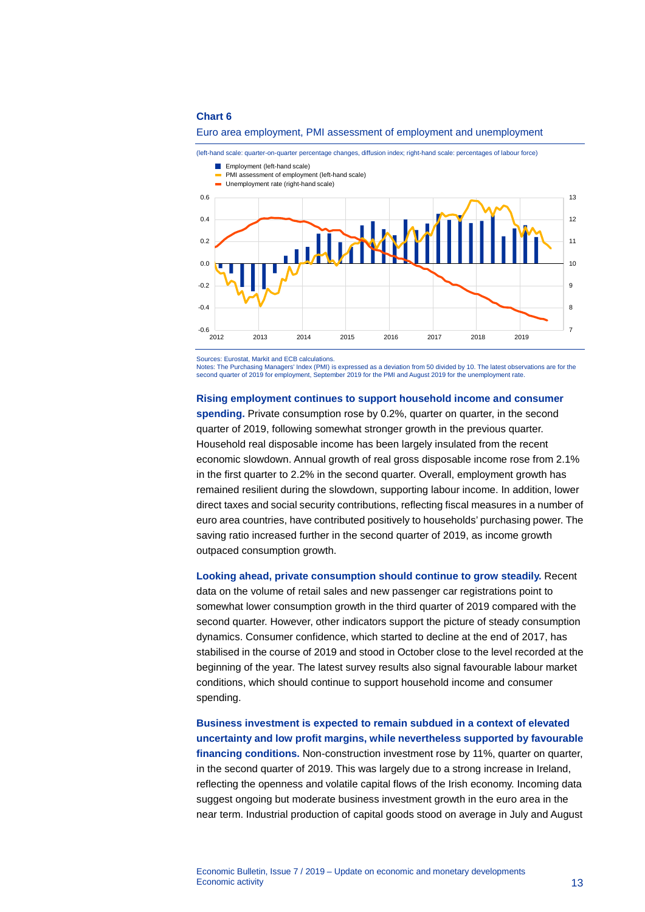#### **Chart 6**





(left-hand scale: quarter-on-quarter percentage changes, diffusion index; right-hand scale: percentages of labour force)

Sources: Eurostat, Markit and ECB calculations.

Notes: The Purchasing Managers' Index (PMI) is expressed as a deviation from 50 divided by 10. The latest observations are for the<br>second quarter of 2019 for employment, September 2019 for the PMI and August 2019 for the u

### **Rising employment continues to support household income and consumer**

**spending.** Private consumption rose by 0.2%, quarter on quarter, in the second quarter of 2019, following somewhat stronger growth in the previous quarter. Household real disposable income has been largely insulated from the recent economic slowdown. Annual growth of real gross disposable income rose from 2.1% in the first quarter to 2.2% in the second quarter. Overall, employment growth has remained resilient during the slowdown, supporting labour income. In addition, lower direct taxes and social security contributions, reflecting fiscal measures in a number of euro area countries, have contributed positively to households' purchasing power. The saving ratio increased further in the second quarter of 2019, as income growth outpaced consumption growth.

**Looking ahead, private consumption should continue to grow steadily.** Recent data on the volume of retail sales and new passenger car registrations point to somewhat lower consumption growth in the third quarter of 2019 compared with the second quarter. However, other indicators support the picture of steady consumption dynamics. Consumer confidence, which started to decline at the end of 2017, has stabilised in the course of 2019 and stood in October close to the level recorded at the beginning of the year. The latest survey results also signal favourable labour market conditions, which should continue to support household income and consumer spending.

**Business investment is expected to remain subdued in a context of elevated uncertainty and low profit margins, while nevertheless supported by favourable**  financing conditions. Non-construction investment rose by 11%, quarter on quarter, in the second quarter of 2019. This was largely due to a strong increase in Ireland, reflecting the openness and volatile capital flows of the Irish economy. Incoming data suggest ongoing but moderate business investment growth in the euro area in the near term. Industrial production of capital goods stood on average in July and August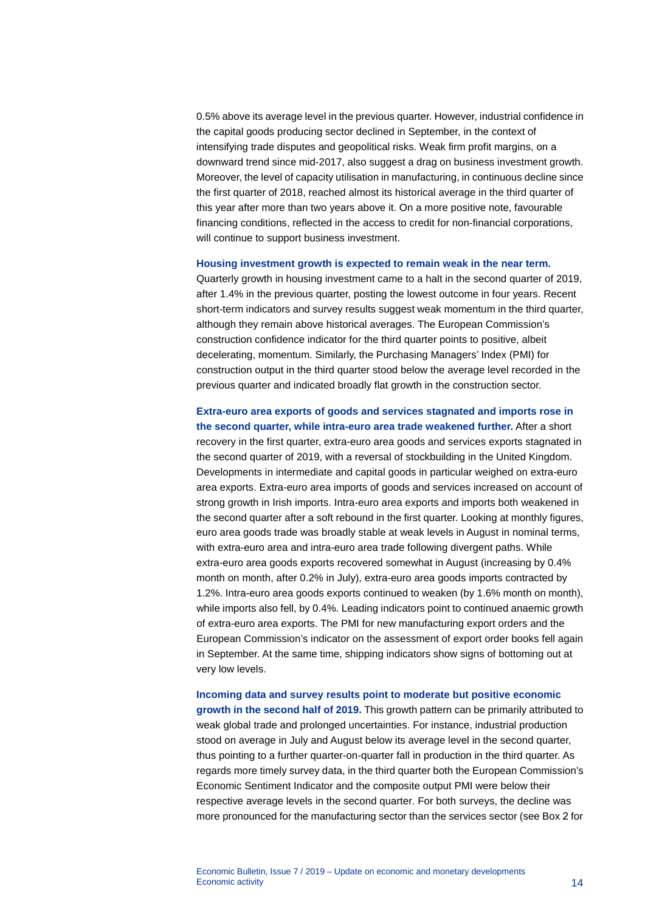0.5% above its average level in the previous quarter. However, industrial confidence in the capital goods producing sector declined in September, in the context of intensifying trade disputes and geopolitical risks. Weak firm profit margins, on a downward trend since mid-2017, also suggest a drag on business investment growth. Moreover, the level of capacity utilisation in manufacturing, in continuous decline since the first quarter of 2018, reached almost its historical average in the third quarter of this year after more than two years above it. On a more positive note, favourable financing conditions, reflected in the access to credit for non-financial corporations, will continue to support business investment.

### **Housing investment growth is expected to remain weak in the near term.**

Quarterly growth in housing investment came to a halt in the second quarter of 2019, after 1.4% in the previous quarter, posting the lowest outcome in four years. Recent short-term indicators and survey results suggest weak momentum in the third quarter, although they remain above historical averages. The European Commission's construction confidence indicator for the third quarter points to positive, albeit decelerating, momentum. Similarly, the Purchasing Managers' Index (PMI) for construction output in the third quarter stood below the average level recorded in the previous quarter and indicated broadly flat growth in the construction sector.

**Extra-euro area exports of goods and services stagnated and imports rose in the second quarter, while intra-euro area trade weakened further.** After a short recovery in the first quarter, extra-euro area goods and services exports stagnated in the second quarter of 2019, with a reversal of stockbuilding in the United Kingdom. Developments in intermediate and capital goods in particular weighed on extra-euro area exports. Extra-euro area imports of goods and services increased on account of strong growth in Irish imports. Intra-euro area exports and imports both weakened in the second quarter after a soft rebound in the first quarter. Looking at monthly figures, euro area goods trade was broadly stable at weak levels in August in nominal terms, with extra-euro area and intra-euro area trade following divergent paths. While extra-euro area goods exports recovered somewhat in August (increasing by 0.4% month on month, after 0.2% in July), extra-euro area goods imports contracted by 1.2%. Intra-euro area goods exports continued to weaken (by 1.6% month on month), while imports also fell, by 0.4%. Leading indicators point to continued anaemic growth of extra-euro area exports. The PMI for new manufacturing export orders and the European Commission's indicator on the assessment of export order books fell again in September. At the same time, shipping indicators show signs of bottoming out at very low levels.

**Incoming data and survey results point to moderate but positive economic growth in the second half of 2019.** This growth pattern can be primarily attributed to weak global trade and prolonged uncertainties. For instance, industrial production stood on average in July and August below its average level in the second quarter, thus pointing to a further quarter-on-quarter fall in production in the third quarter. As regards more timely survey data, in the third quarter both the European Commission's Economic Sentiment Indicator and the composite output PMI were below their respective average levels in the second quarter. For both surveys, the decline was more pronounced for the manufacturing sector than the services sector (see Box 2 for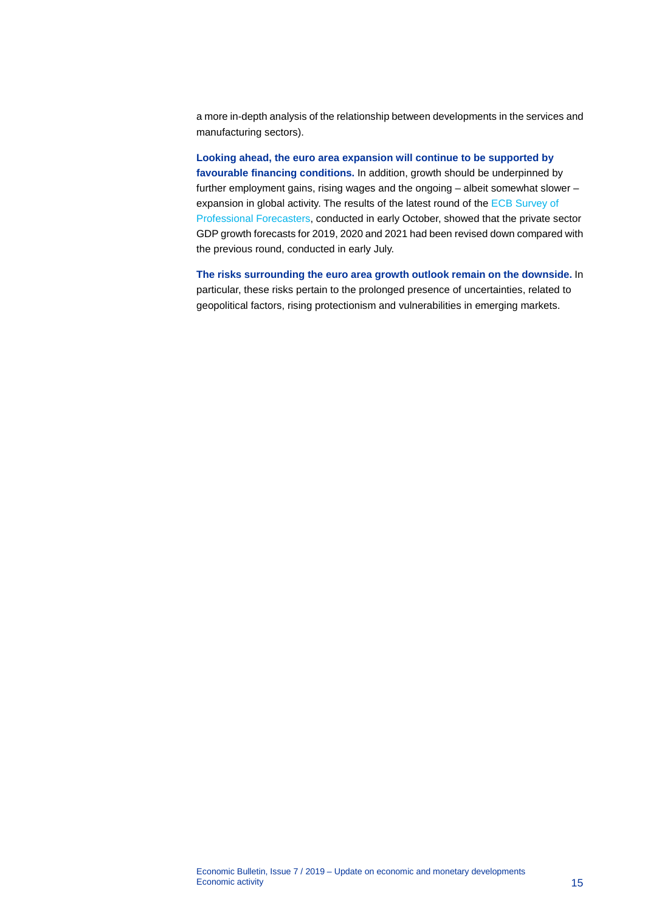a more in-depth analysis of the relationship between developments in the services and manufacturing sectors).

**Looking ahead, the euro area expansion will continue to be supported by favourable financing conditions.** In addition, growth should be underpinned by further employment gains, rising wages and the ongoing – albeit somewhat slower – expansion in global activity. The results of the latest round of th[e ECB Survey of](http://www.ecb.europa.eu/stats/prices/indic/forecast/html/index.en.html)  [Professional Forecasters,](http://www.ecb.europa.eu/stats/prices/indic/forecast/html/index.en.html) conducted in early October, showed that the private sector GDP growth forecasts for 2019, 2020 and 2021 had been revised down compared with the previous round, conducted in early July.

**The risks surrounding the euro area growth outlook remain on the downside.** In particular, these risks pertain to the prolonged presence of uncertainties, related to geopolitical factors, rising protectionism and vulnerabilities in emerging markets.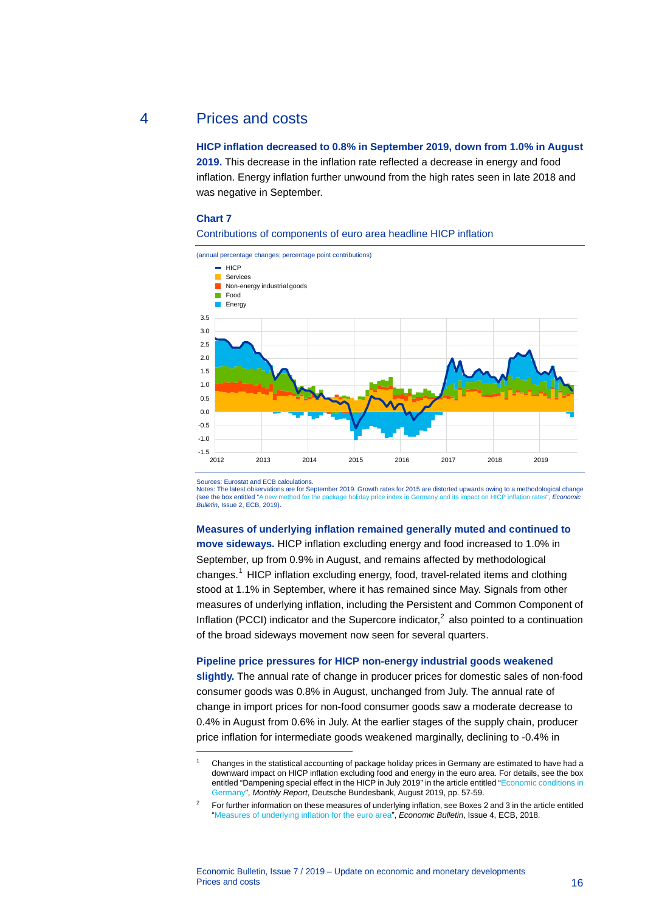### 4 Prices and costs

<span id="page-16-0"></span>**HICP inflation decreased to 0.8% in September 2019, down from 1.0% in August 2019.** This decrease in the inflation rate reflected a decrease in energy and food inflation. Energy inflation further unwound from the high rates seen in late 2018 and was negative in September.

### **Chart 7**





Sources: Eurostat and ECB calculations.

<span id="page-16-1"></span>-

Notes: The latest observations are for September 2019. Growth rates for 2015 are distorted upwards owing to a methodological change<br>(see the box entitled "A new method for the package holiday price index in Germany and its (see the box entitled ["A new method for the package holiday price index in Germany and its impact on HICP inflation rates",](https://www.ecb.europa.eu/pub/economic-bulletin/focus/2019/html/ecb.ebbox201902_05%7E8d798731bd.en.html) *Economic Bulletin*, Issue 2, ECB, 2019).

### **Measures of underlying inflation remained generally muted and continued to**

**move sideways.** HICP inflation excluding energy and food increased to 1.0% in September, up from 0.9% in August, and remains affected by methodological changes.[1](#page-16-1) HICP inflation excluding energy, food, travel-related items and clothing stood at 1.1% in September, where it has remained since May. Signals from other measures of underlying inflation, including the Persistent and Common Component of Inflation (PCCI) indicator and the Supercore indicator, $<sup>2</sup>$  $<sup>2</sup>$  $<sup>2</sup>$  also pointed to a continuation</sup> of the broad sideways movement now seen for several quarters.

### **Pipeline price pressures for HICP non-energy industrial goods weakened**

**slightly.** The annual rate of change in producer prices for domestic sales of non-food consumer goods was 0.8% in August, unchanged from July. The annual rate of change in import prices for non-food consumer goods saw a moderate decrease to 0.4% in August from 0.6% in July. At the earlier stages of the supply chain, producer price inflation for intermediate goods weakened marginally, declining to -0.4% in

Changes in the statistical accounting of package holiday prices in Germany are estimated to have had a downward impact on HICP inflation excluding food and energy in the euro area. For details, see the box entitled "Dampening special effect in the HICP in July 2019" in the article entitled ["Economic conditions in](https://www.bundesbank.de/resource/blob/803776/df0480f0ba055fcac652f9780a27c6ef/mL/2019-08-konjunktur-data.pdf)  [Germany",](https://www.bundesbank.de/resource/blob/803776/df0480f0ba055fcac652f9780a27c6ef/mL/2019-08-konjunktur-data.pdf) *Monthly Report*, Deutsche Bundesbank, August 2019, pp. 57-59.

<span id="page-16-2"></span><sup>2</sup> For further information on these measures of underlying inflation, see Boxes 2 and 3 in the article entitled ["Measures of underlying inflation for the euro area"](https://www.ecb.europa.eu/pub/economic-bulletin/articles/2018/html/ecb.ebart201804_03.en.html), *Economic Bulletin*, Issue 4, ECB, 2018.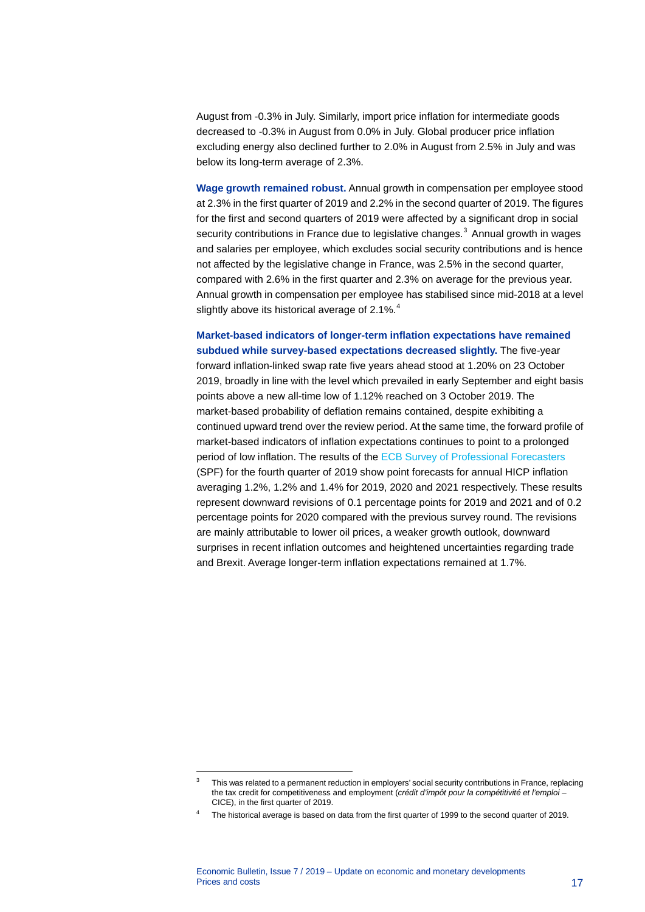August from -0.3% in July. Similarly, import price inflation for intermediate goods decreased to -0.3% in August from 0.0% in July. Global producer price inflation excluding energy also declined further to 2.0% in August from 2.5% in July and was below its long-term average of 2.3%.

**Wage growth remained robust.** Annual growth in compensation per employee stood at 2.3% in the first quarter of 2019 and 2.2% in the second quarter of 2019. The figures for the first and second quarters of 2019 were affected by a significant drop in social security contributions in France due to legislative changes. $3$  Annual growth in wages and salaries per employee, which excludes social security contributions and is hence not affected by the legislative change in France, was 2.5% in the second quarter, compared with 2.6% in the first quarter and 2.3% on average for the previous year. Annual growth in compensation per employee has stabilised since mid-2018 at a level slightly above its historical average of 2.1%.<sup>[4](#page-17-1)</sup>

### **Market-based indicators of longer-term inflation expectations have remained subdued while survey-based expectations decreased slightly.** The five-year

forward inflation-linked swap rate five years ahead stood at 1.20% on 23 October 2019, broadly in line with the level which prevailed in early September and eight basis points above a new all-time low of 1.12% reached on 3 October 2019. The market-based probability of deflation remains contained, despite exhibiting a continued upward trend over the review period. At the same time, the forward profile of market-based indicators of inflation expectations continues to point to a prolonged period of low inflation. The results of the [ECB Survey of Professional Forecasters](https://www.ecb.europa.eu/stats/ecb_surveys/survey_of_professional_forecasters/html/ecb.spf2019q4%7E909ade9ae4.en.html) (SPF) for the fourth quarter of 2019 show point forecasts for annual HICP inflation averaging 1.2%, 1.2% and 1.4% for 2019, 2020 and 2021 respectively. These results represent downward revisions of 0.1 percentage points for 2019 and 2021 and of 0.2 percentage points for 2020 compared with the previous survey round. The revisions are mainly attributable to lower oil prices, a weaker growth outlook, downward surprises in recent inflation outcomes and heightened uncertainties regarding trade and Brexit. Average longer-term inflation expectations remained at 1.7%.

-

<span id="page-17-0"></span><sup>&</sup>lt;sup>3</sup> This was related to a permanent reduction in employers' social security contributions in France, replacing the tax credit for competitiveness and employment (*crédit d'impôt pour la compétitivité et l'emploi* – CICE), in the first quarter of 2019.

<span id="page-17-1"></span><sup>4</sup> The historical average is based on data from the first quarter of 1999 to the second quarter of 2019.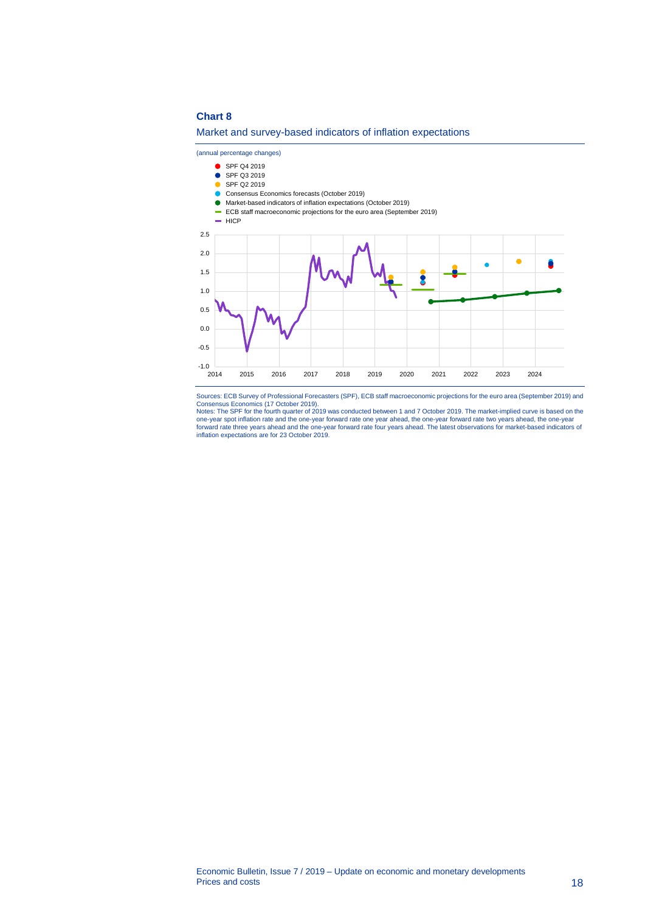### **Chart 8**

### Market and survey-based indicators of inflation expectations

(annual percentage changes)

SPF Q4 2019 SPF Q3 2019 SPF Q2 2019 Consensus Economics forecasts (October 2019) Market-based indicators of inflation expectations (October 2019) ECB staff macroeconomic projections for the euro area (September 2019)  $=$  HICP 2.5 2.0  $\bullet$ â  $\bullet$ 1.5 Š 1.0 0.5 0.0 -0.5  $-1.0$ <br>2014 2014 2015 2016 2017 2018 2019 2020 2021 2022 2023 2024

Sources: ECB Survey of Professional Forecasters (SPF), ECB staff macroeconomic projections for the euro area (September 2019) and

Consensus Economics (17 October 2019).<br>Notes: The SPF for the fourth quarter of 2019 was conducted between 1 and 7 October 2019. The market-implied curve is based on the<br>one-year spot inflation rate and the one-year forwar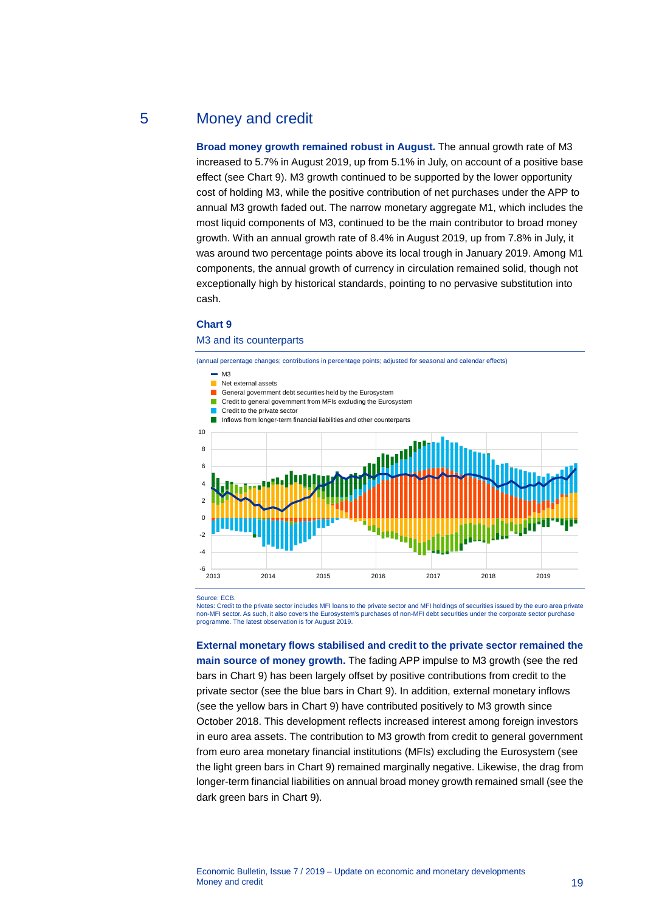### 5 Money and credit

<span id="page-19-0"></span>**Broad money growth remained robust in August.** The annual growth rate of M3 increased to 5.7% in August 2019, up from 5.1% in July, on account of a positive base effect (see Chart 9). M3 growth continued to be supported by the lower opportunity cost of holding M3, while the positive contribution of net purchases under the APP to annual M3 growth faded out. The narrow monetary aggregate M1, which includes the most liquid components of M3, continued to be the main contributor to broad money growth. With an annual growth rate of 8.4% in August 2019, up from 7.8% in July, it was around two percentage points above its local trough in January 2019. Among M1 components, the annual growth of currency in circulation remained solid, though not exceptionally high by historical standards, pointing to no pervasive substitution into cash.

### **Chart 9**

### M3 and its counterparts

(annual percentage changes; contributions in percentage points; adjusted for seasonal and calendar effects)





Source: ECB

Notes: Credit to the private sector includes MFI loans to the private sector and MFI holdings of securities issued by the euro area private non-MFI sector. As such, it also covers the Eurosystem's purchases of non-MFI debt securities under the corporate sector purchase programme. The latest observation is for August 2019.

2013 2014 2015 2016 2017 2018 2019

**External monetary flows stabilised and credit to the private sector remained the main source of money growth.** The fading APP impulse to M3 growth (see the red bars in Chart 9) has been largely offset by positive contributions from credit to the private sector (see the blue bars in Chart 9). In addition, external monetary inflows (see the yellow bars in Chart 9) have contributed positively to M3 growth since October 2018. This development reflects increased interest among foreign investors in euro area assets. The contribution to M3 growth from credit to general government from euro area monetary financial institutions (MFIs) excluding the Eurosystem (see the light green bars in Chart 9) remained marginally negative. Likewise, the drag from longer-term financial liabilities on annual broad money growth remained small (see the dark green bars in Chart 9).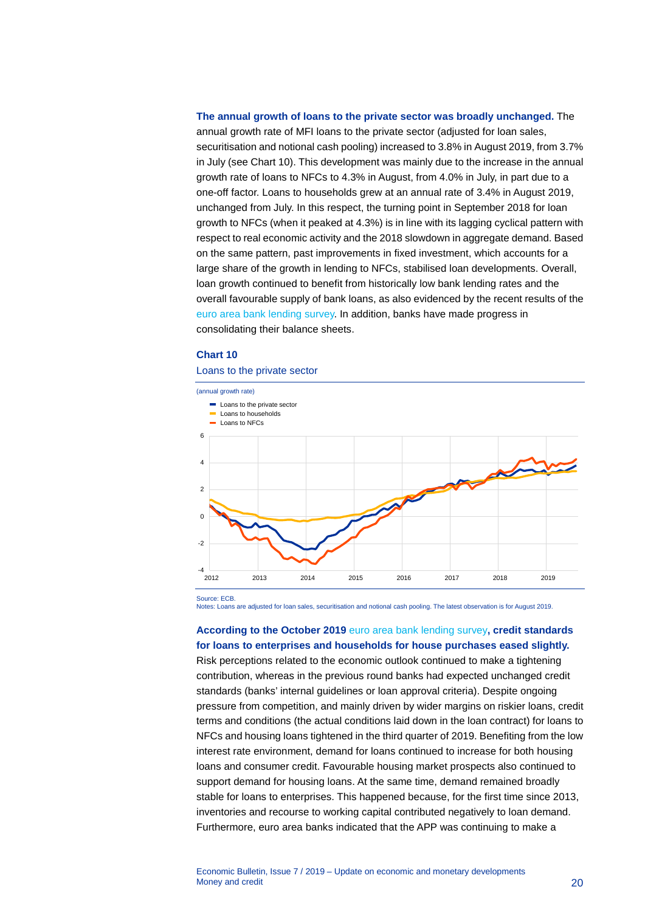### **The annual growth of loans to the private sector was broadly unchanged.** The

annual growth rate of MFI loans to the private sector (adjusted for loan sales, securitisation and notional cash pooling) increased to 3.8% in August 2019, from 3.7% in July (see Chart 10). This development was mainly due to the increase in the annual growth rate of loans to NFCs to 4.3% in August, from 4.0% in July, in part due to a one-off factor. Loans to households grew at an annual rate of 3.4% in August 2019, unchanged from July. In this respect, the turning point in September 2018 for loan growth to NFCs (when it peaked at 4.3%) is in line with its lagging cyclical pattern with respect to real economic activity and the 2018 slowdown in aggregate demand. Based on the same pattern, past improvements in fixed investment, which accounts for a large share of the growth in lending to NFCs, stabilised loan developments. Overall, loan growth continued to benefit from historically low bank lending rates and the overall favourable supply of bank loans, as also evidenced by the recent results of the [euro area bank lending survey.](http://www.ecb.europa.eu/stats/ecb_surveys/bank_lending_survey/html/index.en.html) In addition, banks have made progress in consolidating their balance sheets.

### **Chart 10**

#### Loans to the private sector



Source: ECB.

Notes: Loans are adjusted for loan sales, securitisation and notional cash pooling. The latest observation is for August 2019.

### **According to the October 2019** [euro area bank lending survey](http://www.ecb.europa.eu/stats/ecb_surveys/bank_lending_survey/html/index.en.html)**, credit standards for loans to enterprises and households for house purchases eased slightly.**

Risk perceptions related to the economic outlook continued to make a tightening contribution, whereas in the previous round banks had expected unchanged credit standards (banks' internal guidelines or loan approval criteria). Despite ongoing pressure from competition, and mainly driven by wider margins on riskier loans, credit terms and conditions (the actual conditions laid down in the loan contract) for loans to NFCs and housing loans tightened in the third quarter of 2019. Benefiting from the low interest rate environment, demand for loans continued to increase for both housing loans and consumer credit. Favourable housing market prospects also continued to support demand for housing loans. At the same time, demand remained broadly stable for loans to enterprises. This happened because, for the first time since 2013, inventories and recourse to working capital contributed negatively to loan demand. Furthermore, euro area banks indicated that the APP was continuing to make a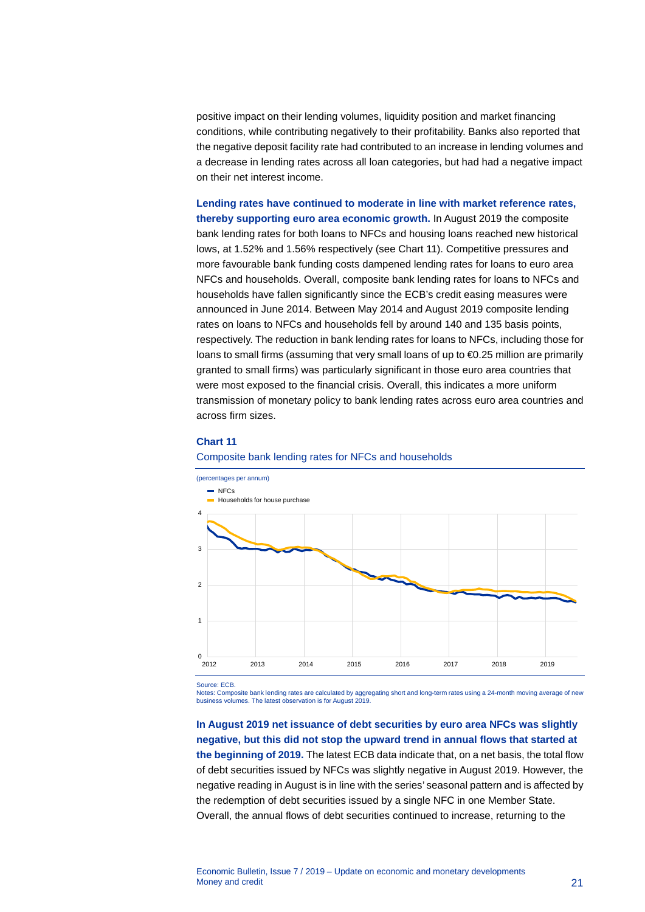positive impact on their lending volumes, liquidity position and market financing conditions, while contributing negatively to their profitability. Banks also reported that the negative deposit facility rate had contributed to an increase in lending volumes and a decrease in lending rates across all loan categories, but had had a negative impact on their net interest income.

**Lending rates have continued to moderate in line with market reference rates, thereby supporting euro area economic growth.** In August 2019 the composite bank lending rates for both loans to NFCs and housing loans reached new historical lows, at 1.52% and 1.56% respectively (see Chart 11). Competitive pressures and more favourable bank funding costs dampened lending rates for loans to euro area NFCs and households. Overall, composite bank lending rates for loans to NFCs and households have fallen significantly since the ECB's credit easing measures were announced in June 2014. Between May 2014 and August 2019 composite lending rates on loans to NFCs and households fell by around 140 and 135 basis points, respectively. The reduction in bank lending rates for loans to NFCs, including those for loans to small firms (assuming that very small loans of up to €0.25 million are primarily granted to small firms) was particularly significant in those euro area countries that were most exposed to the financial crisis. Overall, this indicates a more uniform transmission of monetary policy to bank lending rates across euro area countries and across firm sizes.

#### **Chart 11**





Source: ECB.

Notes: Composite bank lending rates are calculated by aggregating short and long-term rates using a 24-month moving average of new business volumes. The latest observation is for August 2019.

### **In August 2019 net issuance of debt securities by euro area NFCs was slightly negative, but this did not stop the upward trend in annual flows that started at the beginning of 2019.** The latest ECB data indicate that, on a net basis, the total flow of debt securities issued by NFCs was slightly negative in August 2019. However, the negative reading in August is in line with the series' seasonal pattern and is affected by the redemption of debt securities issued by a single NFC in one Member State. Overall, the annual flows of debt securities continued to increase, returning to the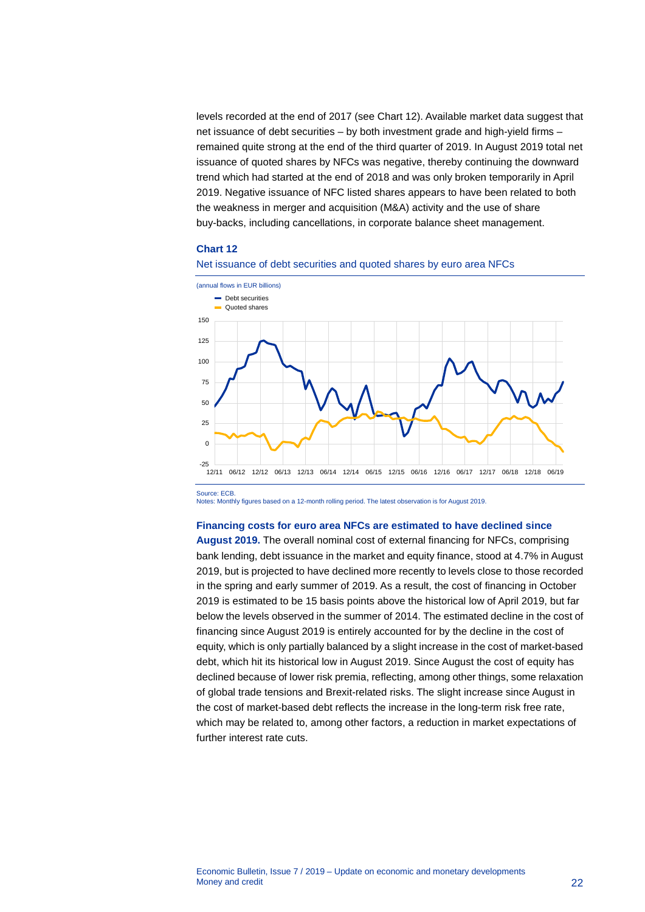levels recorded at the end of 2017 (see Chart 12). Available market data suggest that net issuance of debt securities – by both investment grade and high-yield firms – remained quite strong at the end of the third quarter of 2019. In August 2019 total net issuance of quoted shares by NFCs was negative, thereby continuing the downward trend which had started at the end of 2018 and was only broken temporarily in April 2019. Negative issuance of NFC listed shares appears to have been related to both the weakness in merger and acquisition (M&A) activity and the use of share buy-backs, including cancellations, in corporate balance sheet management.

#### **Chart 12**

Source: ECB.





Notes: Monthly figures based on a 12-month rolling period. The latest observation is for August 2019.

### **Financing costs for euro area NFCs are estimated to have declined since**

**August 2019.** The overall nominal cost of external financing for NFCs, comprising bank lending, debt issuance in the market and equity finance, stood at 4.7% in August 2019, but is projected to have declined more recently to levels close to those recorded in the spring and early summer of 2019. As a result, the cost of financing in October 2019 is estimated to be 15 basis points above the historical low of April 2019, but far below the levels observed in the summer of 2014. The estimated decline in the cost of financing since August 2019 is entirely accounted for by the decline in the cost of equity, which is only partially balanced by a slight increase in the cost of market-based debt, which hit its historical low in August 2019. Since August the cost of equity has declined because of lower risk premia, reflecting, among other things, some relaxation of global trade tensions and Brexit-related risks. The slight increase since August in the cost of market-based debt reflects the increase in the long-term risk free rate, which may be related to, among other factors, a reduction in market expectations of further interest rate cuts.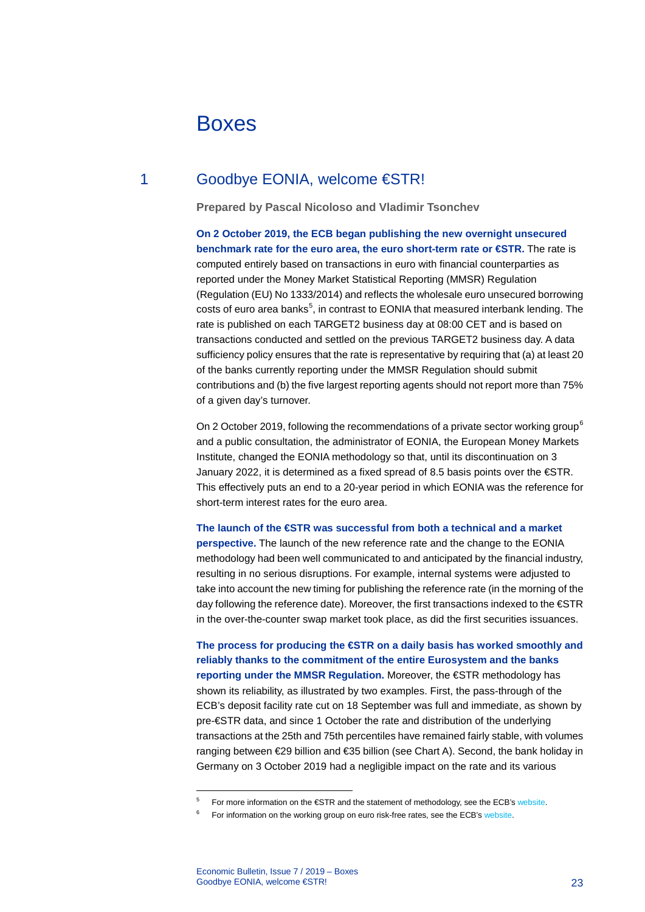# <span id="page-23-0"></span>Boxes

### 1 Goodbye EONIA, welcome €STR!

<span id="page-23-1"></span>**Prepared by Pascal Nicoloso and Vladimir Tsonchev**

**On 2 October 2019, the ECB began publishing the new overnight unsecured benchmark rate for the euro area, the euro short-term rate or €STR.** The rate is computed entirely based on transactions in euro with financial counterparties as reported under the Money Market Statistical Reporting (MMSR) Regulation (Regulation (EU) No 1333/2014) and reflects the wholesale euro unsecured borrowing costs of euro area banks<sup>[5](#page-23-2)</sup>, in contrast to EONIA that measured interbank lending. The rate is published on each TARGET2 business day at 08:00 CET and is based on transactions conducted and settled on the previous TARGET2 business day. A data sufficiency policy ensures that the rate is representative by requiring that (a) at least 20 of the banks currently reporting under the MMSR Regulation should submit contributions and (b) the five largest reporting agents should not report more than 75% of a given day's turnover.

On 2 October 2019, following the recommendations of a private sector working group<sup>[6](#page-23-3)</sup> and a public consultation, the administrator of EONIA, the European Money Markets Institute, changed the EONIA methodology so that, until its discontinuation on 3 January 2022, it is determined as a fixed spread of 8.5 basis points over the €STR. This effectively puts an end to a 20-year period in which EONIA was the reference for short-term interest rates for the euro area.

### **The launch of the €STR was successful from both a technical and a market**

**perspective.** The launch of the new reference rate and the change to the EONIA methodology had been well communicated to and anticipated by the financial industry, resulting in no serious disruptions. For example, internal systems were adjusted to take into account the new timing for publishing the reference rate (in the morning of the day following the reference date). Moreover, the first transactions indexed to the €STR in the over-the-counter swap market took place, as did the first securities issuances.

**The process for producing the €STR on a daily basis has worked smoothly and reliably thanks to the commitment of the entire Eurosystem and the banks reporting under the MMSR Regulation.** Moreover, the €STR methodology has shown its reliability, as illustrated by two examples. First, the pass-through of the ECB's deposit facility rate cut on 18 September was full and immediate, as shown by pre-€STR data, and since 1 October the rate and distribution of the underlying transactions at the 25th and 75th percentiles have remained fairly stable, with volumes ranging between €29 billion and €35 billion (see Chart A). Second, the bank holiday in Germany on 3 October 2019 had a negligible impact on the rate and its various

-

 $5$  For more information on the  $\epsilon$ STR and the statement of methodology, see the ECB's [website.](https://www.ecb.europa.eu/stats/financial_markets_and_interest_rates/euro_short-term_rate/html/eurostr_overview.en.html)

<span id="page-23-3"></span><span id="page-23-2"></span>For information on the working group on euro risk-free rates, see the ECB'[s website.](https://www.ecb.europa.eu/paym/initiatives/interest_rate_benchmarks/WG_euro_risk-free_rates/html/index.en.html?itm_medium=media_objects_links)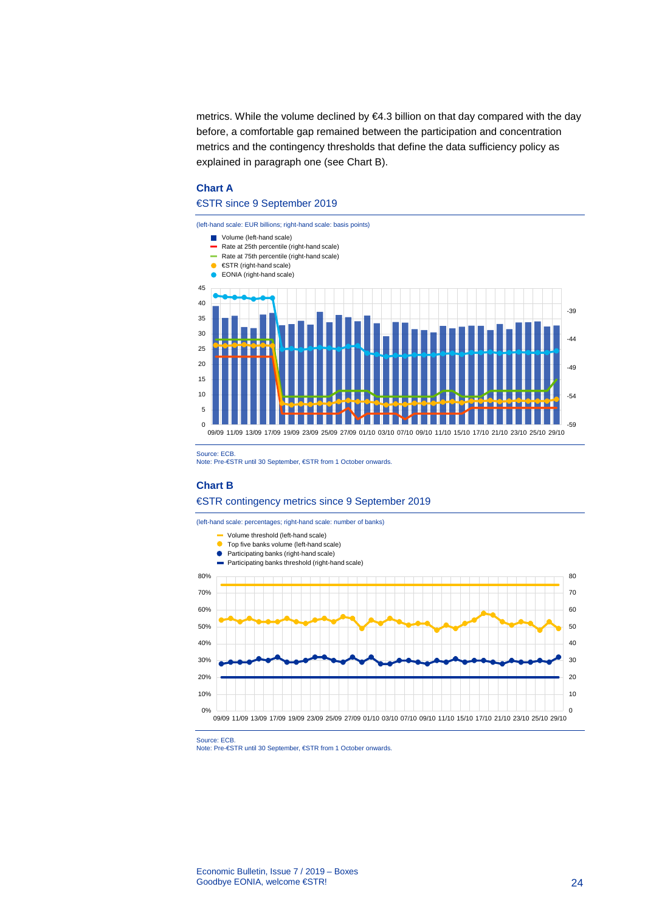metrics. While the volume declined by €4.3 billion on that day compared with the day before, a comfortable gap remained between the participation and concentration metrics and the contingency thresholds that define the data sufficiency policy as explained in paragraph one (see Chart B).

### **Chart A**

### €STR since 9 September 2019



Source: ECB.

Note: Pre-€STR until 30 September, €STR from 1 October onwards.

#### **Chart B**

#### €STR contingency metrics since 9 September 2019

(left-hand scale: percentages; right-hand scale: number of banks)



Source: ECB.

Note: Pre-€STR until 30 September, €STR from 1 October onwards.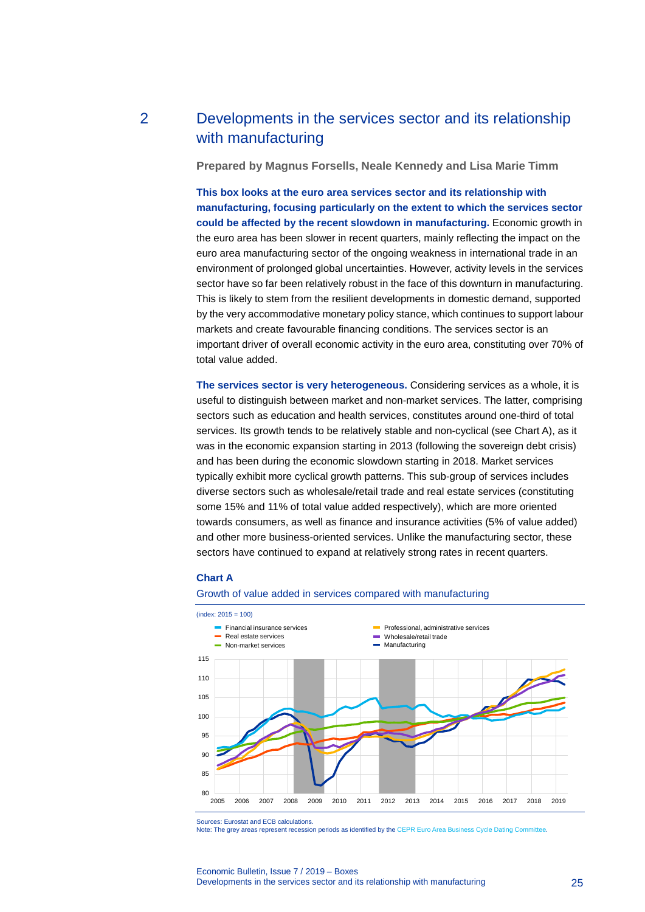## 2 Developments in the services sector and its relationship with manufacturing

<span id="page-25-0"></span>**Prepared by Magnus Forsells, Neale Kennedy and Lisa Marie Timm**

**This box looks at the euro area services sector and its relationship with manufacturing, focusing particularly on the extent to which the services sector could be affected by the recent slowdown in manufacturing.** Economic growth in the euro area has been slower in recent quarters, mainly reflecting the impact on the euro area manufacturing sector of the ongoing weakness in international trade in an environment of prolonged global uncertainties. However, activity levels in the services sector have so far been relatively robust in the face of this downturn in manufacturing. This is likely to stem from the resilient developments in domestic demand, supported by the very accommodative monetary policy stance, which continues to support labour markets and create favourable financing conditions. The services sector is an important driver of overall economic activity in the euro area, constituting over 70% of total value added.

**The services sector is very heterogeneous.** Considering services as a whole, it is useful to distinguish between market and non-market services. The latter, comprising sectors such as education and health services, constitutes around one-third of total services. Its growth tends to be relatively stable and non-cyclical (see Chart A), as it was in the economic expansion starting in 2013 (following the sovereign debt crisis) and has been during the economic slowdown starting in 2018. Market services typically exhibit more cyclical growth patterns. This sub-group of services includes diverse sectors such as wholesale/retail trade and real estate services (constituting some 15% and 11% of total value added respectively), which are more oriented towards consumers, as well as finance and insurance activities (5% of value added) and other more business-oriented services. Unlike the manufacturing sector, these sectors have continued to expand at relatively strong rates in recent quarters.

### **Chart A**

#### Growth of value added in services compared with manufacturing



Sources: Eurostat and ECB calculations.

Note: The grey areas represent recession periods as identified by th[e CEPR Euro Area Business Cycle Dating Committee.](https://cepr.org/content/euro-area-business-cycle-dating-committee)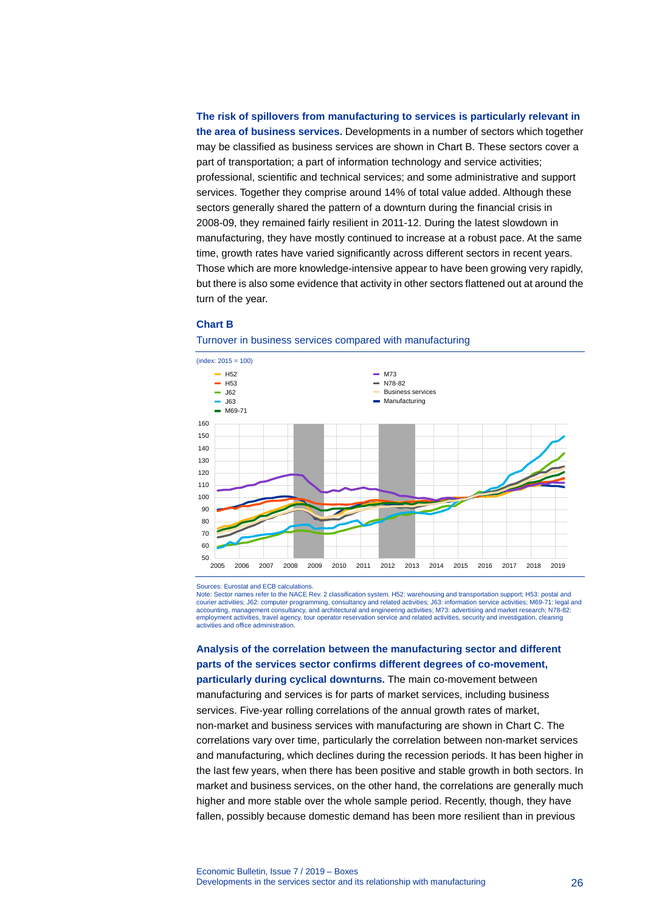**The risk of spillovers from manufacturing to services is particularly relevant in the area of business services.** Developments in a number of sectors which together may be classified as business services are shown in Chart B. These sectors cover a part of transportation; a part of information technology and service activities; professional, scientific and technical services; and some administrative and support services. Together they comprise around 14% of total value added. Although these sectors generally shared the pattern of a downturn during the financial crisis in 2008-09, they remained fairly resilient in 2011-12. During the latest slowdown in manufacturing, they have mostly continued to increase at a robust pace. At the same time, growth rates have varied significantly across different sectors in recent years. Those which are more knowledge-intensive appear to have been growing very rapidly, but there is also some evidence that activity in other sectors flattened out at around the turn of the year.

### **Chart B**





Sources: Eurostat and ECB calculations.

Note: Sector names refer to the NACE Rev. 2 classification system. H52: warehousing and transportation support; H53: postal and courier activities; J62: computer programming, consultancy and related activities; J63: information service activities; M69-71: legal and accounting, management consultancy, and architectural and engineering activities; M73: advertising and market research; N78-82: employment activities, travel agency, tour operator reservation service and related activities, security and investigation, cleaning activities and office administration.

**Analysis of the correlation between the manufacturing sector and different parts of the services sector confirms different degrees of co-movement, particularly during cyclical downturns.** The main co-movement between manufacturing and services is for parts of market services, including business

services. Five-year rolling correlations of the annual growth rates of market, non-market and business services with manufacturing are shown in Chart C. The correlations vary over time, particularly the correlation between non-market services and manufacturing, which declines during the recession periods. It has been higher in the last few years, when there has been positive and stable growth in both sectors. In market and business services, on the other hand, the correlations are generally much higher and more stable over the whole sample period. Recently, though, they have fallen, possibly because domestic demand has been more resilient than in previous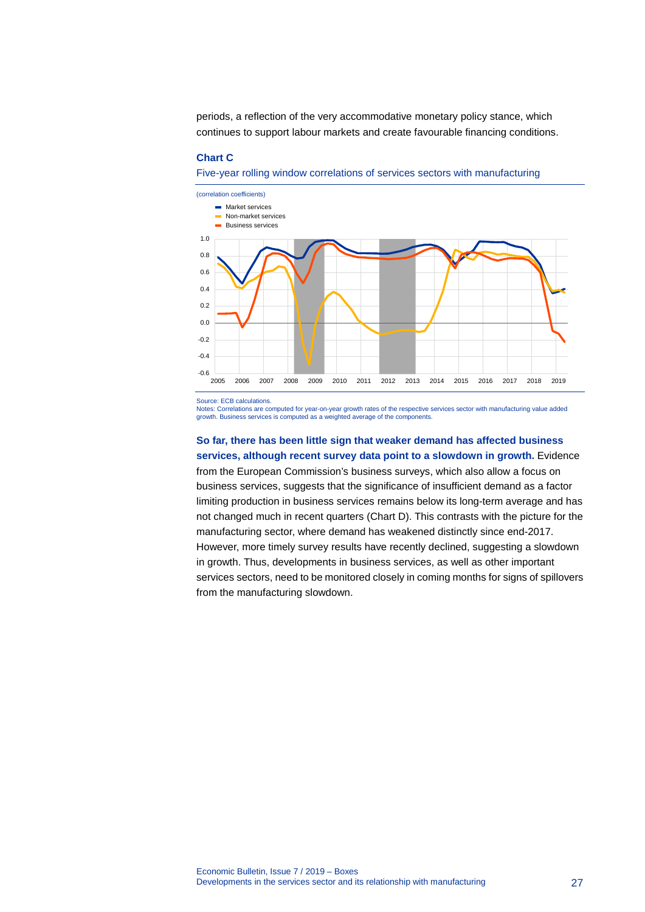periods, a reflection of the very accommodative monetary policy stance, which continues to support labour markets and create favourable financing conditions.

#### **Chart C**

Five-year rolling window correlations of services sectors with manufacturing



Source: ECB calculations.

Notes: Correlations are computed for year-on-year growth rates of the respective services sector with manufacturing value added growth. Business services is computed as a weighted average of the components.

### **So far, there has been little sign that weaker demand has affected business services, although recent survey data point to a slowdown in growth.** Evidence

from the European Commission's business surveys, which also allow a focus on business services, suggests that the significance of insufficient demand as a factor limiting production in business services remains below its long-term average and has not changed much in recent quarters (Chart D). This contrasts with the picture for the manufacturing sector, where demand has weakened distinctly since end-2017. However, more timely survey results have recently declined, suggesting a slowdown in growth. Thus, developments in business services, as well as other important services sectors, need to be monitored closely in coming months for signs of spillovers from the manufacturing slowdown.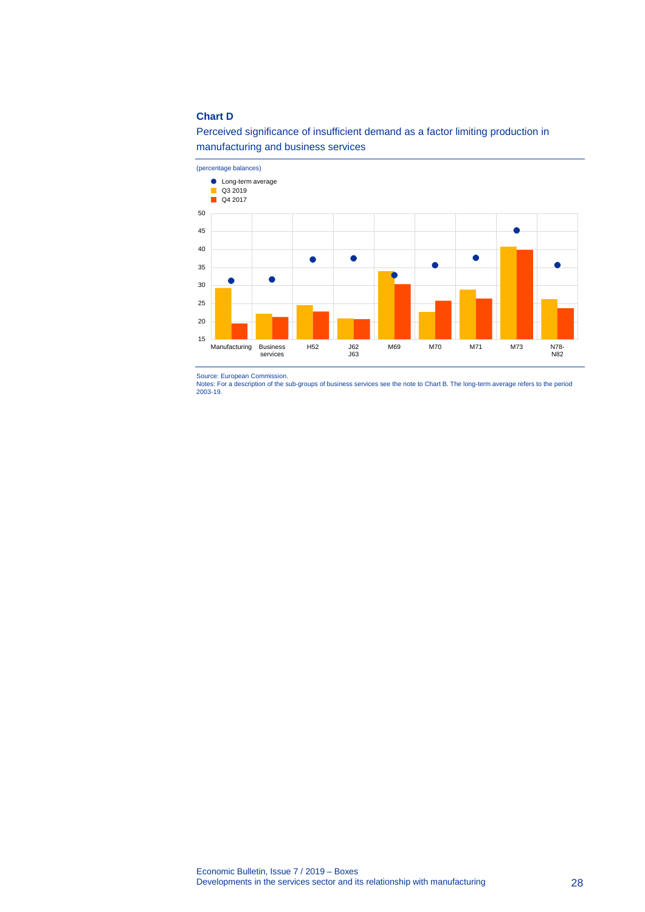### **Chart D**





Source: European Commission. Notes: For a description of the sub-groups of business services see the note to Chart B. The long-term average refers to the period 2003-19.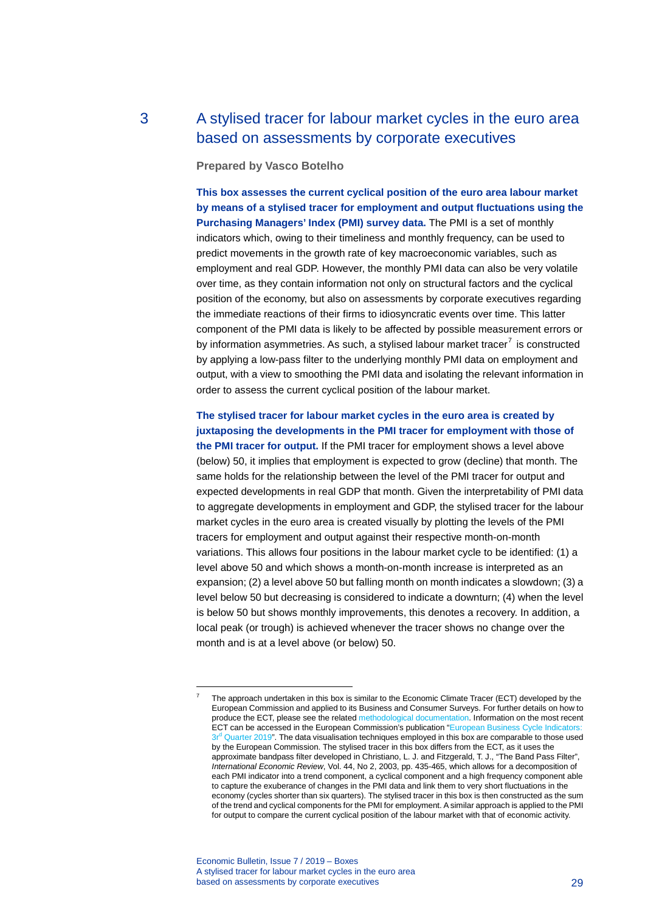## 3 A stylised tracer for labour market cycles in the euro area based on assessments by corporate executives

### <span id="page-29-0"></span>**Prepared by Vasco Botelho**

**This box assesses the current cyclical position of the euro area labour market by means of a stylised tracer for employment and output fluctuations using the Purchasing Managers' Index (PMI) survey data.** The PMI is a set of monthly indicators which, owing to their timeliness and monthly frequency, can be used to predict movements in the growth rate of key macroeconomic variables, such as employment and real GDP. However, the monthly PMI data can also be very volatile over time, as they contain information not only on structural factors and the cyclical position of the economy, but also on assessments by corporate executives regarding the immediate reactions of their firms to idiosyncratic events over time. This latter component of the PMI data is likely to be affected by possible measurement errors or by information asymmetries. As such, a stylised labour market tracer $^7$  $^7$  is constructed by applying a low-pass filter to the underlying monthly PMI data on employment and output, with a view to smoothing the PMI data and isolating the relevant information in order to assess the current cyclical position of the labour market.

### **The stylised tracer for labour market cycles in the euro area is created by juxtaposing the developments in the PMI tracer for employment with those of**

**the PMI tracer for output.** If the PMI tracer for employment shows a level above (below) 50, it implies that employment is expected to grow (decline) that month. The same holds for the relationship between the level of the PMI tracer for output and expected developments in real GDP that month. Given the interpretability of PMI data to aggregate developments in employment and GDP, the stylised tracer for the labour market cycles in the euro area is created visually by plotting the levels of the PMI tracers for employment and output against their respective month-on-month variations. This allows four positions in the labour market cycle to be identified: (1) a level above 50 and which shows a month-on-month increase is interpreted as an expansion; (2) a level above 50 but falling month on month indicates a slowdown; (3) a level below 50 but decreasing is considered to indicate a downturn; (4) when the level is below 50 but shows monthly improvements, this denotes a recovery. In addition, a local peak (or trough) is achieved whenever the tracer shows no change over the month and is at a level above (or below) 50.

Economic Bulletin, Issue 7 / 2019 – Boxes A stylised tracer for labour market cycles in the euro area based on assessments by corporate executives **29** and  $\overline{a}$  29

<span id="page-29-1"></span>-

<sup>7</sup> The approach undertaken in this box is similar to the Economic Climate Tracer (ECT) developed by the European Commission and applied to its Business and Consumer Surveys. For further details on how to produce the ECT, please see the relate[d methodological documentation.](http://www.oecd.org/sdd/leading-indicators/39578745.pdf) Information on the most recent ECT can be accessed in the European Commission's publication "European Business Cycle Indic  $3r<sup>d</sup>$  [Quarter 2019"](https://ec.europa.eu/info/sites/info/files/economy-finance/tp035_en.pdf). The data visualisation techniques employed in this box are comparable to those used by the European Commission. The stylised tracer in this box differs from the ECT, as it uses the approximate bandpass filter developed in Christiano, L. J. and Fitzgerald, T. J., "The Band Pass Filter", *International Economic Review*, Vol. 44, No 2, 2003, pp. 435-465, which allows for a decomposition of each PMI indicator into a trend component, a cyclical component and a high frequency component able to capture the exuberance of changes in the PMI data and link them to very short fluctuations in the economy (cycles shorter than six quarters). The stylised tracer in this box is then constructed as the sum of the trend and cyclical components for the PMI for employment. A similar approach is applied to the PMI for output to compare the current cyclical position of the labour market with that of economic activity.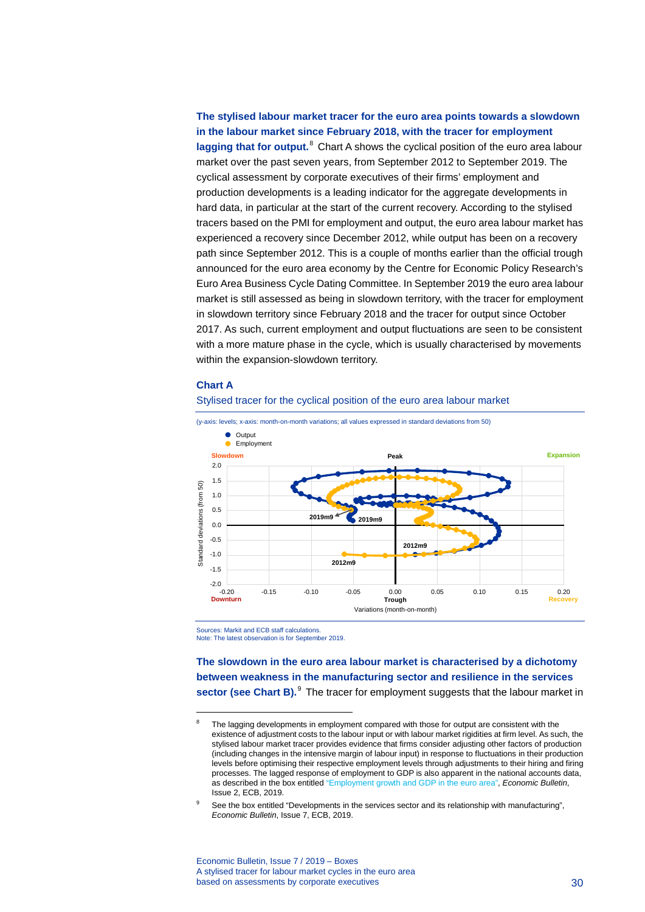### **The stylised labour market tracer for the euro area points towards a slowdown in the labour market since February 2018, with the tracer for employment lagging that for output.**[8](#page-30-0) Chart A shows the cyclical position of the euro area labour market over the past seven years, from September 2012 to September 2019. The cyclical assessment by corporate executives of their firms' employment and production developments is a leading indicator for the aggregate developments in hard data, in particular at the start of the current recovery. According to the stylised tracers based on the PMI for employment and output, the euro area labour market has experienced a recovery since December 2012, while output has been on a recovery path since September 2012. This is a couple of months earlier than the official trough announced for the euro area economy by the Centre for Economic Policy Research's Euro Area Business Cycle Dating Committee. In September 2019 the euro area labour market is still assessed as being in slowdown territory, with the tracer for employment in slowdown territory since February 2018 and the tracer for output since October 2017. As such, current employment and output fluctuations are seen to be consistent with a more mature phase in the cycle, which is usually characterised by movements within the expansion-slowdown territory.

#### **Chart A**

<span id="page-30-0"></span>-







Sources: Markit and ECB staff calculations. Note: The latest observation is for September 2019.

**The slowdown in the euro area labour market is characterised by a dichotomy between weakness in the manufacturing sector and resilience in the services sector (see Chart B).**<sup>[9](#page-30-1)</sup> The tracer for employment suggests that the labour market in

Economic Bulletin, Issue 7 / 2019 – Boxes A stylised tracer for labour market cycles in the euro area based on assessments by corporate executives 30 and 30 and 30 and 30 and 30 and 30 and 30 and 30 and 30 and 30  $\sigma$ 

The lagging developments in employment compared with those for output are consistent with the existence of adjustment costs to the labour input or with labour market rigidities at firm level. As such, the stylised labour market tracer provides evidence that firms consider adjusting other factors of production (including changes in the intensive margin of labour input) in response to fluctuations in their production levels before optimising their respective employment levels through adjustments to their hiring and firing processes. The lagged response of employment to GDP is also apparent in the national accounts data, as described in the box entitle[d "Employment growth and GDP in the euro area",](https://www.ecb.europa.eu/pub/economic-bulletin/focus/2019/html/ecb.ebbox201902_03%7E29ccc5ebf4.en.html) *Economic Bulletin*, Issue 2, ECB, 2019.

<span id="page-30-1"></span>See the box entitled "Developments in the services sector and its relationship with manufacturing", *Economic Bulletin*, Issue 7, ECB, 2019.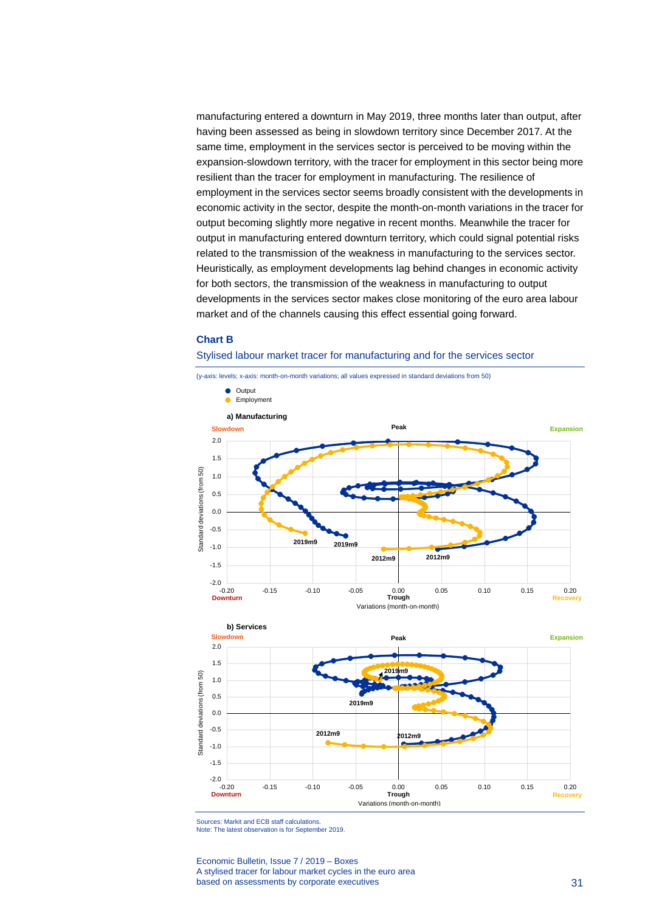manufacturing entered a downturn in May 2019, three months later than output, after having been assessed as being in slowdown territory since December 2017. At the same time, employment in the services sector is perceived to be moving within the expansion-slowdown territory, with the tracer for employment in this sector being more resilient than the tracer for employment in manufacturing. The resilience of employment in the services sector seems broadly consistent with the developments in economic activity in the sector, despite the month-on-month variations in the tracer for output becoming slightly more negative in recent months. Meanwhile the tracer for output in manufacturing entered downturn territory, which could signal potential risks related to the transmission of the weakness in manufacturing to the services sector. Heuristically, as employment developments lag behind changes in economic activity for both sectors, the transmission of the weakness in manufacturing to output developments in the services sector makes close monitoring of the euro area labour market and of the channels causing this effect essential going forward.

### **Chart B**

#### Stylised labour market tracer for manufacturing and for the services sector





Sources: Markit and ECB staff calculations.

Note: The latest observation is for September 2019.

Economic Bulletin, Issue 7 / 2019 – Boxes A stylised tracer for labour market cycles in the euro area based on assessments by corporate executives 31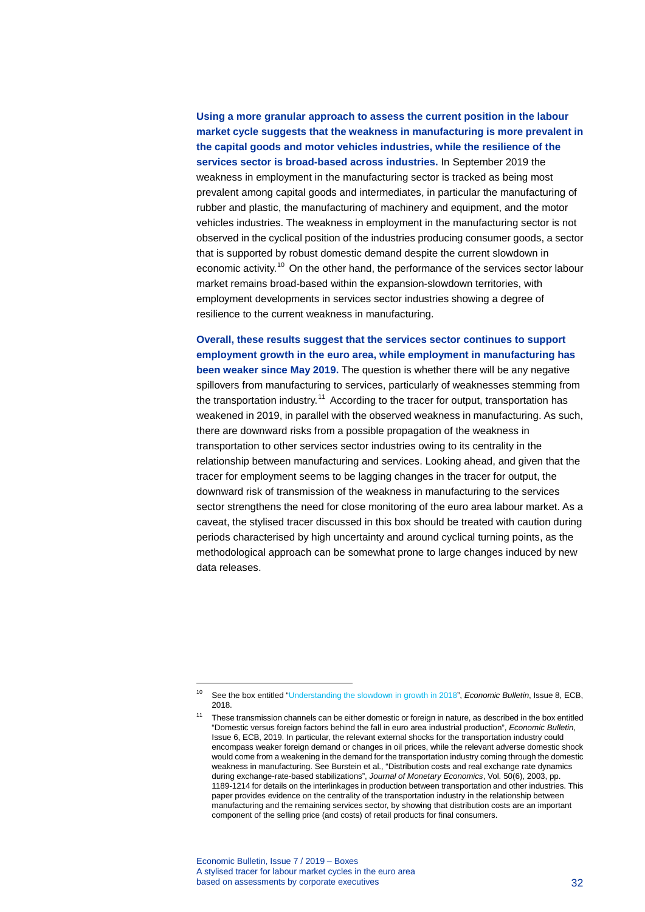**Using a more granular approach to assess the current position in the labour market cycle suggests that the weakness in manufacturing is more prevalent in the capital goods and motor vehicles industries, while the resilience of the services sector is broad-based across industries.** In September 2019 the weakness in employment in the manufacturing sector is tracked as being most prevalent among capital goods and intermediates, in particular the manufacturing of rubber and plastic, the manufacturing of machinery and equipment, and the motor vehicles industries. The weakness in employment in the manufacturing sector is not observed in the cyclical position of the industries producing consumer goods, a sector that is supported by robust domestic demand despite the current slowdown in economic activity.<sup>[10](#page-32-0)</sup> On the other hand, the performance of the services sector labour market remains broad-based within the expansion-slowdown territories, with employment developments in services sector industries showing a degree of resilience to the current weakness in manufacturing.

**Overall, these results suggest that the services sector continues to support employment growth in the euro area, while employment in manufacturing has been weaker since May 2019.** The question is whether there will be any negative spillovers from manufacturing to services, particularly of weaknesses stemming from the transportation industry.<sup>[11](#page-32-1)</sup> According to the tracer for output, transportation has weakened in 2019, in parallel with the observed weakness in manufacturing. As such, there are downward risks from a possible propagation of the weakness in transportation to other services sector industries owing to its centrality in the relationship between manufacturing and services. Looking ahead, and given that the tracer for employment seems to be lagging changes in the tracer for output, the downward risk of transmission of the weakness in manufacturing to the services sector strengthens the need for close monitoring of the euro area labour market. As a caveat, the stylised tracer discussed in this box should be treated with caution during periods characterised by high uncertainty and around cyclical turning points, as the methodological approach can be somewhat prone to large changes induced by new data releases.

Economic Bulletin, Issue 7 / 2019 – Boxes A stylised tracer for labour market cycles in the euro area based on assessments by corporate executives 32

-

<span id="page-32-1"></span><span id="page-32-0"></span><sup>10</sup> See the box entitled ["Understanding the slowdown in growth in 2018"](https://www.ecb.europa.eu/pub/economic-bulletin/focus/2018/html/ecb.ebbox201808_03.en.html), *Economic Bulletin*, Issue 8, ECB, 2018.

These transmission channels can be either domestic or foreign in nature, as described in the box entitled ["Domestic versus foreign factors behind the fall in euro area industrial production",](https://www.ecb.europa.eu/pub/economic-bulletin/focus/2019/html/ecb.ebbox201906_03%7E75b19fe5c6.en.html) *Economic Bulletin*, Issue 6, ECB, 2019. In particular, the relevant external shocks for the transportation industry could encompass weaker foreign demand or changes in oil prices, while the relevant adverse domestic shock would come from a weakening in the demand for the transportation industry coming through the domestic weakness in manufacturing. See Burstein et al., "Distribution costs and real exchange rate dynamics during exchange-rate-based stabilizations", *Journal of Monetary Economics*, Vol. 50(6), 2003, pp. 1189-1214 for details on the interlinkages in production between transportation and other industries. This paper provides evidence on the centrality of the transportation industry in the relationship between manufacturing and the remaining services sector, by showing that distribution costs are an important component of the selling price (and costs) of retail products for final consumers.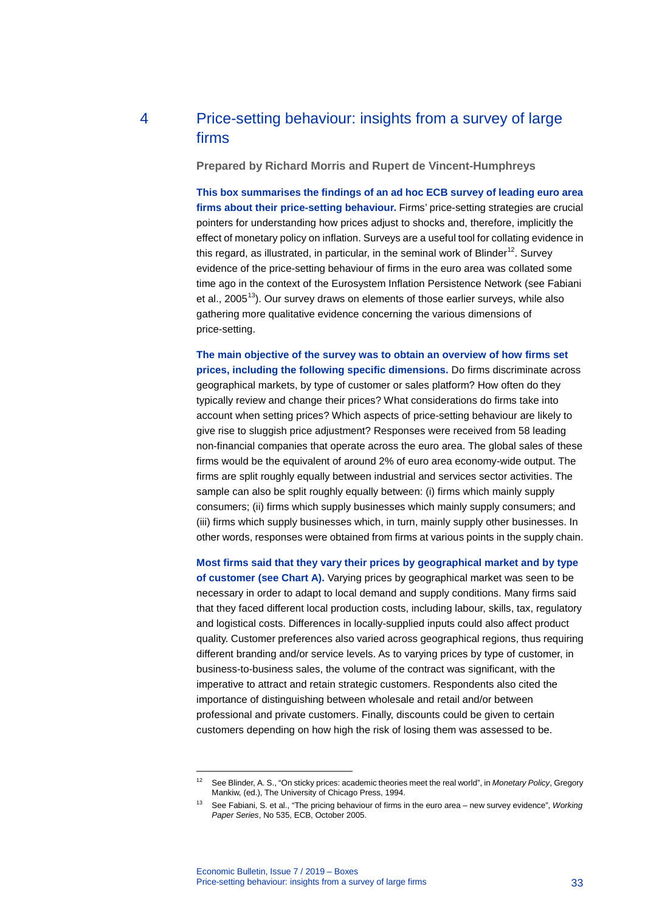## 4 Price-setting behaviour: insights from a survey of large firms

<span id="page-33-0"></span>**Prepared by Richard Morris and Rupert de Vincent-Humphreys**

**This box summarises the findings of an ad hoc ECB survey of leading euro area firms about their price-setting behaviour.** Firms' price-setting strategies are crucial pointers for understanding how prices adjust to shocks and, therefore, implicitly the effect of monetary policy on inflation. Surveys are a useful tool for collating evidence in this regard, as illustrated, in particular, in the seminal work of Blinder<sup>[12](#page-33-1)</sup>. Survey evidence of the price-setting behaviour of firms in the euro area was collated some time ago in the context of the Eurosystem Inflation Persistence Network (see Fabiani et al., 2005<sup>13</sup>). Our survey draws on elements of those earlier surveys, while also gathering more qualitative evidence concerning the various dimensions of price-setting.

**The main objective of the survey was to obtain an overview of how firms set prices, including the following specific dimensions.** Do firms discriminate across geographical markets, by type of customer or sales platform? How often do they typically review and change their prices? What considerations do firms take into account when setting prices? Which aspects of price-setting behaviour are likely to give rise to sluggish price adjustment? Responses were received from 58 leading non-financial companies that operate across the euro area. The global sales of these firms would be the equivalent of around 2% of euro area economy-wide output. The firms are split roughly equally between industrial and services sector activities. The sample can also be split roughly equally between: (i) firms which mainly supply consumers; (ii) firms which supply businesses which mainly supply consumers; and (iii) firms which supply businesses which, in turn, mainly supply other businesses. In other words, responses were obtained from firms at various points in the supply chain.

**Most firms said that they vary their prices by geographical market and by type of customer (see Chart A).** Varying prices by geographical market was seen to be necessary in order to adapt to local demand and supply conditions. Many firms said that they faced different local production costs, including labour, skills, tax, regulatory and logistical costs. Differences in locally-supplied inputs could also affect product quality. Customer preferences also varied across geographical regions, thus requiring different branding and/or service levels. As to varying prices by type of customer, in business-to-business sales, the volume of the contract was significant, with the imperative to attract and retain strategic customers. Respondents also cited the importance of distinguishing between wholesale and retail and/or between professional and private customers. Finally, discounts could be given to certain customers depending on how high the risk of losing them was assessed to be.

-

<span id="page-33-1"></span><sup>12</sup> See Blinder, A. S., "On sticky prices: academic theories meet the real world", in *Monetary Policy*, Gregory Mankiw, (ed.), The University of Chicago Press, 1994.

<span id="page-33-2"></span><sup>13</sup> See Fabiani, S. et al., "The pricing behaviour of firms in the euro area – new survey evidence", *Working Paper Series*, No 535, ECB, October 2005.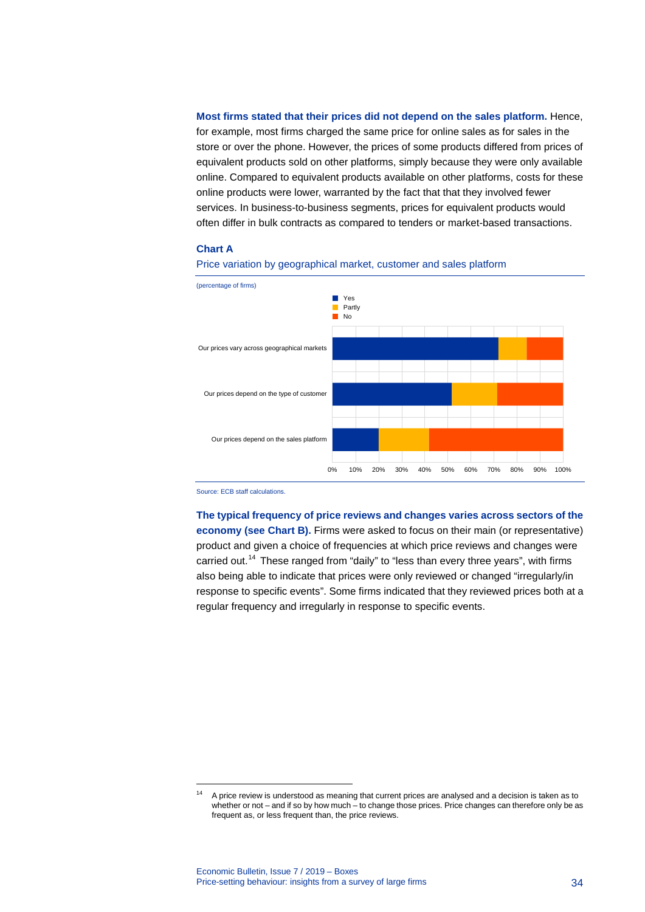**Most firms stated that their prices did not depend on the sales platform.** Hence, for example, most firms charged the same price for online sales as for sales in the store or over the phone. However, the prices of some products differed from prices of equivalent products sold on other platforms, simply because they were only available online. Compared to equivalent products available on other platforms, costs for these online products were lower, warranted by the fact that that they involved fewer services. In business-to-business segments, prices for equivalent products would often differ in bulk contracts as compared to tenders or market-based transactions.

#### **Chart A**





Source: ECB staff calculations.

-

**The typical frequency of price reviews and changes varies across sectors of the economy (see Chart B).** Firms were asked to focus on their main (or representative) product and given a choice of frequencies at which price reviews and changes were carried out.<sup>[14](#page-34-0)</sup> These ranged from "daily" to "less than every three years", with firms also being able to indicate that prices were only reviewed or changed "irregularly/in response to specific events". Some firms indicated that they reviewed prices both at a regular frequency and irregularly in response to specific events.

<span id="page-34-0"></span><sup>&</sup>lt;sup>14</sup> A price review is understood as meaning that current prices are analysed and a decision is taken as to whether or not – and if so by how much – to change those prices. Price changes can therefore only be as frequent as, or less frequent than, the price reviews.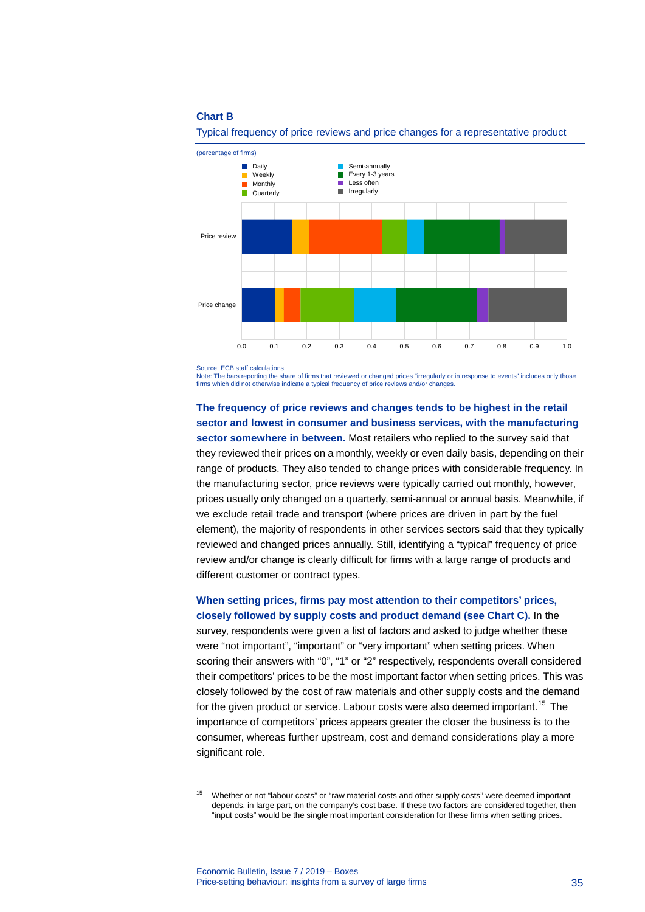### **Chart B**



Typical frequency of price reviews and price changes for a representative product

Source: ECB staff calculations.

-

Note: The bars reporting the share of firms that reviewed or changed prices "irregularly or in response to events" includes only those firms which did not otherwise indicate a typical frequency of price reviews and/or changes.

### **The frequency of price reviews and changes tends to be highest in the retail sector and lowest in consumer and business services, with the manufacturing**

**sector somewhere in between.** Most retailers who replied to the survey said that they reviewed their prices on a monthly, weekly or even daily basis, depending on their range of products. They also tended to change prices with considerable frequency. In the manufacturing sector, price reviews were typically carried out monthly, however, prices usually only changed on a quarterly, semi-annual or annual basis. Meanwhile, if we exclude retail trade and transport (where prices are driven in part by the fuel element), the majority of respondents in other services sectors said that they typically reviewed and changed prices annually. Still, identifying a "typical" frequency of price review and/or change is clearly difficult for firms with a large range of products and different customer or contract types.

# **When setting prices, firms pay most attention to their competitors' prices, closely followed by supply costs and product demand (see Chart C).** In the

survey, respondents were given a list of factors and asked to judge whether these were "not important", "important" or "very important" when setting prices. When scoring their answers with "0", "1" or "2" respectively, respondents overall considered their competitors' prices to be the most important factor when setting prices. This was closely followed by the cost of raw materials and other supply costs and the demand for the given product or service. Labour costs were also deemed important.<sup>[15](#page-35-0)</sup> The importance of competitors' prices appears greater the closer the business is to the consumer, whereas further upstream, cost and demand considerations play a more significant role.

<span id="page-35-0"></span><sup>&</sup>lt;sup>15</sup> Whether or not "labour costs" or "raw material costs and other supply costs" were deemed important depends, in large part, on the company's cost base. If these two factors are considered together, then "input costs" would be the single most important consideration for these firms when setting prices.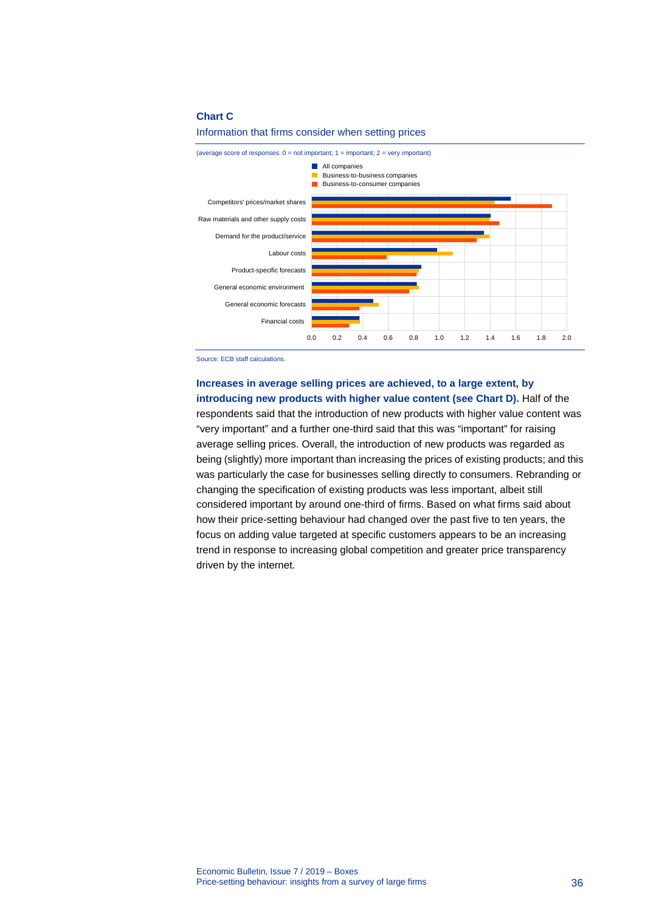### **Chart C**



#### Information that firms consider when setting prices

Source: ECB staff calculations.

# **Increases in average selling prices are achieved, to a large extent, by introducing new products with higher value content (see Chart D).** Half of the respondents said that the introduction of new products with higher value content was

"very important" and a further one-third said that this was "important" for raising average selling prices. Overall, the introduction of new products was regarded as being (slightly) more important than increasing the prices of existing products; and this was particularly the case for businesses selling directly to consumers. Rebranding or changing the specification of existing products was less important, albeit still considered important by around one-third of firms. Based on what firms said about how their price-setting behaviour had changed over the past five to ten years, the focus on adding value targeted at specific customers appears to be an increasing trend in response to increasing global competition and greater price transparency driven by the internet.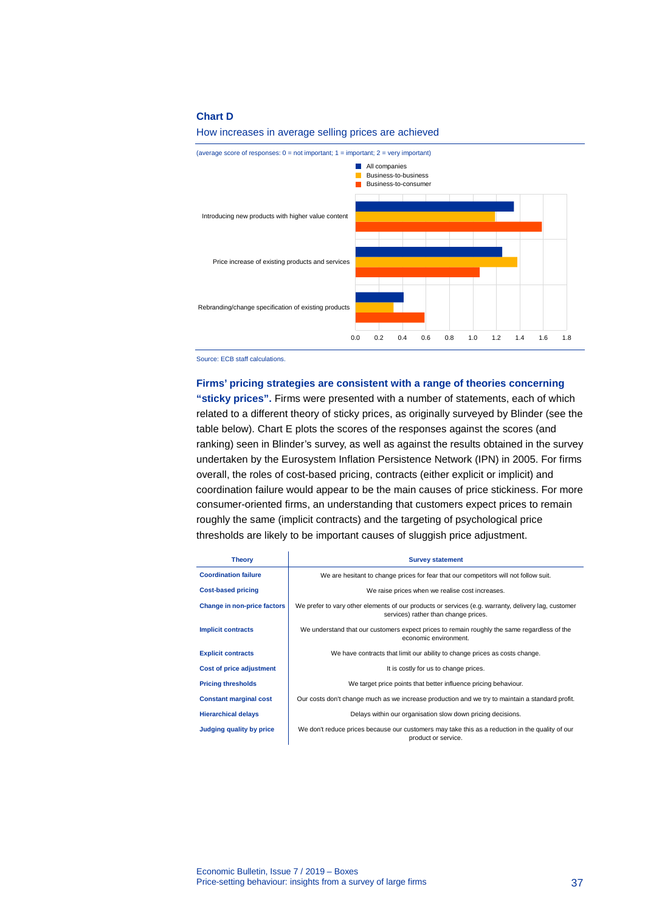### **Chart D**

### How increases in average selling prices are achieved



Source: ECB staff calculations.

#### **Firms' pricing strategies are consistent with a range of theories concerning**

**"sticky prices".** Firms were presented with a number of statements, each of which related to a different theory of sticky prices, as originally surveyed by Blinder (see the table below). Chart E plots the scores of the responses against the scores (and ranking) seen in Blinder's survey, as well as against the results obtained in the survey undertaken by the Eurosystem Inflation Persistence Network (IPN) in 2005. For firms overall, the roles of cost-based pricing, contracts (either explicit or implicit) and coordination failure would appear to be the main causes of price stickiness. For more consumer-oriented firms, an understanding that customers expect prices to remain roughly the same (implicit contracts) and the targeting of psychological price thresholds are likely to be important causes of sluggish price adjustment.

| <b>Theory</b>                      | <b>Survey statement</b>                                                                                                                     |
|------------------------------------|---------------------------------------------------------------------------------------------------------------------------------------------|
| <b>Coordination failure</b>        | We are hesitant to change prices for fear that our competitors will not follow suit.                                                        |
| <b>Cost-based pricing</b>          | We raise prices when we realise cost increases.                                                                                             |
| <b>Change in non-price factors</b> | We prefer to vary other elements of our products or services (e.g. warranty, delivery lag, customer<br>services) rather than change prices. |
| <b>Implicit contracts</b>          | We understand that our customers expect prices to remain roughly the same regardless of the<br>economic environment.                        |
| <b>Explicit contracts</b>          | We have contracts that limit our ability to change prices as costs change.                                                                  |
| <b>Cost of price adjustment</b>    | It is costly for us to change prices.                                                                                                       |
| <b>Pricing thresholds</b>          | We target price points that better influence pricing behaviour.                                                                             |
| <b>Constant marginal cost</b>      | Our costs don't change much as we increase production and we try to maintain a standard profit.                                             |
| <b>Hierarchical delays</b>         | Delays within our organisation slow down pricing decisions.                                                                                 |
| <b>Judging quality by price</b>    | We don't reduce prices because our customers may take this as a reduction in the quality of our<br>product or service.                      |

Economic Bulletin, Issue 7 / 2019 – Boxes Price-setting behaviour: insights from a survey of large firms 37

ï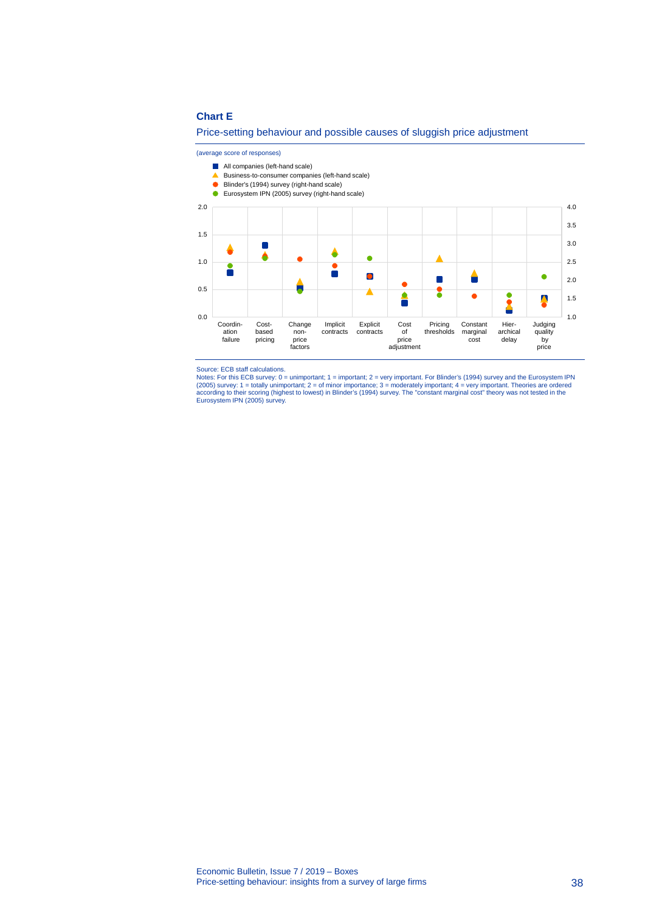### **Chart E**

### Price-setting behaviour and possible causes of sluggish price adjustment

#### (average score of responses)



- A Business-to-consumer companies (left-hand scale)
- Blinder's (1994) survey (right-hand scale)
- Eurosystem IPN (2005) survey (right-hand scale)



Source: ECB staff calculations. Notes: For this ECB survey: 0 = unimportant; 1 = important; 2 = very important. For Blinder's (1994) survey and the Eurosystem IPN (2005) survey: 1 = totally unimportant; 2 = of minor importance; 3 = moderately important; 4 = very important. Theories are ordered<br>according to their scoring (highest to lowest) in Blinder's (1994) survey. The "constant m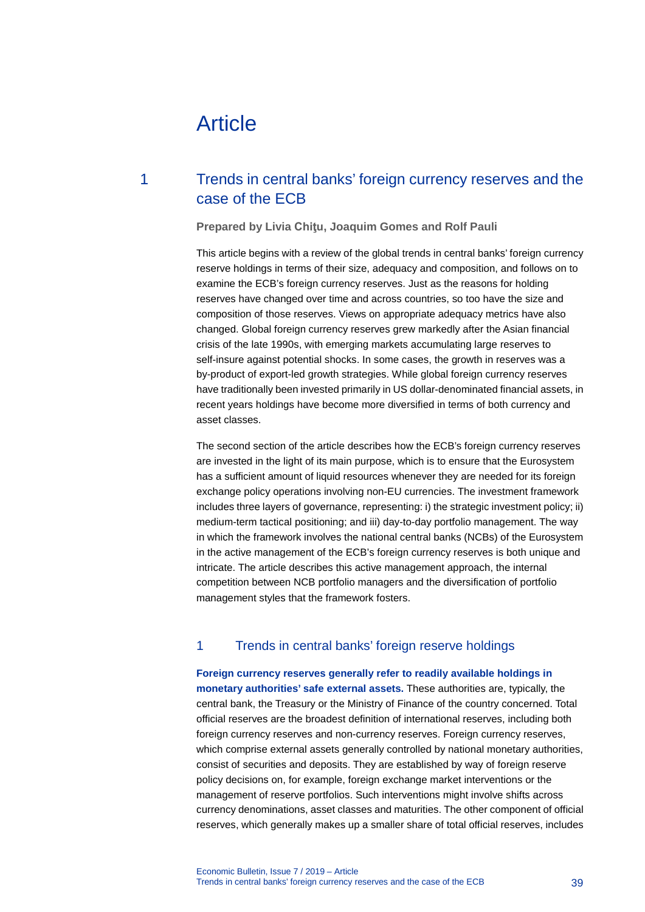# Article

# 1 Trends in central banks' foreign currency reserves and the case of the ECB

### **Prepared by Livia Chiţu, Joaquim Gomes and Rolf Pauli**

This article begins with a review of the global trends in central banks' foreign currency reserve holdings in terms of their size, adequacy and composition, and follows on to examine the ECB's foreign currency reserves. Just as the reasons for holding reserves have changed over time and across countries, so too have the size and composition of those reserves. Views on appropriate adequacy metrics have also changed. Global foreign currency reserves grew markedly after the Asian financial crisis of the late 1990s, with emerging markets accumulating large reserves to self-insure against potential shocks. In some cases, the growth in reserves was a by-product of export-led growth strategies. While global foreign currency reserves have traditionally been invested primarily in US dollar-denominated financial assets, in recent years holdings have become more diversified in terms of both currency and asset classes.

The second section of the article describes how the ECB's foreign currency reserves are invested in the light of its main purpose, which is to ensure that the Eurosystem has a sufficient amount of liquid resources whenever they are needed for its foreign exchange policy operations involving non-EU currencies. The investment framework includes three layers of governance, representing: i) the strategic investment policy; ii) medium-term tactical positioning; and iii) day-to-day portfolio management. The way in which the framework involves the national central banks (NCBs) of the Eurosystem in the active management of the ECB's foreign currency reserves is both unique and intricate. The article describes this active management approach, the internal competition between NCB portfolio managers and the diversification of portfolio management styles that the framework fosters.

# 1 Trends in central banks' foreign reserve holdings

**Foreign currency reserves generally refer to readily available holdings in monetary authorities' safe external assets.** These authorities are, typically, the central bank, the Treasury or the Ministry of Finance of the country concerned. Total official reserves are the broadest definition of international reserves, including both foreign currency reserves and non-currency reserves. Foreign currency reserves, which comprise external assets generally controlled by national monetary authorities, consist of securities and deposits. They are established by way of foreign reserve policy decisions on, for example, foreign exchange market interventions or the management of reserve portfolios. Such interventions might involve shifts across currency denominations, asset classes and maturities. The other component of official reserves, which generally makes up a smaller share of total official reserves, includes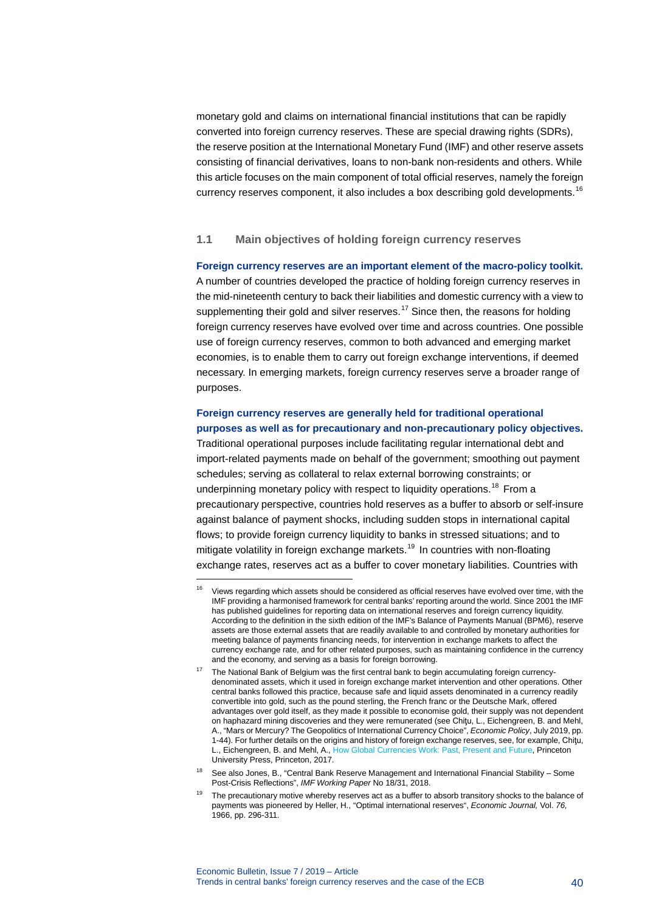monetary gold and claims on international financial institutions that can be rapidly converted into foreign currency reserves. These are special drawing rights (SDRs), the reserve position at the International Monetary Fund (IMF) and other reserve assets consisting of financial derivatives, loans to non-bank non-residents and others. While this article focuses on the main component of total official reserves, namely the foreign currency reserves component, it also includes a box describing gold developments.<sup>[16](#page-40-0)</sup>

### **1.1 Main objectives of holding foreign currency reserves**

**Foreign currency reserves are an important element of the macro-policy toolkit.** A number of countries developed the practice of holding foreign currency reserves in the mid-nineteenth century to back their liabilities and domestic currency with a view to supplementing their gold and silver reserves.<sup>[17](#page-40-1)</sup> Since then, the reasons for holding foreign currency reserves have evolved over time and across countries. One possible use of foreign currency reserves, common to both advanced and emerging market economies, is to enable them to carry out foreign exchange interventions, if deemed necessary. In emerging markets, foreign currency reserves serve a broader range of purposes.

# **Foreign currency reserves are generally held for traditional operational purposes as well as for precautionary and non-precautionary policy objectives.**

Traditional operational purposes include facilitating regular international debt and import-related payments made on behalf of the government; smoothing out payment schedules; serving as collateral to relax external borrowing constraints; or underpinning monetary policy with respect to liquidity operations.<sup>[18](#page-40-2)</sup> From a precautionary perspective, countries hold reserves as a buffer to absorb or self-insure against balance of payment shocks, including sudden stops in international capital flows; to provide foreign currency liquidity to banks in stressed situations; and to mitigate volatility in foreign exchange markets.<sup>[19](#page-40-3)</sup> In countries with non-floating exchange rates, reserves act as a buffer to cover monetary liabilities. Countries with

<span id="page-40-0"></span><sup>&</sup>lt;sup>16</sup> Views regarding which assets should be considered as official reserves have evolved over time, with the IMF providing a harmonised framework for central banks' reporting around the world. Since 2001 the IMF has published guidelines for reporting data on international reserves and foreign currency liquidity. According to the definition in the sixth edition of the IMF's Balance of Payments Manual (BPM6), reserve assets are those external assets that are readily available to and controlled by monetary authorities for meeting balance of payments financing needs, for intervention in exchange markets to affect the currency exchange rate, and for other related purposes, such as maintaining confidence in the currency and the economy, and serving as a basis for foreign borrowing.

<span id="page-40-1"></span><sup>&</sup>lt;sup>17</sup> The National Bank of Belgium was the first central bank to begin accumulating foreign currencydenominated assets, which it used in foreign exchange market intervention and other operations. Other central banks followed this practice, because safe and liquid assets denominated in a currency readily convertible into gold, such as the pound sterling, the French franc or the Deutsche Mark, offered advantages over gold itself, as they made it possible to economise gold, their supply was not dependent on haphazard mining discoveries and they were remunerated (see Chiţu, L., Eichengreen, B. and Mehl, A., "Mars or Mercury? The Geopolitics of International Currency Choice", *Economic Policy*, July 2019, pp. 1-44). For further details on the origins and history of foreign exchange reserves, see, for example, Chiţu, L., Eichengreen, B. and Mehl, A.[, How Global Currencies Work: Past, Present and Future,](https://press.princeton.edu/titles/11124.html) Princeton University Press, Princeton, 2017.

<span id="page-40-3"></span><span id="page-40-2"></span><sup>18</sup> See also Jones, B., "Central Bank Reserve Management and International Financial Stability – Some Post-Crisis Reflections", *IMF Working Paper* No 18/31, 2018.

<sup>&</sup>lt;sup>19</sup> The precautionary motive whereby reserves act as a buffer to absorb transitory shocks to the balance of payments was pioneered by Heller, H., "Optimal international reserves", *Economic Journal,* Vol. *76,* 1966, pp. 296-311.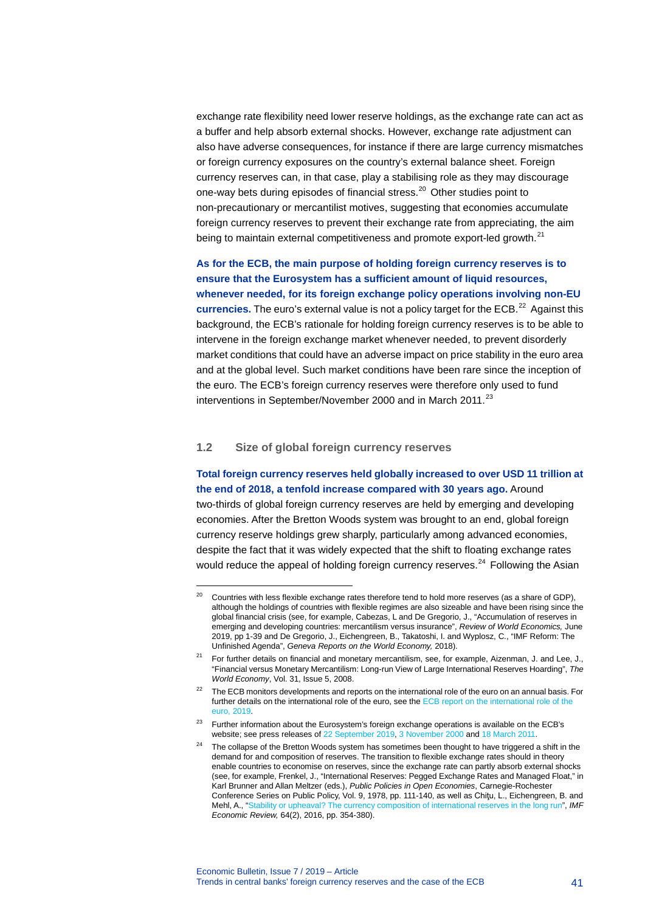exchange rate flexibility need lower reserve holdings, as the exchange rate can act as a buffer and help absorb external shocks. However, exchange rate adjustment can also have adverse consequences, for instance if there are large currency mismatches or foreign currency exposures on the country's external balance sheet. Foreign currency reserves can, in that case, play a stabilising role as they may discourage one-way bets during episodes of financial stress.<sup>[20](#page-41-0)</sup> Other studies point to non-precautionary or mercantilist motives, suggesting that economies accumulate foreign currency reserves to prevent their exchange rate from appreciating, the aim being to maintain external competitiveness and promote export-led growth.<sup>[21](#page-41-1)</sup>

**As for the ECB, the main purpose of holding foreign currency reserves is to ensure that the Eurosystem has a sufficient amount of liquid resources, whenever needed, for its foreign exchange policy operations involving non-EU currencies.** The euro's external value is not a policy target for the ECB.<sup>[22](#page-41-2)</sup> Against this background, the ECB's rationale for holding foreign currency reserves is to be able to intervene in the foreign exchange market whenever needed, to prevent disorderly market conditions that could have an adverse impact on price stability in the euro area and at the global level. Such market conditions have been rare since the inception of the euro. The ECB's foreign currency reserves were therefore only used to fund interventions in September/November 2000 and in March 2011.<sup>[23](#page-41-3)</sup>

# **1.2 Size of global foreign currency reserves**

-

**Total foreign currency reserves held globally increased to over USD 11 trillion at the end of 2018, a tenfold increase compared with 30 years ago.** Around two-thirds of global foreign currency reserves are held by emerging and developing economies. After the Bretton Woods system was brought to an end, global foreign currency reserve holdings grew sharply, particularly among advanced economies, despite the fact that it was widely expected that the shift to floating exchange rates would reduce the appeal of holding foreign currency reserves.<sup>[24](#page-41-4)</sup> Following the Asian

<span id="page-41-0"></span> $20$  Countries with less flexible exchange rates therefore tend to hold more reserves (as a share of GDP), although the holdings of countries with flexible regimes are also sizeable and have been rising since the global financial crisis (see, for example, Cabezas, L and De Gregorio, J., "Accumulation of reserves in emerging and developing countries: mercantilism versus insurance", *[Review of World Economics,](https://link.springer.com/journal/10290)* June 2019, pp 1-39 and De Gregorio, J., Eichengreen, B., Takatoshi, I. and Wyplosz, C., "IMF Reform: The Unfinished Agenda", *Geneva Reports on the World Economy,* 2018).

<span id="page-41-1"></span><sup>&</sup>lt;sup>21</sup> For further details on financial and monetary mercantilism, see, for example, Aizenman, J. and Lee, J., "Financial versus Monetary Mercantilism: Long-run View of Large International Reserves Hoarding", *The World Economy*, Vol. 31, Issue 5, 2008.

<span id="page-41-2"></span><sup>&</sup>lt;sup>22</sup> The ECB monitors developments and reports on the international role of the euro on an annual basis. For further details on the international role of the euro, see th[e ECB report on the international role of the](https://www.ecb.europa.eu/pub/ire/html/ecb.ire201906%7Ef0da2b823e.en.html)  euro, [2019.](https://www.ecb.europa.eu/pub/ire/html/ecb.ire201906%7Ef0da2b823e.en.html)

<span id="page-41-4"></span><span id="page-41-3"></span><sup>&</sup>lt;sup>23</sup> Further information about the Eurosystem's foreign exchange operations is available on the ECB's website; see press releases o[f 22 September 2019,](https://www.ecb.europa.eu/press/pr/date/2000/html/pr000922.en.html) [3 November 2000](https://www.ecb.europa.eu/press/pr/date/2000/html/pr001103.en.html) and [18 March 2011.](https://www.ecb.europa.eu/press/pr/date/2011/html/pr110318.en.html)

 $24$  The collapse of the Bretton Woods system has sometimes been thought to have triggered a shift in the demand for and composition of reserves. The transition to flexible exchange rates should in theory enable countries to economise on reserves, since the exchange rate can partly absorb external shocks (see, for example, Frenkel, J., "International Reserves: Pegged Exchange Rates and Managed Float," in Karl Brunner and Allan Meltzer (eds.), *Public Policies in Open Economies*, Carnegie-Rochester Conference Series on Public Policy, Vol. 9, 1978, pp. 111-140, as well as Chiţu, L., Eichengreen, B. and Mehl, A., ["Stability or upheaval? The currency composition of international reserves in the long run",](https://link.springer.com/article/10.1057/imfer.2015.19) *IMF Economic Review,* 64(2), 2016, pp. 354-380).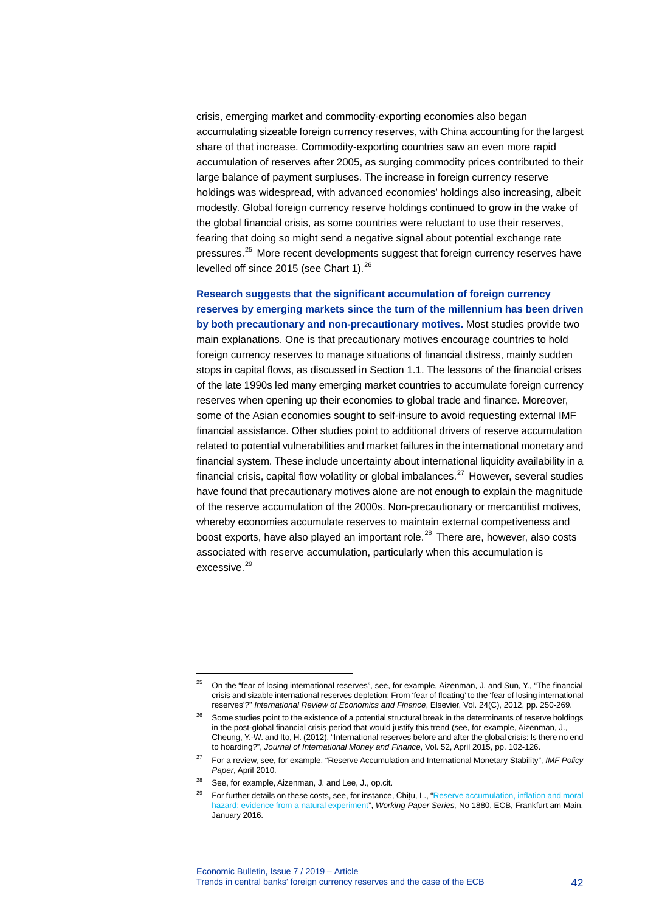crisis, emerging market and commodity-exporting economies also began accumulating sizeable foreign currency reserves, with China accounting for the largest share of that increase. Commodity-exporting countries saw an even more rapid accumulation of reserves after 2005, as surging commodity prices contributed to their large balance of payment surpluses. The increase in foreign currency reserve holdings was widespread, with advanced economies' holdings also increasing, albeit modestly. Global foreign currency reserve holdings continued to grow in the wake of the global financial crisis, as some countries were reluctant to use their reserves, fearing that doing so might send a negative signal about potential exchange rate pressures.<sup>[25](#page-42-0)</sup> More recent developments suggest that foreign currency reserves have levelled off since 2015 (see Chart 1).<sup>[26](#page-42-1)</sup>

**Research suggests that the significant accumulation of foreign currency reserves by emerging markets since the turn of the millennium has been driven by both precautionary and non-precautionary motives.** Most studies provide two main explanations. One is that precautionary motives encourage countries to hold foreign currency reserves to manage situations of financial distress, mainly sudden stops in capital flows, as discussed in Section 1.1. The lessons of the financial crises of the late 1990s led many emerging market countries to accumulate foreign currency reserves when opening up their economies to global trade and finance. Moreover, some of the Asian economies sought to self-insure to avoid requesting external IMF financial assistance. Other studies point to additional drivers of reserve accumulation related to potential vulnerabilities and market failures in the international monetary and financial system. These include uncertainty about international liquidity availability in a financial crisis, capital flow volatility or global imbalances.<sup>[27](#page-42-2)</sup> However, several studies have found that precautionary motives alone are not enough to explain the magnitude of the reserve accumulation of the 2000s. Non-precautionary or mercantilist motives, whereby economies accumulate reserves to maintain external competiveness and boost exports, have also played an important role. $^{28}$  $^{28}$  $^{28}$  There are, however, also costs associated with reserve accumulation, particularly when this accumulation is excessive.<sup>[29](#page-42-4)</sup>

<span id="page-42-0"></span><sup>&</sup>lt;sup>25</sup> On the "fear of losing international reserves", see, for example, Aizenman, J. and Sun, Y., "The financial crisis and sizable international reserves depletion: From 'fear of floating' to the 'fear of losing international reserves'?" *International Review of Economics and Finance*, Elsevier, Vol. 24(C), 2012, pp. 250-269.

<span id="page-42-1"></span><sup>&</sup>lt;sup>26</sup> Some studies point to the existence of a potential structural break in the determinants of reserve holdings in the post-global financial crisis period that would justify this trend (see, for example, Aizenman, J[.,](https://www.sciencedirect.com/science/article/pii/S0261560614002083#!) [Cheung,](https://www.sciencedirect.com/science/article/pii/S0261560614002083#!) Y.-W. and Ito, H. (2012), "International reserves before and after the global crisis: Is there no end to hoarding?", *Journal of International Money and Finance*, Vol. 52, April 2015, pp. 102-126.

<span id="page-42-2"></span><sup>27</sup> For a review, see, for example, "Reserve Accumulation and International Monetary Stability", *IMF Policy Paper*, April 2010.

<sup>28</sup> See, for example, Aizenman, J. and Lee, J., op.cit.

<span id="page-42-4"></span><span id="page-42-3"></span><sup>29</sup> For further details on these costs, see, for instance, Chiṭu, L., ["Reserve accumulation, inflation and moral](https://www.ecb.europa.eu/pub/pdf/scpwps/ecbwp1880.en.pdf)  [hazard: evidence from a natural experiment"](https://www.ecb.europa.eu/pub/pdf/scpwps/ecbwp1880.en.pdf), *Working Paper Series,* No 1880, ECB, Frankfurt am Main, January 2016.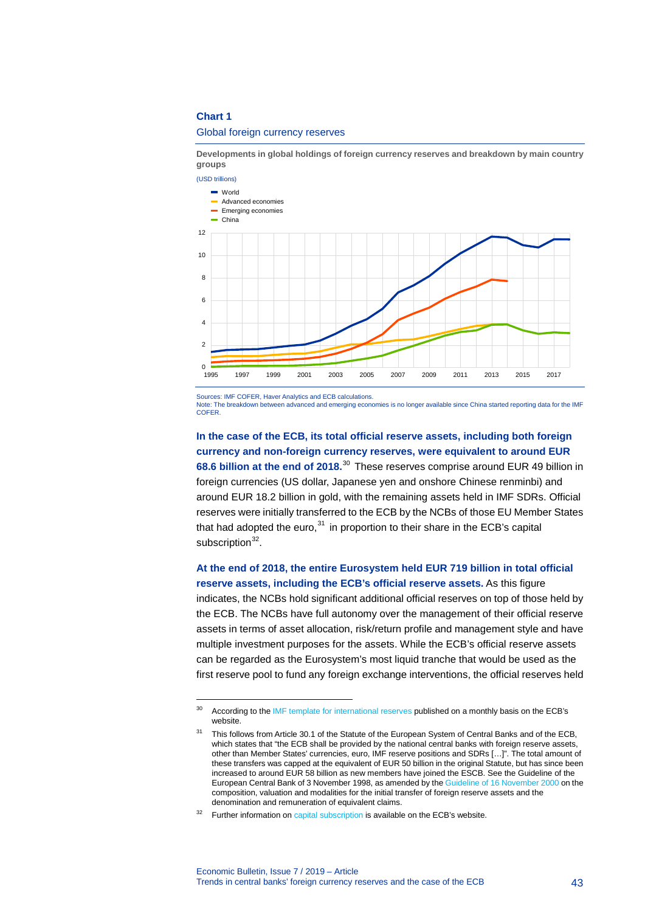### **Chart 1**

-

### Global foreign currency reserves

**Developments in global holdings of foreign currency reserves and breakdown by main country groups**



Sources: IMF COFER, Haver Analytics and ECB calculations.

Note: The breakdown between advanced and emerging economies is no longer available since China started reporting data for the IMF **COFER** 

**In the case of the ECB, its total official reserve assets, including both foreign currency and non-foreign currency reserves, were equivalent to around EUR 68.6 billion at the end of 2018.** [30](#page-43-0) These reserves comprise around EUR 49 billion in foreign currencies (US dollar, Japanese yen and onshore Chinese renminbi) and around EUR 18.2 billion in gold, with the remaining assets held in IMF SDRs. Official reserves were initially transferred to the ECB by the NCBs of those EU Member States that had adopted the euro, $31$  in proportion to their share in the ECB's capital subscription $32$ .

# **At the end of 2018, the entire Eurosystem held EUR 719 billion in total official reserve assets, including the ECB's official reserve assets.** As this figure

indicates, the NCBs hold significant additional official reserves on top of those held by the ECB. The NCBs have full autonomy over the management of their official reserve assets in terms of asset allocation, risk/return profile and management style and have multiple investment purposes for the assets. While the ECB's official reserve assets can be regarded as the Eurosystem's most liquid tranche that would be used as the first reserve pool to fund any foreign exchange interventions, the official reserves held

<span id="page-43-0"></span><sup>&</sup>lt;sup>30</sup> According to the [IMF template for international reserves](https://www.ecb.europa.eu/stats/balance_of_payments_and_external/international_reserves/templates/html/index.en.html) published on a monthly basis on the ECB's website

<span id="page-43-1"></span><sup>&</sup>lt;sup>31</sup> This follows from Article 30.1 of the Statute of the European System of Central Banks and of the ECB, which states that "the ECB shall be provided by the national central banks with foreign reserve assets, other than Member States' currencies, euro, IMF reserve positions and SDRs […]". The total amount of these transfers was capped at the equivalent of EUR 50 billion in the original Statute, but has since been increased to around EUR 58 billion as new members have joined the ESCB. See the Guideline of the European Central Bank of 3 November 1998, as amended by th[e Guideline of 16 November 2000](https://www.ecb.europa.eu/ecb/legal/pdf/en_ecb_2000_15.pdf) on the composition, valuation and modalities for the initial transfer of foreign reserve assets and the denomination and remuneration of equivalent claims.

<span id="page-43-2"></span><sup>&</sup>lt;sup>32</sup> Further information o[n capital subscription](https://www.ecb.europa.eu/ecb/orga/capital/html/index.en.html) is available on the ECB's website.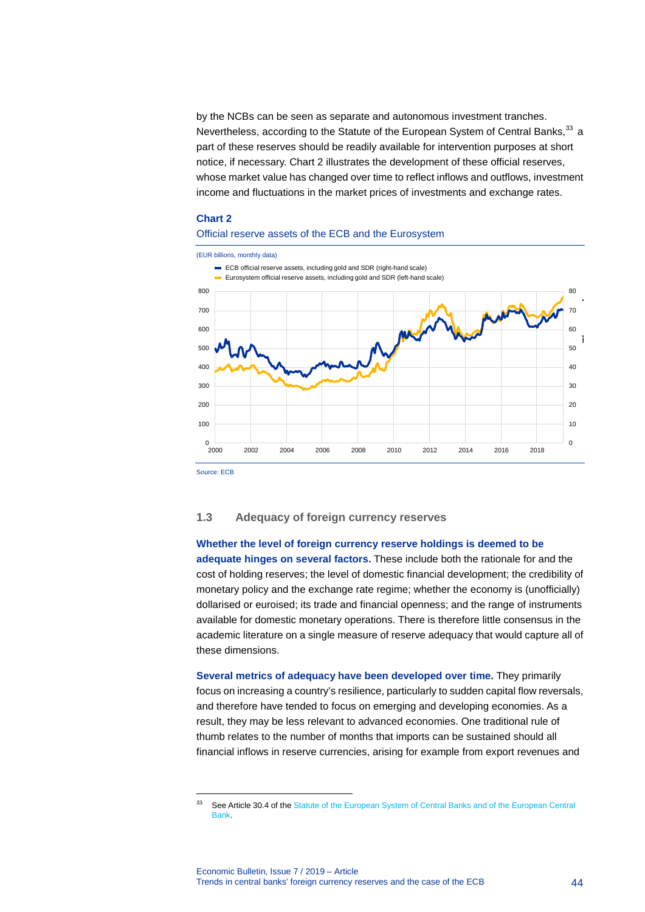by the NCBs can be seen as separate and autonomous investment tranches. Nevertheless, according to the Statute of the European System of Central Banks,<sup>[33](#page-44-0)</sup> a part of these reserves should be readily available for intervention purposes at short notice, if necessary. Chart 2 illustrates the development of these official reserves, whose market value has changed over time to reflect inflows and outflows, investment income and fluctuations in the market prices of investments and exchange rates.

### **Chart 2**

### Official reserve assets of the ECB and the Eurosystem



Source: ECB

-

### **1.3 Adequacy of foreign currency reserves**

### **Whether the level of foreign currency reserve holdings is deemed to be**

**adequate hinges on several factors.** These include both the rationale for and the cost of holding reserves; the level of domestic financial development; the credibility of monetary policy and the exchange rate regime; whether the economy is (unofficially) dollarised or euroised; its trade and financial openness; and the range of instruments available for domestic monetary operations. There is therefore little consensus in the academic literature on a single measure of reserve adequacy that would capture all of these dimensions.

**Several metrics of adequacy have been developed over time.** They primarily focus on increasing a country's resilience, particularly to sudden capital flow reversals, and therefore have tended to focus on emerging and developing economies. As a result, they may be less relevant to advanced economies. One traditional rule of thumb relates to the number of months that imports can be sustained should all financial inflows in reserve currencies, arising for example from export revenues and

<span id="page-44-0"></span><sup>&</sup>lt;sup>33</sup> See Article 30.4 of the Statute of the European System of Central Banks and of the European Central [Bank.](https://www.ecb.europa.eu/ecb/legal/pdf/oj_c_2016_202_full_en_pro4.pdf)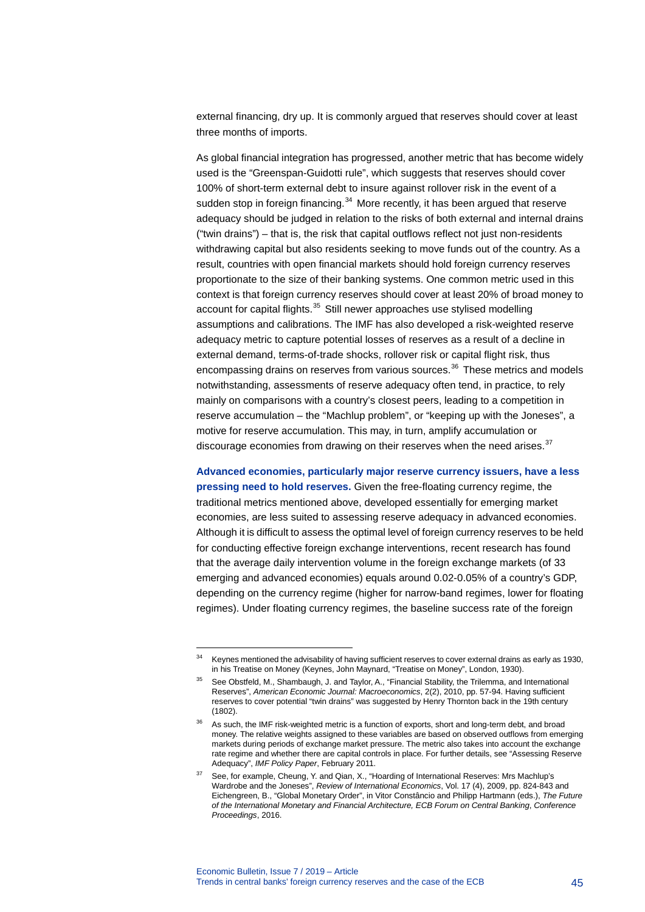external financing, dry up. It is commonly argued that reserves should cover at least three months of imports.

As global financial integration has progressed, another metric that has become widely used is the "Greenspan-Guidotti rule", which suggests that reserves should cover 100% of short-term external debt to insure against rollover risk in the event of a sudden stop in foreign financing.<sup>[34](#page-45-0)</sup> More recently, it has been argued that reserve adequacy should be judged in relation to the risks of both external and internal drains ("twin drains") – that is, the risk that capital outflows reflect not just non-residents withdrawing capital but also residents seeking to move funds out of the country. As a result, countries with open financial markets should hold foreign currency reserves proportionate to the size of their banking systems. One common metric used in this context is that foreign currency reserves should cover at least 20% of broad money to account for capital flights.<sup>[35](#page-45-1)</sup> Still newer approaches use stylised modelling assumptions and calibrations. The IMF has also developed a risk-weighted reserve adequacy metric to capture potential losses of reserves as a result of a decline in external demand, terms-of-trade shocks, rollover risk or capital flight risk, thus encompassing drains on reserves from various sources.<sup>[36](#page-45-2)</sup> These metrics and models notwithstanding, assessments of reserve adequacy often tend, in practice, to rely mainly on comparisons with a country's closest peers, leading to a competition in reserve accumulation – the "Machlup problem", or "keeping up with the Joneses", a motive for reserve accumulation. This may, in turn, amplify accumulation or discourage economies from drawing on their reserves when the need arises.<sup>[37](#page-45-3)</sup>

**Advanced economies, particularly major reserve currency issuers, have a less pressing need to hold reserves.** Given the free-floating currency regime, the traditional metrics mentioned above, developed essentially for emerging market economies, are less suited to assessing reserve adequacy in advanced economies. Although it is difficult to assess the optimal level of foreign currency reserves to be held for conducting effective foreign exchange interventions, recent research has found that the average daily intervention volume in the foreign exchange markets (of 33 emerging and advanced economies) equals around 0.02-0.05% of a country's GDP, depending on the currency regime (higher for narrow-band regimes, lower for floating regimes). Under floating currency regimes, the baseline success rate of the foreign

<span id="page-45-0"></span><sup>&</sup>lt;sup>34</sup> Keynes mentioned the advisability of having sufficient reserves to cover external drains as early as 1930, in his Treatise on Money (Keynes, John Maynard, "Treatise on Money", London, 1930).

<span id="page-45-1"></span><sup>35</sup> See Obstfeld, M., Shambaugh, J. and Taylor, A., "Financial Stability, the Trilemma, and International Reserves", *American Economic Journal: Macroeconomics*, 2(2), 2010, pp. 57-94. Having sufficient reserves to cover potential "twin drains" was suggested by Henry Thornton back in the 19th century (1802).

<span id="page-45-2"></span><sup>&</sup>lt;sup>36</sup> As such, the IMF risk-weighted metric is a function of exports, short and long-term debt, and broad money. The relative weights assigned to these variables are based on observed outflows from emerging markets during periods of exchange market pressure. The metric also takes into account the exchange rate regime and whether there are capital controls in place. For further details, see "Assessing Reserve Adequacy", *IMF Policy Paper*, February 2011.

<span id="page-45-3"></span>See, for example, Cheung, Y. and Qian, X., "Hoarding of International Reserves: Mrs Machlup's Wardrobe and the Joneses", *Review of International Economics*, Vol. 17 (4), 2009, pp. 824-843 and Eichengreen, B., "Global Monetary Order", in Vitor Constâncio and Philipp Hartmann (eds.), *The Future of the International Monetary and Financial Architecture, ECB Forum on Central Banking*, *Conference Proceedings*, 2016.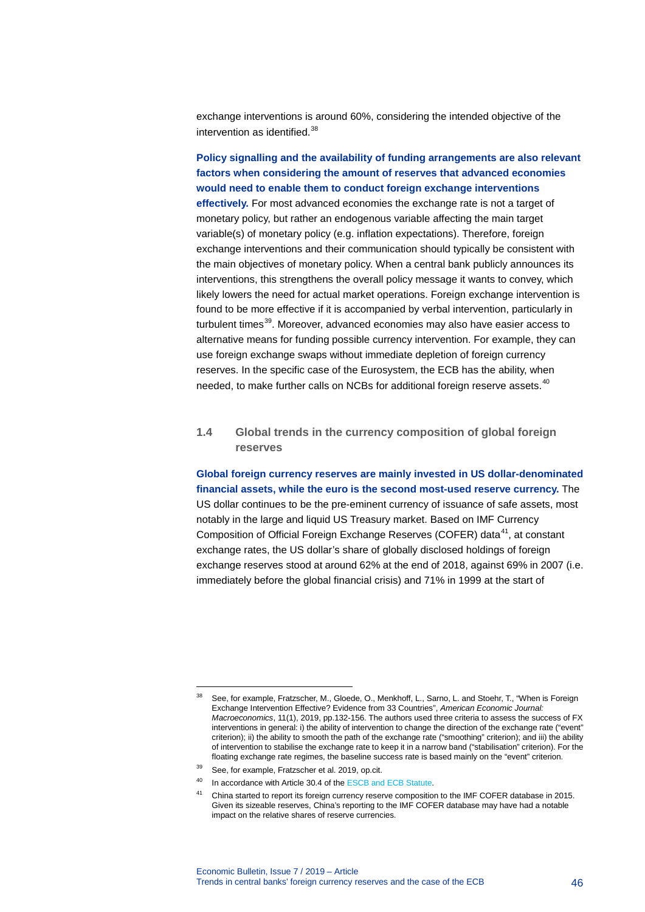exchange interventions is around 60%, considering the intended objective of the intervention as identified.<sup>[38](#page-46-0)</sup>

**Policy signalling and the availability of funding arrangements are also relevant factors when considering the amount of reserves that advanced economies would need to enable them to conduct foreign exchange interventions effectively.** For most advanced economies the exchange rate is not a target of monetary policy, but rather an endogenous variable affecting the main target variable(s) of monetary policy (e.g. inflation expectations). Therefore, foreign exchange interventions and their communication should typically be consistent with the main objectives of monetary policy. When a central bank publicly announces its interventions, this strengthens the overall policy message it wants to convey, which likely lowers the need for actual market operations. Foreign exchange intervention is found to be more effective if it is accompanied by verbal intervention, particularly in turbulent times<sup>[39](#page-46-1)</sup>. Moreover, advanced economies may also have easier access to alternative means for funding possible currency intervention. For example, they can use foreign exchange swaps without immediate depletion of foreign currency reserves. In the specific case of the Eurosystem, the ECB has the ability, when needed, to make further calls on NCBs for additional foreign reserve assets.<sup>[40](#page-46-2)</sup>

# **1.4 Global trends in the currency composition of global foreign reserves**

**Global foreign currency reserves are mainly invested in US dollar-denominated financial assets, while the euro is the second most-used reserve currency.** The

US dollar continues to be the pre-eminent currency of issuance of safe assets, most notably in the large and liquid US Treasury market. Based on IMF Currency Composition of Official Foreign Exchange Reserves (COFER) data<sup>[41](#page-46-3)</sup>, at constant exchange rates, the US dollar's share of globally disclosed holdings of foreign exchange reserves stood at around 62% at the end of 2018, against 69% in 2007 (i.e. immediately before the global financial crisis) and 71% in 1999 at the start of

<span id="page-46-0"></span><sup>38</sup> See, for example, Fratzscher, M., Gloede, O., Menkhoff, L., Sarno, L. and Stoehr, T., "When is Foreign Exchange Intervention Effective? Evidence from 33 Countries", *American Economic Journal: Macroeconomics*, 11(1), 2019, pp.132-156. The authors used three criteria to assess the success of FX interventions in general: i) the ability of intervention to change the direction of the exchange rate ("event" criterion); ii) the ability to smooth the path of the exchange rate ("smoothing" criterion); and iii) the ability of intervention to stabilise the exchange rate to keep it in a narrow band ("stabilisation" criterion). For the floating exchange rate regimes, the baseline success rate is based mainly on the "event" criterion.

<span id="page-46-1"></span><sup>39</sup> See, for example, Fratzscher et al. 2019, op.cit.

<span id="page-46-3"></span><span id="page-46-2"></span><sup>40</sup> In accordance with Article 30.4 of th[e ESCB and ECB Statute.](https://www.ecb.europa.eu/ecb/legal/pdf/c_32620121026en_protocol_4.pdf)

<sup>41</sup> China started to report its foreign currency reserve composition to the IMF COFER database in 2015. Given its sizeable reserves, China's reporting to the IMF COFER database may have had a notable impact on the relative shares of reserve currencies.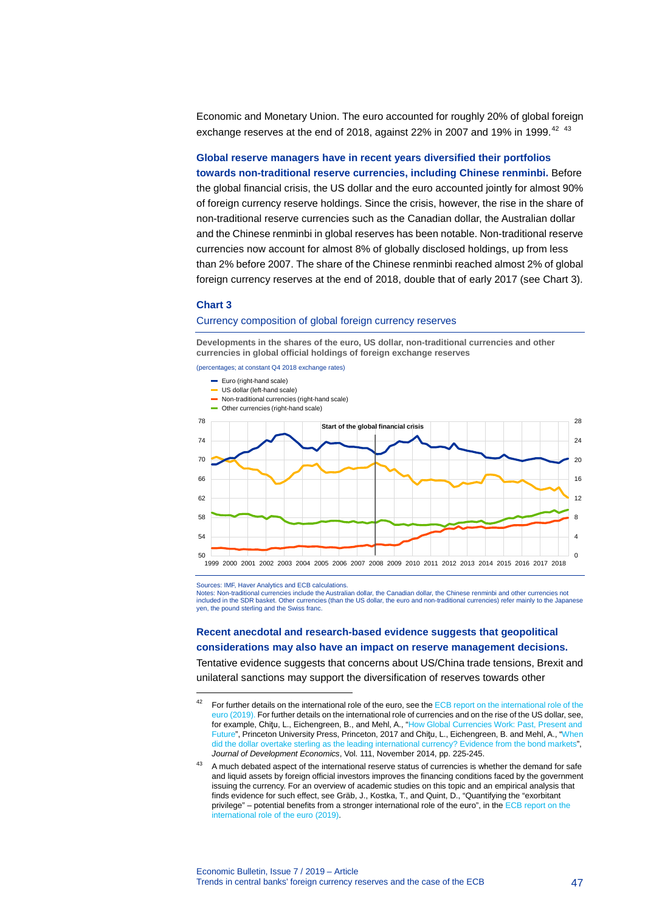Economic and Monetary Union. The euro accounted for roughly 20% of global foreign exchange reserves at the end of 2018, against 22% in 2007 and 19% in 1999.<sup>[42](#page-47-0)</sup> <sup>[43](#page-47-1)</sup>

**Global reserve managers have in recent years diversified their portfolios towards non-traditional reserve currencies, including Chinese renminbi.** Before the global financial crisis, the US dollar and the euro accounted jointly for almost 90% of foreign currency reserve holdings. Since the crisis, however, the rise in the share of non-traditional reserve currencies such as the Canadian dollar, the Australian dollar and the Chinese renminbi in global reserves has been notable. Non-traditional reserve currencies now account for almost 8% of globally disclosed holdings, up from less than 2% before 2007. The share of the Chinese renminbi reached almost 2% of global foreign currency reserves at the end of 2018, double that of early 2017 (see Chart 3).

### **Chart 3**

-

#### Currency composition of global foreign currency reserves

**Developments in the shares of the euro, US dollar, non-traditional currencies and other currencies in global official holdings of foreign exchange reserves**

(percentages; at constant Q4 2018 exchange rates)



Sources: IMF, Haver Analytics and ECB calculations.

Notes: Non-traditional currencies include the Australian dollar, the Canadian dollar, the Chinese renminbi and other currencies not included in the SDR basket. Other currencies (than the US dollar, the euro and non-traditional currencies) refer mainly to the Japanese yen, the pound sterling and the Swiss franc.

# **Recent anecdotal and research-based evidence suggests that geopolitical considerations may also have an impact on reserve management decisions.**

Tentative evidence suggests that concerns about US/China trade tensions, Brexit and unilateral sanctions may support the diversification of reserves towards other

<span id="page-47-0"></span>For further details on the international role of the euro, see the ECB report on the international role of the [euro \(2019\).](https://www.ecb.europa.eu/pub/ire/html/ecb.ire201906%7Ef0da2b823e.en.html) For further details on the international role of currencies and on the rise of the US dollar, see, for example, Chiţu, L., Eichengreen, B., and Mehl, A., ["How Global Currencies Work: Past, Present and](https://press.princeton.edu/titles/11124.html)  [Future",](https://press.princeton.edu/titles/11124.html) Princeton University Press, Princeton, 2017 and Chiţu, L., Eichengreen, B. and Mehl, A., ["When](https://www.sciencedirect.com/science/article/pii/S0304387813001351)  [did the dollar overtake sterling as the leading international currency? Evidence from the bond markets"](https://www.sciencedirect.com/science/article/pii/S0304387813001351), *Journal of Development Economics*, Vol. 111, November 2014, pp. 225-245.

<span id="page-47-1"></span><sup>&</sup>lt;sup>43</sup> A much debated aspect of the international reserve status of currencies is whether the demand for safe and liquid assets by foreign official investors improves the financing conditions faced by the government issuing the currency. For an overview of academic studies on this topic and an empirical analysis that finds evidence for such effect, see Gräb, J., Kostka, T., and Quint, D., "Quantifying the "exorbitant privilege" – potential benefits from a stronger international role of the euro", in th[e ECB report on the](https://www.ecb.europa.eu/pub/ire/html/ecb.ire201906%7Ef0da2b823e.en.html)  [international role of the euro \(2019\).](https://www.ecb.europa.eu/pub/ire/html/ecb.ire201906%7Ef0da2b823e.en.html)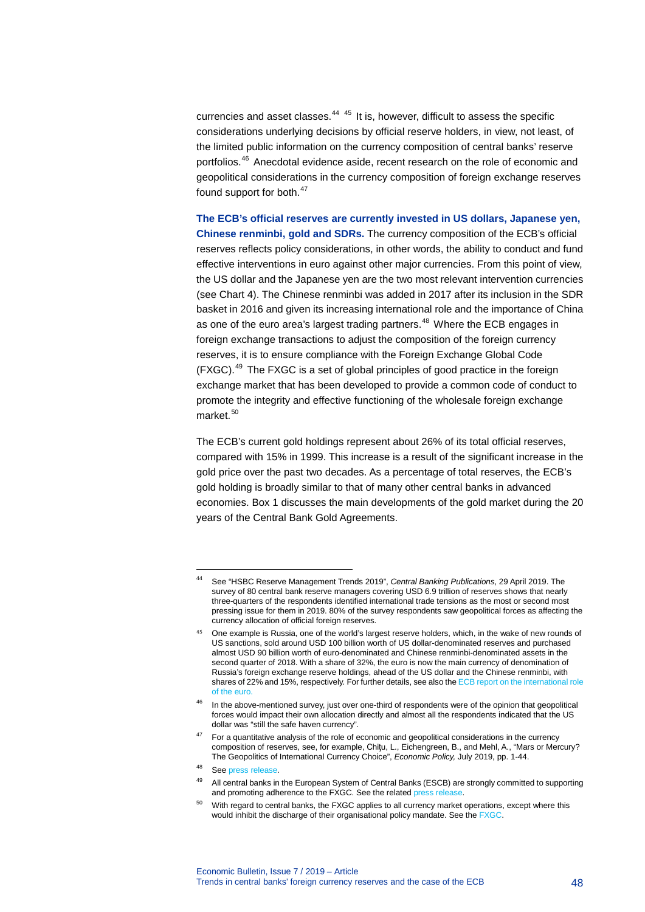currencies and asset classes. $44-45$  $44-45$  $44-45$  It is, however, difficult to assess the specific considerations underlying decisions by official reserve holders, in view, not least, of the limited public information on the currency composition of central banks' reserve portfolios.[46](#page-48-2) Anecdotal evidence aside, recent research on the role of economic and geopolitical considerations in the currency composition of foreign exchange reserves found support for both.<sup>[47](#page-48-3)</sup>

**The ECB's official reserves are currently invested in US dollars, Japanese yen, Chinese renminbi, gold and SDRs.** The currency composition of the ECB's official reserves reflects policy considerations, in other words, the ability to conduct and fund effective interventions in euro against other major currencies. From this point of view, the US dollar and the Japanese yen are the two most relevant intervention currencies (see Chart 4). The Chinese renminbi was added in 2017 after its inclusion in the SDR basket in 2016 and given its increasing international role and the importance of China as one of the euro area's largest trading partners.<sup>[48](#page-48-4)</sup> Where the ECB engages in foreign exchange transactions to adjust the composition of the foreign currency reserves, it is to ensure compliance with the Foreign Exchange Global Code  $(FXGC)$ .<sup>[49](#page-48-5)</sup> The FXGC is a set of global principles of good practice in the foreign exchange market that has been developed to provide a common code of conduct to promote the integrity and effective functioning of the wholesale foreign exchange market $50$ 

The ECB's current gold holdings represent about 26% of its total official reserves, compared with 15% in 1999. This increase is a result of the significant increase in the gold price over the past two decades. As a percentage of total reserves, the ECB's gold holding is broadly similar to that of many other central banks in advanced economies. Box 1 discusses the main developments of the gold market during the 20 years of the Central Bank Gold Agreements.

<span id="page-48-0"></span><sup>44</sup> See "HSBC Reserve Management Trends 2019", *Central Banking Publications*, 29 April 2019. The survey of 80 central bank reserve managers covering USD 6.9 trillion of reserves shows that nearly three-quarters of the respondents identified international trade tensions as the most or second most pressing issue for them in 2019. 80% of the survey respondents saw geopolitical forces as affecting the currency allocation of official foreign reserves.

<span id="page-48-1"></span>One example is Russia, one of the world's largest reserve holders, which, in the wake of new rounds of US sanctions, sold around USD 100 billion worth of US dollar-denominated reserves and purchased almost USD 90 billion worth of euro-denominated and Chinese renminbi-denominated assets in the second quarter of 2018. With a share of 32%, the euro is now the main currency of denomination of Russia's foreign exchange reserve holdings, ahead of the US dollar and the Chinese renminbi, with shares of 22% and 15%, respectively. For further details, see also th[e ECB report on the international role](https://www.ecb.europa.eu/pub/ire/html/ecb.ire201906%7Ef0da2b823e.en.html)  [of the euro.](https://www.ecb.europa.eu/pub/ire/html/ecb.ire201906%7Ef0da2b823e.en.html)

<span id="page-48-2"></span> $46$  In the above-mentioned survey, just over one-third of respondents were of the opinion that geopolitical forces would impact their own allocation directly and almost all the respondents indicated that the US dollar was "still the safe haven currency".

<span id="page-48-3"></span> $47$  For a quantitative analysis of the role of economic and geopolitical considerations in the currency composition of reserves, see, for example, Chiţu, L., Eichengreen, B., and Mehl, A., "Mars or Mercury? The Geopolitics of International Currency Choice", *Economic Policy,* July 2019, pp. 1-44.

<span id="page-48-4"></span><sup>48</sup> Se[e press release.](https://www.ecb.europa.eu/press/pr/date/2017/html/ecb.pr170613.en.html)

<span id="page-48-5"></span><sup>49</sup> All central banks in the European System of Central Banks (ESCB) are strongly committed to supporting and promoting adherence to the FXGC. See the related [press release.](https://www.ecb.europa.eu/press/pr/date/2017/html/ecb.pr171129_2.en.html)

<span id="page-48-6"></span>With regard to central banks, the FXGC applies to all currency market operations, except where this would inhibit the discharge of their organisational policy mandate. See th[e FXGC.](https://www.globalfxc.org/docs/fx_global.pdf)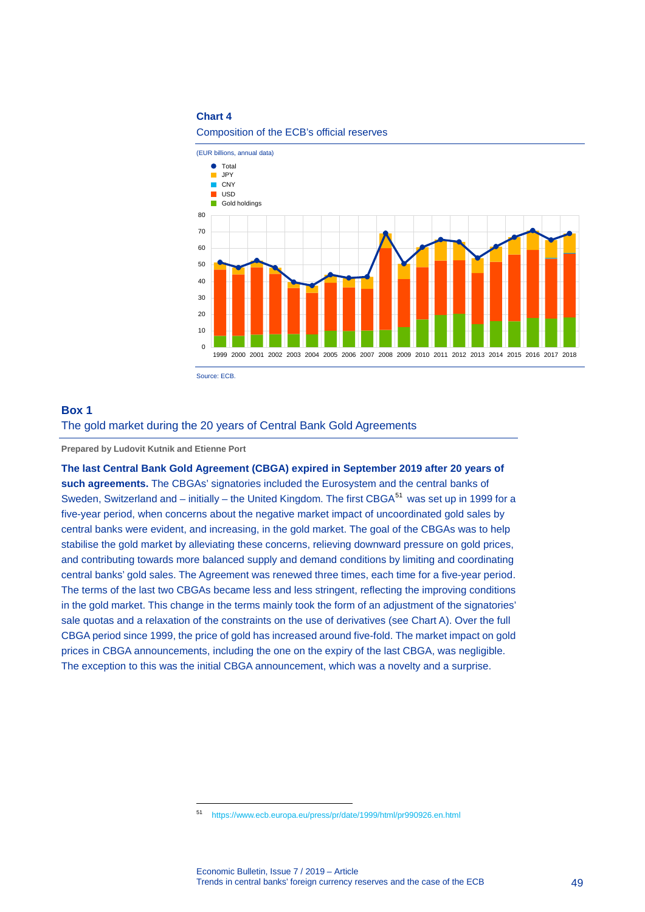### **Chart 4**

Composition of the ECB's official reserves



### **Box 1**

### The gold market during the 20 years of Central Bank Gold Agreements

**Prepared by Ludovit Kutnik and Etienne Port**

-

**The last Central Bank Gold Agreement (CBGA) expired in September 2019 after 20 years of such agreements.** The CBGAs' signatories included the Eurosystem and the central banks of Sweden, Switzerland and – initially – the United Kingdom. The first CBGA<sup>[51](#page-49-0)</sup> was set up in 1999 for a five-year period, when concerns about the negative market impact of uncoordinated gold sales by central banks were evident, and increasing, in the gold market. The goal of the CBGAs was to help stabilise the gold market by alleviating these concerns, relieving downward pressure on gold prices, and contributing towards more balanced supply and demand conditions by limiting and coordinating central banks' gold sales. The Agreement was renewed three times, each time for a five-year period. The terms of the last two CBGAs became less and less stringent, reflecting the improving conditions in the gold market. This change in the terms mainly took the form of an adjustment of the signatories' sale quotas and a relaxation of the constraints on the use of derivatives (see Chart A). Over the full CBGA period since 1999, the price of gold has increased around five-fold. The market impact on gold prices in CBGA announcements, including the one on the expiry of the last CBGA, was negligible. The exception to this was the initial CBGA announcement, which was a novelty and a surprise.

<span id="page-49-0"></span><sup>51</sup> <https://www.ecb.europa.eu/press/pr/date/1999/html/pr990926.en.html>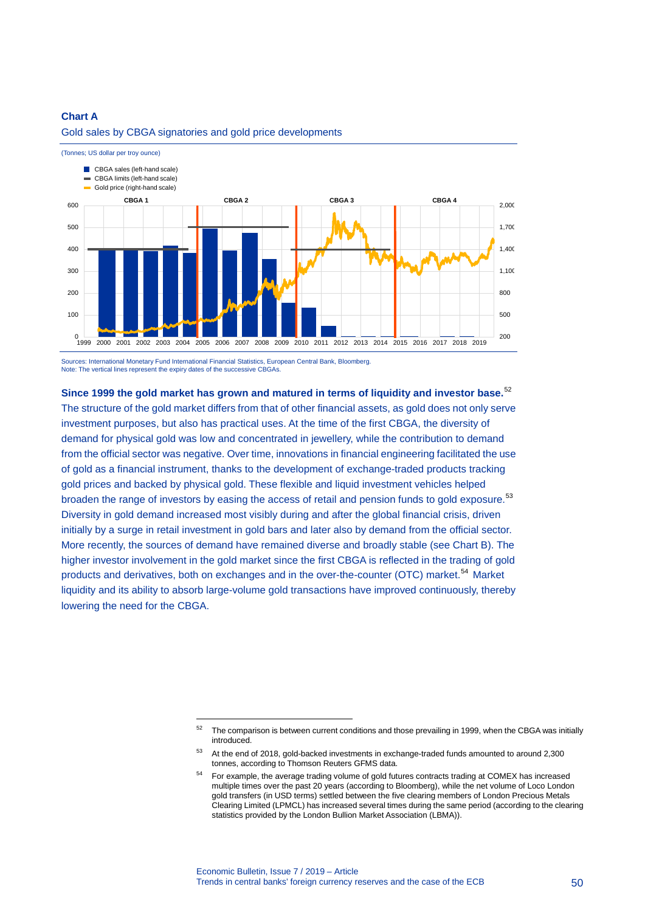### **Chart A**



### Gold sales by CBGA signatories and gold price developments

Sources: International Monetary Fund International Financial Statistics, European Central Bank, Bloomberg. Note: The vertical lines represent the expiry dates of the successive CBGAs.

-

**Since 1999 the gold market has grown and matured in terms of liquidity and investor base.**[52](#page-50-0) The structure of the gold market differs from that of other financial assets, as gold does not only serve investment purposes, but also has practical uses. At the time of the first CBGA, the diversity of demand for physical gold was low and concentrated in jewellery, while the contribution to demand from the official sector was negative. Over time, innovations in financial engineering facilitated the use of gold as a financial instrument, thanks to the development of exchange-traded products tracking gold prices and backed by physical gold. These flexible and liquid investment vehicles helped broaden the range of investors by easing the access of retail and pension funds to gold exposure.<sup>[53](#page-50-1)</sup> Diversity in gold demand increased most visibly during and after the global financial crisis, driven initially by a surge in retail investment in gold bars and later also by demand from the official sector. More recently, the sources of demand have remained diverse and broadly stable (see Chart B). The higher investor involvement in the gold market since the first CBGA is reflected in the trading of gold products and derivatives, both on exchanges and in the over-the-counter (OTC) market.<sup>[54](#page-50-2)</sup> Market liquidity and its ability to absorb large-volume gold transactions have improved continuously, thereby lowering the need for the CBGA.

<span id="page-50-0"></span> $52$  The comparison is between current conditions and those prevailing in 1999, when the CBGA was initially introduced

<span id="page-50-1"></span><sup>&</sup>lt;sup>53</sup> At the end of 2018, gold-backed investments in exchange-traded funds amounted to around 2,300 tonnes, according to Thomson Reuters GFMS data.

<span id="page-50-2"></span><sup>54</sup> For example, the average trading volume of gold futures contracts trading at COMEX has increased multiple times over the past 20 years (according to Bloomberg), while the net volume of Loco London gold transfers (in USD terms) settled between the five clearing members of London Precious Metals Clearing Limited (LPMCL) has increased several times during the same period (according to the clearing statistics provided by the London Bullion Market Association (LBMA)).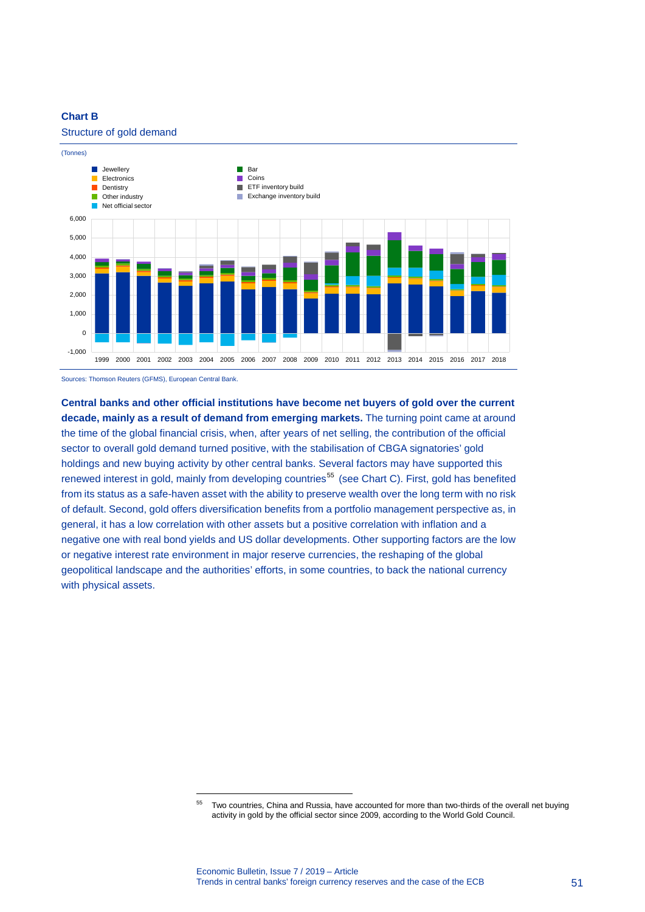# **Chart B**

### Structure of gold demand



Sources: Thomson Reuters (GFMS), European Central Bank.

<span id="page-51-0"></span>-

**Central banks and other official institutions have become net buyers of gold over the current decade, mainly as a result of demand from emerging markets.** The turning point came at around the time of the global financial crisis, when, after years of net selling, the contribution of the official sector to overall gold demand turned positive, with the stabilisation of CBGA signatories' gold holdings and new buying activity by other central banks. Several factors may have supported this renewed interest in gold, mainly from developing countries<sup>[55](#page-51-0)</sup> (see Chart C). First, gold has benefited from its status as a safe-haven asset with the ability to preserve wealth over the long term with no risk of default. Second, gold offers diversification benefits from a portfolio management perspective as, in general, it has a low correlation with other assets but a positive correlation with inflation and a negative one with real bond yields and US dollar developments. Other supporting factors are the low or negative interest rate environment in major reserve currencies, the reshaping of the global geopolitical landscape and the authorities' efforts, in some countries, to back the national currency with physical assets.

<sup>55</sup> Two countries, China and Russia, have accounted for more than two-thirds of the overall net buying activity in gold by the official sector since 2009, according to the World Gold Council.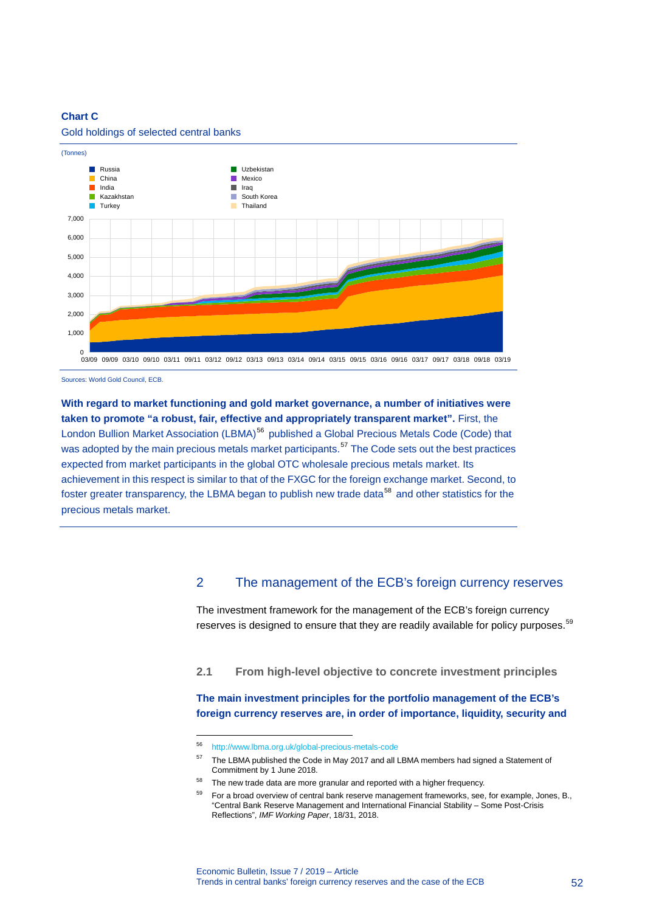# **Chart C**



Gold holdings of selected central banks

Sources: World Gold Council, ECB.

**With regard to market functioning and gold market governance, a number of initiatives were taken to promote "a robust, fair, effective and appropriately transparent market".** First, the London Bullion Market Association (LBMA)<sup>[56](#page-52-0)</sup> published a Global Precious Metals Code (Code) that was adopted by the main precious metals market participants.<sup>[57](#page-52-1)</sup> The Code sets out the best practices expected from market participants in the global OTC wholesale precious metals market. Its achievement in this respect is similar to that of the FXGC for the foreign exchange market. Second, to foster greater transparency, the LBMA began to publish new trade data<sup>[58](#page-52-2)</sup> and other statistics for the precious metals market.

# 2 The management of the ECB's foreign currency reserves

The investment framework for the management of the ECB's foreign currency reserves is designed to ensure that they are readily available for policy purposes.<sup>[59](#page-52-3)</sup>

**2.1 From high-level objective to concrete investment principles**

**The main investment principles for the portfolio management of the ECB's foreign currency reserves are, in order of importance, liquidity, security and** 

<span id="page-52-0"></span><sup>56</sup> <http://www.lbma.org.uk/global-precious-metals-code>

<span id="page-52-1"></span><sup>&</sup>lt;sup>57</sup> The LBMA published the Code in May 2017 and all LBMA members had signed a Statement of Commitment by 1 June 2018.

<span id="page-52-3"></span><span id="page-52-2"></span> $58$  The new trade data are more granular and reported with a higher frequency.

For a broad overview of central bank reserve management frameworks, see, for example, Jones, B., "Central Bank Reserve Management and International Financial Stability – Some Post-Crisis Reflections", *IMF Working Paper*, 18/31, 2018.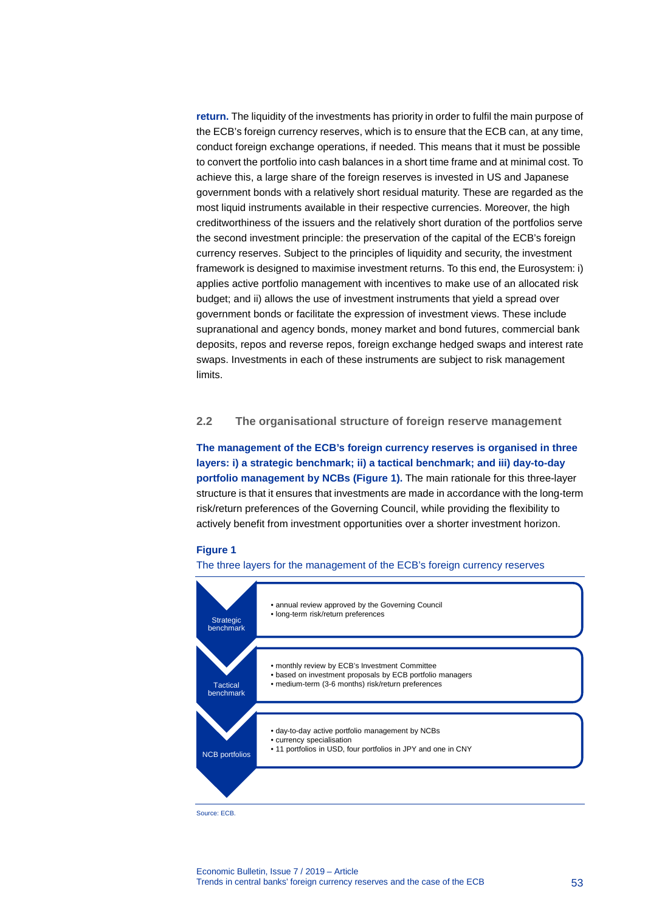**return.** The liquidity of the investments has priority in order to fulfil the main purpose of the ECB's foreign currency reserves, which is to ensure that the ECB can, at any time, conduct foreign exchange operations, if needed. This means that it must be possible to convert the portfolio into cash balances in a short time frame and at minimal cost. To achieve this, a large share of the foreign reserves is invested in US and Japanese government bonds with a relatively short residual maturity. These are regarded as the most liquid instruments available in their respective currencies. Moreover, the high creditworthiness of the issuers and the relatively short duration of the portfolios serve the second investment principle: the preservation of the capital of the ECB's foreign currency reserves. Subject to the principles of liquidity and security, the investment framework is designed to maximise investment returns. To this end, the Eurosystem: i) applies active portfolio management with incentives to make use of an allocated risk budget; and ii) allows the use of investment instruments that yield a spread over government bonds or facilitate the expression of investment views. These include supranational and agency bonds, money market and bond futures, commercial bank deposits, repos and reverse repos, foreign exchange hedged swaps and interest rate swaps. Investments in each of these instruments are subject to risk management limits.

# **2.2 The organisational structure of foreign reserve management**

**The management of the ECB's foreign currency reserves is organised in three layers: i) a strategic benchmark; ii) a tactical benchmark; and iii) day-to-day portfolio management by NCBs (Figure 1).** The main rationale for this three-layer structure is that it ensures that investments are made in accordance with the long-term risk/return preferences of the Governing Council, while providing the flexibility to actively benefit from investment opportunities over a shorter investment horizon.

### **Figure 1**

#### The three layers for the management of the ECB's foreign currency reserves



Source: ECB.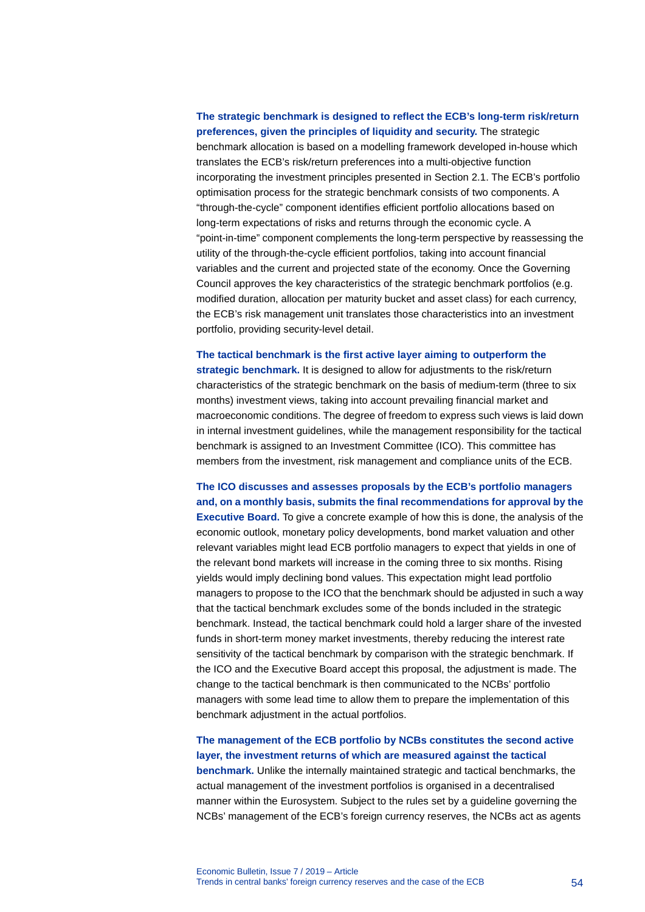# **The strategic benchmark is designed to reflect the ECB's long-term risk/return preferences, given the principles of liquidity and security.** The strategic benchmark allocation is based on a modelling framework developed in-house which translates the ECB's risk/return preferences into a multi-objective function incorporating the investment principles presented in Section 2.1. The ECB's portfolio optimisation process for the strategic benchmark consists of two components. A "through-the-cycle" component identifies efficient portfolio allocations based on long-term expectations of risks and returns through the economic cycle. A "point-in-time" component complements the long-term perspective by reassessing the utility of the through-the-cycle efficient portfolios, taking into account financial variables and the current and projected state of the economy. Once the Governing Council approves the key characteristics of the strategic benchmark portfolios (e.g. modified duration, allocation per maturity bucket and asset class) for each currency, the ECB's risk management unit translates those characteristics into an investment portfolio, providing security-level detail.

**The tactical benchmark is the first active layer aiming to outperform the strategic benchmark.** It is designed to allow for adjustments to the risk/return characteristics of the strategic benchmark on the basis of medium-term (three to six months) investment views, taking into account prevailing financial market and macroeconomic conditions. The degree of freedom to express such views is laid down in internal investment guidelines, while the management responsibility for the tactical benchmark is assigned to an Investment Committee (ICO). This committee has members from the investment, risk management and compliance units of the ECB.

**The ICO discusses and assesses proposals by the ECB's portfolio managers and, on a monthly basis, submits the final recommendations for approval by the Executive Board.** To give a concrete example of how this is done, the analysis of the economic outlook, monetary policy developments, bond market valuation and other relevant variables might lead ECB portfolio managers to expect that yields in one of the relevant bond markets will increase in the coming three to six months. Rising yields would imply declining bond values. This expectation might lead portfolio managers to propose to the ICO that the benchmark should be adjusted in such a way that the tactical benchmark excludes some of the bonds included in the strategic benchmark. Instead, the tactical benchmark could hold a larger share of the invested funds in short-term money market investments, thereby reducing the interest rate sensitivity of the tactical benchmark by comparison with the strategic benchmark. If the ICO and the Executive Board accept this proposal, the adjustment is made. The change to the tactical benchmark is then communicated to the NCBs' portfolio managers with some lead time to allow them to prepare the implementation of this benchmark adjustment in the actual portfolios.

**The management of the ECB portfolio by NCBs constitutes the second active layer, the investment returns of which are measured against the tactical benchmark.** Unlike the internally maintained strategic and tactical benchmarks, the actual management of the investment portfolios is organised in a decentralised manner within the Eurosystem. Subject to the rules set by a guideline governing the NCBs' management of the ECB's foreign currency reserves, the NCBs act as agents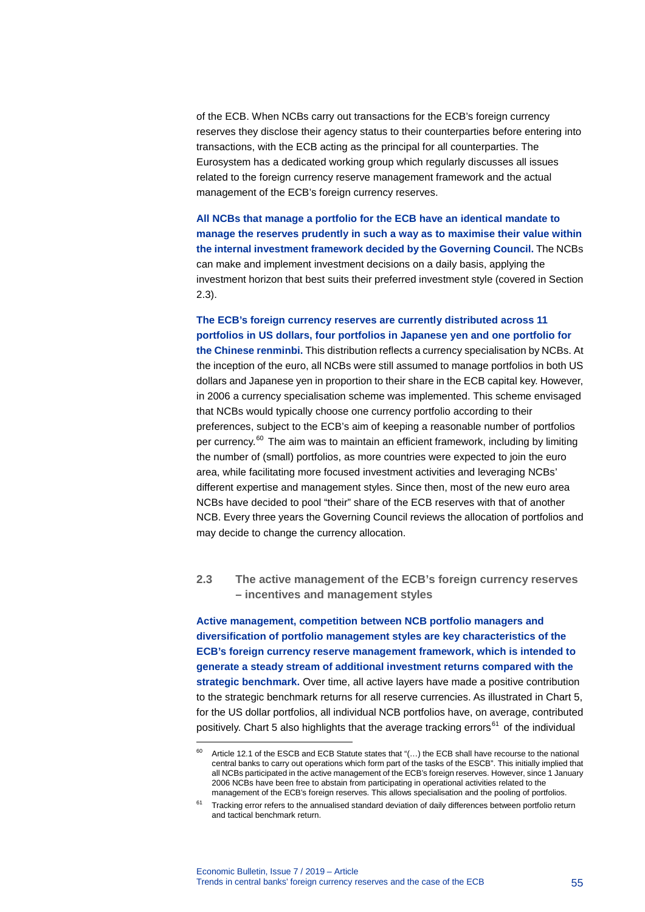of the ECB. When NCBs carry out transactions for the ECB's foreign currency reserves they disclose their agency status to their counterparties before entering into transactions, with the ECB acting as the principal for all counterparties. The Eurosystem has a dedicated working group which regularly discusses all issues related to the foreign currency reserve management framework and the actual management of the ECB's foreign currency reserves.

**All NCBs that manage a portfolio for the ECB have an identical mandate to manage the reserves prudently in such a way as to maximise their value within the internal investment framework decided by the Governing Council.** The NCBs can make and implement investment decisions on a daily basis, applying the investment horizon that best suits their preferred investment style (covered in Section 2.3).

# **The ECB's foreign currency reserves are currently distributed across 11 portfolios in US dollars, four portfolios in Japanese yen and one portfolio for**

**the Chinese renminbi.** This distribution reflects a currency specialisation by NCBs. At the inception of the euro, all NCBs were still assumed to manage portfolios in both US dollars and Japanese yen in proportion to their share in the ECB capital key. However, in 2006 a currency specialisation scheme was implemented. This scheme envisaged that NCBs would typically choose one currency portfolio according to their preferences, subject to the ECB's aim of keeping a reasonable number of portfolios per currency.<sup>[60](#page-55-0)</sup> The aim was to maintain an efficient framework, including by limiting the number of (small) portfolios, as more countries were expected to join the euro area, while facilitating more focused investment activities and leveraging NCBs' different expertise and management styles. Since then, most of the new euro area NCBs have decided to pool "their" share of the ECB reserves with that of another NCB. Every three years the Governing Council reviews the allocation of portfolios and may decide to change the currency allocation.

# **2.3 The active management of the ECB's foreign currency reserves – incentives and management styles**

**Active management, competition between NCB portfolio managers and diversification of portfolio management styles are key characteristics of the ECB's foreign currency reserve management framework, which is intended to generate a steady stream of additional investment returns compared with the strategic benchmark.** Over time, all active layers have made a positive contribution to the strategic benchmark returns for all reserve currencies. As illustrated in Chart 5, for the US dollar portfolios, all individual NCB portfolios have, on average, contributed positively. Chart 5 also highlights that the average tracking errors<sup>[61](#page-55-1)</sup> of the individual

<span id="page-55-0"></span>Article 12.1 of the ESCB and ECB Statute states that "(...) the ECB shall have recourse to the national central banks to carry out operations which form part of the tasks of the ESCB". This initially implied that all NCBs participated in the active management of the ECB's foreign reserves. However, since 1 January 2006 NCBs have been free to abstain from participating in operational activities related to the management of the ECB's foreign reserves. This allows specialisation and the pooling of portfolios.

<span id="page-55-1"></span> $61$  Tracking error refers to the annualised standard deviation of daily differences between portfolio return and tactical benchmark return.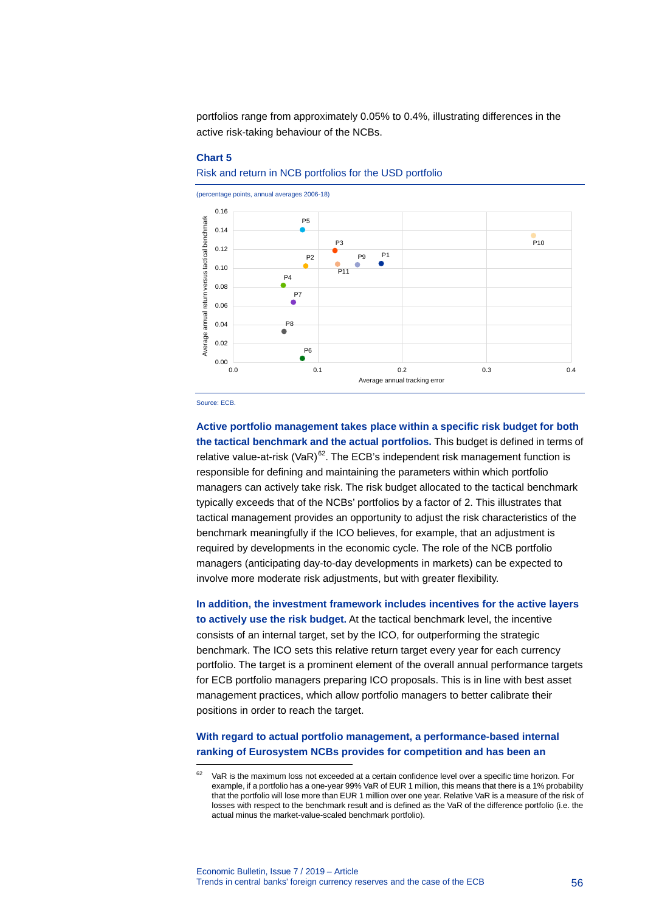portfolios range from approximately 0.05% to 0.4%, illustrating differences in the active risk-taking behaviour of the NCBs.

#### **Chart 5**

### Risk and return in NCB portfolios for the USD portfolio



Source: ECB.

-

**Active portfolio management takes place within a specific risk budget for both the tactical benchmark and the actual portfolios.** This budget is defined in terms of relative value-at-risk (VaR) $62$ . The ECB's independent risk management function is responsible for defining and maintaining the parameters within which portfolio managers can actively take risk. The risk budget allocated to the tactical benchmark typically exceeds that of the NCBs' portfolios by a factor of 2. This illustrates that tactical management provides an opportunity to adjust the risk characteristics of the benchmark meaningfully if the ICO believes, for example, that an adjustment is required by developments in the economic cycle. The role of the NCB portfolio managers (anticipating day-to-day developments in markets) can be expected to involve more moderate risk adjustments, but with greater flexibility.

**In addition, the investment framework includes incentives for the active layers to actively use the risk budget.** At the tactical benchmark level, the incentive consists of an internal target, set by the ICO, for outperforming the strategic benchmark. The ICO sets this relative return target every year for each currency portfolio. The target is a prominent element of the overall annual performance targets for ECB portfolio managers preparing ICO proposals. This is in line with best asset management practices, which allow portfolio managers to better calibrate their positions in order to reach the target.

# **With regard to actual portfolio management, a performance-based internal ranking of Eurosystem NCBs provides for competition and has been an**

<span id="page-56-0"></span>VaR is the maximum loss not exceeded at a certain confidence level over a specific time horizon. For example, if a portfolio has a one-year 99% VaR of EUR 1 million, this means that there is a 1% probability that the portfolio will lose more than EUR 1 million over one year. Relative VaR is a measure of the risk of losses with respect to the benchmark result and is defined as the VaR of the difference portfolio (i.e. the actual minus the market-value-scaled benchmark portfolio).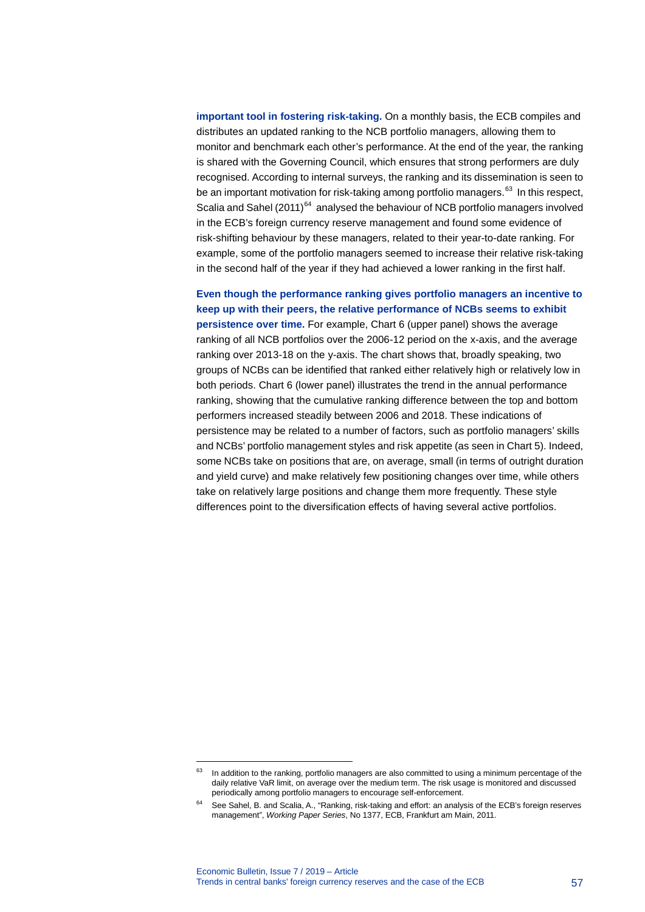**important tool in fostering risk-taking.** On a monthly basis, the ECB compiles and distributes an updated ranking to the NCB portfolio managers, allowing them to monitor and benchmark each other's performance. At the end of the year, the ranking is shared with the Governing Council, which ensures that strong performers are duly recognised. According to internal surveys, the ranking and its dissemination is seen to be an important motivation for risk-taking among portfolio managers.<sup>[63](#page-57-0)</sup> In this respect, Scalia and Sahel  $(2011)^{64}$  $(2011)^{64}$  $(2011)^{64}$  analysed the behaviour of NCB portfolio managers involved in the ECB's foreign currency reserve management and found some evidence of risk-shifting behaviour by these managers, related to their year-to-date ranking. For example, some of the portfolio managers seemed to increase their relative risk-taking in the second half of the year if they had achieved a lower ranking in the first half.

**Even though the performance ranking gives portfolio managers an incentive to keep up with their peers, the relative performance of NCBs seems to exhibit persistence over time.** For example, Chart 6 (upper panel) shows the average ranking of all NCB portfolios over the 2006-12 period on the x-axis, and the average ranking over 2013-18 on the y-axis. The chart shows that, broadly speaking, two groups of NCBs can be identified that ranked either relatively high or relatively low in both periods. Chart 6 (lower panel) illustrates the trend in the annual performance ranking, showing that the cumulative ranking difference between the top and bottom performers increased steadily between 2006 and 2018. These indications of persistence may be related to a number of factors, such as portfolio managers' skills and NCBs' portfolio management styles and risk appetite (as seen in Chart 5). Indeed, some NCBs take on positions that are, on average, small (in terms of outright duration and yield curve) and make relatively few positioning changes over time, while others take on relatively large positions and change them more frequently. These style differences point to the diversification effects of having several active portfolios.

<span id="page-57-0"></span><sup>&</sup>lt;sup>63</sup> In addition to the ranking, portfolio managers are also committed to using a minimum percentage of the daily relative VaR limit, on average over the medium term. The risk usage is monitored and discussed periodically among portfolio managers to encourage self-enforcement.

<span id="page-57-1"></span><sup>64</sup> See Sahel, B. and Scalia, A., "Ranking, risk-taking and effort: an analysis of the ECB's foreign reserves management", *Working Paper Series*, No 1377, ECB, Frankfurt am Main, 2011.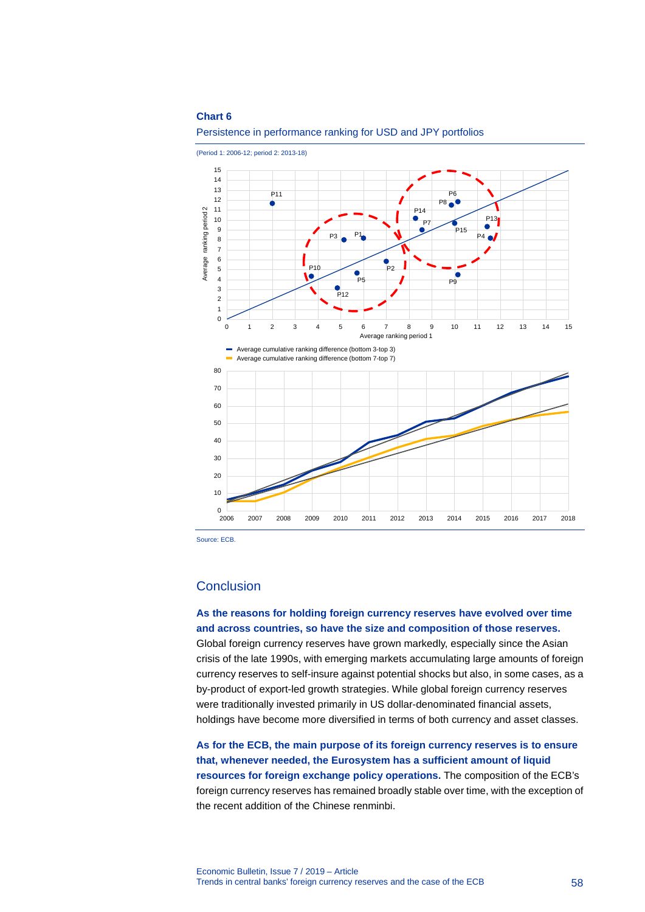#### **Chart 6**





Source: ECB.

# **Conclusion**

**As the reasons for holding foreign currency reserves have evolved over time and across countries, so have the size and composition of those reserves.** Global foreign currency reserves have grown markedly, especially since the Asian crisis of the late 1990s, with emerging markets accumulating large amounts of foreign currency reserves to self-insure against potential shocks but also, in some cases, as a by-product of export-led growth strategies. While global foreign currency reserves were traditionally invested primarily in US dollar-denominated financial assets, holdings have become more diversified in terms of both currency and asset classes.

**As for the ECB, the main purpose of its foreign currency reserves is to ensure that, whenever needed, the Eurosystem has a sufficient amount of liquid resources for foreign exchange policy operations.** The composition of the ECB's foreign currency reserves has remained broadly stable over time, with the exception of the recent addition of the Chinese renminbi.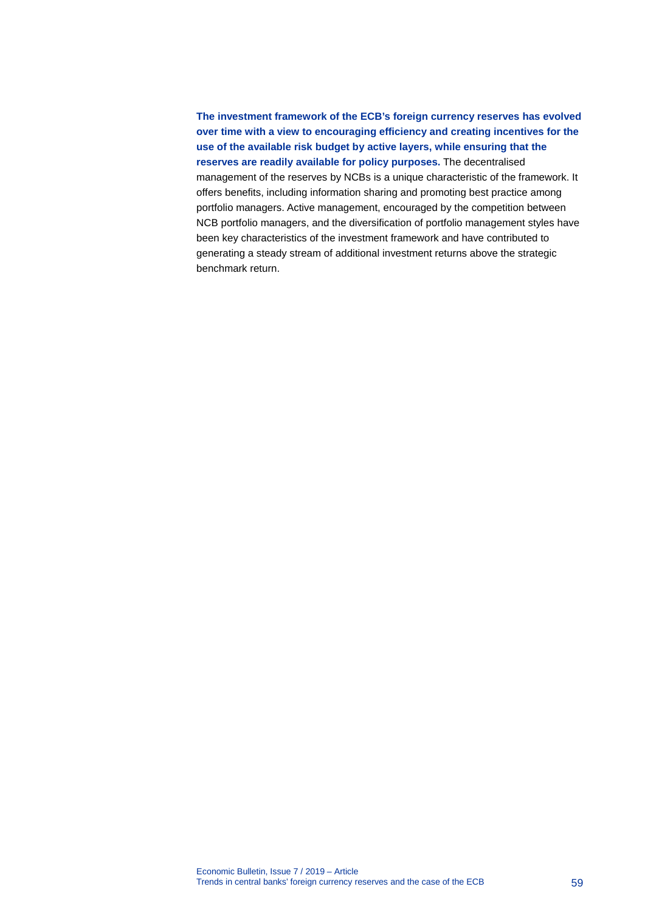**The investment framework of the ECB's foreign currency reserves has evolved over time with a view to encouraging efficiency and creating incentives for the use of the available risk budget by active layers, while ensuring that the reserves are readily available for policy purposes.** The decentralised management of the reserves by NCBs is a unique characteristic of the framework. It offers benefits, including information sharing and promoting best practice among portfolio managers. Active management, encouraged by the competition between NCB portfolio managers, and the diversification of portfolio management styles have been key characteristics of the investment framework and have contributed to generating a steady stream of additional investment returns above the strategic benchmark return.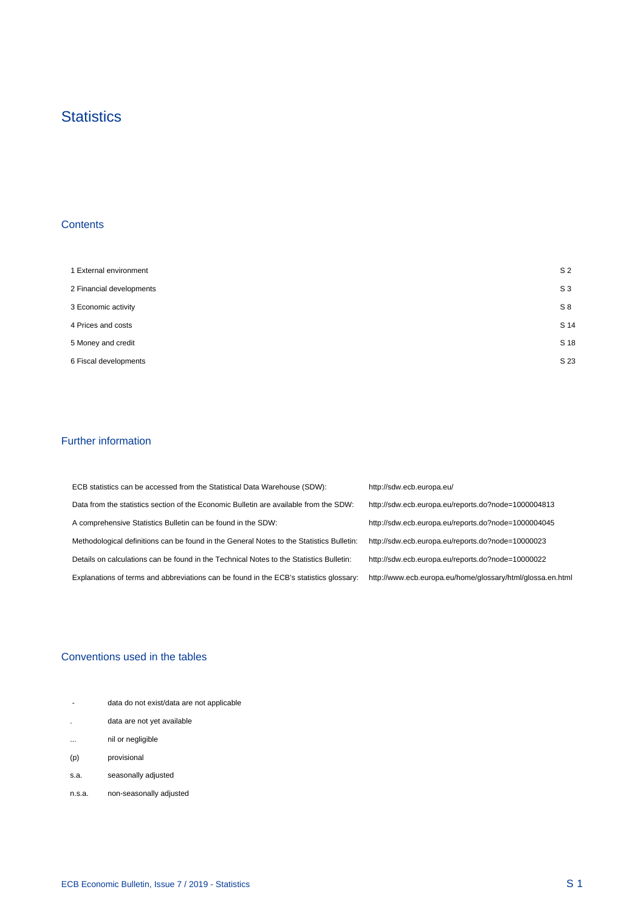# **Statistics**

# **Contents**

 $\mathcal{A}^{\mathcal{A}}$ 

| 1 External environment   | S <sub>2</sub> |
|--------------------------|----------------|
| 2 Financial developments | $S_3$          |
| 3 Economic activity      | S8             |
| 4 Prices and costs       | S 14           |
| 5 Money and credit       | S 18           |
| 6 Fiscal developments    | S 23           |

# Further information

 $\mathcal{A}^{\mathcal{A}}$ 

| ECB statistics can be accessed from the Statistical Data Warehouse (SDW):                | http://sdw.ecb.europa.eu/                                  |
|------------------------------------------------------------------------------------------|------------------------------------------------------------|
| Data from the statistics section of the Economic Bulletin are available from the SDW:    | http://sdw.ecb.europa.eu/reports.do?node=1000004813        |
| A comprehensive Statistics Bulletin can be found in the SDW:                             | http://sdw.ecb.europa.eu/reports.do?node=1000004045        |
| Methodological definitions can be found in the General Notes to the Statistics Bulletin: | http://sdw.ecb.europa.eu/reports.do?node=10000023          |
| Details on calculations can be found in the Technical Notes to the Statistics Bulletin:  | http://sdw.ecb.europa.eu/reports.do?node=10000022          |
| Explanations of terms and abbreviations can be found in the ECB's statistics glossary:   | http://www.ecb.europa.eu/home/glossary/html/glossa.en.html |

# Conventions used in the tables

| $\overline{\phantom{a}}$ | data do not exist/data are not applicable |  |
|--------------------------|-------------------------------------------|--|
|                          | data are not yet available                |  |
| $\cdots$                 | nil or negligible                         |  |
| (p)                      | provisional                               |  |
| s.a.                     | seasonally adjusted                       |  |
| n.s.a.                   | non-seasonally adjusted                   |  |

 $\frac{1}{2}$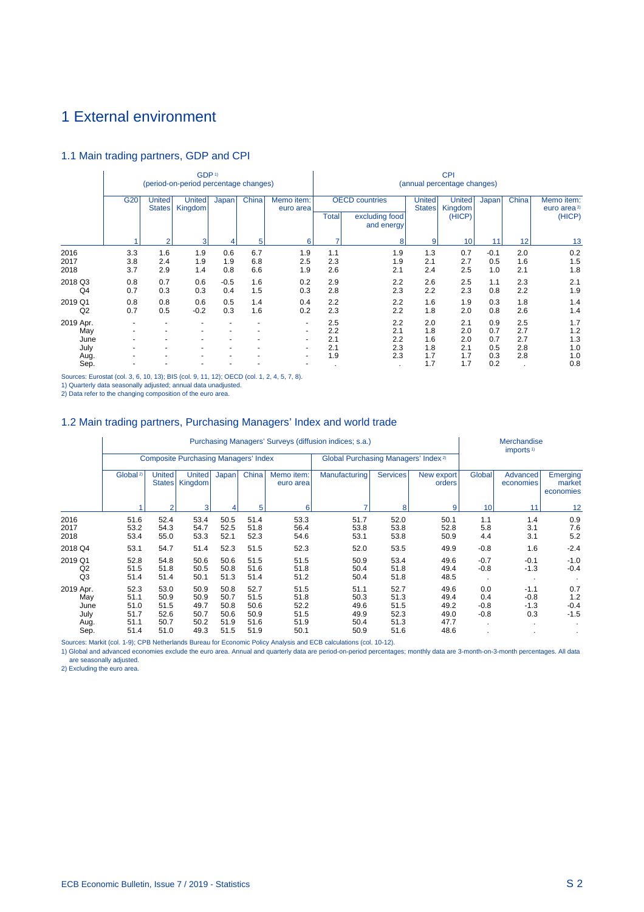# <span id="page-61-0"></span>1 External environment

# 1.1 Main trading partners, GDP and CPI

|                                  |                   |                         | GDP <sup>1)</sup><br>(period-on-period percentage changes) |                   |                   |                                                           | <b>CPI</b><br>(annual percentage changes) |                                                       |                                |                                    |                          |                          |                                                 |  |
|----------------------------------|-------------------|-------------------------|------------------------------------------------------------|-------------------|-------------------|-----------------------------------------------------------|-------------------------------------------|-------------------------------------------------------|--------------------------------|------------------------------------|--------------------------|--------------------------|-------------------------------------------------|--|
|                                  | G <sub>20</sub>   | United<br><b>States</b> | <b>United</b><br>Kingdom                                   | Japan             | China             | Memo item:<br>euro area                                   | <b>Total</b>                              | <b>OECD</b> countries<br>excluding food<br>and energy | <b>United</b><br><b>States</b> | <b>United</b><br>Kingdom<br>(HICP) | Japan                    | China                    | Memo item:<br>euro area <sup>2)</sup><br>(HICP) |  |
|                                  |                   | $\overline{2}$          | 3                                                          |                   | 5                 | 6                                                         | ۰,                                        | 8                                                     | 9                              | 10                                 | 11                       | 12                       | 13                                              |  |
| 2016<br>2017<br>2018             | 3.3<br>3.8<br>3.7 | 1.6<br>2.4<br>2.9       | 1.9<br>1.9<br>1.4                                          | 0.6<br>1.9<br>0.8 | 6.7<br>6.8<br>6.6 | 1.9<br>2.5<br>1.9                                         | 1.1<br>2.3<br>2.6                         | 1.9<br>1.9<br>2.1                                     | 1.3<br>2.1<br>2.4              | 0.7<br>2.7<br>2.5                  | $-0.1$<br>0.5<br>1.0     | 2.0<br>1.6<br>2.1        | 0.2<br>1.5<br>1.8                               |  |
| 2018 Q3<br>Q4                    | 0.8<br>0.7        | 0.7<br>0.3              | 0.6<br>0.3                                                 | $-0.5$<br>0.4     | 1.6<br>1.5        | 0.2<br>0.3                                                | 2.9<br>2.8                                | 2.2<br>2.3                                            | 2.6<br>2.2                     | 2.5<br>2.3                         | 1.1<br>0.8               | 2.3<br>2.2               | 2.1<br>1.9                                      |  |
| 2019 Q1<br>Q2                    | 0.8<br>0.7        | 0.8<br>0.5              | 0.6<br>$-0.2$                                              | 0.5<br>0.3        | 1.4<br>1.6        | 0.4<br>0.2                                                | 2.2<br>2.3                                | 2.2<br>2.2                                            | 1.6<br>1.8                     | 1.9<br>2.0                         | 0.3<br>0.8               | 1.8<br>2.6               | 1.4<br>1.4                                      |  |
| 2019 Apr.<br>May<br>June<br>July |                   |                         |                                                            |                   | ٠                 | $\overline{\phantom{0}}$<br>$\overline{\phantom{0}}$<br>- | 2.5<br>2.2<br>2.1<br>2.1                  | 2.2<br>2.1<br>2.2<br>2.3                              | 2.0<br>1.8<br>1.6<br>1.8       | 2.1<br>2.0<br>2.0<br>2.1           | 0.9<br>0.7<br>0.7<br>0.5 | 2.5<br>2.7<br>2.7<br>2.8 | 1.7<br>1.2<br>1.3<br>1.0                        |  |
| Aug.<br>Sep.                     |                   |                         |                                                            |                   |                   |                                                           | 1.9                                       | 2.3                                                   | 1.7<br>1.7                     | 1.7<br>1.7                         | 0.3<br>0.2               | 2.8                      | 1.0<br>0.8                                      |  |

Sources: Eurostat (col. 3, 6, 10, 13); BIS (col. 9, 11, 12); OECD (col. 1, 2, 4, 5, 7, 8).

1) Quarterly data seasonally adjusted; annual data unadjusted.

2) Data refer to the changing composition of the euro area.

# 1.2 Main trading partners, Purchasing Managers' Index and world trade

|                                                  |                                              |                                              |                                              | Merchandise<br>imports <sup>1)</sup>         |                                              |                                              |                                                 |                                              |                                              |                              |                                   |                                 |  |
|--------------------------------------------------|----------------------------------------------|----------------------------------------------|----------------------------------------------|----------------------------------------------|----------------------------------------------|----------------------------------------------|-------------------------------------------------|----------------------------------------------|----------------------------------------------|------------------------------|-----------------------------------|---------------------------------|--|
|                                                  |                                              |                                              | <b>Composite Purchasing Managers' Index</b>  |                                              |                                              |                                              | Global Purchasing Managers' Index <sup>2)</sup> |                                              |                                              |                              |                                   |                                 |  |
|                                                  | Global <sup>2)</sup>                         | <b>United</b><br><b>States</b>               | <b>United</b><br>Kingdom                     | Japan                                        | China                                        | Memo item:<br>euro area                      | Manufacturing                                   | <b>Services</b>                              | New export<br>orders                         | Global                       | Advanced<br>economies             | Emerging<br>market<br>economies |  |
|                                                  |                                              |                                              | 3                                            |                                              | 5                                            | 6                                            |                                                 | 8                                            | 9                                            | 10                           | 11                                | 12                              |  |
| 2016<br>2017<br>2018                             | 51.6<br>53.2<br>53.4                         | 52.4<br>54.3<br>55.0                         | 53.4<br>54.7<br>53.3                         | 50.5<br>52.5<br>52.1                         | 51.4<br>51.8<br>52.3                         | 53.3<br>56.4<br>54.6                         | 51.7<br>53.8<br>53.1                            | 52.0<br>53.8<br>53.8                         | 50.1<br>52.8<br>50.9                         | 1.1<br>5.8<br>4.4            | 1.4<br>3.1<br>3.1                 | 0.9<br>7.6<br>5.2               |  |
| 2018 Q4                                          | 53.1                                         | 54.7                                         | 51.4                                         | 52.3                                         | 51.5                                         | 52.3                                         | 52.0                                            | 53.5                                         | 49.9                                         | $-0.8$                       | 1.6                               | $-2.4$                          |  |
| 2019 Q1<br>Q2<br>Q <sub>3</sub>                  | 52.8<br>51.5<br>51.4                         | 54.8<br>51.8<br>51.4                         | 50.6<br>50.5<br>50.1                         | 50.6<br>50.8<br>51.3                         | 51.5<br>51.6<br>51.4                         | 51.5<br>51.8<br>51.2                         | 50.9<br>50.4<br>50.4                            | 53.4<br>51.8<br>51.8                         | 49.6<br>49.4<br>48.5                         | $-0.7$<br>$-0.8$             | $-0.1$<br>$-1.3$                  | $-1.0$<br>$-0.4$                |  |
| 2019 Apr.<br>May<br>June<br>July<br>Aug.<br>Sep. | 52.3<br>51.1<br>51.0<br>51.7<br>51.1<br>51.4 | 53.0<br>50.9<br>51.5<br>52.6<br>50.7<br>51.0 | 50.9<br>50.9<br>49.7<br>50.7<br>50.2<br>49.3 | 50.8<br>50.7<br>50.8<br>50.6<br>51.9<br>51.5 | 52.7<br>51.5<br>50.6<br>50.9<br>51.6<br>51.9 | 51.5<br>51.8<br>52.2<br>51.5<br>51.9<br>50.1 | 51.1<br>50.3<br>49.6<br>49.9<br>50.4<br>50.9    | 52.7<br>51.3<br>51.5<br>52.3<br>51.3<br>51.6 | 49.6<br>49.4<br>49.2<br>49.0<br>47.7<br>48.6 | 0.0<br>0.4<br>-0.8<br>$-0.8$ | $-1.1$<br>$-0.8$<br>$-1.3$<br>0.3 | 0.7<br>1.2<br>$-0.4$<br>$-1.5$  |  |

Sources: Markit (col. 1-9); CPB Netherlands Bureau for Economic Policy Analysis and ECB calculations (col. 10-12).

1) Global and advanced economies exclude the euro area. Annual and quarterly data are period-on-period percentages; monthly data are 3-month-on-3-month percentages. All data are seasonally adjusted.

2) Excluding the euro area.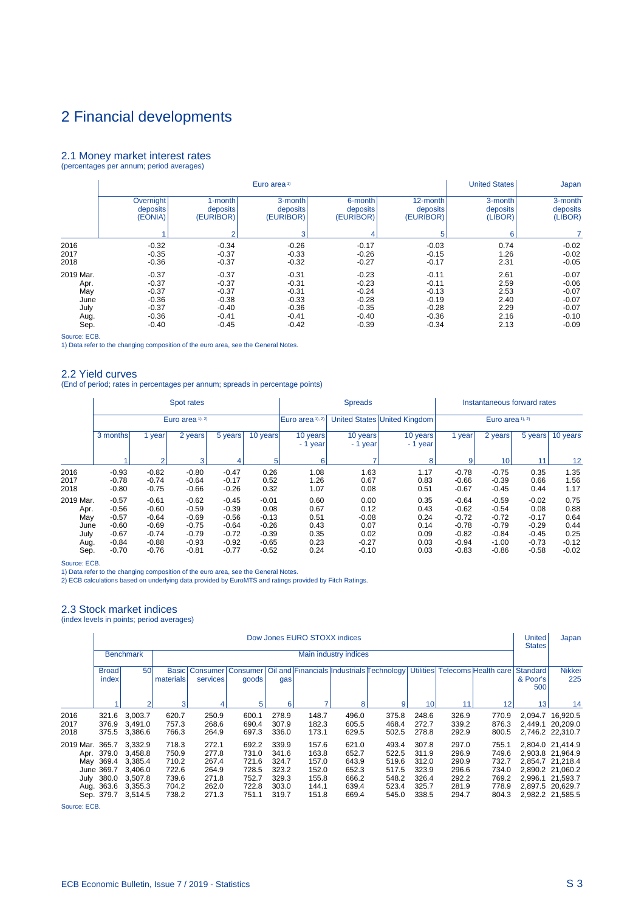#### <span id="page-62-0"></span>2.1 Money market interest rates (percentages per annum; period averages)

|           |           |                | Euro area <sup>1)</sup> |           |           | <b>United States</b> | Japan    |
|-----------|-----------|----------------|-------------------------|-----------|-----------|----------------------|----------|
|           | Overnight | 1-month        | 3-month                 | 6-month   | 12-month  | 3-month              | 3-month  |
|           | deposits  | deposits       | deposits                | deposits  | deposits  | deposits             | deposits |
|           | (EONIA)   | (EURIBOR)      | (EURIBOR)               | (EURIBOR) | (EURIBOR) | (LIBOR)              | (LIBOR)  |
|           |           | $\overline{2}$ | 3                       | 4         | 5         | 6                    |          |
| 2016      | $-0.32$   | $-0.34$        | $-0.26$                 | $-0.17$   | $-0.03$   | 0.74                 | $-0.02$  |
| 2017      | $-0.35$   | $-0.37$        | $-0.33$                 | $-0.26$   | $-0.15$   | 1.26                 | $-0.02$  |
| 2018      | $-0.36$   | $-0.37$        | $-0.32$                 | $-0.27$   | $-0.17$   | 2.31                 | $-0.05$  |
| 2019 Mar. | $-0.37$   | $-0.37$        | $-0.31$                 | $-0.23$   | $-0.11$   | 2.61                 | $-0.07$  |
| Apr.      | $-0.37$   | $-0.37$        | $-0.31$                 | $-0.23$   | $-0.11$   | 2.59                 | $-0.06$  |
| May       | $-0.37$   | $-0.37$        | $-0.31$                 | $-0.24$   | $-0.13$   | 2.53                 | $-0.07$  |
| June      | $-0.36$   | $-0.38$        | $-0.33$                 | $-0.28$   | $-0.19$   | 2.40                 | $-0.07$  |
| July      | $-0.37$   | $-0.40$        | $-0.36$                 | $-0.35$   | $-0.28$   | 2.29                 | $-0.07$  |
| Aug.      | $-0.36$   | $-0.41$        | $-0.41$                 | $-0.40$   | $-0.36$   | 2.16                 | $-0.10$  |
| Sep.      | $-0.40$   | $-0.45$        | $-0.42$                 | $-0.39$   | $-0.34$   | 2.13                 | $-0.09$  |

Source: ECB. 1) Data refer to the changing composition of the euro area, see the General Notes.

# 2.2 Yield curves

(End of period; rates in percentages per annum; spreads in percentage points)

|                      |                               |                               | Spot rates                    |                               |                      |                      | <b>Spreads</b>               |                      | Instantaneous forward rates   |                               |                      |                      |  |
|----------------------|-------------------------------|-------------------------------|-------------------------------|-------------------------------|----------------------|----------------------|------------------------------|----------------------|-------------------------------|-------------------------------|----------------------|----------------------|--|
|                      |                               |                               | Euro area 1), 2)              |                               |                      | Euro area 1), 2)     | United States United Kingdom | Euro area 1), 2)     |                               |                               |                      |                      |  |
|                      | 3 months                      | year                          | 2 years                       | 5 years                       | 10 years             | 10 years<br>- 1 year | 10 years<br>- 1 year         | 10 years<br>- 1 year | 1 year                        | 2 years                       | 5 years              | 10 years             |  |
|                      |                               | $\mathfrak{p}$                | 3                             | 4                             | 5                    | 6                    | 7                            | 8                    | 9                             | 10 <sup>1</sup>               | 11                   | 12                   |  |
| 2016<br>2017<br>2018 | $-0.93$<br>$-0.78$<br>$-0.80$ | $-0.82$<br>$-0.74$<br>$-0.75$ | $-0.80$<br>$-0.64$<br>$-0.66$ | $-0.47$<br>$-0.17$<br>$-0.26$ | 0.26<br>0.52<br>0.32 | 1.08<br>1.26<br>1.07 | 1.63<br>0.67<br>0.08         | 1.17<br>0.83<br>0.51 | $-0.78$<br>$-0.66$<br>$-0.67$ | $-0.75$<br>$-0.39$<br>$-0.45$ | 0.35<br>0.66<br>0.44 | 1.35<br>1.56<br>1.17 |  |
| 2019 Mar.<br>Apr.    | $-0.57$<br>$-0.56$            | $-0.61$<br>$-0.60$            | $-0.62$<br>$-0.59$            | $-0.45$<br>$-0.39$            | $-0.01$<br>0.08      | 0.60<br>0.67         | 0.00<br>0.12                 | 0.35<br>0.43         | $-0.64$<br>$-0.62$            | $-0.59$<br>$-0.54$            | $-0.02$<br>0.08      | 0.75<br>0.88         |  |
| May<br>June          | $-0.57$<br>$-0.60$            | $-0.64$<br>$-0.69$            | $-0.69$<br>$-0.75$            | $-0.56$<br>$-0.64$            | $-0.13$<br>$-0.26$   | 0.51<br>0.43         | $-0.08$<br>0.07              | 0.24<br>0.14         | $-0.72$<br>$-0.78$            | $-0.72$<br>$-0.79$            | $-0.17$<br>$-0.29$   | 0.64<br>0.44         |  |
| July<br>Aug.         | $-0.67$<br>$-0.84$            | $-0.74$<br>$-0.88$            | $-0.79$<br>$-0.93$            | $-0.72$<br>$-0.92$            | $-0.39$<br>$-0.65$   | 0.35<br>0.23         | 0.02<br>$-0.27$              | 0.09<br>0.03         | $-0.82$<br>$-0.94$            | $-0.84$<br>$-1.00$            | $-0.45$<br>$-0.73$   | 0.25<br>$-0.12$      |  |
| Sep.                 | $-0.70$                       | $-0.76$                       | $-0.81$                       | $-0.77$                       | $-0.52$              | 0.24                 | $-0.10$                      | 0.03                 | $-0.83$                       | $-0.86$                       | $-0.58$              | $-0.02$              |  |

Source: ECB. 1) Data refer to the changing composition of the euro area, see the General Notes.

2) ECB calculations based on underlying data provided by EuroMTS and ratings provided by Fitch Ratings.

# 2.3 Stock market indices

| (index levels in points; period averages) |  |  |  |
|-------------------------------------------|--|--|--|
|-------------------------------------------|--|--|--|

|                         | Dow Jones EURO STOXX indices                        |                                                                                      |                                                             |                                                             |                                                             |                                                             |                                                             |                                                             |                                                             |                                                             |                                                             |                                                             |                                    | Japan                                                                                                                                    |
|-------------------------|-----------------------------------------------------|--------------------------------------------------------------------------------------|-------------------------------------------------------------|-------------------------------------------------------------|-------------------------------------------------------------|-------------------------------------------------------------|-------------------------------------------------------------|-------------------------------------------------------------|-------------------------------------------------------------|-------------------------------------------------------------|-------------------------------------------------------------|-------------------------------------------------------------|------------------------------------|------------------------------------------------------------------------------------------------------------------------------------------|
|                         |                                                     | <b>Benchmark</b>                                                                     |                                                             |                                                             |                                                             |                                                             |                                                             | Main industry indices                                       |                                                             |                                                             |                                                             |                                                             |                                    |                                                                                                                                          |
|                         | Broad <sup>®</sup><br>index                         | 50 <sub>0</sub>                                                                      | <b>Basic</b><br>materials                                   | Consumer Consumer<br>services                               | goods                                                       | gas                                                         |                                                             |                                                             | Oil and Financials Industrials Technology                   |                                                             |                                                             | Utilities Telecoms Health care                              | <b>Standard</b><br>& Poor's<br>500 | Nikkei<br>225                                                                                                                            |
|                         |                                                     | $\mathcal{P}$                                                                        | 3                                                           |                                                             | 5                                                           | 6                                                           | -                                                           | 8                                                           | 9                                                           | 10 <sub>1</sub>                                             | 11                                                          | 12                                                          | 13                                 | 14                                                                                                                                       |
| 2016<br>2017<br>2018    | 321.6<br>376.9<br>375.5                             | 3,003.7<br>3.491.0<br>3,386.6                                                        | 620.7<br>757.3<br>766.3                                     | 250.9<br>268.6<br>264.9                                     | 600.1<br>690.4<br>697.3                                     | 278.9<br>307.9<br>336.0                                     | 148.7<br>182.3<br>173.1                                     | 496.0<br>605.5<br>629.5                                     | 375.8<br>468.4<br>502.5                                     | 248.6<br>272.7<br>278.8                                     | 326.9<br>339.2<br>292.9                                     | 770.9<br>876.3<br>800.5                                     |                                    | 2,094.7 16,920.5<br>2.449.1 20.209.0<br>2,746.2 22,310.7                                                                                 |
| 2019 Mar. 365.7 3.332.9 | May 369.4<br>June 369.7<br>Aug. 363.6<br>Sep. 379.7 | Apr. 379.0 3,458.8<br>3.385.4<br>3.406.0<br>July 380.0 3,507.8<br>3,355.3<br>3,514.5 | 718.3<br>750.9<br>710.2<br>722.6<br>739.6<br>704.2<br>738.2 | 272.1<br>277.8<br>267.4<br>264.9<br>271.8<br>262.0<br>271.3 | 692.2<br>731.0<br>721.6<br>728.5<br>752.7<br>722.8<br>751.1 | 339.9<br>341.6<br>324.7<br>323.2<br>329.3<br>303.0<br>319.7 | 157.6<br>163.8<br>157.0<br>152.0<br>155.8<br>144.1<br>151.8 | 621.0<br>652.7<br>643.9<br>652.3<br>666.2<br>639.4<br>669.4 | 493.4<br>522.5<br>519.6<br>517.5<br>548.2<br>523.4<br>545.0 | 307.8<br>311.9<br>312.0<br>323.9<br>326.4<br>325.7<br>338.5 | 297.0<br>296.9<br>290.9<br>296.6<br>292.2<br>281.9<br>294.7 | 755.1<br>749.6<br>732.7<br>734.0<br>769.2<br>778.9<br>804.3 |                                    | 2.804.0 21.414.9<br>2.903.8 21.964.9<br>2.854.7 21.218.4<br>2,890.2 21,060.2<br>2,996.1 21,593.7<br>2.897.5 20.629.7<br>2,982.2 21,585.5 |

Source: ECB.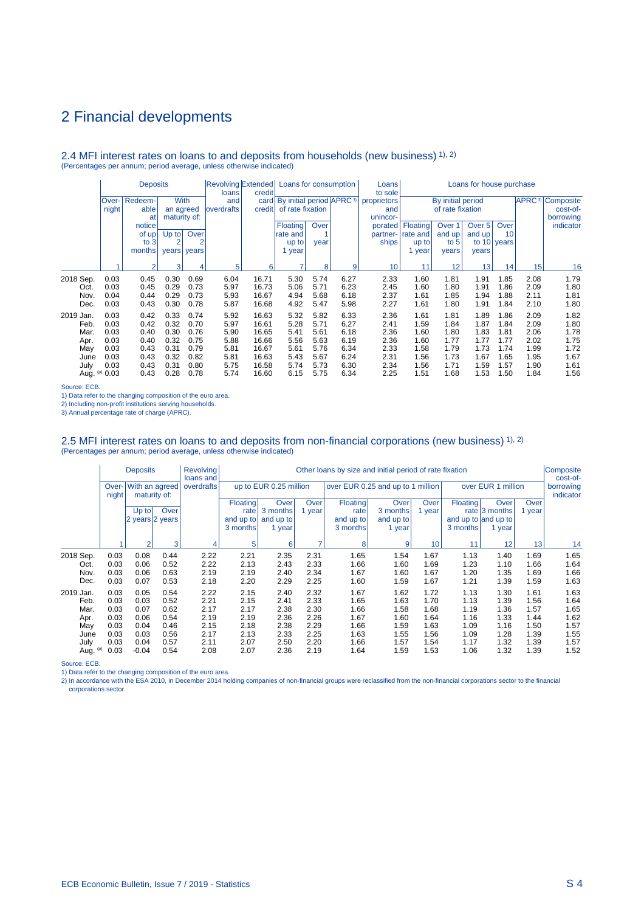#### 2.4 MFI interest rates on loans to and deposits from households (new business) 1), 2) (Percentages per annum; period average, unless otherwise indicated)

|            |       | <b>Deposits</b> |                |       | loans              | credit |                                               | Revolving Extended Loans for consumption |             |                   | Loans for house purchase<br>Loans<br>to sole |                   |        |             |                                    |           |
|------------|-------|-----------------|----------------|-------|--------------------|--------|-----------------------------------------------|------------------------------------------|-------------|-------------------|----------------------------------------------|-------------------|--------|-------------|------------------------------------|-----------|
|            | Over- | Redeem-         | <b>With</b>    |       | and                |        | card   By initial period   APRC <sup>3)</sup> |                                          | proprietors | By initial period |                                              |                   |        |             | <b>APRC</b> <sup>3</sup> Composite |           |
|            | night | able            | an agreed      |       | <b>loverdrafts</b> | credit |                                               | of rate fixation                         |             | and               | of rate fixation                             |                   |        |             |                                    | cost-of-  |
|            |       | at              | maturity of:   |       |                    |        |                                               |                                          |             | unincor-          |                                              |                   |        |             |                                    | borrowing |
|            |       | notice          |                |       |                    |        | Floating                                      | Over                                     |             | porated           | Floating                                     | Over <sub>1</sub> | Over 5 | Over        |                                    | indicator |
|            |       | of up!          | $Up$ to        | Over  |                    |        | rate and                                      |                                          |             | partner-          | rate and                                     | and up            | and up | 10          |                                    |           |
|            |       | to $3$          | $\overline{2}$ | 2     |                    |        | up to                                         | year                                     |             | ships             | up to                                        | to $5$            |        | to 10 years |                                    |           |
|            |       | months          | years          | years |                    |        | 1 year                                        |                                          |             |                   | year                                         | years             | years  |             |                                    |           |
|            |       | $\mathfrak{p}$  | 3              | 4     | 5                  | 6      | ۰,                                            | 8                                        | 9           | 10                | 11                                           | 12                | 131    | 14          | 15                                 | 16        |
| 2018 Sep.  | 0.03  | 0.45            | 0.30           | 0.69  | 6.04               | 16.71  | 5.30                                          | 5.74                                     | 6.27        | 2.33              | 1.60                                         | 1.81              | 1.91   | 1.85        | 2.08                               | 1.79      |
| Oct.       | 0.03  | 0.45            | 0.29           | 0.73  | 5.97               | 16.73  | 5.06                                          | 5.71                                     | 6.23        | 2.45              | 1.60                                         | 1.80              | 1.91   | 1.86        | 2.09                               | 1.80      |
| Nov.       | 0.04  | 0.44            | 0.29           | 0.73  | 5.93               | 16.67  | 4.94                                          | 5.68                                     | 6.18        | 2.37              | 1.61                                         | 1.85              | 1.94   | 1.88        | 2.11                               | 1.81      |
| Dec.       | 0.03  | 0.43            | 0.30           | 0.78  | 5.87               | 16.68  | 4.92                                          | 5.47                                     | 5.98        | 2.27              | 1.61                                         | 1.80              | 1.91   | 1.84        | 2.10                               | 1.80      |
| 2019 Jan.  | 0.03  | 0.42            | 0.33           | 0.74  | 5.92               | 16.63  | 5.32                                          | 5.82                                     | 6.33        | 2.36              | 1.61                                         | 1.81              | 1.89   | 1.86        | 2.09                               | 1.82      |
| Feb.       | 0.03  | 0.42            | 0.32           | 0.70  | 5.97               | 16.61  | 5.28                                          | 5.71                                     | 6.27        | 2.41              | 1.59                                         | 1.84              | 1.87   | 1.84        | 2.09                               | 1.80      |
| Mar.       | 0.03  | 0.40            | 0.30           | 0.76  | 5.90               | 16.65  | 5.41                                          | 5.61                                     | 6.18        | 2.36              | 1.60                                         | 1.80              | 1.83   | 1.81        | 2.06                               | 1.78      |
| Apr.       | 0.03  | 0.40            | 0.32           | 0.75  | 5.88               | 16.66  | 5.56                                          | 5.63                                     | 6.19        | 2.36              | 1.60                                         | 1.77              | 1.77   | 1.77        | 2.02                               | 1.75      |
| May        | 0.03  | 0.43            | 0.31           | 0.79  | 5.81               | 16.67  | 5.61                                          | 5.76                                     | 6.34        | 2.33              | 1.58                                         | 1.79              | 1.73   | 1.74        | 1.99                               | 1.72      |
| June       | 0.03  | 0.43            | 0.32           | 0.82  | 5.81               | 16.63  | 5.43                                          | 5.67                                     | 6.24        | 2.31              | 1.56                                         | 1.73              | 1.67   | 1.65        | 1.95                               | 1.67      |
| July       | 0.03  | 0.43            | 0.31           | 0.80  | 5.75               | 16.58  | 5.74                                          | 5.73                                     | 6.30        | 2.34              | 1.56                                         | 1.71              | 1.59   | 1.57        | 1.90                               | 1.61      |
| Aug. $(p)$ | 0.03  | 0.43            | 0.28           | 0.78  | 5.74               | 16.60  | 6.15                                          | 5.75                                     | 6.34        | 2.25              | 1.51                                         | 1.68              | 1.53   | 1.50        | 1.84                               | 1.56      |

Source: ECB.

1) Data refer to the changing composition of the euro area.

2) Including non-profit institutions serving households.

3) Annual percentage rate of charge (APRC).

# 2.5 MFI interest rates on loans to and deposits from non-financial corporations (new business) 1), 2)<br>(Percentages per annum; period average, unless otherwise indicated)

|           |                | <b>Deposits</b> |                                | <b>Revolving</b><br>loans and | Other loans by size and initial period of rate fixation |                        |             |                                   |             |        |          |                     |        |                        |
|-----------|----------------|-----------------|--------------------------------|-------------------------------|---------------------------------------------------------|------------------------|-------------|-----------------------------------|-------------|--------|----------|---------------------|--------|------------------------|
|           | Over-<br>night |                 | With an agreed<br>maturity of: | overdrafts                    |                                                         | up to EUR 0.25 million |             | over EUR 0.25 and up to 1 million |             |        |          | over EUR 1 million  |        | borrowing<br>indicator |
|           |                |                 |                                |                               | <b>Floating</b>                                         | Over                   | <b>Over</b> | Floating                          | <b>Over</b> | Over   | Floating | Over                | Over   |                        |
|           |                | $Up$ to         | Over                           |                               | rate                                                    | 3 months               | 1 year      | rate                              | 3 months    | 1 year |          | rate $ 3$ months    | 1 year |                        |
|           |                |                 | 2 years 2 years                |                               | and up to                                               | and up to              |             | and up to                         | and up to   |        |          | and up to and up to |        |                        |
|           |                |                 |                                |                               | 3 months                                                | 1 year                 |             | 3 months                          | 1 year      |        | 3 months | 1 year              |        |                        |
|           |                |                 |                                |                               |                                                         |                        |             |                                   |             |        |          |                     |        |                        |
|           |                | $\overline{2}$  | 3                              | 4                             | 5                                                       | 6                      |             | 8                                 | 9           | 10     | 11       | 12                  | 13     | 14                     |
| 2018 Sep. | 0.03           | 0.08            | 0.44                           | 2.22                          | 2.21                                                    | 2.35                   | 2.31        | 1.65                              | 1.54        | 1.67   | 1.13     | 1.40                | 1.69   | 1.65                   |
| Oct.      | 0.03           | 0.06            | 0.52                           | 2.22                          | 2.13                                                    | 2.43                   | 2.33        | 1.66                              | 1.60        | 1.69   | 1.23     | 1.10                | 1.66   | 1.64                   |
| Nov.      | 0.03           | 0.06            | 0.63                           | 2.19                          | 2.19                                                    | 2.40                   | 2.34        | 1.67                              | 1.60        | 1.67   | 1.20     | 1.35                | 1.69   | 1.66                   |
| Dec.      | 0.03           | 0.07            | 0.53                           | 2.18                          | 2.20                                                    | 2.29                   | 2.25        | 1.60                              | 1.59        | 1.67   | 1.21     | 1.39                | 1.59   | 1.63                   |
| 2019 Jan. | 0.03           | 0.05            | 0.54                           | 2.22                          | 2.15                                                    | 2.40                   | 2.32        | 1.67                              | 1.62        | 1.72   | 1.13     | 1.30                | 1.61   | 1.63                   |
| Feb.      | 0.03           | 0.03            | 0.52                           | 2.21                          | 2.15                                                    | 2.41                   | 2.33        | 1.65                              | 1.63        | 1.70   | 1.13     | 1.39                | 1.56   | 1.64                   |
| Mar.      | 0.03           | 0.07            | 0.62                           | 2.17                          | 2.17                                                    | 2.38                   | 2.30        | 1.66                              | 1.58        | 1.68   | 1.19     | 1.36                | 1.57   | 1.65                   |
| Apr.      | 0.03           | 0.06            | 0.54                           | 2.19                          | 2.19                                                    | 2.36                   | 2.26        | 1.67                              | 1.60        | 1.64   | 1.16     | 1.33                | 1.44   | 1.62                   |
| May       | 0.03           | 0.04            | 0.46                           | 2.15                          | 2.18                                                    | 2.38                   | 2.29        | 1.66                              | 1.59        | 1.63   | 1.09     | 1.16                | 1.50   | 1.57                   |
| June      | 0.03           | 0.03            | 0.56                           | 2.17                          | 2.13                                                    | 2.33                   | 2.25        | 1.63                              | 1.55        | 1.56   | 1.09     | 1.28                | 1.39   | 1.55                   |
| July      | 0.03           | 0.04            | 0.57                           | 2.11                          | 2.07                                                    | 2.50                   | 2.20        | 1.66                              | 1.57        | 1.54   | 1.17     | 1.32                | 1.39   | 1.57                   |
| Aug. (p)  | 0.03           | $-0.04$         | 0.54                           | 2.08                          | 2.07                                                    | 2.36                   | 2.19        | 1.64                              | 1.59        | 1.53   | 1.06     | 1.32                | 1.39   | 1.52                   |

Source: ECB.

1) Data refer to the changing composition of the euro area.<br>2) In accordance with the ESA 2010, in December 2014 holding companies of non-financial groups were reclassified from the non-financial corporations sector to the corporations sector.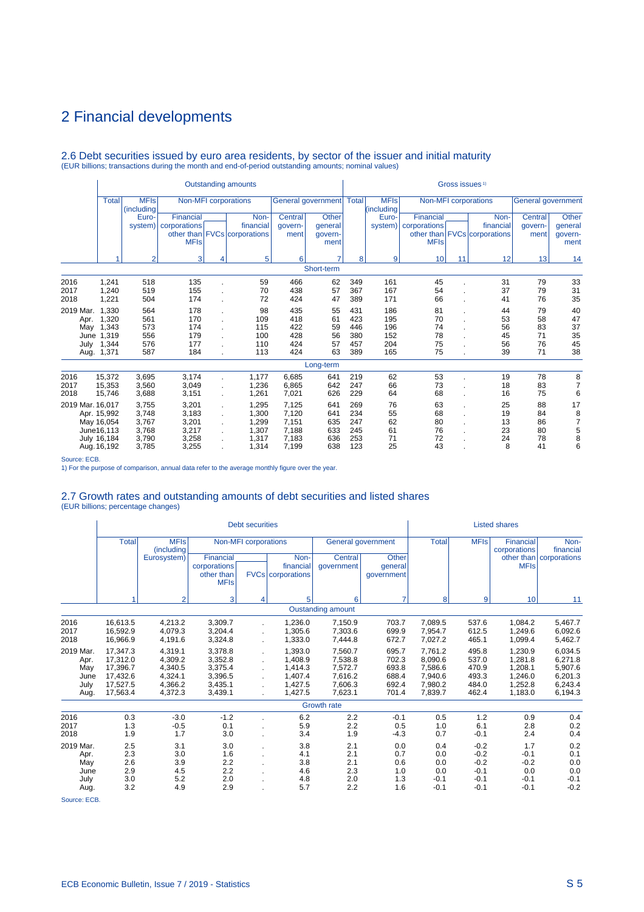# 2.6 Debt securities issued by euro area residents, by sector of the issuer and initial maturity (EUR billions; transactions during the month and end-of-period outstanding amounts; nominal values)

|                  |              |                           |                        |              | <b>Outstanding amounts</b>   |         |                            |     |                           |              | Gross issues <sup>1)</sup> |                              |                           |                |
|------------------|--------------|---------------------------|------------------------|--------------|------------------------------|---------|----------------------------|-----|---------------------------|--------------|----------------------------|------------------------------|---------------------------|----------------|
|                  | <b>Total</b> | <b>MFIs</b><br>(including |                        |              | Non-MFI corporations         |         | General government   Total |     | <b>MFIs</b><br>(including |              |                            | Non-MFI corporations         | <b>General government</b> |                |
|                  |              | Euro-                     | Financial              |              | Non-                         | Central | <b>Other</b>               |     | Euro-                     | Financial    |                            | Non-                         | Central                   | Other          |
|                  |              |                           | system)   corporations |              | financial                    | govern- | general                    |     | system)                   | corporations |                            | financial                    | qovern-                   | general        |
|                  |              |                           |                        |              | other than FVCs corporations | ment    | govern-                    |     |                           |              |                            | other than FVCs corporations | ment                      | govern-        |
|                  |              |                           | <b>MFIs</b>            |              |                              |         | ment                       |     |                           | <b>MFIs</b>  |                            |                              |                           | ment           |
|                  |              | $\overline{2}$            | 3                      | 4            | 5                            | 6       | 7                          | 8   | 9                         | 10           | 11                         | 12                           | 13                        | 14             |
|                  |              |                           |                        |              |                              |         | Short-term                 |     |                           |              |                            |                              |                           |                |
| 2016             | 1,241        | 518                       | 135                    |              | 59                           | 466     | 62                         | 349 | 161                       | 45           |                            | 31                           | 79                        | 33             |
| 2017             | 1,240        | 519                       | 155                    |              | 70                           | 438     | 57                         | 367 | 167                       | 54           |                            | 37                           | 79                        | 31             |
| 2018             | 1,221        | 504                       | 174                    |              | 72                           | 424     | 47                         | 389 | 171                       | 66           |                            | 41                           | 76                        | 35             |
| 2019 Mar.        | 1.330        | 564                       | 178                    |              | 98                           | 435     | 55                         | 431 | 186                       | 81           |                            | 44                           | 79                        | 40             |
| Apr.             | 1,320        | 561                       | 170                    |              | 109                          | 418     | 61                         | 423 | 195                       | 70           |                            | 53                           | 58                        | 47             |
| May              | 1,343        | 573                       | 174                    |              | 115                          | 422     | 59                         | 446 | 196                       | 74           |                            | 56                           | 83                        | 37             |
|                  | June 1,319   | 556                       | 179                    |              | 100                          | 428     | 56                         | 380 | 152                       | 78           |                            | 45                           | 71                        | 35             |
| July             | 1,344        | 576                       | 177                    |              | 110                          | 424     | 57                         | 457 | 204                       | 75           |                            | 56                           | 76                        | 45             |
| Aug.             | 1,371        | 587                       | 184                    |              | 113                          | 424     | 63                         | 389 | 165                       | 75           |                            | 39                           | 71                        | 38             |
|                  |              |                           |                        |              |                              |         | Long-term                  |     |                           |              |                            |                              |                           |                |
| 2016             | 15,372       | 3,695                     | 3,174                  | ä,           | 1.177                        | 6,685   | 641                        | 219 | 62                        | 53           |                            | 19                           | 78                        | 8              |
| 2017             | 15,353       | 3,560                     | 3,049                  | ä,           | 1,236                        | 6,865   | 642                        | 247 | 66                        | 73           |                            | 18                           | 83                        | $\overline{7}$ |
| 2018             | 15,746       | 3,688                     | 3,151                  | ä,           | 1,261                        | 7,021   | 626                        | 229 | 64                        | 68           |                            | 16                           | 75                        | 6              |
| 2019 Mar. 16,017 |              | 3,755                     | 3,201                  | ä,           | 1,295                        | 7,125   | 641                        | 269 | 76                        | 63           |                            | 25                           | 88                        | 17             |
|                  | Apr. 15,992  | 3,748                     | 3,183                  | ÷.           | 1,300                        | 7,120   | 641                        | 234 | 55                        | 68           |                            | 19                           | 84                        | 8              |
|                  | May 16,054   | 3.767                     | 3,201                  |              | 1.299                        | 7,151   | 635                        | 247 | 62                        | 80           |                            | 13                           | 86                        | $\overline{7}$ |
|                  | June16,113   | 3,768                     | 3,217                  | $\mathbf{r}$ | 1,307                        | 7,188   | 633                        | 245 | 61                        | 76           |                            | 23                           | 80                        | 5              |
|                  | July 16,184  | 3,790                     | 3,258                  |              | 1,317                        | 7,183   | 636                        | 253 | 71                        | 72           |                            | 24                           | 78                        | 8              |
|                  | Aug. 16,192  | 3,785                     | 3,255                  |              | 1,314                        | 7,199   | 638                        | 123 | 25                        | 43           |                            | 8                            | 41                        | 6              |

Source: ECB.

1) For the purpose of comparison, annual data refer to the average monthly figure over the year.

# 2.7 Growth rates and outstanding amounts of debt securities and listed shares (EUR billions; percentage changes)

|                                                  |                                                                      |                                                                |                                                                | <b>Debt securities</b>      |                                                                |                                                                |                                                    |                                                                |                                                          | <b>Listed shares</b>                                           |                                                                |
|--------------------------------------------------|----------------------------------------------------------------------|----------------------------------------------------------------|----------------------------------------------------------------|-----------------------------|----------------------------------------------------------------|----------------------------------------------------------------|----------------------------------------------------|----------------------------------------------------------------|----------------------------------------------------------|----------------------------------------------------------------|----------------------------------------------------------------|
|                                                  | <b>Total</b>                                                         | <b>MFIs</b><br>(including                                      |                                                                | <b>Non-MFI</b> corporations |                                                                |                                                                | General government                                 | <b>Total</b>                                                   | <b>MFIs</b>                                              | <b>Financial</b><br>corporations                               | Non-<br>financial                                              |
|                                                  |                                                                      | Eurosystem)                                                    | Financial<br>corporations<br>other than<br><b>MFIs</b>         |                             | Non-<br>financial<br><b>FVCs</b> corporations                  | Central<br>qovernment                                          | Other<br>general<br>qovernment                     |                                                                |                                                          | <b>MFIs</b>                                                    | other than   corporations                                      |
|                                                  | 4                                                                    | $\overline{2}$                                                 | 3                                                              | 4                           | 5                                                              | 6                                                              | $\overline{7}$                                     | 8                                                              | 9                                                        | 10                                                             | 11                                                             |
|                                                  |                                                                      |                                                                |                                                                |                             |                                                                | <b>Oustanding amount</b>                                       |                                                    |                                                                |                                                          |                                                                |                                                                |
| 2016<br>2017<br>2018                             | 16,613.5<br>16,592.9<br>16,966.9                                     | 4.213.2<br>4.079.3<br>4,191.6                                  | 3,309.7<br>3,204.4<br>3,324.8                                  |                             | 1.236.0<br>1.305.6<br>1,333.0                                  | 7,150.9<br>7,303.6<br>7,444.8                                  | 703.7<br>699.9<br>672.7                            | 7.089.5<br>7,954.7<br>7,027.2                                  | 537.6<br>612.5<br>465.1                                  | 1.084.2<br>1.249.6<br>1,099.4                                  | 5,467.7<br>6,092.6<br>5,462.7                                  |
| 2019 Mar.<br>Apr.<br>May<br>June<br>July<br>Aug. | 17.347.3<br>17,312.0<br>17,396.7<br>17,432.6<br>17,527.5<br>17.563.4 | 4.319.1<br>4.309.2<br>4,340.5<br>4,324.1<br>4,366.2<br>4,372.3 | 3.378.8<br>3,352.8<br>3,375.4<br>3,396.5<br>3,435.1<br>3,439.1 |                             | 1.393.0<br>1.408.9<br>1.414.3<br>1.407.4<br>1.427.5<br>1,427.5 | 7,560.7<br>7,538.8<br>7,572.7<br>7,616.2<br>7,606.3<br>7,623.1 | 695.7<br>702.3<br>693.8<br>688.4<br>692.4<br>701.4 | 7.761.2<br>8,090.6<br>7,586.6<br>7,940.6<br>7,980.2<br>7,839.7 | 495.8<br>537.0<br>470.9<br>493.3<br>484.0<br>462.4       | 1.230.9<br>1.281.8<br>1.208.1<br>1,246.0<br>1,252.8<br>1.183.0 | 6,034.5<br>6,271.8<br>5,907.6<br>6,201.3<br>6,243.4<br>6,194.3 |
|                                                  |                                                                      |                                                                |                                                                |                             |                                                                | <b>Growth rate</b>                                             |                                                    |                                                                |                                                          |                                                                |                                                                |
| 2016<br>2017<br>2018                             | 0.3<br>1.3<br>1.9                                                    | $-3.0$<br>$-0.5$<br>1.7                                        | $-1.2$<br>0.1<br>3.0                                           |                             | 6.2<br>5.9<br>3.4                                              | 2.2<br>2.2<br>1.9                                              | $-0.1$<br>0.5<br>$-4.3$                            | 0.5<br>1.0<br>0.7                                              | 1.2<br>6.1<br>$-0.1$                                     | 0.9<br>2.8<br>2.4                                              | 0.4<br>0.2<br>0.4                                              |
| 2019 Mar.<br>Apr.<br>May<br>June<br>July<br>Aug. | 2.5<br>2.3<br>2.6<br>2.9<br>3.0<br>3.2                               | 3.1<br>3.0<br>3.9<br>4.5<br>5.2<br>4.9                         | 3.0<br>1.6<br>2.2<br>2.2<br>2.0<br>2.9                         |                             | 3.8<br>4.1<br>3.8<br>4.6<br>4.8<br>5.7                         | 2.1<br>2.1<br>2.1<br>2.3<br>2.0<br>2.2                         | 0.0<br>0.7<br>0.6<br>1.0<br>1.3<br>1.6             | 0.4<br>0.0<br>0.0<br>0.0<br>$-0.1$<br>$-0.1$                   | $-0.2$<br>$-0.2$<br>$-0.2$<br>$-0.1$<br>$-0.1$<br>$-0.1$ | 1.7<br>$-0.1$<br>$-0.2$<br>0.0<br>$-0.1$<br>$-0.1$             | 0.2<br>0.1<br>0.0<br>0.0<br>$-0.1$<br>$-0.2$                   |

Source: ECB.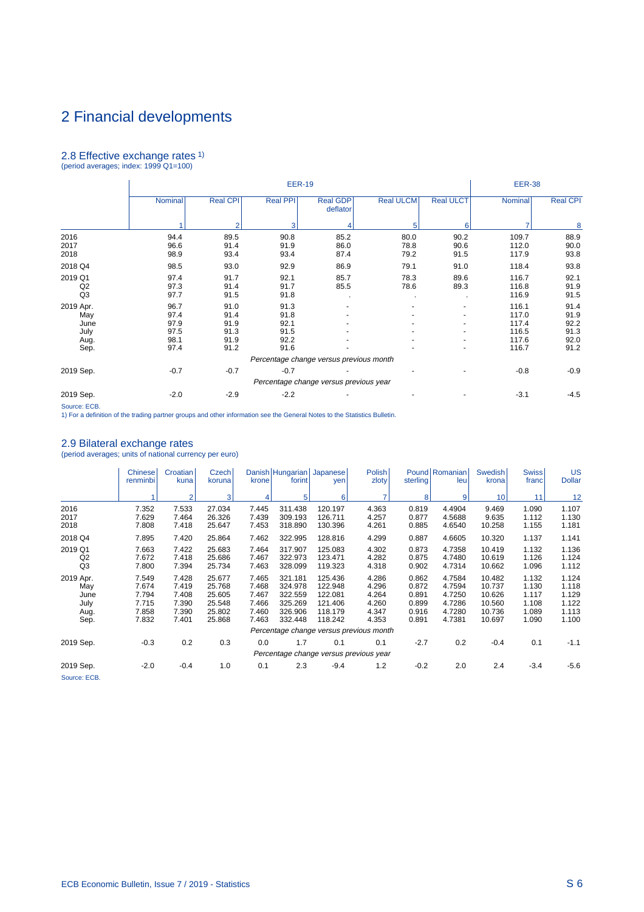# 2.8 Effective exchange rates 1)

| (period averages; index: 1999 Q1=100) |  |  |
|---------------------------------------|--|--|

|                                                  |                                              |                                              |                                              | <b>EER-38</b>                           |                      |                      |                                                    |                                              |
|--------------------------------------------------|----------------------------------------------|----------------------------------------------|----------------------------------------------|-----------------------------------------|----------------------|----------------------|----------------------------------------------------|----------------------------------------------|
|                                                  | Nominal                                      | <b>Real CPI</b>                              | Real PPI                                     | <b>Real GDP</b><br>deflator             | <b>Real ULCM</b>     | <b>Real ULCT</b>     | Nominal                                            | <b>Real CPI</b>                              |
|                                                  |                                              | $\mathfrak{p}$                               | 3                                            |                                         | 5                    | 6                    |                                                    | 8                                            |
| 2016<br>2017<br>2018                             | 94.4<br>96.6<br>98.9                         | 89.5<br>91.4<br>93.4                         | 90.8<br>91.9<br>93.4                         | 85.2<br>86.0<br>87.4                    | 80.0<br>78.8<br>79.2 | 90.2<br>90.6<br>91.5 | 109.7<br>112.0<br>117.9                            | 88.9<br>90.0<br>93.8                         |
| 2018 Q4                                          | 98.5                                         | 93.0                                         | 92.9                                         | 86.9                                    | 79.1                 | 91.0                 | 118.4                                              | 93.8                                         |
| 2019 Q1<br>Q2<br>Q3                              | 97.4<br>97.3<br>97.7                         | 91.7<br>91.4<br>91.5                         | 92.1<br>91.7<br>91.8                         | 85.7<br>85.5<br>$\blacksquare$          | 78.3<br>78.6         | 89.6<br>89.3         | 116.7<br>116.8<br>116.9                            | 92.1<br>91.9<br>91.5                         |
| 2019 Apr.<br>May<br>June<br>July<br>Aug.<br>Sep. | 96.7<br>97.4<br>97.9<br>97.5<br>98.1<br>97.4 | 91.0<br>91.4<br>91.9<br>91.3<br>91.9<br>91.2 | 91.3<br>91.8<br>92.1<br>91.5<br>92.2<br>91.6 |                                         |                      |                      | 116.1<br>117.0<br>117.4<br>116.5<br>117.6<br>116.7 | 91.4<br>91.9<br>92.2<br>91.3<br>92.0<br>91.2 |
|                                                  |                                              |                                              |                                              | Percentage change versus previous month |                      |                      |                                                    |                                              |
| 2019 Sep.                                        | $-0.7$                                       | $-0.7$                                       | $-0.7$                                       | Percentage change versus previous year  |                      |                      | $-0.8$                                             | $-0.9$                                       |
| 2019 Sep.                                        | $-2.0$                                       | $-2.9$                                       | $-2.2$                                       |                                         |                      |                      | $-3.1$                                             | $-4.5$                                       |

Source: ECB. 1) For a definition of the trading partner groups and other information see the General Notes to the Statistics Bulletin.

#### 2.9 Bilateral exchange rates (period averages; units of national currency per euro)

|                                                  | <b>Chinese</b><br>renminbi                         | Croatian<br>kuna                                   | Czech I<br>koruna                                        | krone                                              | forint                                                         | Danish Hungarian Japanese<br>yen                               | <b>Polish</b><br>zloty                             | sterling                                           | Pound Romanian<br>leu                                    | Swedish<br>krona                                         | <b>Swiss</b><br>franc                              | US<br><b>Dollar</b>                                |
|--------------------------------------------------|----------------------------------------------------|----------------------------------------------------|----------------------------------------------------------|----------------------------------------------------|----------------------------------------------------------------|----------------------------------------------------------------|----------------------------------------------------|----------------------------------------------------|----------------------------------------------------------|----------------------------------------------------------|----------------------------------------------------|----------------------------------------------------|
|                                                  |                                                    | $\overline{2}$                                     | 3                                                        |                                                    | 5                                                              | 6                                                              | ∍                                                  | 8                                                  | 9                                                        | 10                                                       | 11                                                 | 12                                                 |
| 2016<br>2017<br>2018                             | 7.352<br>7.629<br>7.808                            | 7.533<br>7.464<br>7.418                            | 27.034<br>26.326<br>25.647                               | 7.445<br>7.439<br>7.453                            | 311.438<br>309.193<br>318.890                                  | 120.197<br>126.711<br>130.396                                  | 4.363<br>4.257<br>4.261                            | 0.819<br>0.877<br>0.885                            | 4.4904<br>4.5688<br>4.6540                               | 9.469<br>9.635<br>10.258                                 | 1.090<br>1.112<br>1.155                            | 1.107<br>1.130<br>1.181                            |
| 2018 Q4                                          | 7.895                                              | 7.420                                              | 25.864                                                   | 7.462                                              | 322.995                                                        | 128.816                                                        | 4.299                                              | 0.887                                              | 4.6605                                                   | 10.320                                                   | 1.137                                              | 1.141                                              |
| 2019 Q1<br>Q2<br>Q3                              | 7.663<br>7.672<br>7.800                            | 7.422<br>7.418<br>7.394                            | 25.683<br>25.686<br>25.734                               | 7.464<br>7.467<br>7.463                            | 317.907<br>322.973<br>328.099                                  | 125.083<br>123.471<br>119.323                                  | 4.302<br>4.282<br>4.318                            | 0.873<br>0.875<br>0.902                            | 4.7358<br>4.7480<br>4.7314                               | 10.419<br>10.619<br>10.662                               | 1.132<br>1.126<br>1.096                            | 1.136<br>1.124<br>1.112                            |
| 2019 Apr.<br>May<br>June<br>July<br>Aug.<br>Sep. | 7.549<br>7.674<br>7.794<br>7.715<br>7.858<br>7.832 | 7.428<br>7.419<br>7.408<br>7.390<br>7.390<br>7.401 | 25.677<br>25.768<br>25.605<br>25.548<br>25.802<br>25.868 | 7.465<br>7.468<br>7.467<br>7.466<br>7.460<br>7.463 | 321.181<br>324.978<br>322.559<br>325.269<br>326.906<br>332.448 | 125.436<br>122.948<br>122.081<br>121.406<br>118.179<br>118.242 | 4.286<br>4.296<br>4.264<br>4.260<br>4.347<br>4.353 | 0.862<br>0.872<br>0.891<br>0.899<br>0.916<br>0.891 | 4.7584<br>4.7594<br>4.7250<br>4.7286<br>4.7280<br>4.7381 | 10.482<br>10.737<br>10.626<br>10.560<br>10.736<br>10.697 | 1.132<br>1.130<br>1.117<br>1.108<br>1.089<br>1.090 | 1.124<br>1.118<br>1.129<br>1.122<br>1.113<br>1.100 |
|                                                  |                                                    |                                                    |                                                          |                                                    |                                                                |                                                                | Percentage change versus previous month            |                                                    |                                                          |                                                          |                                                    |                                                    |
| 2019 Sep.                                        | $-0.3$                                             | 0.2                                                | 0.3                                                      | 0.0                                                | 1.7                                                            | 0.1                                                            | 0.1                                                | $-2.7$                                             | 0.2                                                      | $-0.4$                                                   | 0.1                                                | $-1.1$                                             |
|                                                  |                                                    |                                                    |                                                          |                                                    |                                                                |                                                                | Percentage change versus previous year             |                                                    |                                                          |                                                          |                                                    |                                                    |
| 2019 Sep.<br>Source: ECB.                        | $-2.0$                                             | $-0.4$                                             | 1.0                                                      | 0.1                                                | 2.3                                                            | $-9.4$                                                         | 1.2                                                | $-0.2$                                             | 2.0                                                      | 2.4                                                      | $-3.4$                                             | $-5.6$                                             |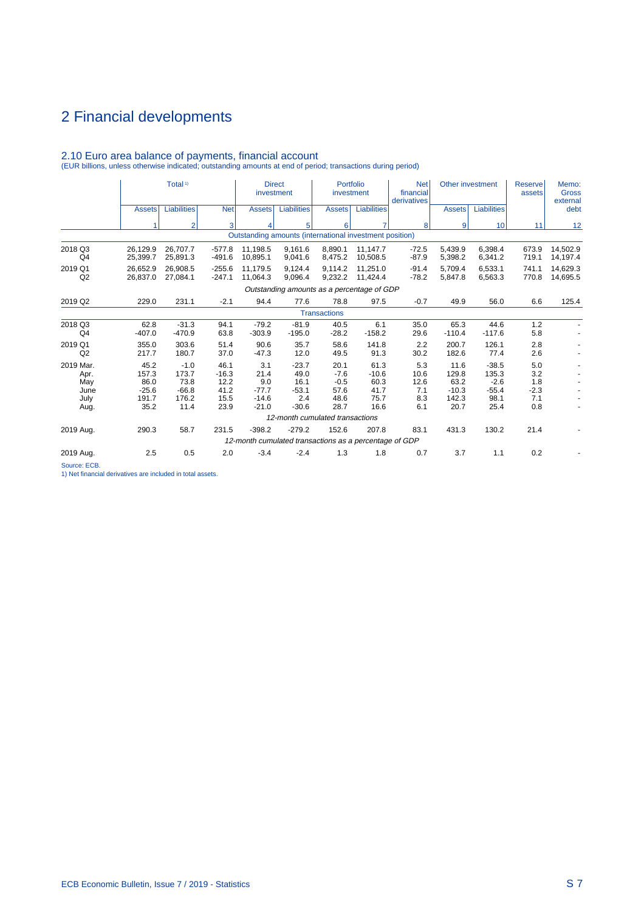|                           | Total <sup>1)</sup><br><b>Liabilities</b><br><b>Net</b><br><b>Assets</b> |                          |                         | <b>Direct</b><br>investment   |                                                                    | Portfolio<br>investment  |                         | <b>Net</b><br>financial<br>derivatives | Other investment         |                            | <b>Reserve</b><br>assets | Memo:<br><b>Gross</b><br>external |
|---------------------------|--------------------------------------------------------------------------|--------------------------|-------------------------|-------------------------------|--------------------------------------------------------------------|--------------------------|-------------------------|----------------------------------------|--------------------------|----------------------------|--------------------------|-----------------------------------|
|                           |                                                                          |                          |                         | <b>Assets</b>                 | Liabilities                                                        | <b>Assets</b>            | <b>Liabilities</b>      |                                        | <b>Assets</b>            | <b>Liabilities</b>         |                          | debt                              |
|                           |                                                                          | $\overline{2}$           | 3                       |                               | 5                                                                  | 6                        | 7                       | 8 <sup>1</sup>                         | $\overline{9}$           | 10                         | 11                       | 12                                |
|                           |                                                                          |                          |                         |                               | Outstanding amounts (international investment position)            |                          |                         |                                        |                          |                            |                          |                                   |
| 2018 Q3<br>Q4             | 26.129.9<br>25,399.7                                                     | 26.707.7<br>25,891.3     | $-577.8$<br>$-491.6$    | 11.198.5<br>10,895.1          | 9.161.6<br>9,041.6                                                 | 8.890.1<br>8,475.2       | 11.147.7<br>10,508.5    | $-72.5$<br>$-87.9$                     | 5.439.9<br>5,398.2       | 6.398.4<br>6,341.2         | 673.9<br>719.1           | 14.502.9<br>14,197.4              |
| 2019 Q1<br>Q2             | 26.652.9<br>26.837.0                                                     | 26.908.5<br>27,084.1     | $-255.6$<br>$-247.1$    | 11,179.5<br>11.064.3          | 9.124.4<br>9.096.4                                                 | 9.114.2<br>9,232.2       | 11.251.0<br>11.424.4    | $-91.4$<br>$-78.2$                     | 5.709.4<br>5.847.8       | 6.533.1<br>6,563.3         | 741.1<br>770.8           | 14.629.3<br>14,695.5              |
|                           |                                                                          |                          |                         |                               | Outstanding amounts as a percentage of GDP                         |                          |                         |                                        |                          |                            |                          |                                   |
| 2019 Q2                   | 229.0                                                                    | 231.1                    | $-2.1$                  | 94.4                          | 77.6                                                               | 78.8                     | 97.5                    | $-0.7$                                 | 49.9                     | 56.0                       | 6.6                      | 125.4                             |
|                           |                                                                          |                          |                         |                               |                                                                    | <b>Transactions</b>      |                         |                                        |                          |                            |                          |                                   |
| 2018 Q3<br>Q <sub>4</sub> | 62.8<br>$-407.0$                                                         | $-31.3$<br>$-470.9$      | 94.1<br>63.8            | $-79.2$<br>$-303.9$           | $-81.9$<br>$-195.0$                                                | 40.5<br>$-28.2$          | 6.1<br>$-158.2$         | 35.0<br>29.6                           | 65.3<br>$-110.4$         | 44.6<br>$-117.6$           | 1.2<br>5.8               |                                   |
| 2019 Q1<br>Q2             | 355.0<br>217.7                                                           | 303.6<br>180.7           | 51.4<br>37.0            | 90.6<br>$-47.3$               | 35.7<br>12.0                                                       | 58.6<br>49.5             | 141.8<br>91.3           | 2.2<br>30.2                            | 200.7<br>182.6           | 126.1<br>77.4              | 2.8<br>2.6               |                                   |
| 2019 Mar.<br>Apr.<br>May  | 45.2<br>157.3<br>86.0                                                    | $-1.0$<br>173.7<br>73.8  | 46.1<br>$-16.3$<br>12.2 | 3.1<br>21.4<br>9.0            | $-23.7$<br>49.0<br>16.1                                            | 20.1<br>$-7.6$<br>$-0.5$ | 61.3<br>$-10.6$<br>60.3 | 5.3<br>10.6<br>12.6                    | 11.6<br>129.8<br>63.2    | $-38.5$<br>135.3<br>$-2.6$ | 5.0<br>3.2<br>1.8        |                                   |
| June<br>July<br>Aug.      | $-25.6$<br>191.7<br>35.2                                                 | $-66.8$<br>176.2<br>11.4 | 41.2<br>15.5<br>23.9    | $-77.7$<br>$-14.6$<br>$-21.0$ | $-53.1$<br>2.4<br>$-30.6$                                          | 57.6<br>48.6<br>28.7     | 41.7<br>75.7<br>16.6    | 7.1<br>8.3<br>6.1                      | $-10.3$<br>142.3<br>20.7 | $-55.4$<br>98.1<br>25.4    | $-2.3$<br>7.1<br>0.8     |                                   |
|                           |                                                                          |                          |                         |                               | 12-month cumulated transactions                                    |                          |                         |                                        |                          |                            |                          |                                   |
| 2019 Aug.                 | 290.3                                                                    | 58.7                     | 231.5                   | $-398.2$                      | $-279.2$<br>12-month cumulated transactions as a percentage of GDP | 152.6                    | 207.8                   | 83.1                                   | 431.3                    | 130.2                      | 21.4                     |                                   |
|                           |                                                                          |                          |                         |                               |                                                                    |                          |                         |                                        |                          |                            |                          |                                   |
| 2019 Aug.                 | 2.5                                                                      | 0.5                      | 2.0                     | $-3.4$                        | $-2.4$                                                             | 1.3                      | 1.8                     | 0.7                                    | 3.7                      | 1.1                        | 0.2                      |                                   |

2.10 Euro area balance of payments, financial account (EUR billions, unless otherwise indicated; outstanding amounts at end of period; transactions during period)

Source: ECB.

1) Net financial derivatives are included in total assets.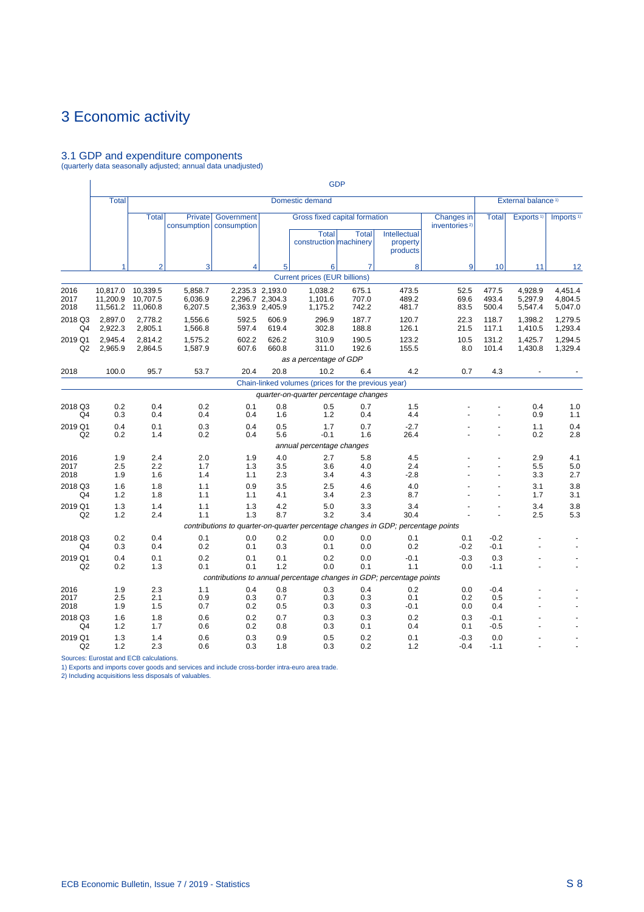# <span id="page-67-0"></span>3.1 GDP and expenditure components (quarterly data seasonally adjusted; annual data unadjusted)

|                           |                                  |                                  |                               |                                                                                    |                                                       |                                                                         | <b>GDP</b>              |                                      |                                                |                         |                                |                               |
|---------------------------|----------------------------------|----------------------------------|-------------------------------|------------------------------------------------------------------------------------|-------------------------------------------------------|-------------------------------------------------------------------------|-------------------------|--------------------------------------|------------------------------------------------|-------------------------|--------------------------------|-------------------------------|
|                           | <b>Total</b>                     |                                  |                               |                                                                                    |                                                       | Domestic demand                                                         |                         |                                      |                                                |                         | External balance <sup>1)</sup> |                               |
|                           |                                  | <b>Total</b>                     | Private<br>consumption        | Government<br>consumption                                                          |                                                       | Gross fixed capital formation<br><b>Total</b><br>construction machinery | <b>Total</b>            | Intellectual<br>property<br>products | <b>Changes</b> in<br>inventories <sup>2)</sup> | <b>Total</b>            | Exports <sup>1)</sup>          | Imports <sup>1)</sup>         |
|                           | 1                                | $\overline{2}$                   | 3                             | 4                                                                                  | 5                                                     | 6                                                                       | 7                       | 8                                    | 9                                              | 10                      | 11                             | 12                            |
|                           |                                  |                                  |                               |                                                                                    |                                                       | <b>Current prices (EUR billions)</b>                                    |                         |                                      |                                                |                         |                                |                               |
| 2016<br>2017<br>2018      | 10,817.0<br>11.200.9<br>11,561.2 | 10,339.5<br>10.707.5<br>11,060.8 | 5,858.7<br>6.036.9<br>6,207.5 |                                                                                    | 2,235.3 2,193.0<br>2.296.7 2.304.3<br>2,363.9 2,405.9 | 1,038.2<br>1.101.6<br>1,175.2                                           | 675.1<br>707.0<br>742.2 | 473.5<br>489.2<br>481.7              | 52.5<br>69.6<br>83.5                           | 477.5<br>493.4<br>500.4 | 4,928.9<br>5.297.9<br>5,547.4  | 4,451.4<br>4.804.5<br>5,047.0 |
| 2018 Q3<br>Q4             | 2,897.0<br>2,922.3               | 2.778.2<br>2,805.1               | 1.556.6<br>1,566.8            | 592.5<br>597.4                                                                     | 606.9<br>619.4                                        | 296.9<br>302.8                                                          | 187.7<br>188.8          | 120.7<br>126.1                       | 22.3<br>21.5                                   | 118.7<br>117.1          | 1,398.2<br>1,410.5             | 1,279.5<br>1,293.4            |
| 2019 Q1<br>Q2             | 2,945.4<br>2,965.9               | 2.814.2<br>2,864.5               | 1,575.2<br>1,587.9            | 602.2<br>607.6                                                                     | 626.2<br>660.8                                        | 310.9<br>311.0                                                          | 190.5<br>192.6          | 123.2<br>155.5                       | 10.5<br>8.0                                    | 131.2<br>101.4          | 1,425.7<br>1,430.8             | 1,294.5<br>1,329.4            |
|                           |                                  |                                  |                               |                                                                                    |                                                       | as a percentage of GDP                                                  |                         |                                      |                                                |                         |                                |                               |
| 2018                      | 100.0                            | 95.7                             | 53.7                          | 20.4                                                                               | 20.8                                                  | 10.2                                                                    | 6.4                     | 4.2                                  | 0.7                                            | 4.3                     |                                |                               |
|                           |                                  |                                  |                               |                                                                                    |                                                       | Chain-linked volumes (prices for the previous year)                     |                         |                                      |                                                |                         |                                |                               |
|                           |                                  |                                  |                               |                                                                                    |                                                       | quarter-on-quarter percentage changes                                   |                         |                                      |                                                |                         |                                |                               |
| 2018 Q3<br>Q4             | 0.2<br>0.3                       | 0.4<br>0.4                       | 0.2<br>0.4                    | 0.1<br>0.4                                                                         | 0.8<br>1.6                                            | 0.5<br>1.2                                                              | 0.7<br>0.4              | 1.5<br>4.4                           |                                                |                         | 0.4<br>0.9                     | 1.0<br>1.1                    |
| 2019 Q1<br>Q2             | 0.4<br>0.2                       | 0.1<br>1.4                       | 0.3<br>0.2                    | 0.4<br>0.4                                                                         | 0.5<br>5.6                                            | 1.7<br>$-0.1$                                                           | 0.7<br>1.6              | $-2.7$<br>26.4                       |                                                | $\blacksquare$          | 1.1<br>0.2                     | 0.4<br>2.8                    |
|                           |                                  |                                  |                               |                                                                                    |                                                       | annual percentage changes                                               |                         |                                      |                                                |                         |                                |                               |
| 2016<br>2017<br>2018      | 1.9<br>2.5<br>1.9                | 2.4<br>2.2<br>1.6                | 2.0<br>1.7<br>1.4             | 1.9<br>1.3<br>1.1                                                                  | 4.0<br>3.5<br>2.3                                     | 2.7<br>3.6<br>3.4                                                       | 5.8<br>4.0<br>4.3       | 4.5<br>2.4<br>$-2.8$                 |                                                |                         | 2.9<br>5.5<br>3.3              | 4.1<br>5.0<br>2.7             |
| 2018 Q3<br>Q4             | 1.6<br>1.2                       | 1.8<br>1.8                       | 1.1<br>1.1                    | 0.9<br>1.1                                                                         | 3.5<br>4.1                                            | 2.5<br>3.4                                                              | 4.6<br>2.3              | 4.0<br>8.7                           |                                                |                         | 3.1<br>1.7                     | 3.8<br>3.1                    |
| 2019 Q1<br>Q2             | 1.3<br>1.2                       | 1.4<br>2.4                       | 1.1<br>1.1                    | 1.3<br>1.3                                                                         | 4.2<br>8.7                                            | 5.0<br>3.2                                                              | 3.3<br>3.4              | 3.4<br>30.4                          |                                                | $\blacksquare$          | 3.4<br>2.5                     | 3.8<br>5.3                    |
|                           |                                  |                                  |                               | contributions to quarter-on-quarter percentage changes in GDP; percentage points   |                                                       |                                                                         |                         |                                      |                                                |                         |                                |                               |
| 2018 Q3<br>Q4             | 0.2<br>0.3                       | 0.4<br>0.4                       | 0.1<br>0.2                    | 0.0<br>0.1                                                                         | 0.2<br>0.3                                            | 0.0<br>0.1                                                              | 0.0<br>0.0              | 0.1<br>0.2                           | 0.1<br>$-0.2$                                  | $-0.2$<br>$-0.1$        |                                |                               |
| 2019 Q1<br>Q2             | 0.4<br>0.2                       | 0.1<br>1.3                       | 0.2<br>0.1                    | 0.1<br>0.1<br>contributions to annual percentage changes in GDP; percentage points | 0.1<br>1.2                                            | 0.2<br>0.0                                                              | 0.0<br>0.1              | $-0.1$<br>1.1                        | $-0.3$<br>0.0                                  | 0.3<br>$-1.1$           |                                | ä,                            |
| 2016                      | 1.9                              | 2.3                              | 1.1                           | 0.4                                                                                | 0.8                                                   | 0.3                                                                     | 0.4                     | 0.2                                  | 0.0                                            | $-0.4$                  |                                |                               |
| 2017<br>2018              | 2.5<br>1.9                       | 2.1<br>1.5                       | 0.9<br>0.7                    | 0.3<br>0.2                                                                         | 0.7<br>0.5                                            | 0.3<br>0.3                                                              | 0.3<br>0.3              | 0.1<br>$-0.1$                        | 0.2<br>0.0                                     | 0.5<br>0.4              |                                |                               |
| 2018 Q3<br>Q <sub>4</sub> | 1.6<br>1.2                       | 1.8<br>1.7                       | 0.6<br>0.6                    | 0.2<br>0.2                                                                         | 0.7<br>0.8                                            | 0.3<br>0.3                                                              | 0.3<br>0.1              | 0.2<br>0.4                           | 0.3<br>0.1                                     | $-0.1$<br>$-0.5$        |                                |                               |
| 2019 Q1<br>Q2             | 1.3<br>1.2                       | 1.4<br>2.3                       | 0.6<br>0.6                    | 0.3<br>0.3                                                                         | 0.9<br>1.8                                            | 0.5<br>0.3                                                              | 0.2<br>0.2              | 0.1<br>1.2                           | $-0.3$<br>$-0.4$                               | 0.0<br>$-1.1$           |                                |                               |

Sources: Eurostat and ECB calculations. 1) Exports and imports cover goods and services and include cross-border intra-euro area trade. 2) Including acquisitions less disposals of valuables.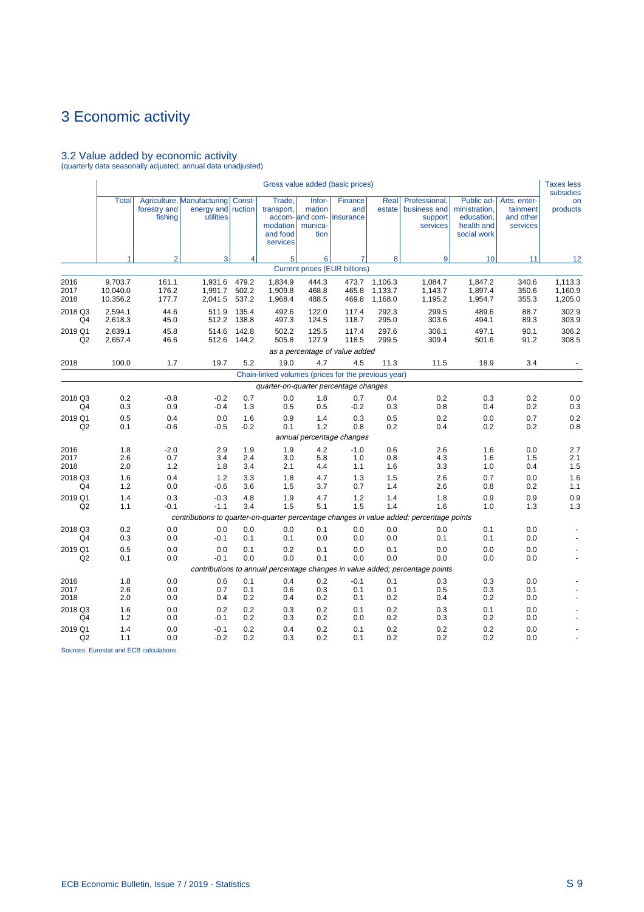# 3.2 Value added by economic activity (quarterly data seasonally adjusted; annual data unadjusted)

|                           |                                 |                         |                                                                                          |                         |                                                          |                                                        | Gross value added (basic prices)     |                               |                                                                              |                                                                        |                                                   | <b>Taxes less</b><br>subsidies |
|---------------------------|---------------------------------|-------------------------|------------------------------------------------------------------------------------------|-------------------------|----------------------------------------------------------|--------------------------------------------------------|--------------------------------------|-------------------------------|------------------------------------------------------------------------------|------------------------------------------------------------------------|---------------------------------------------------|--------------------------------|
|                           | <b>Total</b>                    | forestry and<br>fishing | Agriculture, Manufacturing<br>energy and<br>utilities                                    | Const-<br>ruction       | Trade,<br>transport,<br>modation<br>and food<br>services | Infor-<br>mation<br>accom- and com-<br>munica-<br>tion | Finance<br>and<br>insurance          | Real<br>estate                | Professional,<br>business and<br>support<br>services                         | Public ad-<br>ministration,<br>education,<br>health and<br>social work | Arts, enter-<br>tainment<br>and other<br>services | on<br>products                 |
|                           | 1                               | $\overline{2}$          | $\overline{3}$                                                                           | 4                       | 5 <sup>1</sup>                                           | 6                                                      | 7                                    | 8                             | 9                                                                            | 10                                                                     | 11                                                | 12                             |
|                           |                                 |                         |                                                                                          |                         |                                                          |                                                        | <b>Current prices (EUR billions)</b> |                               |                                                                              |                                                                        |                                                   |                                |
| 2016<br>2017<br>2018      | 9,703.7<br>10,040.0<br>10,356.2 | 161.1<br>176.2<br>177.7 | 1,931.6<br>1,991.7<br>2,041.5                                                            | 479.2<br>502.2<br>537.2 | 1,834.9<br>1,909.8<br>1,968.4                            | 444.3<br>468.8<br>488.5                                | 473.7<br>465.8<br>469.8              | 1,106.3<br>1,133.7<br>1,168.0 | 1,084.7<br>1,143.7<br>1,195.2                                                | 1,847.2<br>1,897.4<br>1,954.7                                          | 340.6<br>350.6<br>355.3                           | 1,113.3<br>1,160.9<br>1,205.0  |
| 2018 Q3<br>Q4             | 2,594.1<br>2,618.3              | 44.6<br>45.0            | 511.9<br>512.2                                                                           | 135.4<br>138.8          | 492.6<br>497.3                                           | 122.0<br>124.5                                         | 117.4<br>118.7                       | 292.3<br>295.0                | 299.5<br>303.6                                                               | 489.6<br>494.1                                                         | 88.7<br>89.3                                      | 302.9<br>303.9                 |
| 2019 Q1<br>Q2             | 2,639.1<br>2,657.4              | 45.8<br>46.6            | 514.6<br>512.6                                                                           | 142.8<br>144.2          | 502.2<br>505.8                                           | 125.5<br>127.9                                         | 117.4<br>118.5                       | 297.6<br>299.5                | 306.1<br>309.4                                                               | 497.1<br>501.6                                                         | 90.1<br>91.2                                      | 306.2<br>308.5                 |
|                           |                                 |                         |                                                                                          |                         |                                                          |                                                        | as a percentage of value added       |                               |                                                                              |                                                                        |                                                   |                                |
| 2018                      | 100.0                           | 1.7                     | 19.7                                                                                     | 5.2                     | 19.0                                                     | 4.7                                                    | 4.5                                  | 11.3                          | 11.5                                                                         | 18.9                                                                   | 3.4                                               |                                |
|                           |                                 |                         |                                                                                          |                         | Chain-linked volumes (prices for the previous year)      |                                                        |                                      |                               |                                                                              |                                                                        |                                                   |                                |
|                           |                                 |                         |                                                                                          |                         | quarter-on-quarter percentage changes                    |                                                        |                                      |                               |                                                                              |                                                                        |                                                   |                                |
| 2018 Q3<br>Q4             | 0.2<br>0.3                      | $-0.8$<br>0.9           | $-0.2$<br>$-0.4$                                                                         | 0.7<br>1.3              | 0.0<br>0.5                                               | 1.8<br>0.5                                             | 0.7<br>$-0.2$                        | 0.4<br>0.3                    | 0.2<br>0.8                                                                   | 0.3<br>0.4                                                             | 0.2<br>0.2                                        | 0.0<br>0.3                     |
| 2019 Q1                   | 0.5                             | 0.4                     | 0.0                                                                                      | 1.6                     | 0.9                                                      | 1.4                                                    | 0.3                                  | 0.5                           | 0.2                                                                          | 0.0                                                                    | 0.7                                               | 0.2                            |
| Q2                        | 0.1                             | $-0.6$                  | $-0.5$                                                                                   | $-0.2$                  | 0.1                                                      | 1.2                                                    | 0.8                                  | 0.2                           | 0.4                                                                          | 0.2                                                                    | 0.2                                               | 0.8                            |
|                           |                                 |                         |                                                                                          |                         |                                                          |                                                        | annual percentage changes            |                               |                                                                              |                                                                        |                                                   |                                |
| 2016<br>2017              | 1.8<br>2.6                      | $-2.0$<br>0.7           | 2.9<br>3.4                                                                               | 1.9<br>2.4              | 1.9<br>3.0                                               | 4.2<br>5.8                                             | $-1.0$<br>1.0                        | 0.6<br>0.8                    | 2.6<br>4.3                                                                   | 1.6<br>1.6                                                             | 0.0<br>1.5                                        | 2.7<br>2.1                     |
| 2018                      | 2.0                             | 1.2                     | 1.8                                                                                      | 3.4                     | 2.1                                                      | 4.4                                                    | 1.1                                  | 1.6                           | 3.3                                                                          | 1.0                                                                    | 0.4                                               | 1.5                            |
| 2018 Q3<br>Q4             | 1.6<br>1.2                      | 0.4<br>0.0              | 1.2<br>$-0.6$                                                                            | 3.3<br>3.6              | 1.8<br>1.5                                               | 4.7<br>3.7                                             | 1.3<br>0.7                           | 1.5<br>1.4                    | 2.6<br>2.6                                                                   | 0.7<br>0.8                                                             | 0.0<br>0.2                                        | 1.6<br>1.1                     |
| 2019 Q1<br>Q <sub>2</sub> | 1.4<br>1.1                      | 0.3<br>$-0.1$           | $-0.3$<br>$-1.1$                                                                         | 4.8<br>3.4              | 1.9<br>1.5                                               | 4.7<br>5.1                                             | 1.2<br>1.5                           | 1.4<br>1.4                    | 1.8<br>1.6                                                                   | 0.9<br>1.0                                                             | 0.9<br>1.3                                        | 0.9<br>1.3                     |
|                           |                                 |                         | contributions to quarter-on-quarter percentage changes in value added; percentage points |                         |                                                          |                                                        |                                      |                               |                                                                              |                                                                        |                                                   |                                |
| 2018 Q3<br>Q4             | 0.2<br>0.3                      | 0.0<br>0.0              | 0.0<br>$-0.1$                                                                            | 0.0<br>0.1              | 0.0<br>0.1                                               | 0.1<br>0.0                                             | 0.0<br>0.0                           | 0.0<br>0.0                    | 0.0<br>0.1                                                                   | 0.1<br>0.1                                                             | 0.0<br>0.0                                        |                                |
| 2019 Q1<br>Q2             | 0.5<br>0.1                      | 0.0<br>0.0              | 0.0<br>$-0.1$                                                                            | 0.1<br>0.0              | 0.2<br>0.0                                               | 0.1<br>0.1                                             | 0.0<br>0.0                           | 0.1<br>0.0                    | 0.0<br>0.0                                                                   | 0.0<br>0.0                                                             | 0.0<br>0.0                                        |                                |
|                           |                                 |                         |                                                                                          |                         |                                                          |                                                        |                                      |                               | contributions to annual percentage changes in value added; percentage points |                                                                        |                                                   |                                |
| 2016                      | 1.8                             | 0.0                     | 0.6                                                                                      | 0.1                     | 0.4                                                      | 0.2                                                    | $-0.1$                               | 0.1                           | 0.3                                                                          | 0.3                                                                    | 0.0                                               |                                |
| 2017<br>2018              | 2.6<br>2.0                      | 0.0<br>0.0              | 0.7<br>0.4                                                                               | 0.1<br>0.2              | 0.6<br>0.4                                               | 0.3<br>0.2                                             | 0.1<br>0.1                           | 0.1<br>0.2                    | 0.5<br>0.4                                                                   | 0.3<br>0.2                                                             | 0.1<br>0.0                                        |                                |
| 2018 Q3<br>Q4             | 1.6<br>1.2                      | 0.0<br>0.0              | 0.2<br>-0.1                                                                              | 0.2<br>0.2              | 0.3<br>0.3                                               | 0.2<br>0.2                                             | 0.1<br>0.0                           | 0.2<br>0.2                    | 0.3<br>0.3                                                                   | 0.1<br>0.2                                                             | 0.0<br>0.0                                        |                                |
| 2019 Q1<br>Q2             | 1.4<br>1.1                      | 0.0<br>0.0              | $-0.1$<br>$-0.2$                                                                         | 0.2<br>0.2              | 0.4<br>0.3                                               | 0.2<br>0.2                                             | 0.1<br>0.1                           | 0.2<br>0.2                    | 0.2<br>0.2                                                                   | 0.2<br>0.2                                                             | 0.0<br>0.0                                        |                                |

Sources: Eurostat and ECB calculations.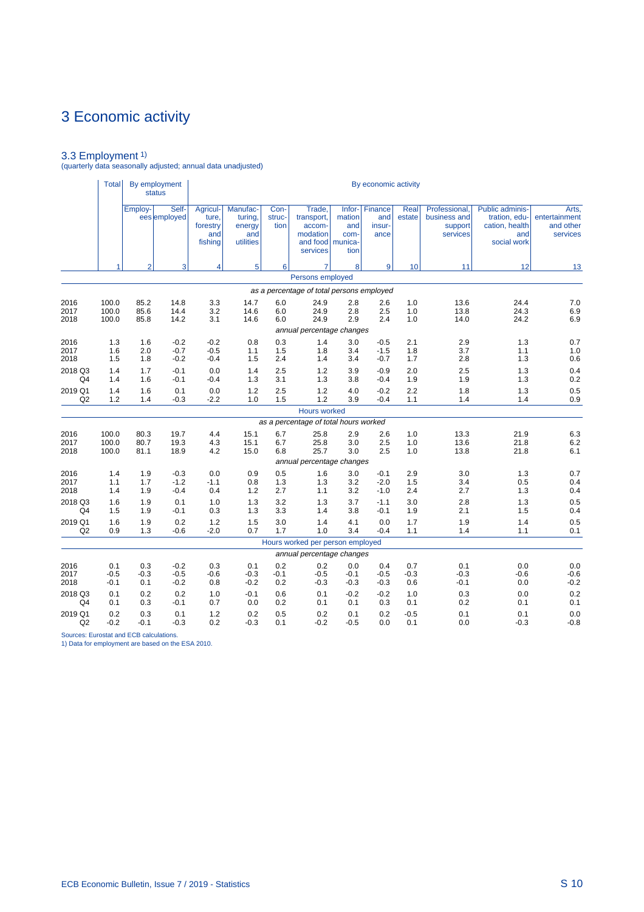3.3 Employment 1) (quarterly data seasonally adjusted; annual data unadjusted)

|         | Total <sup> </sup> |                | By employment<br><b>status</b> |                                                 |                                                   |                        |                                                                              |                                           | By economic activity             |                |                                                      |                                                                                 |                                                 |
|---------|--------------------|----------------|--------------------------------|-------------------------------------------------|---------------------------------------------------|------------------------|------------------------------------------------------------------------------|-------------------------------------------|----------------------------------|----------------|------------------------------------------------------|---------------------------------------------------------------------------------|-------------------------------------------------|
|         |                    | Employ-        | Self-<br>ees employed          | Agricul-<br>ture.<br>forestry<br>and<br>fishing | Manufac-<br>turing,<br>energy<br>and<br>utilities | Con-<br>struc-<br>tion | Trade,<br>transport,<br>accom-<br>modation<br>and food   munica-<br>services | $lnfor-$<br>mation<br>and<br>com-<br>tion | Finance<br>and<br>insur-<br>ance | Real<br>estate | Professional.<br>business and<br>support<br>services | <b>Public adminis-</b><br>tration, edu-<br>cation, health<br>and<br>social work | Arts,<br>entertainment<br>and other<br>services |
|         |                    | $\overline{2}$ | 3                              | 4                                               | 5                                                 | 6 <sup>1</sup>         | 7                                                                            | 8                                         | 9                                | 10             | 11                                                   | 12                                                                              | 13                                              |
|         |                    |                |                                |                                                 |                                                   |                        | Persons employed                                                             |                                           |                                  |                |                                                      |                                                                                 |                                                 |
|         |                    |                |                                |                                                 |                                                   |                        | as a percentage of total persons employed                                    |                                           |                                  |                |                                                      |                                                                                 |                                                 |
| 2016    | 100.0              | 85.2           | 14.8                           | 3.3                                             | 14.7                                              | 6.0                    | 24.9                                                                         | 2.8                                       | 2.6                              | 1.0            | 13.6                                                 | 24.4                                                                            | 7.0                                             |
| 2017    | 100.0              | 85.6           | 14.4                           | 3.2                                             | 14.6                                              | 6.0                    | 24.9                                                                         | 2.8                                       | 2.5                              | 1.0            | 13.8                                                 | 24.3                                                                            | 6.9                                             |
| 2018    | 100.0              | 85.8           | 14.2                           | 3.1                                             | 14.6                                              | 6.0                    | 24.9                                                                         | 2.9                                       | 2.4                              | 1.0            | 14.0                                                 | 24.2                                                                            | 6.9                                             |
| 2016    | 1.3                | 1.6            | $-0.2$                         | $-0.2$                                          | 0.8                                               | 0.3                    | annual percentage changes<br>1.4                                             | 3.0                                       | $-0.5$                           | 2.1            | 2.9                                                  | 1.3                                                                             | 0.7                                             |
| 2017    | 1.6                | 2.0            | $-0.7$                         | $-0.5$                                          | 1.1                                               | 1.5                    | 1.8                                                                          | 3.4                                       | $-1.5$                           | 1.8            | 3.7                                                  | 1.1                                                                             | 1.0                                             |
| 2018    | 1.5                | 1.8            | $-0.2$                         | $-0.4$                                          | 1.5                                               | 2.4                    | 1.4                                                                          | 3.4                                       | $-0.7$                           | 1.7            | 2.8                                                  | 1.3                                                                             | 0.6                                             |
| 2018 Q3 | 1.4                | 1.7            | $-0.1$                         | 0.0                                             | 1.4                                               | 2.5                    | 1.2                                                                          | 3.9                                       | $-0.9$                           | 2.0            | 2.5                                                  | 1.3                                                                             | 0.4                                             |
| Q4      | 1.4                | 1.6            | $-0.1$                         | $-0.4$                                          | 1.3                                               | 3.1                    | 1.3                                                                          | 3.8                                       | $-0.4$                           | 1.9            | 1.9                                                  | 1.3                                                                             | 0.2                                             |
| 2019 Q1 | 1.4                | 1.6            | 0.1                            | 0.0                                             | 1.2                                               | 2.5                    | 1.2                                                                          | 4.0                                       | $-0.2$                           | 2.2            | 1.8                                                  | 1.3                                                                             | 0.5                                             |
| Q2      | 1.2                | 1.4            | $-0.3$                         | $-2.2$                                          | 1.0                                               | 1.5                    | 1.2                                                                          | 3.9                                       | $-0.4$                           | 1.1            | 1.4                                                  | 1.4                                                                             | 0.9                                             |
|         |                    |                |                                |                                                 |                                                   |                        | Hours worked                                                                 |                                           |                                  |                |                                                      |                                                                                 |                                                 |
| 2016    | 100.0              | 80.3           | 19.7                           | 4.4                                             | 15.1                                              | 6.7                    | as a percentage of total hours worked<br>25.8                                | 2.9                                       | 2.6                              | 1.0            | 13.3                                                 | 21.9                                                                            | 6.3                                             |
| 2017    | 100.0              | 80.7           | 19.3                           | 4.3                                             | 15.1                                              | 6.7                    | 25.8                                                                         | 3.0                                       | 2.5                              | 1.0            | 13.6                                                 | 21.8                                                                            | 6.2                                             |
| 2018    | 100.0              | 81.1           | 18.9                           | 4.2                                             | 15.0                                              | 6.8                    | 25.7                                                                         | 3.0                                       | 2.5                              | 1.0            | 13.8                                                 | 21.8                                                                            | 6.1                                             |
|         |                    |                |                                |                                                 |                                                   |                        | annual percentage changes                                                    |                                           |                                  |                |                                                      |                                                                                 |                                                 |
| 2016    | 1.4                | 1.9            | $-0.3$                         | 0.0                                             | 0.9                                               | 0.5                    | 1.6                                                                          | 3.0                                       | $-0.1$                           | 2.9            | 3.0                                                  | 1.3                                                                             | 0.7                                             |
| 2017    | 1.1                | 1.7            | $-1.2$                         | $-1.1$                                          | 0.8                                               | 1.3                    | 1.3                                                                          | 3.2                                       | $-2.0$                           | 1.5            | 3.4                                                  | 0.5                                                                             | 0.4                                             |
| 2018    | 1.4                | 1.9            | $-0.4$                         | 0.4                                             | 1.2                                               | 2.7                    | 1.1                                                                          | 3.2                                       | $-1.0$                           | 2.4            | 2.7                                                  | 1.3                                                                             | 0.4                                             |
| 2018 Q3 | 1.6                | 1.9            | 0.1                            | 1.0                                             | 1.3                                               | 3.2                    | 1.3                                                                          | 3.7                                       | $-1.1$                           | 3.0            | 2.8                                                  | 1.3                                                                             | 0.5                                             |
| Q4      | 1.5                | 1.9            | $-0.1$                         | 0.3                                             | 1.3                                               | 3.3                    | 1.4                                                                          | 3.8                                       | $-0.1$                           | 1.9            | 2.1                                                  | 1.5                                                                             | 0.4                                             |
| 2019 Q1 | 1.6                | 1.9            | 0.2                            | 1.2                                             | 1.5                                               | 3.0                    | 1.4                                                                          | 4.1                                       | 0.0                              | 1.7            | 1.9                                                  | 1.4                                                                             | 0.5                                             |
| Q2      | 0.9                | 1.3            | $-0.6$                         | $-2.0$                                          | 0.7                                               | 1.7                    | 1.0                                                                          | 3.4                                       | $-0.4$                           | 1.1            | 1.4                                                  | 1.1                                                                             | 0.1                                             |
|         |                    |                |                                |                                                 |                                                   |                        | Hours worked per person employed<br>annual percentage changes                |                                           |                                  |                |                                                      |                                                                                 |                                                 |
| 2016    | 0.1                | 0.3            | $-0.2$                         | 0.3                                             | 0.1                                               | 0.2                    | 0.2                                                                          | 0.0                                       | 0.4                              | 0.7            | 0.1                                                  | 0.0                                                                             | 0.0                                             |
| 2017    | $-0.5$             | $-0.3$         | $-0.5$                         | $-0.6$                                          | $-0.3$                                            | $-0.1$                 | $-0.5$                                                                       | $-0.1$                                    | $-0.5$                           | $-0.3$         | $-0.3$                                               | $-0.6$                                                                          | $-0.6$                                          |
| 2018    | $-0.1$             | 0.1            | $-0.2$                         | 0.8                                             | $-0.2$                                            | 0.2                    | $-0.3$                                                                       | $-0.3$                                    | $-0.3$                           | 0.6            | $-0.1$                                               | 0.0                                                                             | $-0.2$                                          |
| 2018 Q3 | 0.1                | 0.2            | 0.2                            | 1.0                                             | $-0.1$                                            | 0.6                    | 0.1                                                                          | $-0.2$                                    | $-0.2$                           | 1.0            | 0.3                                                  | 0.0                                                                             | 0.2                                             |
| Q4      | 0.1                | 0.3            | $-0.1$                         | 0.7                                             | 0.0                                               | 0.2                    | 0.1                                                                          | 0.1                                       | 0.3                              | 0.1            | 0.2                                                  | 0.1                                                                             | 0.1                                             |
| 2019 Q1 | 0.2                | 0.3            | 0.1                            | 1.2                                             | 0.2                                               | 0.5                    | 0.2                                                                          | 0.1                                       | 0.2                              | $-0.5$         | 0.1                                                  | 0.1                                                                             | 0.0                                             |
| Q2      | $-0.2$             | $-0.1$         | $-0.3$                         | 0.2                                             | $-0.3$                                            | 0.1                    | $-0.2$                                                                       | $-0.5$                                    | 0.0                              | 0.1            | 0.0                                                  | $-0.3$                                                                          | $-0.8$                                          |

Sources: Eurostat and ECB calculations. 1) Data for employment are based on the ESA 2010.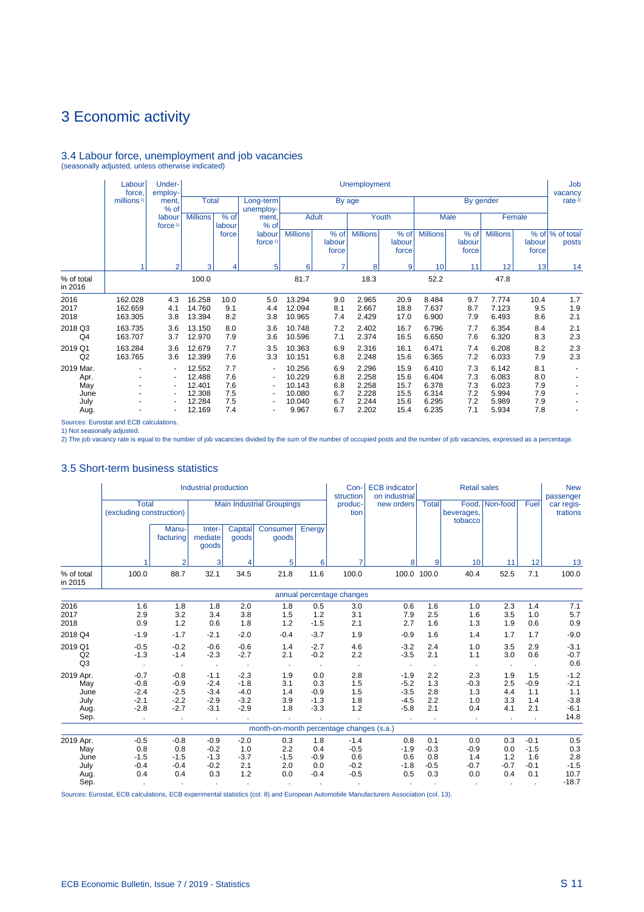# 3.4 Labour force, unemployment and job vacancies (seasonally adjusted, unless otherwise indicated)

|                                                  | Labour<br>force.              | Under-<br>employ-                                       |                                                          |                                        |                                                                                                                      |                                                         |                                        | <b>Unemployment</b>                                |                                              |                                                    |                                        |                                                    |                                        | Job<br>vacancy           |
|--------------------------------------------------|-------------------------------|---------------------------------------------------------|----------------------------------------------------------|----------------------------------------|----------------------------------------------------------------------------------------------------------------------|---------------------------------------------------------|----------------------------------------|----------------------------------------------------|----------------------------------------------|----------------------------------------------------|----------------------------------------|----------------------------------------------------|----------------------------------------|--------------------------|
|                                                  | millions <sup>1)</sup>        | ment.<br>% of                                           | <b>Total</b>                                             |                                        | Long-term<br>unemploy-                                                                                               |                                                         | By age                                 |                                                    |                                              |                                                    |                                        | By gender                                          |                                        | rate <sup>2)</sup>       |
|                                                  |                               | labour<br>force $1$                                     | <b>Millions</b>                                          | $%$ of<br>labour                       | ment.<br>% of                                                                                                        |                                                         | <b>Adult</b>                           |                                                    | Youth                                        |                                                    | Male                                   |                                                    | Female                                 |                          |
|                                                  |                               |                                                         |                                                          | force                                  | labour<br>force <sup>1)</sup>                                                                                        | <b>Millions</b>                                         | % of<br>labour<br>force                | <b>Millions</b>                                    | % of<br>labour<br>force                      | <b>Millions</b>                                    | % of<br>labour<br>force                | <b>Millions</b>                                    | labour<br>force                        | % of % of total<br>posts |
|                                                  |                               | $\mathfrak{p}$                                          | 3                                                        | 4                                      | 5                                                                                                                    | 6                                                       | $\overline{7}$                         | 8                                                  | 9                                            | 10                                                 | 11                                     | 12                                                 | 13                                     | 14                       |
| % of total<br>in 2016                            |                               |                                                         | 100.0                                                    |                                        |                                                                                                                      | 81.7                                                    |                                        | 18.3                                               |                                              | 52.2                                               |                                        | 47.8                                               |                                        |                          |
| 2016<br>2017<br>2018                             | 162.028<br>162.659<br>163.305 | 4.3<br>4.1<br>3.8                                       | 16.258<br>14.760<br>13.394                               | 10.0<br>9.1<br>8.2                     | 5.0<br>4.4<br>3.8                                                                                                    | 13.294<br>12.094<br>10.965                              | 9.0<br>8.1<br>7.4                      | 2.965<br>2.667<br>2.429                            | 20.9<br>18.8<br>17.0                         | 8.484<br>7.637<br>6.900                            | 9.7<br>8.7<br>7.9                      | 7.774<br>7.123<br>6.493                            | 10.4<br>9.5<br>8.6                     | 1.7<br>1.9<br>2.1        |
| 2018 Q3<br>Q4                                    | 163.735<br>163.707            | 3.6<br>3.7                                              | 13.150<br>12.970                                         | 8.0<br>7.9                             | 3.6<br>3.6                                                                                                           | 10.748<br>10.596                                        | 7.2<br>7.1                             | 2.402<br>2.374                                     | 16.7<br>16.5                                 | 6.796<br>6.650                                     | 7.7<br>7.6                             | 6.354<br>6.320                                     | 8.4<br>8.3                             | 2.1<br>2.3               |
| 2019 Q1<br>Q2                                    | 163.284<br>163.765            | 3.6<br>3.6                                              | 12.679<br>12.399                                         | 7.7<br>7.6                             | 3.5<br>3.3                                                                                                           | 10.363<br>10.151                                        | 6.9<br>6.8                             | 2.316<br>2.248                                     | 16.1<br>15.6                                 | 6.471<br>6.365                                     | 7.4<br>7.2                             | 6.208<br>6.033                                     | 8.2<br>7.9                             | 2.3<br>2.3               |
| 2019 Mar.<br>Apr.<br>May<br>June<br>July<br>Aug. | ٠<br>٠                        | $\blacksquare$<br>۰<br>$\blacksquare$<br>$\blacksquare$ | 12.552<br>12.488<br>12.401<br>12.308<br>12.284<br>12.169 | 7.7<br>7.6<br>7.6<br>7.5<br>7.5<br>7.4 | $\overline{\phantom{a}}$<br>$\blacksquare$<br>$\overline{\phantom{a}}$<br>$\overline{\phantom{a}}$<br>$\blacksquare$ | 10.256<br>10.229<br>10.143<br>10.080<br>10.040<br>9.967 | 6.9<br>6.8<br>6.8<br>6.7<br>6.7<br>6.7 | 2.296<br>2.258<br>2.258<br>2.228<br>2.244<br>2.202 | 15.9<br>15.6<br>15.7<br>15.5<br>15.6<br>15.4 | 6.410<br>6.404<br>6.378<br>6.314<br>6.295<br>6.235 | 7.3<br>7.3<br>7.3<br>7.2<br>7.2<br>7.1 | 6.142<br>6.083<br>6.023<br>5.994<br>5.989<br>5.934 | 8.1<br>8.0<br>7.9<br>7.9<br>7.9<br>7.8 |                          |

Sources: Eurostat and ECB calculations.

1) Not seasonally adjusted. 2) The job vacancy rate is equal to the number of job vacancies divided by the sum of the number of occupied posts and the number of job vacancies, expressed as a percentage.

# 3.5 Short-term business statistics

|                                                  |                                                |                                                          | Industrial production                                       |                                                |                                          |                                          | Con-<br>struction                           | <b>ECB</b> indicator<br>on industrial          |                                       | <b>Retail sales</b>                   |                                            |                                          | <b>New</b><br>passenger                             |
|--------------------------------------------------|------------------------------------------------|----------------------------------------------------------|-------------------------------------------------------------|------------------------------------------------|------------------------------------------|------------------------------------------|---------------------------------------------|------------------------------------------------|---------------------------------------|---------------------------------------|--------------------------------------------|------------------------------------------|-----------------------------------------------------|
|                                                  | <b>Total</b><br>(excluding construction)       |                                                          |                                                             |                                                | <b>Main Industrial Groupings</b>         |                                          | produc-<br>tion                             | new orders                                     | <b>Total</b>                          | beverages,<br>tobacco                 | Food, Non-food                             | Fuel                                     | car regis-<br>trations                              |
|                                                  |                                                | Manu-<br>facturing                                       | Inter-<br>mediate<br>goods                                  | Capital<br>goods                               | Consumer<br>goods                        | Energy                                   |                                             |                                                |                                       |                                       |                                            |                                          |                                                     |
|                                                  |                                                | $\overline{2}$                                           | 3                                                           | 4                                              | 5                                        | 6                                        | 7                                           | 8                                              | 9                                     | 10                                    | 11                                         | 12                                       | 13                                                  |
| % of total<br>in 2015                            | 100.0                                          | 88.7                                                     | 32.1                                                        | 34.5                                           | 21.8                                     | 11.6                                     | 100.0                                       | 100.0                                          | 100.0                                 | 40.4                                  | 52.5                                       | 7.1                                      | 100.0                                               |
|                                                  |                                                |                                                          |                                                             |                                                |                                          |                                          | annual percentage changes                   |                                                |                                       |                                       |                                            |                                          |                                                     |
| 2016<br>2017<br>2018                             | 1.6<br>2.9<br>0.9                              | 1.8<br>3.2<br>1.2                                        | 1.8<br>3.4<br>0.6                                           | 2.0<br>3.8<br>1.8                              | 1.8<br>1.5<br>1.2                        | 0.5<br>1.2<br>$-1.5$                     | 3.0<br>3.1<br>2.1                           | 0.6<br>7.9<br>2.7                              | 1.6<br>2.5<br>1.6                     | 1.0<br>1.6<br>1.3                     | 2.3<br>3.5<br>1.9                          | 1.4<br>1.0<br>0.6                        | 7.1<br>5.7<br>0.9                                   |
| 2018 Q4                                          | $-1.9$                                         | $-1.7$                                                   | $-2.1$                                                      | $-2.0$                                         | $-0.4$                                   | $-3.7$                                   | 1.9                                         | $-0.9$                                         | 1.6                                   | 1.4                                   | 1.7                                        | 1.7                                      | $-9.0$                                              |
| 2019 Q1<br>Q2<br>Q <sub>3</sub>                  | $-0.5$<br>$-1.3$                               | $-0.2$<br>$-1.4$                                         | $-0.6$<br>$-2.3$                                            | $-0.6$<br>$-2.7$                               | 1.4<br>2.1                               | $-2.7$<br>$-0.2$                         | 4.6<br>2.2                                  | $-3.2$<br>$-3.5$                               | 2.4<br>2.1                            | 1.0<br>1.1                            | 3.5<br>3.0                                 | 2.9<br>0.6                               | $-3.1$<br>$-0.7$<br>0.6                             |
| 2019 Apr.<br>May<br>June<br>July<br>Aug.<br>Sep. | $-0.7$<br>$-0.8$<br>$-2.4$<br>$-2.1$<br>$-2.8$ | $-0.8$<br>$-0.9$<br>$-2.5$<br>$-2.2$<br>$-2.7$<br>$\sim$ | $-1.1$<br>$-2.4$<br>$-3.4$<br>$-2.9$<br>$-3.1$<br>$\bullet$ | $-2.3$<br>$-1.8$<br>$-4.0$<br>$-3.2$<br>$-2.9$ | 1.9<br>3.1<br>1.4<br>3.9<br>1.8          | 0.0<br>0.3<br>$-0.9$<br>$-1.3$<br>$-3.3$ | 2.8<br>1.5<br>1.5<br>1.8<br>1.2             | $-1.9$<br>$-5.2$<br>$-3.5$<br>$-4.5$<br>$-5.8$ | 2.2<br>1.3<br>2.8<br>2.2<br>2.1       | 2.3<br>$-0.3$<br>1.3<br>1.0<br>0.4    | 1.9<br>2.5<br>4.4<br>3.3<br>4.1<br>$\cdot$ | 1.5<br>$-0.9$<br>1.1<br>1.4<br>2.1       | $-1.2$<br>$-2.1$<br>1.1<br>$-3.8$<br>$-6.1$<br>14.8 |
|                                                  |                                                |                                                          |                                                             |                                                | month-on-month percentage changes (s.a.) |                                          |                                             |                                                |                                       |                                       |                                            |                                          |                                                     |
| 2019 Apr.<br>May<br>June<br>July<br>Aug.         | $-0.5$<br>0.8<br>$-1.5$<br>$-0.4$<br>0.4       | $-0.8$<br>0.8<br>$-1.5$<br>$-0.4$<br>0.4                 | $-0.9$<br>$-0.2$<br>$-1.3$<br>$-0.2$<br>0.3                 | $-2.0$<br>1.0<br>$-3.7$<br>2.1<br>1.2          | 0.3<br>2.2<br>$-1.5$<br>2.0<br>0.0       | 1.8<br>0.4<br>$-0.9$<br>0.0<br>$-0.4$    | $-1.4$<br>$-0.5$<br>0.6<br>$-0.2$<br>$-0.5$ | 0.8<br>$-1.9$<br>0.6<br>$-1.8$<br>0.5          | 0.1<br>$-0.3$<br>0.8<br>$-0.5$<br>0.3 | 0.0<br>$-0.9$<br>1.4<br>$-0.7$<br>0.0 | 0.3<br>0.0<br>1.2<br>$-0.7$<br>0.4         | $-0.1$<br>$-1.5$<br>1.6<br>$-0.1$<br>0.1 | 0.5<br>0.3<br>2.8<br>$-1.5$<br>10.7                 |
| Sep.                                             |                                                | $\bullet$                                                |                                                             |                                                |                                          |                                          |                                             |                                                |                                       |                                       |                                            |                                          | $-18.7$                                             |

Sources: Eurostat, ECB calculations, ECB experimental statistics (col. 8) and European Automobile Manufacturers Association (col. 13).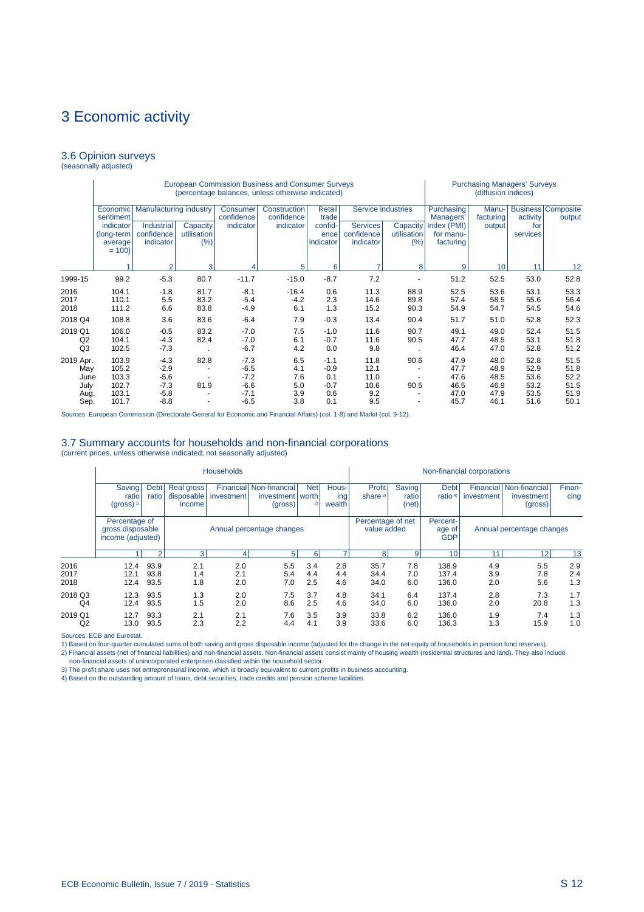#### 3.6 Opinion surveys (seasonally adjusted)

|                                                  |                                                    |                                                          |                                               |                                                          | <b>European Commission Business and Consumer Surveys</b><br>(percentage balances, unless otherwise indicated) |                                                 |                                            |                      |                                              | <b>Purchasing Managers' Surveys</b><br>(diffusion indices) |                                              |                                              |
|--------------------------------------------------|----------------------------------------------------|----------------------------------------------------------|-----------------------------------------------|----------------------------------------------------------|---------------------------------------------------------------------------------------------------------------|-------------------------------------------------|--------------------------------------------|----------------------|----------------------------------------------|------------------------------------------------------------|----------------------------------------------|----------------------------------------------|
|                                                  | Economic<br>sentiment<br>indicator                 | <b>Manufacturing industry</b><br><b>Industrial</b>       | Capacity                                      | Consumer<br>confidence<br>indicator                      | Construction<br>confidence<br>indicator                                                                       | Retail<br>trade<br>confid-                      | Service industries<br><b>Services</b>      | Capacity             | Purchasing<br>Managers'<br>Index (PMI)       | Manu-<br>facturing<br>output                               | activity<br>for                              | <b>Business Composite</b><br>output          |
|                                                  | (long-term<br>average<br>$= 100$                   | confidence<br>indicator                                  | utilisation<br>(%)                            |                                                          |                                                                                                               | ence<br>indicator                               | confidence<br>indicator                    | utilisation<br>(%)   | for manu-<br>facturing                       |                                                            | services                                     |                                              |
|                                                  |                                                    | $\overline{2}$                                           | 3                                             |                                                          | 5                                                                                                             | 6                                               | 7                                          | 8                    | 9                                            | 10 <sup>1</sup>                                            | 11                                           | 12                                           |
| 1999-15                                          | 99.2                                               | $-5.3$                                                   | 80.7                                          | $-11.7$                                                  | $-15.0$                                                                                                       | $-8.7$                                          | 7.2                                        |                      | 51.2                                         | 52.5                                                       | 53.0                                         | 52.8                                         |
| 2016<br>2017<br>2018                             | 104.1<br>110.1<br>111.2                            | $-1.8$<br>5.5<br>6.6                                     | 81.7<br>83.2<br>83.8                          | $-8.1$<br>$-5.4$<br>$-4.9$                               | $-16.4$<br>$-4.2$<br>6.1                                                                                      | 0.6<br>2.3<br>1.3                               | 11.3<br>14.6<br>15.2                       | 88.9<br>89.8<br>90.3 | 52.5<br>57.4<br>54.9                         | 53.6<br>58.5<br>54.7                                       | 53.1<br>55.6<br>54.5                         | 53.3<br>56.4<br>54.6                         |
| 2018 Q4                                          | 108.8                                              | 3.6                                                      | 83.6                                          | $-6.4$                                                   | 7.9                                                                                                           | $-0.3$                                          | 13.4                                       | 90.4                 | 51.7                                         | 51.0                                                       | 52.8                                         | 52.3                                         |
| 2019 Q1<br>Q <sub>2</sub><br>Q <sub>3</sub>      | 106.0<br>104.1<br>102.5                            | $-0.5$<br>$-4.3$<br>$-7.3$                               | 83.2<br>82.4                                  | $-7.0$<br>$-7.0$<br>$-6.7$                               | 7.5<br>6.1<br>4.2                                                                                             | $-1.0$<br>$-0.7$<br>0.0                         | 11.6<br>11.6<br>9.8                        | 90.7<br>90.5         | 49.1<br>47.7<br>46.4                         | 49.0<br>48.5<br>47.0                                       | 52.4<br>53.1<br>52.8                         | 51.5<br>51.8<br>51.2                         |
| 2019 Apr.<br>May<br>June<br>July<br>Aug.<br>Sep. | 103.9<br>105.2<br>103.3<br>102.7<br>103.1<br>101.7 | $-4.3$<br>$-2.9$<br>$-5.6$<br>$-7.3$<br>$-5.8$<br>$-8.8$ | 82.8<br>$\overline{\phantom{a}}$<br>81.9<br>٠ | $-7.3$<br>$-6.5$<br>$-7.2$<br>$-6.6$<br>$-7.1$<br>$-6.5$ | 6.5<br>4.1<br>7.6<br>5.0<br>3.9<br>3.8                                                                        | $-1.1$<br>$-0.9$<br>0.1<br>$-0.7$<br>0.6<br>0.1 | 11.8<br>12.1<br>11.0<br>10.6<br>9.2<br>9.5 | 90.6<br>90.5<br>٠    | 47.9<br>47.7<br>47.6<br>46.5<br>47.0<br>45.7 | 48.0<br>48.9<br>48.5<br>46.9<br>47.9<br>46.1               | 52.8<br>52.9<br>53.6<br>53.2<br>53.5<br>51.6 | 51.5<br>51.8<br>52.2<br>51.5<br>51.9<br>50.1 |

Sources: European Commission (Directorate-General for Economic and Financial Affairs) (col. 1-8) and Markit (col. 9-12).

#### 3.7 Summary accounts for households and non-financial corporations (current prices, unless otherwise indicated; not seasonally adjusted)

|                      | <b>Households</b>                                      |                      |                                           |                         |                                                |                   |                        | Non-financial corporations       |                          |                                  |                           |                                                  |                   |
|----------------------|--------------------------------------------------------|----------------------|-------------------------------------------|-------------------------|------------------------------------------------|-------------------|------------------------|----------------------------------|--------------------------|----------------------------------|---------------------------|--------------------------------------------------|-------------------|
|                      | Saving<br>ratio<br>$(gross)^{1}$                       | <b>Debt</b><br>ratio | <b>Real gross</b><br>disposable<br>income | Financial<br>investment | Non-financial<br>investment   worth<br>(gross) | <b>Net</b><br>2)  | Hous-<br>ing<br>wealth | <b>Profit</b><br>share $3$       | Saving<br>ratio<br>(net) | <b>Debt</b><br>ratio $4$         | investment                | Financial Non-financial<br>investment<br>(gross) | Finan-<br>cing    |
|                      | Percentage of<br>gross disposable<br>income (adjusted) |                      | Annual percentage changes                 |                         |                                                |                   |                        | Percentage of net<br>value added |                          | Percent-<br>age of<br><b>GDP</b> | Annual percentage changes |                                                  |                   |
|                      |                                                        | $\overline{2}$       | 3                                         | 4                       | 5 <sup>1</sup>                                 | 6                 |                        | 8 <sup>1</sup>                   | 9                        | 10                               | 11                        | 12                                               | 13                |
| 2016<br>2017<br>2018 | 12.4<br>12.1<br>12.4                                   | 93.9<br>93.8<br>93.5 | 2.1<br>1.4<br>1.8                         | 2.0<br>2.1<br>2.0       | 5.5<br>5.4<br>7.0                              | 3.4<br>4.4<br>2.5 | 2.8<br>4.4<br>4.6      | 35.7<br>34.4<br>34.0             | 7.8<br>7.0<br>6.0        | 138.9<br>137.4<br>136.0          | 4.9<br>3.9<br>2.0         | 5.5<br>7.8<br>5.6                                | 2.9<br>2.4<br>1.3 |
| 2018 Q3<br>Q4        | 12.3<br>12.4                                           | 93.5<br>93.5         | 1.3<br>1.5                                | 2.0<br>2.0              | 7.5<br>8.6                                     | 3.7<br>2.5        | 4.8<br>4.6             | 34.1<br>34.0                     | 6.4<br>6.0               | 137.4<br>136.0                   | 2.8<br>2.0                | 7.3<br>20.8                                      | 1.7<br>1.3        |
| 2019 Q1<br>Q2        | 12.7<br>13.0                                           | 93.3<br>93.5         | 2.1<br>2.3                                | 2.1<br>2.2              | 7.6<br>4.4                                     | 3.5<br>4.1        | 3.9<br>3.9             | 33.8<br>33.6                     | 6.2<br>6.0               | 136.0<br>136.3                   | 1.9<br>1.3                | 7.4<br>15.9                                      | 1.3<br>1.0        |

Sources: ECB and Eurostat.

1) Based on four-quarter cumulated sums of both saving and gross disposable income (adjusted for the change in the net equity of households in pension fund reserves).

2) Financial assets (net of financial liabilities) and non-financial assets. Non-financial assets consist mainly of housing wealth (residential structures and land). They also include<br>- non-financial assets of unincorporat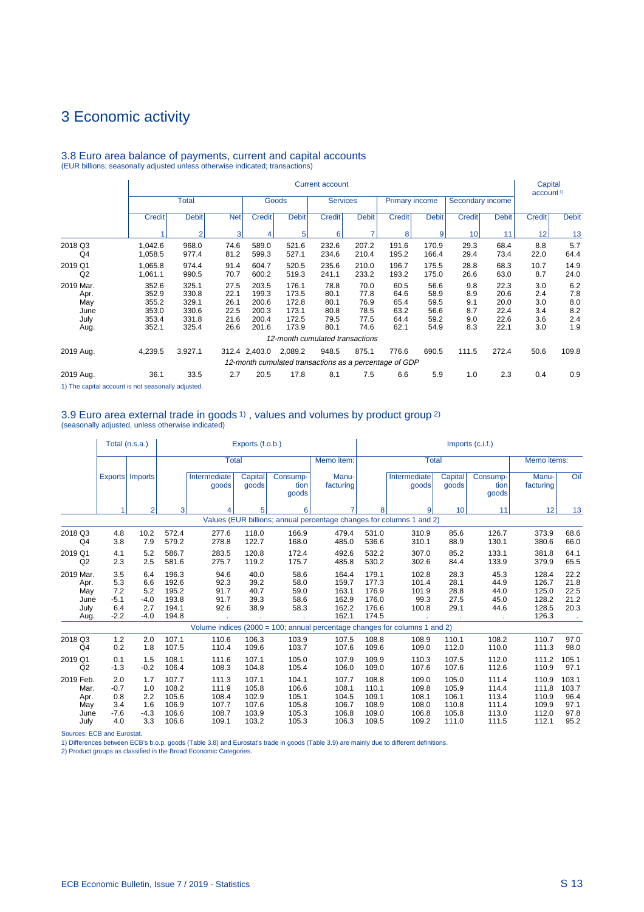## 3 Economic activity

|                                                  |                                                    |                                                    |                                              |                                                    |                                                    | <b>Current account</b>                       |                                              |                                                                 |                                              |                                        |                                              | Capital<br>account <sup>1)</sup>       |                                        |
|--------------------------------------------------|----------------------------------------------------|----------------------------------------------------|----------------------------------------------|----------------------------------------------------|----------------------------------------------------|----------------------------------------------|----------------------------------------------|-----------------------------------------------------------------|----------------------------------------------|----------------------------------------|----------------------------------------------|----------------------------------------|----------------------------------------|
|                                                  |                                                    | <b>Total</b>                                       |                                              |                                                    | Goods                                              | <b>Services</b>                              |                                              | <b>Primary income</b>                                           |                                              | Secondary income                       |                                              |                                        |                                        |
|                                                  | <b>Credit</b>                                      | <b>Debit</b>                                       | <b>Net</b>                                   | <b>Credit</b>                                      | <b>Debit</b>                                       | <b>Credit</b>                                | <b>Debit</b>                                 | <b>Credit</b>                                                   | <b>Debit</b>                                 | <b>Credit</b>                          | <b>Debit</b>                                 | <b>Credit</b>                          | <b>Debit</b>                           |
|                                                  |                                                    | $\overline{2}$                                     | 3                                            | 4                                                  | 5                                                  | 6                                            | ⇁                                            | 8                                                               | 9                                            | 10                                     | 11                                           | 12                                     | 13                                     |
| 2018 Q3<br>Q4                                    | 1,042.6<br>1,058.5                                 | 968.0<br>977.4                                     | 74.6<br>81.2                                 | 589.0<br>599.3                                     | 521.6<br>527.1                                     | 232.6<br>234.6                               | 207.2<br>210.4                               | 191.6<br>195.2                                                  | 170.9<br>166.4                               | 29.3<br>29.4                           | 68.4<br>73.4                                 | 8.8<br>22.0                            | 5.7<br>64.4                            |
| 2019 Q1<br>Q2                                    | 1,065.8<br>1,061.1                                 | 974.4<br>990.5                                     | 91.4<br>70.7                                 | 604.7<br>600.2                                     | 520.5<br>519.3                                     | 235.6<br>241.1                               | 210.0<br>233.2                               | 196.7<br>193.2                                                  | 175.5<br>175.0                               | 28.8<br>26.6                           | 68.3<br>63.0                                 | 10.7<br>8.7                            | 14.9<br>24.0                           |
| 2019 Mar.<br>Apr.<br>May<br>June<br>July<br>Aug. | 352.6<br>352.9<br>355.2<br>353.0<br>353.4<br>352.1 | 325.1<br>330.8<br>329.1<br>330.6<br>331.8<br>325.4 | 27.5<br>22.1<br>26.1<br>22.5<br>21.6<br>26.6 | 203.5<br>199.3<br>200.6<br>200.3<br>200.4<br>201.6 | 176.1<br>173.5<br>172.8<br>173.1<br>172.5<br>173.9 | 78.8<br>80.1<br>80.1<br>80.8<br>79.5<br>80.1 | 70.0<br>77.8<br>76.9<br>78.5<br>77.5<br>74.6 | 60.5<br>64.6<br>65.4<br>63.2<br>64.4<br>62.1                    | 56.6<br>58.9<br>59.5<br>56.6<br>59.2<br>54.9 | 9.8<br>8.9<br>9.1<br>8.7<br>9.0<br>8.3 | 22.3<br>20.6<br>20.0<br>22.4<br>22.6<br>22.1 | 3.0<br>2.4<br>3.0<br>3.4<br>3.6<br>3.0 | 6.2<br>7.8<br>8.0<br>8.2<br>2.4<br>1.9 |
|                                                  |                                                    |                                                    |                                              |                                                    |                                                    | 12-month cumulated transactions              |                                              |                                                                 |                                              |                                        |                                              |                                        |                                        |
| 2019 Aug.                                        | 4,239.5                                            | 3,927.1                                            |                                              | 312.4 2,403.0                                      | 2,089.2                                            | 948.5                                        | 875.1                                        | 776.6<br>12-month cumulated transactions as a percentage of GDP | 690.5                                        | 111.5                                  | 272.4                                        | 50.6                                   | 109.8                                  |
| 2019 Aug.                                        | 36.1                                               | 33.5                                               | 2.7                                          | 20.5                                               | 17.8                                               | 8.1                                          | 7.5                                          | 6.6                                                             | 5.9                                          | 1.0                                    | 2.3                                          | 0.4                                    | 0.9                                    |

# 3.8 Euro area balance of payments, current and capital accounts (EUR billions; seasonally adjusted unless otherwise indicated; transactions)

1) The capital account is not seasonally adjusted.

# 3.9 Euro area external trade in goods 1) , values and volumes by product group 2) (seasonally adjusted, unless otherwise indicated)

|                                                  |                                              | Total (n.s.a.)                               |                                                    |                                      | Exports (f.o.b.)                     |                                      |                                                                      |                                                    |                                                                            |                                      | $Imports$ (c.i.f.)                   |                                                    |                                      |
|--------------------------------------------------|----------------------------------------------|----------------------------------------------|----------------------------------------------------|--------------------------------------|--------------------------------------|--------------------------------------|----------------------------------------------------------------------|----------------------------------------------------|----------------------------------------------------------------------------|--------------------------------------|--------------------------------------|----------------------------------------------------|--------------------------------------|
|                                                  |                                              |                                              |                                                    | <b>Total</b>                         |                                      |                                      | Memo item:                                                           |                                                    | <b>Total</b>                                                               |                                      |                                      | Memo items:                                        |                                      |
|                                                  |                                              | Exports   Imports                            |                                                    | Intermediate<br>goods                | Capital<br>goods                     | Consump-<br>tion<br>goods            | Manu-<br>facturing                                                   |                                                    | Intermediate<br>goods                                                      | Capital<br>goods                     | Consump-<br>tion<br>goods            | Manu-<br>facturing                                 | Oil                                  |
|                                                  | 1                                            | $\overline{2}$                               | 3                                                  | 4                                    | 5                                    | 6                                    |                                                                      | 8                                                  | 9                                                                          | 10                                   | 11                                   | 12                                                 | 13                                   |
|                                                  |                                              |                                              |                                                    |                                      |                                      |                                      | Values (EUR billions; annual percentage changes for columns 1 and 2) |                                                    |                                                                            |                                      |                                      |                                                    |                                      |
| 2018 Q3<br>Q <sub>4</sub>                        | 4.8<br>3.8                                   | 10.2<br>7.9                                  | 572.4<br>579.2                                     | 277.6<br>278.8                       | 118.0<br>122.7                       | 166.9<br>168.0                       | 479.4<br>485.0                                                       | 531.0<br>536.6                                     | 310.9<br>310.1                                                             | 85.6<br>88.9                         | 126.7<br>130.1                       | 373.9<br>380.6                                     | 68.6<br>66.0                         |
| 2019 Q1<br>Q2                                    | 4.1<br>2.3                                   | 5.2<br>2.5                                   | 586.7<br>581.6                                     | 283.5<br>275.7                       | 120.8<br>119.2                       | 172.4<br>175.7                       | 492.6<br>485.8                                                       | 532.2<br>530.2                                     | 307.0<br>302.6                                                             | 85.2<br>84.4                         | 133.1<br>133.9                       | 381.8<br>379.9                                     | 64.1<br>65.5                         |
| 2019 Mar.<br>Apr.<br>May<br>June<br>July<br>Aug. | 3.5<br>5.3<br>7.2<br>$-5.1$<br>6.4<br>$-2.2$ | 6.4<br>6.6<br>5.2<br>$-4.0$<br>2.7<br>$-4.0$ | 196.3<br>192.6<br>195.2<br>193.8<br>194.1<br>194.8 | 94.6<br>92.3<br>91.7<br>91.7<br>92.6 | 40.0<br>39.2<br>40.7<br>39.3<br>38.9 | 58.6<br>58.0<br>59.0<br>58.6<br>58.3 | 164.4<br>159.7<br>163.1<br>162.9<br>162.2<br>162.1                   | 179.1<br>177.3<br>176.9<br>176.0<br>176.6<br>174.5 | 102.8<br>101.4<br>101.9<br>99.3<br>100.8                                   | 28.3<br>28.1<br>28.8<br>27.5<br>29.1 | 45.3<br>44.9<br>44.0<br>45.0<br>44.6 | 128.4<br>126.7<br>125.0<br>128.2<br>128.5<br>126.3 | 22.2<br>21.8<br>22.5<br>21.2<br>20.3 |
|                                                  |                                              |                                              |                                                    |                                      |                                      |                                      |                                                                      |                                                    | Volume indices (2000 = 100; annual percentage changes for columns 1 and 2) |                                      |                                      |                                                    |                                      |
| 2018 Q3<br>Q <sub>4</sub>                        | 1.2<br>0.2                                   | 2.0<br>1.8                                   | 107.1<br>107.5                                     | 110.6<br>110.4                       | 106.3<br>109.6                       | 103.9<br>103.7                       | 107.5<br>107.6                                                       | 108.8<br>109.6                                     | 108.9<br>109.0                                                             | 110.1<br>112.0                       | 108.2<br>110.0                       | 110.7<br>111.3                                     | 97.0<br>98.0                         |
| 2019 Q1<br>Q2                                    | 0.1<br>$-1.3$                                | 1.5<br>$-0.2$                                | 108.1<br>106.4                                     | 111.6<br>108.3                       | 107.1<br>104.8                       | 105.0<br>105.4                       | 107.9<br>106.0                                                       | 109.9<br>109.0                                     | 110.3<br>107.6                                                             | 107.5<br>107.6                       | 112.0<br>112.6                       | 111.2<br>110.9                                     | 105.1<br>97.1                        |
| 2019 Feb.<br>Mar.<br>Apr.<br>May                 | 2.0<br>$-0.7$<br>0.8<br>3.4                  | 1.7<br>1.0<br>2.2<br>1.6                     | 107.7<br>108.2<br>105.6<br>106.9                   | 111.3<br>111.9<br>108.4<br>107.7     | 107.1<br>105.8<br>102.9<br>107.6     | 104.1<br>106.6<br>105.1<br>105.8     | 107.7<br>108.1<br>104.5<br>106.7                                     | 108.8<br>110.1<br>109.1<br>108.9                   | 109.0<br>109.8<br>108.1<br>108.0                                           | 105.0<br>105.9<br>106.1<br>110.8     | 111.4<br>114.4<br>113.4<br>111.4     | 110.9<br>111.8<br>110.9<br>109.9                   | 103.1<br>103.7<br>96.4<br>97.1       |
| June<br>July                                     | $-7.6$<br>4.0                                | $-4.3$<br>3.3                                | 106.6<br>106.6                                     | 108.7<br>109.1                       | 103.9<br>103.2                       | 105.3<br>105.3                       | 106.8<br>106.3                                                       | 109.0<br>109.5                                     | 106.8<br>109.2                                                             | 105.8<br>111.0                       | 113.0<br>111.5                       | 112.0<br>112.1                                     | 97.8<br>95.2                         |

Sources: ECB and Eurostat. 1) Differences between ECB's b.o.p. goods (Table 3.8) and Eurostat's trade in goods (Table 3.9) are mainly due to different definitions.

2) Product groups as classified in the Broad Economic Categories.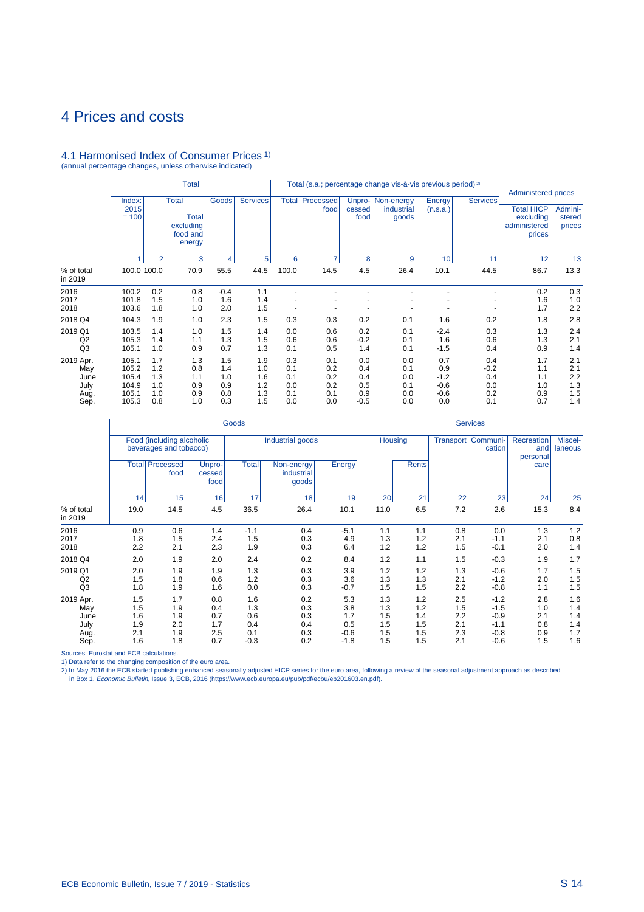# 4.1 Harmonised Index of Consumer Prices 1) (annual percentage changes, unless otherwise indicated)

|                                                  |                                                    | <b>Total</b>                           |                                                          |                                        |                                        |                                        |                                        |                                           | Total (s.a.; percentage change vis-à-vis previous period) <sup>2)</sup> |                                                 |                                           | Administered prices                                      |                                        |
|--------------------------------------------------|----------------------------------------------------|----------------------------------------|----------------------------------------------------------|----------------------------------------|----------------------------------------|----------------------------------------|----------------------------------------|-------------------------------------------|-------------------------------------------------------------------------|-------------------------------------------------|-------------------------------------------|----------------------------------------------------------|----------------------------------------|
|                                                  | Index:<br>2015<br>$= 100$                          |                                        | Total<br><b>Total</b><br>excluding<br>food and<br>energy | Goods                                  | <b>Services</b>                        |                                        | <b>Total Processed</b><br>food         | cessed<br>food                            | Unpro-   Non-energy<br>industrial<br>goods                              | Energy<br>(n.s.a.)                              | <b>Services</b>                           | <b>Total HICP</b><br>excluding<br>administered<br>prices | Admini-<br>stered<br>prices            |
|                                                  |                                                    | $\overline{2}$                         | $\vert$ 3                                                | 4                                      | 5                                      | 6                                      | ⇁                                      | 8                                         | 9                                                                       | 10                                              | 11                                        | 12                                                       | 13                                     |
| % of total<br>in 2019                            | 100.0 100.0                                        |                                        | 70.9                                                     | 55.5                                   | 44.5                                   | 100.0                                  | 14.5                                   | 4.5                                       | 26.4                                                                    | 10.1                                            | 44.5                                      | 86.7                                                     | 13.3                                   |
| 2016<br>2017<br>2018                             | 100.2<br>101.8<br>103.6                            | 0.2<br>1.5<br>1.8                      | 0.8<br>1.0<br>1.0                                        | $-0.4$<br>1.6<br>2.0                   | 1.1<br>1.4<br>1.5                      |                                        |                                        |                                           |                                                                         |                                                 |                                           | 0.2<br>1.6<br>1.7                                        | 0.3<br>1.0<br>2.2                      |
| 2018 Q4<br>2019 Q1                               | 104.3<br>103.5                                     | 1.9<br>1.4                             | 1.0<br>1.0                                               | 2.3<br>1.5                             | 1.5<br>1.4                             | 0.3<br>0.0                             | 0.3<br>0.6                             | 0.2<br>0.2                                | 0.1<br>0.1                                                              | 1.6<br>$-2.4$                                   | 0.2<br>0.3                                | 1.8<br>1.3                                               | 2.8<br>2.4                             |
| Q2<br>Q <sub>3</sub>                             | 105.3<br>105.1                                     | 1.4<br>1.0                             | 1.1<br>0.9                                               | 1.3<br>0.7                             | 1.5<br>1.3                             | 0.6<br>0.1                             | 0.6<br>0.5                             | $-0.2$<br>1.4                             | 0.1<br>0.1                                                              | 1.6<br>$-1.5$                                   | 0.6<br>0.4                                | 1.3<br>0.9                                               | 2.1<br>1.4                             |
| 2019 Apr.<br>May<br>June<br>July<br>Aug.<br>Sep. | 105.1<br>105.2<br>105.4<br>104.9<br>105.1<br>105.3 | 1.7<br>1.2<br>1.3<br>1.0<br>1.0<br>0.8 | 1.3<br>0.8<br>1.1<br>0.9<br>0.9<br>1.0                   | 1.5<br>1.4<br>1.0<br>0.9<br>0.8<br>0.3 | 1.9<br>1.0<br>1.6<br>1.2<br>1.3<br>1.5 | 0.3<br>0.1<br>0.1<br>0.0<br>0.1<br>0.0 | 0.1<br>0.2<br>0.2<br>0.2<br>0.1<br>0.0 | 0.0<br>0.4<br>0.4<br>0.5<br>0.9<br>$-0.5$ | 0.0<br>0.1<br>0.0<br>0.1<br>0.0<br>0.0                                  | 0.7<br>0.9<br>$-1.2$<br>$-0.6$<br>$-0.6$<br>0.0 | 0.4<br>$-0.2$<br>0.4<br>0.0<br>0.2<br>0.1 | 1.7<br>1.1<br>1.1<br>1.0<br>0.9<br>0.7                   | 2.1<br>2.1<br>2.2<br>1.3<br>1.5<br>1.4 |

|                                                  |                                        |                                                     |                                        | Goods                                     |                                        |                                              |                                        |                                        |                                        | <b>Services</b>                                          |                                        |                                        |
|--------------------------------------------------|----------------------------------------|-----------------------------------------------------|----------------------------------------|-------------------------------------------|----------------------------------------|----------------------------------------------|----------------------------------------|----------------------------------------|----------------------------------------|----------------------------------------------------------|----------------------------------------|----------------------------------------|
|                                                  |                                        | Food (including alcoholic<br>beverages and tobacco) |                                        |                                           | Industrial goods                       |                                              | Housing                                |                                        | Transport                              | Communi-<br>cation                                       | Recreation<br>and<br>personal          | Miscel-<br>laneous                     |
|                                                  |                                        | <b>Total   Processed</b><br>food                    | Unpro-<br>cessed<br>food               | <b>Total</b>                              | Non-energy<br>industrial<br>goods      | Energy                                       |                                        | <b>Rents</b>                           |                                        |                                                          | care                                   |                                        |
|                                                  | 14                                     | 15                                                  | 16                                     | 17                                        | 18                                     | 19                                           | 20                                     | 21                                     | 22                                     | 23                                                       | 24                                     | 25                                     |
| % of total<br>in 2019                            | 19.0                                   | 14.5                                                | 4.5                                    | 36.5                                      | 26.4                                   | 10.1                                         | 11.0                                   | 6.5                                    | 7.2                                    | 2.6                                                      | 15.3                                   | 8.4                                    |
| 2016<br>2017<br>2018                             | 0.9<br>1.8<br>2.2                      | 0.6<br>1.5<br>2.1                                   | 1.4<br>2.4<br>2.3                      | $-1.1$<br>1.5<br>1.9                      | 0.4<br>0.3<br>0.3                      | $-5.1$<br>4.9<br>6.4                         | 1.1<br>1.3<br>1.2                      | 1.1<br>1.2<br>1.2                      | 0.8<br>2.1<br>1.5                      | 0.0<br>$-1.1$<br>$-0.1$                                  | 1.3<br>2.1<br>2.0                      | 1.2<br>0.8<br>1.4                      |
| 2018 Q4                                          | 2.0                                    | 1.9                                                 | 2.0                                    | 2.4                                       | 0.2                                    | 8.4                                          | 1.2                                    | 1.1                                    | 1.5                                    | $-0.3$                                                   | 1.9                                    | 1.7                                    |
| 2019 Q1<br>Q2<br>Q <sub>3</sub>                  | 2.0<br>1.5<br>1.8                      | 1.9<br>1.8<br>1.9                                   | 1.9<br>0.6<br>1.6                      | 1.3<br>1.2<br>0.0                         | 0.3<br>0.3<br>0.3                      | 3.9<br>3.6<br>$-0.7$                         | 1.2<br>1.3<br>1.5                      | 1.2<br>1.3<br>1.5                      | 1.3<br>2.1<br>2.2                      | $-0.6$<br>$-1.2$<br>$-0.8$                               | 1.7<br>2.0<br>1.1                      | 1.5<br>1.5<br>1.5                      |
| 2019 Apr.<br>May<br>June<br>July<br>Aug.<br>Sep. | 1.5<br>1.5<br>1.6<br>1.9<br>2.1<br>1.6 | 1.7<br>1.9<br>1.9<br>2.0<br>1.9<br>1.8              | 0.8<br>0.4<br>0.7<br>1.7<br>2.5<br>0.7 | 1.6<br>1.3<br>0.6<br>0.4<br>0.1<br>$-0.3$ | 0.2<br>0.3<br>0.3<br>0.4<br>0.3<br>0.2 | 5.3<br>3.8<br>1.7<br>0.5<br>$-0.6$<br>$-1.8$ | 1.3<br>1.3<br>1.5<br>1.5<br>1.5<br>1.5 | 1.2<br>1.2<br>1.4<br>1.5<br>1.5<br>1.5 | 2.5<br>1.5<br>2.2<br>2.1<br>2.3<br>2.1 | $-1.2$<br>$-1.5$<br>$-0.9$<br>$-1.1$<br>$-0.8$<br>$-0.6$ | 2.8<br>1.0<br>2.1<br>0.8<br>0.9<br>1.5 | 1.6<br>1.4<br>1.4<br>1.4<br>1.7<br>1.6 |

Sources: Eurostat and ECB calculations.

1) Data refer to the changing composition of the euro area.<br>2) In May 2016 the ECB started publishing enhanced seasonally adjusted HICP series for the euro area, following a review of the seasonal adjustment approach as de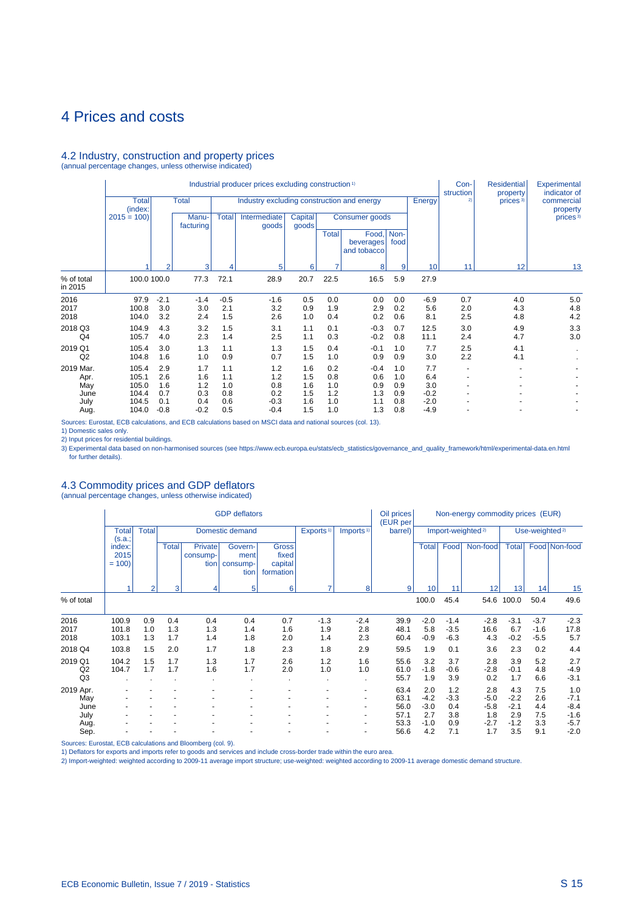### 4.2 Industry, construction and property prices

(annual percentage changes, unless otherwise indicated)

|                          |                         |                      |                      |                      | Industrial producer prices excluding construction <sup>1)</sup> |                         |                   |                                   |                   |                            | Con-<br>struction        | <b>Residential</b><br>property | Experimental<br>indicator of |
|--------------------------|-------------------------|----------------------|----------------------|----------------------|-----------------------------------------------------------------|-------------------------|-------------------|-----------------------------------|-------------------|----------------------------|--------------------------|--------------------------------|------------------------------|
|                          | <b>Total</b><br>(index: |                      | <b>Total</b>         |                      | Industry excluding construction and energy                      |                         |                   |                                   |                   | Energy                     | 2)                       | prices <sup>3)</sup>           | commercial<br>property       |
|                          | $2015 = 100$            |                      | Manu-<br>facturing   | <b>Total</b>         | Intermediate<br>goods                                           | <b>Capital</b><br>goods |                   | Consumer goods                    |                   |                            |                          |                                | prices <sup>3)</sup>         |
|                          |                         |                      |                      |                      |                                                                 |                         | <b>Total</b>      | Food,<br>beverages<br>and tobacco | Non-<br>food      |                            |                          |                                |                              |
|                          |                         |                      | 3                    |                      | 5                                                               | 6                       |                   | 8                                 | 9                 | 10                         | 11                       | 12                             | 13                           |
| % of total<br>in 2015    | 100.0 100.0             |                      | 77.3                 | 72.1                 | 28.9                                                            | 20.7                    | 22.5              | 16.5                              | 5.9               | 27.9                       |                          |                                |                              |
| 2016<br>2017<br>2018     | 97.9<br>100.8<br>104.0  | $-2.1$<br>3.0<br>3.2 | $-1.4$<br>3.0<br>2.4 | $-0.5$<br>2.1<br>1.5 | $-1.6$<br>3.2<br>2.6                                            | 0.5<br>0.9<br>1.0       | 0.0<br>1.9<br>0.4 | 0.0<br>2.9<br>0.2                 | 0.0<br>0.2<br>0.6 | $-6.9$<br>5.6<br>8.1       | 0.7<br>2.0<br>2.5        | 4.0<br>4.3<br>4.8              | 5.0<br>4.8<br>4.2            |
| 2018 Q3<br>Q4            | 104.9<br>105.7          | 4.3<br>4.0           | 3.2<br>2.3           | 1.5<br>1.4           | 3.1<br>2.5                                                      | 1.1<br>1.1              | 0.1<br>0.3        | $-0.3$<br>$-0.2$                  | 0.7<br>0.8        | 12.5<br>11.1               | 3.0<br>2.4               | 4.9<br>4.7                     | 3.3<br>3.0                   |
| 2019 Q1<br>Q2            | 105.4<br>104.8          | 3.0<br>1.6           | 1.3<br>1.0           | 1.1<br>0.9           | 1.3<br>0.7                                                      | 1.5<br>1.5              | 0.4<br>1.0        | $-0.1$<br>0.9                     | 1.0<br>0.9        | 7.7<br>3.0                 | 2.5<br>2.2               | 4.1<br>4.1                     |                              |
| 2019 Mar.<br>Apr.<br>May | 105.4<br>105.1<br>105.0 | 2.9<br>2.6<br>1.6    | 1.7<br>1.6<br>1.2    | 1.1<br>1.1<br>1.0    | 1.2<br>1.2<br>0.8                                               | 1.6<br>1.5<br>1.6       | 0.2<br>0.8<br>1.0 | $-0.4$<br>0.6<br>0.9              | 1.0<br>1.0<br>0.9 | 7.7<br>6.4<br>3.0          | $\overline{\phantom{a}}$ |                                |                              |
| June<br>July<br>Aug.     | 104.4<br>104.5<br>104.0 | 0.7<br>0.1<br>$-0.8$ | 0.3<br>0.4<br>$-0.2$ | 0.8<br>0.6<br>0.5    | 0.2<br>$-0.3$<br>$-0.4$                                         | 1.5<br>1.6<br>1.5       | 1.2<br>1.0<br>1.0 | 1.3<br>1.1<br>1.3                 | 0.9<br>0.8<br>0.8 | $-0.2$<br>$-2.0$<br>$-4.9$ |                          |                                |                              |

Sources: Eurostat, ECB calculations, and ECB calculations based on MSCI data and national sources (col. 13).

1) Domestic sales only.<br>2) Input prices for residential buildings.<br>3) Experimental data based on non-harmonised sources (see https://www.ecb.europa.eu/stats/ecb\_statistics/governance\_and\_quality\_framework/html/experimental

### 4.3 Commodity prices and GDP deflators

(annual percentage changes, unless otherwise indicated)

|                                 |                           |                   |                   |                                    | <b>GDP</b> deflators                |                                               |                                        |                                        | Oil prices<br>(EUR per |                         |                            | Non-energy commodity prices (EUR) |                         |                            |                         |
|---------------------------------|---------------------------|-------------------|-------------------|------------------------------------|-------------------------------------|-----------------------------------------------|----------------------------------------|----------------------------------------|------------------------|-------------------------|----------------------------|-----------------------------------|-------------------------|----------------------------|-------------------------|
|                                 | <b>Total</b><br>(s.a.;    | <b>Total</b>      |                   |                                    | Domestic demand                     |                                               | Exports <sup>1)</sup>                  | Imports <sup>1)</sup>                  | barrel)                |                         |                            | Import-weighted <sup>2)</sup>     |                         | Use-weighted <sup>2)</sup> |                         |
|                                 | index:<br>2015<br>$= 100$ |                   | <b>Total</b>      | <b>Private</b><br>consump-<br>tion | Govern-<br>ment<br>consump-<br>tion | <b>Gross</b><br>fixed<br>capital<br>formation |                                        |                                        |                        | <b>Total</b>            | Food                       | Non-food                          | <b>Total</b>            |                            | Food Non-food           |
|                                 |                           | $\overline{2}$    | 3                 | $\vert$                            | 5                                   | 6                                             | 7                                      | 8                                      | $\overline{9}$         | 10                      | 11                         | 12                                | 13                      | 14                         | 15                      |
| % of total                      |                           |                   |                   |                                    |                                     |                                               |                                        |                                        |                        | 100.0                   | 45.4                       | 54.6                              | 100.0                   | 50.4                       | 49.6                    |
| 2016<br>2017<br>2018            | 100.9<br>101.8<br>103.1   | 0.9<br>1.0<br>1.3 | 0.4<br>1.3<br>1.7 | 0.4<br>1.3<br>1.4                  | 0.4<br>1.4<br>1.8                   | 0.7<br>1.6<br>2.0                             | $-1.3$<br>1.9<br>1.4                   | $-2.4$<br>2.8<br>2.3                   | 39.9<br>48.1<br>60.4   | $-2.0$<br>5.8<br>$-0.9$ | $-1.4$<br>$-3.5$<br>$-6.3$ | $-2.8$<br>16.6<br>4.3             | $-3.1$<br>6.7<br>$-0.2$ | $-3.7$<br>$-1.6$<br>$-5.5$ | $-2.3$<br>17.8<br>5.7   |
| 2018 Q4                         | 103.8                     | 1.5               | 2.0               | 1.7                                | 1.8                                 | 2.3                                           | 1.8                                    | 2.9                                    | 59.5                   | 1.9                     | 0.1                        | 3.6                               | 2.3                     | 0.2                        | 4.4                     |
| 2019 Q1<br>Q2<br>Q <sub>3</sub> | 104.2<br>104.7            | 1.5<br>1.7        | 1.7<br>1.7        | 1.3<br>1.6                         | 1.7<br>1.7                          | 2.6<br>2.0                                    | 1.2<br>1.0<br>$\overline{\phantom{a}}$ | 1.6<br>1.0<br>$\overline{\phantom{a}}$ | 55.6<br>61.0<br>55.7   | 3.2<br>$-1.8$<br>1.9    | 3.7<br>$-0.6$<br>3.9       | 2.8<br>$-2.8$<br>0.2              | 3.9<br>$-0.1$<br>1.7    | 5.2<br>4.8<br>6.6          | 2.7<br>$-4.9$<br>$-3.1$ |
| 2019 Apr.<br>May                |                           |                   |                   |                                    |                                     |                                               |                                        | $\overline{\phantom{a}}$               | 63.4<br>63.1           | 2.0<br>$-4.2$           | 1.2<br>$-3.3$              | 2.8<br>$-5.0$                     | 4.3<br>$-2.2$           | 7.5<br>2.6                 | 1.0<br>$-7.1$           |
| June<br>July                    |                           |                   |                   |                                    |                                     |                                               |                                        | $\blacksquare$                         | 56.0<br>57.1           | $-3.0$<br>2.7           | 0.4<br>3.8                 | $-5.8$<br>1.8                     | $-2.1$<br>2.9           | 4.4<br>7.5                 | $-8.4$<br>$-1.6$        |
| Aug.<br>Sep.                    |                           |                   |                   |                                    |                                     |                                               |                                        |                                        | 53.3<br>56.6           | $-1.0$<br>4.2           | 0.9<br>7.1                 | $-2.7$<br>1.7                     | $-1.2$<br>3.5           | 3.3<br>9.1                 | $-5.7$<br>$-2.0$        |

Sources: Eurostat, ECB calculations and Bloomberg (col. 9).

1) Deflators for exports and imports refer to goods and services and include cross-border trade within the euro area.

2) Import-weighted: weighted according to 2009-11 average import structure; use-weighted: weighted according to 2009-11 average domestic demand structure.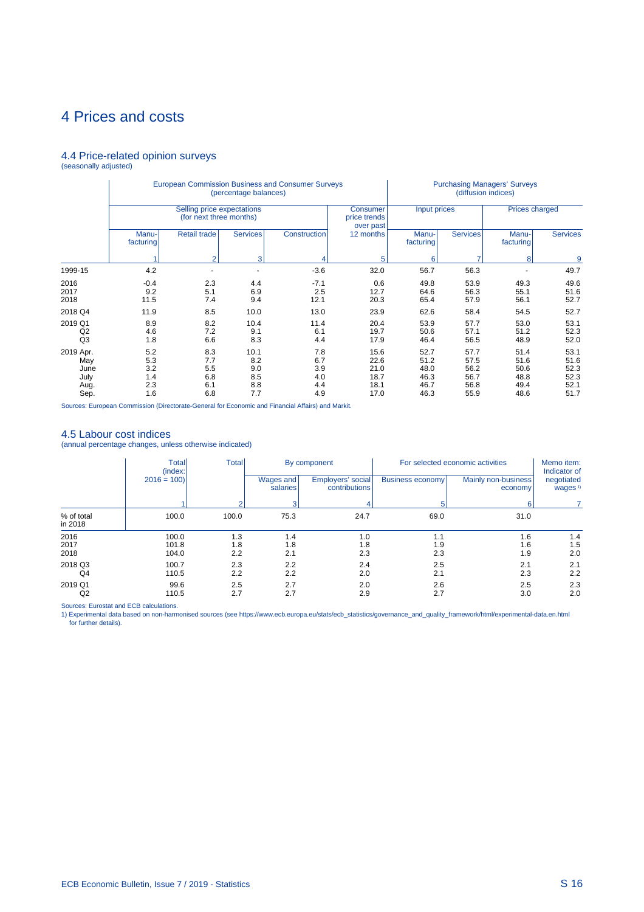### 4.4 Price-related opinion surveys (seasonally adjusted)

|                                                  |                                        |                                                       | (percentage balances)                   | <b>European Commission Business and Consumer Surveys</b> |                                              |                                              | (diffusion indices)                          | <b>Purchasing Managers' Surveys</b>          |                                              |
|--------------------------------------------------|----------------------------------------|-------------------------------------------------------|-----------------------------------------|----------------------------------------------------------|----------------------------------------------|----------------------------------------------|----------------------------------------------|----------------------------------------------|----------------------------------------------|
|                                                  |                                        | Selling price expectations<br>(for next three months) |                                         |                                                          | <b>Consumer</b><br>price trends<br>over past | Input prices                                 |                                              | <b>Prices charged</b>                        |                                              |
|                                                  | Manu-<br>facturing                     | Retail trade                                          | <b>Services</b>                         | Construction                                             | 12 months                                    | Manu-<br>facturing                           | <b>Services</b>                              | Manu-<br>facturing                           | <b>Services</b>                              |
|                                                  |                                        | 2                                                     | 3                                       |                                                          | 5                                            | 6                                            |                                              | 8                                            | 9                                            |
| 1999-15                                          | 4.2                                    |                                                       | ٠                                       | $-3.6$                                                   | 32.0                                         | 56.7                                         | 56.3                                         |                                              | 49.7                                         |
| 2016<br>2017<br>2018                             | $-0.4$<br>9.2<br>11.5                  | 2.3<br>5.1<br>7.4                                     | 4.4<br>6.9<br>9.4                       | $-7.1$<br>2.5<br>12.1                                    | 0.6<br>12.7<br>20.3                          | 49.8<br>64.6<br>65.4                         | 53.9<br>56.3<br>57.9                         | 49.3<br>55.1<br>56.1                         | 49.6<br>51.6<br>52.7                         |
| 2018 Q4                                          | 11.9                                   | 8.5                                                   | 10.0                                    | 13.0                                                     | 23.9                                         | 62.6                                         | 58.4                                         | 54.5                                         | 52.7                                         |
| 2019 Q1<br>Q <sub>2</sub><br>Q <sub>3</sub>      | 8.9<br>4.6<br>1.8                      | 8.2<br>7.2<br>6.6                                     | 10.4<br>9.1<br>8.3                      | 11.4<br>6.1<br>4.4                                       | 20.4<br>19.7<br>17.9                         | 53.9<br>50.6<br>46.4                         | 57.7<br>57.1<br>56.5                         | 53.0<br>51.2<br>48.9                         | 53.1<br>52.3<br>52.0                         |
| 2019 Apr.<br>May<br>June<br>July<br>Aug.<br>Sep. | 5.2<br>5.3<br>3.2<br>1.4<br>2.3<br>1.6 | 8.3<br>7.7<br>5.5<br>6.8<br>6.1<br>6.8                | 10.1<br>8.2<br>9.0<br>8.5<br>8.8<br>7.7 | 7.8<br>6.7<br>3.9<br>4.0<br>4.4<br>4.9                   | 15.6<br>22.6<br>21.0<br>18.7<br>18.1<br>17.0 | 52.7<br>51.2<br>48.0<br>46.3<br>46.7<br>46.3 | 57.7<br>57.5<br>56.2<br>56.7<br>56.8<br>55.9 | 51.4<br>51.6<br>50.6<br>48.8<br>49.4<br>48.6 | 53.1<br>51.6<br>52.3<br>52.3<br>52.1<br>51.7 |

Sources: European Commission (Directorate-General for Economic and Financial Affairs) and Markit.

#### 4.5 Labour cost indices

(annual percentage changes, unless otherwise indicated)

|                       | <b>Total</b><br>(index: | <b>Total</b>      |                       | By component                       |                         | For selected economic activities | Memo item:<br>Indicator of        |
|-----------------------|-------------------------|-------------------|-----------------------|------------------------------------|-------------------------|----------------------------------|-----------------------------------|
|                       | $2016 = 100$            |                   | Wages and<br>salaries | Employers' social<br>contributions | <b>Business economy</b> | Mainly non-business<br>economy   | negotiated<br>wages <sup>1)</sup> |
|                       |                         |                   | 3                     | 4                                  | 5                       | 6                                |                                   |
| % of total<br>in 2018 | 100.0                   | 100.0             | 75.3                  | 24.7                               | 69.0                    | 31.0                             |                                   |
| 2016<br>2017<br>2018  | 100.0<br>101.8<br>104.0 | 1.3<br>1.8<br>2.2 | 1.4<br>1.8<br>2.1     | 1.0<br>1.8<br>2.3                  | 1.1<br>1.9<br>2.3       | 1.6<br>1.6<br>1.9                | 1.4<br>1.5<br>2.0                 |
| 2018 Q3<br>Q4         | 100.7<br>110.5          | 2.3<br>2.2        | 2.2<br>2.2            | 2.4<br>2.0                         | 2.5<br>2.1              | 2.1<br>2.3                       | 2.1<br>2.2                        |
| 2019 Q1<br>Q2         | 99.6<br>110.5           | 2.5<br>2.7        | 2.7<br>2.7            | 2.0<br>2.9                         | 2.6<br>2.7              | 2.5<br>3.0                       | 2.3<br>2.0                        |

Sources: Eurostat and ECB calculations.<br>1) Experimental data based on non-harmonised sources (see https://www.ecb.europa.eu/stats/ecb\_statistics/governance\_and\_quality\_framework/html/experimental-data.en.html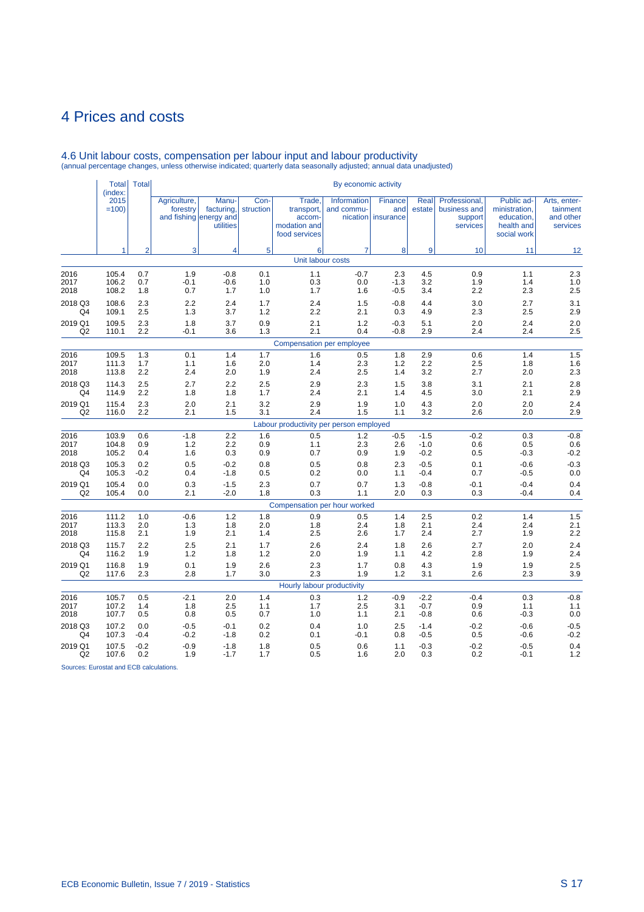|                      | <b>Total</b><br>(index: | <b>Total</b>      |                          |                                                            |                   |                                                                 | By economic activity      |                                      |                   |                                                      |                                                                        |                                                   |
|----------------------|-------------------------|-------------------|--------------------------|------------------------------------------------------------|-------------------|-----------------------------------------------------------------|---------------------------|--------------------------------------|-------------------|------------------------------------------------------|------------------------------------------------------------------------|---------------------------------------------------|
|                      | 2015<br>$=100$          |                   | Agriculture,<br>forestry | Manu-<br>facturing,<br>and fishing energy and<br>utilities | Con-<br>struction | Trade,<br>transport,<br>accom-<br>modation and<br>food services | Information<br>and commu- | Finance<br>and<br>nication insurance | Real<br>estate    | Professional,<br>business and<br>support<br>services | Public ad-<br>ministration,<br>education,<br>health and<br>social work | Arts, enter-<br>tainment<br>and other<br>services |
|                      | 1                       | $\overline{2}$    | $\overline{3}$           | $\overline{4}$                                             | 5                 | 6                                                               | $\overline{7}$            | 8                                    | 9                 | 10                                                   | 11                                                                     | 12                                                |
|                      |                         |                   |                          |                                                            |                   | Unit labour costs                                               |                           |                                      |                   |                                                      |                                                                        |                                                   |
| 2016                 | 105.4                   | 0.7               | 1.9                      | $-0.8$                                                     | 0.1               | 1.1                                                             | $-0.7$                    | 2.3                                  | 4.5               | 0.9                                                  | 1.1                                                                    | 2.3                                               |
| 2017                 | 106.2                   | 0.7               | $-0.1$                   | $-0.6$                                                     | 1.0               | 0.3                                                             | 0.0                       | $-1.3$                               | 3.2               | 1.9                                                  | 1.4                                                                    | 1.0                                               |
| 2018                 | 108.2                   | 1.8               | 0.7                      | 1.7                                                        | 1.0               | 1.7                                                             | 1.6                       | $-0.5$                               | 3.4               | 2.2                                                  | 2.3                                                                    | 2.5                                               |
| 2018 Q3              | 108.6                   | 2.3               | 2.2                      | 2.4                                                        | 1.7               | 2.4                                                             | 1.5                       | $-0.8$                               | 4.4               | 3.0                                                  | 2.7                                                                    | 3.1                                               |
| Q4                   | 109.1                   | 2.5               | 1.3                      | 3.7                                                        | 1.2               | 2.2                                                             | 2.1                       | 0.3                                  | 4.9               | 2.3                                                  | 2.5                                                                    | 2.9                                               |
| 2019 Q1              | 109.5                   | 2.3               | 1.8                      | 3.7                                                        | 0.9               | 2.1                                                             | $1.2$                     | $-0.3$                               | 5.1               | 2.0                                                  | 2.4                                                                    | 2.0                                               |
| Q <sub>2</sub>       | 110.1                   | 2.2               | $-0.1$                   | 3.6                                                        | 1.3               | 2.1                                                             | 0.4                       | $-0.8$                               | 2.9               | 2.4                                                  | 2.4                                                                    | 2.5                                               |
|                      |                         |                   |                          |                                                            |                   | Compensation per employee                                       |                           |                                      |                   |                                                      |                                                                        |                                                   |
| 2016                 | 109.5                   | 1.3               | 0.1                      | 1.4                                                        | 1.7               | 1.6                                                             | 0.5                       | 1.8                                  | 2.9               | 0.6                                                  | 1.4                                                                    | 1.5                                               |
| 2017                 | 111.3                   | 1.7               | 1.1                      | 1.6                                                        | 2.0               | 1.4                                                             | 2.3                       | 1.2                                  | 2.2               | 2.5                                                  | 1.8                                                                    | 1.6                                               |
| 2018                 | 113.8                   | 2.2               | 2.4                      | 2.0                                                        | 1.9               | 2.4                                                             | 2.5                       | 1.4                                  | 3.2               | 2.7                                                  | 2.0                                                                    | 2.3                                               |
| 2018 Q3              | 114.3                   | 2.5               | 2.7                      | 2.2                                                        | 2.5               | 2.9                                                             | 2.3                       | 1.5                                  | 3.8               | 3.1                                                  | 2.1                                                                    | 2.8                                               |
| Q4                   | 114.9                   | 2.2               | 1.8                      | 1.8                                                        | 1.7               | 2.4                                                             | 2.1                       | 1.4                                  | 4.5               | 3.0                                                  | 2.1                                                                    | 2.9                                               |
| 2019 Q1              | 115.4                   | 2.3               | 2.0                      | 2.1                                                        | 3.2               | 2.9                                                             | 1.9                       | 1.0                                  | 4.3               | 2.0                                                  | 2.0                                                                    | 2.4                                               |
| Q <sub>2</sub>       | 116.0                   | 2.2               | 2.1                      | 1.5                                                        | 3.1               | 2.4                                                             | 1.5                       | 1.1                                  | 3.2               | 2.6                                                  | 2.0                                                                    | 2.9                                               |
|                      |                         |                   |                          |                                                            |                   | Labour productivity per person employed                         |                           |                                      |                   |                                                      |                                                                        |                                                   |
| 2016                 | 103.9                   | 0.6               | $-1.8$                   | 2.2                                                        | 1.6               | 0.5                                                             | 1.2                       | $-0.5$                               | $-1.5$            | $-0.2$                                               | 0.3                                                                    | $-0.8$                                            |
| 2017                 | 104.8                   | 0.9               | 1.2                      | 2.2                                                        | 0.9               | 1.1                                                             | 2.3                       | 2.6                                  | $-1.0$            | 0.6                                                  | 0.5                                                                    | 0.6                                               |
| 2018                 | 105.2                   | 0.4               | 1.6                      | 0.3                                                        | 0.9               | 0.7                                                             | 0.9                       | 1.9                                  | $-0.2$            | 0.5                                                  | $-0.3$                                                                 | $-0.2$                                            |
| 2018 Q3              | 105.3                   | 0.2               | 0.5                      | $-0.2$                                                     | 0.8               | 0.5                                                             | 0.8                       | 2.3                                  | $-0.5$            | 0.1                                                  | $-0.6$                                                                 | $-0.3$                                            |
| Q4                   | 105.3                   | $-0.2$            | 0.4                      | $-1.8$                                                     | 0.5               | 0.2                                                             | 0.0                       | 1.1                                  | $-0.4$            | 0.7                                                  | $-0.5$                                                                 | 0.0                                               |
| 2019 Q1              | 105.4                   | 0.0               | 0.3                      | $-1.5$                                                     | 2.3               | 0.7                                                             | 0.7                       | 1.3                                  | $-0.8$            | $-0.1$                                               | $-0.4$                                                                 | 0.4                                               |
| Q2                   | 105.4                   | 0.0               | 2.1                      | $-2.0$                                                     | 1.8               | 0.3                                                             | 1.1                       | 2.0                                  | 0.3               | 0.3                                                  | $-0.4$                                                                 | 0.4                                               |
|                      |                         |                   |                          |                                                            |                   | Compensation per hour worked                                    |                           |                                      |                   |                                                      |                                                                        | 1.5                                               |
| 2016<br>2017<br>2018 | 111.2<br>113.3<br>115.8 | 1.0<br>2.0<br>2.1 | $-0.6$<br>1.3<br>1.9     | 1.2<br>1.8<br>2.1                                          | 1.8<br>2.0<br>1.4 | 0.9<br>1.8<br>2.5                                               | 0.5<br>2.4<br>2.6         | 1.4<br>1.8<br>1.7                    | 2.5<br>2.1<br>2.4 | 0.2<br>2.4<br>2.7                                    | 1.4<br>2.4<br>1.9                                                      | 2.1<br>2.2                                        |
| 2018 Q3              | 115.7                   | 2.2               | 2.5                      | 2.1                                                        | 1.7               | 2.6                                                             | 2.4                       | 1.8                                  | 2.6               | 2.7                                                  | 2.0                                                                    | 2.4                                               |
| Q4                   | 116.2                   | 1.9               | 1.2                      | 1.8                                                        | 1.2               | 2.0                                                             | 1.9                       | 1.1                                  | 4.2               | 2.8                                                  | 1.9                                                                    | 2.4                                               |
| 2019 Q1              | 116.8                   | 1.9               | 0.1                      | 1.9                                                        | 2.6               | 2.3                                                             | 1.7                       | 0.8                                  | 4.3               | 1.9                                                  | 1.9                                                                    | 2.5                                               |
| Q <sub>2</sub>       | 117.6                   | 2.3               | 2.8                      | 1.7                                                        | 3.0               | 2.3                                                             | 1.9                       | 1.2                                  | 3.1               | 2.6                                                  | 2.3                                                                    | 3.9                                               |
|                      |                         |                   |                          |                                                            |                   | Hourly labour productivity                                      |                           |                                      |                   |                                                      |                                                                        |                                                   |
| 2016                 | 105.7                   | 0.5               | $-2.1$                   | 2.0                                                        | 1.4               | 0.3                                                             | $1.2$                     | $-0.9$                               | $-2.2$            | $-0.4$                                               | 0.3                                                                    | $-0.8$                                            |
| 2017                 | 107.2                   | 1.4               | 1.8                      | 2.5                                                        | 1.1               | 1.7                                                             | 2.5                       | 3.1                                  | $-0.7$            | 0.9                                                  | 1.1                                                                    | 1.1                                               |
| 2018                 | 107.7                   | 0.5               | 0.8                      | 0.5                                                        | 0.7               | 1.0                                                             | 1.1                       | 2.1                                  | $-0.8$            | 0.6                                                  | $-0.3$                                                                 | 0.0                                               |
| 2018 Q3              | 107.2                   | 0.0               | $-0.5$                   | $-0.1$                                                     | 0.2               | 0.4                                                             | 1.0                       | 2.5                                  | $-1.4$            | $-0.2$                                               | $-0.6$                                                                 | $-0.5$                                            |
| Q4                   | 107.3                   | $-0.4$            | $-0.2$                   | $-1.8$                                                     | 0.2               | 0.1                                                             | $-0.1$                    | 0.8                                  | $-0.5$            | 0.5                                                  | $-0.6$                                                                 | $-0.2$                                            |
| 2019 Q1              | 107.5                   | $-0.2$            | $-0.9$                   | $-1.8$                                                     | 1.8               | 0.5                                                             | 0.6                       | 1.1                                  | $-0.3$            | $-0.2$                                               | $-0.5$                                                                 | 0.4                                               |
| Q <sub>2</sub>       | 107.6                   | 0.2               | 1.9                      | $-1.7$                                                     | 1.7               | 0.5                                                             | 1.6                       | 2.0                                  | 0.3               | 0.2                                                  | $-0.1$                                                                 | 1.2                                               |

4.6 Unit labour costs, compensation per labour input and labour productivity (annual percentage changes, unless otherwise indicated; quarterly data seasonally adjusted; annual data unadjusted)

Sources: Eurostat and ECB calculations.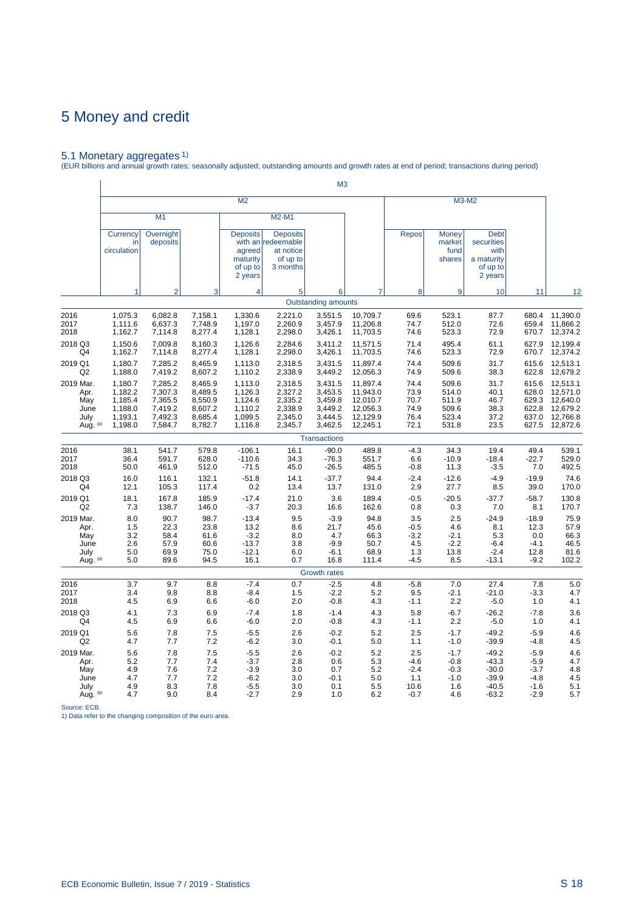5.1 Monetary aggregates 1) (EUR billions and annual growth rates; seasonally adjusted; outstanding amounts and growth rates at end of period; transactions during period)

|                                                      |                                                                |                                                                |                                                                |                                                                |                                                                            | M <sub>3</sub>                                                 |                                                                      |                                              |                                                    |                                                                        |                                           |                                                                            |
|------------------------------------------------------|----------------------------------------------------------------|----------------------------------------------------------------|----------------------------------------------------------------|----------------------------------------------------------------|----------------------------------------------------------------------------|----------------------------------------------------------------|----------------------------------------------------------------------|----------------------------------------------|----------------------------------------------------|------------------------------------------------------------------------|-------------------------------------------|----------------------------------------------------------------------------|
|                                                      |                                                                |                                                                |                                                                | M <sub>2</sub>                                                 |                                                                            |                                                                |                                                                      |                                              |                                                    | M3-M2                                                                  |                                           |                                                                            |
|                                                      |                                                                | M <sub>1</sub>                                                 |                                                                |                                                                | M2-M1                                                                      |                                                                |                                                                      |                                              |                                                    |                                                                        |                                           |                                                                            |
|                                                      | Currency<br>in<br>circulation                                  | Overnight<br>deposits                                          |                                                                | <b>Deposits</b><br>agreed<br>maturity<br>of up to<br>2 years   | <b>Deposits</b><br>with an redeemable<br>at notice<br>of up to<br>3 months |                                                                |                                                                      | <b>Repos</b>                                 | <b>Money</b><br>market<br>fund<br>shares           | <b>Debt</b><br>securities<br>with<br>a maturity<br>of up to<br>2 years |                                           |                                                                            |
|                                                      | 1                                                              | $\mathcal{P}$                                                  | 3                                                              | 4                                                              | 5                                                                          | 6                                                              | 7                                                                    | 8                                            | 9                                                  | 10                                                                     | 11                                        | 12                                                                         |
|                                                      |                                                                |                                                                |                                                                |                                                                |                                                                            | <b>Outstanding amounts</b>                                     |                                                                      |                                              |                                                    |                                                                        |                                           |                                                                            |
| 2016                                                 | 1,075.3                                                        | 6,082.8                                                        | 7,158.1                                                        | 1,330.6                                                        | 2,221.0                                                                    | 3,551.5                                                        | 10,709.7                                                             | 69.6                                         | 523.1                                              | 87.7                                                                   | 680.4                                     | 11,390.0                                                                   |
| 2017                                                 | 1,111.6                                                        | 6,637.3                                                        | 7,748.9                                                        | 1,197.0                                                        | 2,260.9                                                                    | 3,457.9                                                        | 11,206.8                                                             | 74.7                                         | 512.0                                              | 72.6                                                                   | 659.4                                     | 11,866.2                                                                   |
| 2018                                                 | 1,162.7                                                        | 7,114.8                                                        | 8,277.4                                                        | 1,128.1                                                        | 2,298.0                                                                    | 3,426.1                                                        | 11,703.5                                                             | 74.6                                         | 523.3                                              | 72.9                                                                   | 670.7                                     | 12,374.2                                                                   |
| 2018 Q3                                              | 1,150.6                                                        | 7,009.8                                                        | 8,160.3                                                        | 1,126.6                                                        | 2,284.6                                                                    | 3,411.2                                                        | 11,571.5                                                             | 71.4                                         | 495.4                                              | 61.1                                                                   | 627.9                                     | 12,199.4                                                                   |
| Q4                                                   | 1,162.7                                                        | 7,114.8                                                        | 8,277.4                                                        | 1,128.1                                                        | 2,298.0                                                                    | 3,426.1                                                        | 11,703.5                                                             | 74.6                                         | 523.3                                              | 72.9                                                                   | 670.7                                     | 12,374.2                                                                   |
| 2019 Q1                                              | 1,180.7                                                        | 7,285.2                                                        | 8,465.9                                                        | 1,113.0                                                        | 2,318.5                                                                    | 3,431.5                                                        | 11,897.4                                                             | 74.4                                         | 509.6                                              | 31.7                                                                   | 615.6                                     | 12,513.1                                                                   |
| Q2                                                   | 1,188.0                                                        | 7,419.2                                                        | 8,607.2                                                        | 1,110.2                                                        | 2,338.9                                                                    | 3,449.2                                                        | 12,056.3                                                             | 74.9                                         | 509.6                                              | 38.3                                                                   | 622.8                                     | 12,679.2                                                                   |
| 2019 Mar.<br>Apr.<br>May<br>June<br>July<br>Aug. (p) | 1,180.7<br>1,182.2<br>1,185.4<br>1,188.0<br>1,193.1<br>1,198.0 | 7,285.2<br>7,307.3<br>7,365.5<br>7,419.2<br>7,492.3<br>7,584.7 | 8,465.9<br>8,489.5<br>8,550.9<br>8,607.2<br>8,685.4<br>8,782.7 | 1,113.0<br>1,126.3<br>1,124.6<br>1,110.2<br>1,099.5<br>1,116.8 | 2,318.5<br>2,327.2<br>2,335.2<br>2,338.9<br>2,345.0<br>2,345.7             | 3,431.5<br>3,453.5<br>3,459.8<br>3,449.2<br>3,444.5<br>3,462.5 | 11,897.4<br>11,943.0<br>12,010.7<br>12,056.3<br>12,129.9<br>12,245.1 | 74.4<br>73.9<br>70.7<br>74.9<br>76.4<br>72.1 | 509.6<br>514.0<br>511.9<br>509.6<br>523.4<br>531.8 | 31.7<br>40.1<br>46.7<br>38.3<br>37.2<br>23.5                           | 615.6<br>629.3<br>622.8<br>637.0<br>627.5 | 12,513.1<br>628.0 12,571.0<br>12,640.0<br>12,679.2<br>12,766.8<br>12,872.6 |
|                                                      |                                                                |                                                                |                                                                |                                                                |                                                                            | <b>Transactions</b>                                            |                                                                      |                                              |                                                    |                                                                        |                                           |                                                                            |
| 2016                                                 | 38.1                                                           | 541.7                                                          | 579.8                                                          | $-106.1$                                                       | 16.1                                                                       | $-90.0$                                                        | 489.8                                                                | $-4.3$                                       | 34.3                                               | 19.4                                                                   | 49.4                                      | 539.1                                                                      |
| 2017                                                 | 36.4                                                           | 591.7                                                          | 628.0                                                          | $-110.6$                                                       | 34.3                                                                       | $-76.3$                                                        | 551.7                                                                | 6.6                                          | $-10.9$                                            | $-18.4$                                                                | $-22.7$                                   | 529.0                                                                      |
| 2018                                                 | 50.0                                                           | 461.9                                                          | 512.0                                                          | $-71.5$                                                        | 45.0                                                                       | $-26.5$                                                        | 485.5                                                                | $-0.8$                                       | 11.3                                               | $-3.5$                                                                 | 7.0                                       | 492.5                                                                      |
| 2018 Q3                                              | 16.0                                                           | 116.1                                                          | 132.1                                                          | $-51.8$                                                        | 14.1                                                                       | $-37.7$                                                        | 94.4                                                                 | $-2.4$                                       | $-12.6$                                            | $-4.9$                                                                 | $-19.9$                                   | 74.6                                                                       |
| Q4                                                   | 12.1                                                           | 105.3                                                          | 117.4                                                          | 0.2                                                            | 13.4                                                                       | 13.7                                                           | 131.0                                                                | 2.9                                          | 27.7                                               | 8.5                                                                    | 39.0                                      | 170.0                                                                      |
| 2019 Q1                                              | 18.1                                                           | 167.8                                                          | 185.9                                                          | $-17.4$                                                        | 21.0                                                                       | 3.6                                                            | 189.4                                                                | $-0.5$                                       | $-20.5$                                            | $-37.7$                                                                | $-58.7$                                   | 130.8                                                                      |
| Q <sub>2</sub>                                       | 7.3                                                            | 138.7                                                          | 146.0                                                          | $-3.7$                                                         | 20.3                                                                       | 16.6                                                           | 162.6                                                                | 0.8                                          | 0.3                                                | 7.0                                                                    | 8.1                                       | 170.7                                                                      |
| 2019 Mar.                                            | 8.0                                                            | 90.7                                                           | 98.7                                                           | $-13.4$                                                        | 9.5                                                                        | $-3.9$                                                         | 94.8                                                                 | 3.5                                          | 2.5                                                | $-24.9$                                                                | $-18.9$                                   | 75.9                                                                       |
| Apr.                                                 | 1.5                                                            | 22.3                                                           | 23.8                                                           | 13.2                                                           | 8.6                                                                        | 21.7                                                           | 45.6                                                                 | $-0.5$                                       | 4.6                                                | 8.1                                                                    | 12.3                                      | 57.9                                                                       |
| May                                                  | 3.2                                                            | 58.4                                                           | 61.6                                                           | $-3.2$                                                         | 8.0                                                                        | 4.7                                                            | 66.3                                                                 | $-3.2$                                       | $-2.1$                                             | 5.3                                                                    | 0.0                                       | 66.3                                                                       |
| June                                                 | 2.6                                                            | 57.9                                                           | 60.6                                                           | $-13.7$                                                        | 3.8                                                                        | $-9.9$                                                         | 50.7                                                                 | 4.5                                          | $-2.2$                                             | $-6.4$                                                                 | $-4.1$                                    | 46.5                                                                       |
| July                                                 | 5.0                                                            | 69.9                                                           | 75.0                                                           | $-12.1$                                                        | 6.0                                                                        | $-6.1$                                                         | 68.9                                                                 | 1.3                                          | 13.8                                               | $-2.4$                                                                 | 12.8                                      | 81.6                                                                       |
| Aug. (p)                                             | 5.0                                                            | 89.6                                                           | 94.5                                                           | 16.1                                                           | 0.7                                                                        | 16.8                                                           | 111.4                                                                | $-4.5$                                       | 8.5                                                | $-13.1$                                                                | $-9.2$                                    | 102.2                                                                      |
|                                                      |                                                                |                                                                |                                                                |                                                                |                                                                            | <b>Growth rates</b>                                            |                                                                      |                                              |                                                    |                                                                        |                                           |                                                                            |
| 2016                                                 | 3.7                                                            | 9.7                                                            | 8.8                                                            | $-7.4$                                                         | 0.7                                                                        | $-2.5$                                                         | 4.8                                                                  | $-5.8$                                       | 7.0                                                | 27.4                                                                   | 7.8                                       | 5.0                                                                        |
| 2017                                                 | 3.4                                                            | 9.8                                                            | 8.8                                                            | $-8.4$                                                         | 1.5                                                                        | $-2.2$                                                         | 5.2                                                                  | 9.5                                          | $-2.1$                                             | $-21.0$                                                                | $-3.3$                                    | 4.7                                                                        |
| 2018                                                 | 4.5                                                            | 6.9                                                            | 6.6                                                            | $-6.0$                                                         | 2.0                                                                        | $-0.8$                                                         | 4.3                                                                  | $-1.1$                                       | 2.2                                                | $-5.0$                                                                 | 1.0                                       | 4.1                                                                        |
| 2018 Q3                                              | 4.1                                                            | 7.3                                                            | 6.9                                                            | $-7.4$                                                         | 1.8                                                                        | $-1.4$                                                         | 4.3                                                                  | 5.8                                          | $-6.7$                                             | $-26.2$                                                                | $-7.8$                                    | 3.6                                                                        |
| Q4                                                   | 4.5                                                            | 6.9                                                            | 6.6                                                            | $-6.0$                                                         | 2.0                                                                        | $-0.8$                                                         | 4.3                                                                  | -1.1                                         | 2.2                                                | -5.0                                                                   | 1.0                                       | 4.1                                                                        |
| 2019 Q1                                              | 5.6                                                            | 7.8                                                            | 7.5                                                            | $-5.5$                                                         | 2.6                                                                        | $-0.2$                                                         | 5.2                                                                  | 2.5                                          | $-1.7$                                             | $-49.2$                                                                | $-5.9$                                    | 4.6                                                                        |
| Q <sub>2</sub>                                       | 4.7                                                            | 7.7                                                            | 7.2                                                            | $-6.2$                                                         | 3.0                                                                        | $-0.1$                                                         | 5.0                                                                  | 1.1                                          | $-1.0$                                             | $-39.9$                                                                | $-4.8$                                    | 4.5                                                                        |
| 2019 Mar.                                            | 5.6                                                            | 7.8                                                            | 7.5                                                            | $-5.5$                                                         | 2.6                                                                        | $-0.2$                                                         | 5.2                                                                  | 2.5                                          | $-1.7$                                             | $-49.2$                                                                | $-5.9$                                    | 4.6                                                                        |
| Apr.                                                 | 5.2                                                            | 7.7                                                            | 7.4                                                            | $-3.7$                                                         | 2.8                                                                        | 0.6                                                            | 5.3                                                                  | $-4.6$                                       | $-0.8$                                             | $-43.3$                                                                | $-5.9$                                    | 4.7                                                                        |
| May                                                  | 4.9                                                            | 7.6                                                            | 7.2                                                            | $-3.9$                                                         | 3.0                                                                        | 0.7                                                            | 5.2                                                                  | $-2.4$                                       | $-0.3$                                             | $-30.0$                                                                | $-3.7$                                    | 4.8                                                                        |
| June                                                 | 4.7                                                            | 7.7                                                            | 7.2                                                            | $-6.2$                                                         | 3.0                                                                        | $-0.1$                                                         | 5.0                                                                  | 1.1                                          | $-1.0$                                             | $-39.9$                                                                | $-4.8$                                    | 4.5                                                                        |
| July                                                 | 4.9                                                            | 8.3                                                            | 7.8                                                            | $-5.5$                                                         | 3.0                                                                        | 0.1                                                            | 5.5                                                                  | 10.6                                         | 1.6                                                | $-40.5$                                                                | $-1.6$                                    | 5.1                                                                        |
| Aug. (p)                                             | 4.7                                                            | 9.0                                                            | 8.4                                                            | $-2.7$                                                         | 2.9                                                                        | 1.0                                                            | 6.2                                                                  | $-0.7$                                       | 4.6                                                | $-63.2$                                                                | $-2.9$                                    | 5.7                                                                        |

Source: ECB. 1) Data refer to the changing composition of the euro area.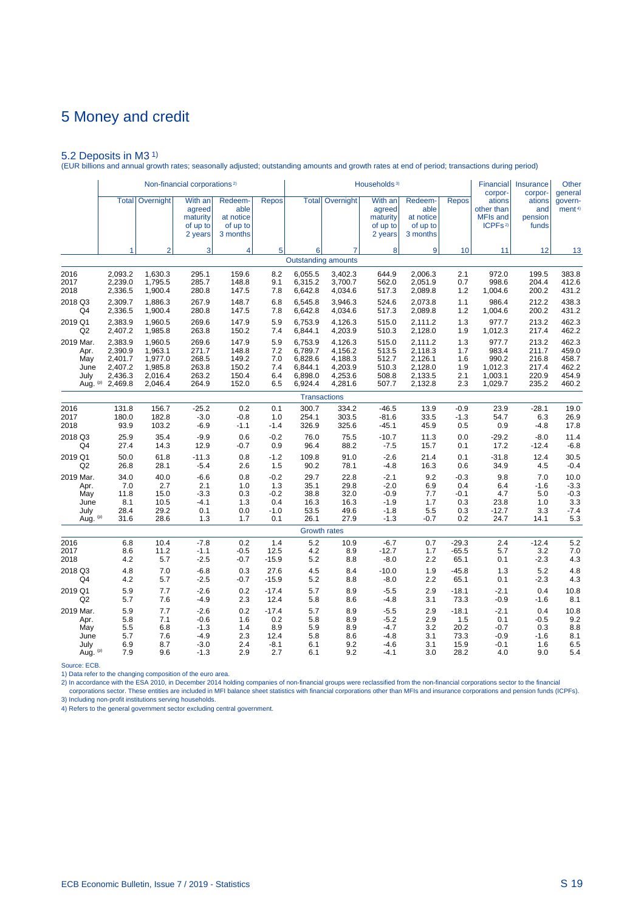5.2 Deposits in M3 1) (EUR billions and annual growth rates; seasonally adjusted; outstanding amounts and growth rates at end of period; transactions during period)

|                  |                    |                    | Non-financial corporations <sup>2)</sup>             |                                                      |                 |                    |                            | Households <sup>3)</sup>                             |                                                      |                 | Financial<br>corpor-                                           | Insurance<br>corpor-              | Other<br>general              |
|------------------|--------------------|--------------------|------------------------------------------------------|------------------------------------------------------|-----------------|--------------------|----------------------------|------------------------------------------------------|------------------------------------------------------|-----------------|----------------------------------------------------------------|-----------------------------------|-------------------------------|
|                  | <b>Total</b>       | Overnight          | With an<br>agreed<br>maturity<br>of up to<br>2 years | Redeem-<br>able<br>at notice<br>of up to<br>3 months | <b>Repos</b>    |                    | <b>Total Overnight</b>     | With an<br>agreed<br>maturity<br>of up to<br>2 years | Redeem-<br>able<br>at notice<br>of up to<br>3 months | <b>Repos</b>    | ations<br>other than<br><b>MFIs and</b><br>ICPFs <sup>2)</sup> | ations<br>and<br>pension<br>funds | govern-<br>ment <sup>4)</sup> |
|                  | 1                  | $\overline{2}$     | 3                                                    | 4                                                    | 5               | 6                  | 7                          | 8                                                    | 9                                                    | 10              | 11                                                             | 12                                | 13                            |
|                  |                    |                    |                                                      |                                                      |                 |                    | <b>Outstanding amounts</b> |                                                      |                                                      |                 |                                                                |                                   |                               |
| 2016             | 2,093.2            | 1,630.3            | 295.1                                                | 159.6                                                | 8.2             | 6,055.5            | 3,402.3                    | 644.9                                                | 2,006.3                                              | 2.1             | 972.0                                                          | 199.5                             | 383.8                         |
| 2017<br>2018     | 2,239.0<br>2,336.5 | 1,795.5<br>1,900.4 | 285.7<br>280.8                                       | 148.8<br>147.5                                       | 9.1<br>7.8      | 6,315.2<br>6,642.8 | 3,700.7<br>4,034.6         | 562.0<br>517.3                                       | 2,051.9<br>2,089.8                                   | 0.7<br>1.2      | 998.6<br>1,004.6                                               | 204.4<br>200.2                    | 412.6<br>431.2                |
| 2018 Q3          | 2,309.7            | 1,886.3            | 267.9                                                | 148.7                                                | 6.8             | 6,545.8            | 3,946.3                    | 524.6                                                | 2,073.8                                              | 1.1             | 986.4                                                          | 212.2                             | 438.3                         |
| Q4               | 2,336.5            | 1,900.4            | 280.8                                                | 147.5                                                | 7.8             | 6,642.8            | 4,034.6                    | 517.3                                                | 2,089.8                                              | 1.2             | 1,004.6                                                        | 200.2                             | 431.2                         |
| 2019 Q1<br>Q2    | 2.383.9<br>2,407.2 | 1.960.5<br>1,985.8 | 269.6<br>263.8                                       | 147.9<br>150.2                                       | 5.9<br>7.4      | 6.753.9<br>6,844.1 | 4.126.3<br>4,203.9         | 515.0<br>510.3                                       | 2.111.2<br>2,128.0                                   | 1.3<br>1.9      | 977.7<br>1,012.3                                               | 213.2<br>217.4                    | 462.3<br>462.2                |
| 2019 Mar.        | 2,383.9            | 1,960.5            | 269.6                                                | 147.9                                                | 5.9             | 6,753.9            | 4,126.3                    | 515.0                                                | 2,111.2                                              | 1.3             | 977.7                                                          | 213.2                             | 462.3                         |
| Apr.             | 2,390.9            | 1,963.1            | 271.7                                                | 148.8                                                | 7.2             | 6,789.7            | 4,156.2                    | 513.5                                                | 2,118.3                                              | 1.7             | 983.4                                                          | 211.7                             | 459.0                         |
| May<br>June      | 2.401.7<br>2,407.2 | 1,977.0<br>1,985.8 | 268.5<br>263.8                                       | 149.2<br>150.2                                       | 7.0<br>7.4      | 6,828.6<br>6,844.1 | 4,188.3<br>4,203.9         | 512.7<br>510.3                                       | 2.126.1<br>2,128.0                                   | 1.6<br>1.9      | 990.2<br>1,012.3                                               | 216.8<br>217.4                    | 458.7<br>462.2                |
| July             | 2,436.3            | 2,016.4            | 263.2                                                | 150.4                                                | 6.4             | 6,898.0            | 4,253.6                    | 508.8                                                | 2,133.5                                              | 2.1             | 1,003.1                                                        | 220.9                             | 454.9                         |
| Aug. (p)         | 2,469.8            | 2,046.4            | 264.9                                                | 152.0                                                | 6.5             | 6,924.4            | 4,281.6                    | 507.7                                                | 2,132.8                                              | 2.3             | 1,029.7                                                        | 235.2                             | 460.2                         |
|                  |                    |                    |                                                      |                                                      |                 |                    | <b>Transactions</b>        |                                                      |                                                      |                 |                                                                |                                   |                               |
| 2016             | 131.8              | 156.7              | $-25.2$                                              | 0.2                                                  | 0.1             | 300.7              | 334.2                      | $-46.5$                                              | 13.9                                                 | $-0.9$          | 23.9                                                           | $-28.1$                           | 19.0                          |
| 2017             | 180.0              | 182.8              | $-3.0$                                               | $-0.8$                                               | 1.0             | 254.1              | 303.5                      | $-81.6$                                              | 33.5                                                 | $-1.3$          | 54.7                                                           | 6.3                               | 26.9                          |
| 2018             | 93.9               | 103.2              | $-6.9$                                               | $-1.1$                                               | $-1.4$          | 326.9              | 325.6                      | $-45.1$                                              | 45.9                                                 | 0.5             | 0.9                                                            | $-4.8$                            | 17.8                          |
| 2018 Q3<br>Q4    | 25.9<br>27.4       | 35.4<br>14.3       | $-9.9$<br>12.9                                       | 0.6<br>$-0.7$                                        | $-0.2$<br>0.9   | 76.0<br>96.4       | 75.5<br>88.2               | $-10.7$<br>$-7.5$                                    | 11.3<br>15.7                                         | 0.0<br>0.1      | $-29.2$<br>17.2                                                | $-8.0$<br>$-12.4$                 | 11.4<br>$-6.8$                |
| 2019 Q1          | 50.0               | 61.8               | $-11.3$                                              | 0.8                                                  | $-1.2$          | 109.8              | 91.0                       | $-2.6$                                               | 21.4                                                 | 0.1             | $-31.8$                                                        | 12.4                              | 30.5                          |
| Q2               | 26.8               | 28.1               | $-5.4$                                               | 2.6                                                  | 1.5             | 90.2               | 78.1                       | $-4.8$                                               | 16.3                                                 | 0.6             | 34.9                                                           | 4.5                               | $-0.4$                        |
| 2019 Mar.        | 34.0               | 40.0               | $-6.6$                                               | 0.8                                                  | $-0.2$          | 29.7               | 22.8                       | $-2.1$                                               | 9.2                                                  | $-0.3$          | 9.8                                                            | 7.0                               | 10.0                          |
| Apr.             | 7.0                | 2.7                | 2.1                                                  | 1.0                                                  | 1.3             | 35.1               | 29.8                       | $-2.0$                                               | 6.9                                                  | 0.4             | 6.4                                                            | $-1.6$                            | $-3.3$                        |
| May<br>June      | 11.8<br>8.1        | 15.0<br>10.5       | $-3.3$<br>$-4.1$                                     | 0.3<br>1.3                                           | $-0.2$<br>0.4   | 38.8<br>16.3       | 32.0<br>16.3               | $-0.9$<br>$-1.9$                                     | 7.7<br>1.7                                           | $-0.1$<br>0.3   | 4.7<br>23.8                                                    | 5.0<br>1.0                        | $-0.3$<br>3.3                 |
| July             | 28.4               | 29.2               | 0.1                                                  | 0.0                                                  | $-1.0$          | 53.5               | 49.6                       | $-1.8$                                               | 5.5                                                  | 0.3             | $-12.7$                                                        | 3.3                               | $-7.4$                        |
| Aug. (p)         | 31.6               | 28.6               | 1.3                                                  | 1.7                                                  | 0.1             | 26.1               | 27.9                       | $-1.3$                                               | $-0.7$                                               | 0.2             | 24.7                                                           | 14.1                              | 5.3                           |
|                  |                    |                    |                                                      |                                                      |                 |                    | <b>Growth rates</b>        |                                                      |                                                      |                 |                                                                |                                   |                               |
| 2016             | 6.8                | 10.4               | $-7.8$                                               | 0.2                                                  | 1.4             | 5.2                | 10.9                       | $-6.7$                                               | 0.7                                                  | $-29.3$         | 2.4                                                            | $-12.4$                           | 5.2                           |
| 2017<br>2018     | 8.6<br>4.2         | 11.2<br>5.7        | $-1.1$<br>$-2.5$                                     | $-0.5$<br>$-0.7$                                     | 12.5<br>$-15.9$ | 4.2<br>5.2         | 8.9<br>8.8                 | $-12.7$<br>$-8.0$                                    | 1.7<br>2.2                                           | $-65.5$<br>65.1 | 5.7<br>0.1                                                     | 3.2<br>$-2.3$                     | $7.0$<br>4.3                  |
| 2018 Q3          | 4.8                | 7.0                | $-6.8$                                               | 0.3                                                  | 27.6            | 4.5                | 8.4                        | $-10.0$                                              | 1.9                                                  | $-45.8$         | 1.3                                                            | 5.2                               | 4.8                           |
| Q4               | 4.2                | 5.7                | $-2.5$                                               | $-0.7$                                               | $-15.9$         | 5.2                | 8.8                        | $-8.0$                                               | 2.2                                                  | 65.1            | 0.1                                                            | $-2.3$                            | 4.3                           |
| 2019 Q1<br>Q2    | 5.9<br>5.7         | 7.7<br>7.6         | $-2.6$<br>$-4.9$                                     | 0.2<br>2.3                                           | $-17.4$<br>12.4 | 5.7<br>5.8         | 8.9<br>8.6                 | $-5.5$<br>$-4.8$                                     | 2.9<br>3.1                                           | $-18.1$<br>73.3 | $-2.1$<br>$-0.9$                                               | 0.4<br>$-1.6$                     | 10.8<br>8.1                   |
| 2019 Mar.        | 5.9                | 7.7                | $-2.6$                                               | 0.2                                                  | $-17.4$         | 5.7                | 8.9                        | $-5.5$                                               | 2.9                                                  | $-18.1$         | $-2.1$                                                         | 0.4                               | 10.8                          |
| Apr.             | 5.8                | 7.1                | $-0.6$                                               | 1.6                                                  | 0.2             | 5.8                | 8.9                        | $-5.2$                                               | 2.9                                                  | 1.5             | 0.1                                                            | $-0.5$                            | 9.2                           |
| May              | 5.5                | 6.8                | $-1.3$                                               | 1.4                                                  | 8.9             | 5.9                | 8.9                        | $-4.7$                                               | 3.2                                                  | 20.2            | $-0.7$                                                         | 0.3                               | 8.8                           |
| June             | 5.7                | 7.6                | $-4.9$                                               | 2.3                                                  | 12.4            | 5.8                | 8.6                        | $-4.8$                                               | 3.1                                                  | 73.3            | $-0.9$                                                         | $-1.6$                            | 8.1                           |
| July<br>Aug. (p) | 6.9<br>7.9         | 8.7<br>9.6         | $-3.0$<br>$-1.3$                                     | 2.4<br>2.9                                           | $-8.1$<br>2.7   | 6.1<br>6.1         | 9.2<br>9.2                 | $-4.6$<br>$-4.1$                                     | 3.1<br>3.0                                           | 15.9<br>28.2    | $-0.1$<br>4.0                                                  | 1.6<br>9.0                        | 6.5<br>5.4                    |

Source: ECB.

1) Data refer to the changing composition of the euro area.

2) In accordance with the ESA 2010, in December 2014 holding companies of non-financial groups were reclassified from the non-financial corporations sector to the financial<br>- corporations sector. These entities are include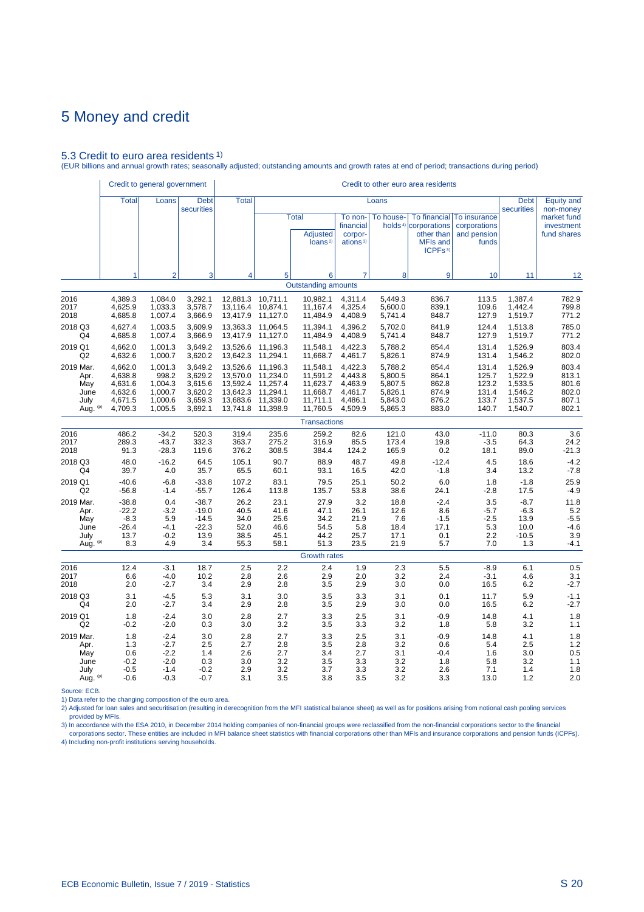### 5.3 Credit to euro area residents 1)

(EUR billions and annual growth rates; seasonally adjusted; outstanding amounts and growth rates at end of period; transactions during period)

|                                                      | Credit to general government                                   |                                                              |                                                                |                                                                               |                                                          |                                                                      |                                                                |                                                                | Credit to other euro area residents                                                                             |                                                      |                                                                |                                                    |
|------------------------------------------------------|----------------------------------------------------------------|--------------------------------------------------------------|----------------------------------------------------------------|-------------------------------------------------------------------------------|----------------------------------------------------------|----------------------------------------------------------------------|----------------------------------------------------------------|----------------------------------------------------------------|-----------------------------------------------------------------------------------------------------------------|------------------------------------------------------|----------------------------------------------------------------|----------------------------------------------------|
|                                                      | <b>Total</b>                                                   | Loans                                                        | <b>Debt</b><br>securities                                      | <b>Total</b>                                                                  |                                                          |                                                                      |                                                                | Loans                                                          |                                                                                                                 |                                                      | <b>Debt</b><br>securities                                      | <b>Equity and</b><br>non-money                     |
|                                                      |                                                                |                                                              |                                                                |                                                                               |                                                          | <b>Total</b><br><b>Adjusted</b><br>loans <sup>2)</sup>               | To non-<br>financial<br>corpor-<br>ations <sup>3)</sup>        | To house-                                                      | <b>To financial</b><br>holds <sup>4)</sup> corporations<br>other than<br><b>MFIs and</b><br>ICPFs <sup>3)</sup> | To insurance<br>corporations<br>and pension<br>funds |                                                                | market fund<br>investment<br>fund shares           |
|                                                      | 1                                                              | $\overline{2}$                                               | 3                                                              | 4                                                                             | 5                                                        | 6                                                                    | 7                                                              | 8                                                              | 9                                                                                                               | 10                                                   | 11                                                             | 12                                                 |
|                                                      |                                                                |                                                              |                                                                |                                                                               |                                                          | <b>Outstanding amounts</b>                                           |                                                                |                                                                |                                                                                                                 |                                                      |                                                                |                                                    |
| 2016<br>2017<br>2018                                 | 4,389.3<br>4,625.9<br>4,685.8                                  | 1,084.0<br>1,033.3<br>1,007.4                                | 3,292.1<br>3,578.7<br>3,666.9                                  | 12,881.3 10,711.1<br>13,116.4<br>13,417.9                                     | 10,874.1<br>11,127.0                                     | 10,982.1<br>11,167.4<br>11,484.9                                     | 4,311.4<br>4,325.4<br>4,408.9                                  | 5,449.3<br>5,600.0<br>5,741.4                                  | 836.7<br>839.1<br>848.7                                                                                         | 113.5<br>109.6<br>127.9                              | 1,387.4<br>1,442.4<br>1,519.7                                  | 782.9<br>799.8<br>771.2                            |
| 2018 Q3                                              | 4,627.4                                                        | 1,003.5                                                      | 3,609.9                                                        | 13,363.3                                                                      | 11,064.5                                                 | 11,394.1                                                             | 4,396.2                                                        | 5,702.0                                                        | 841.9                                                                                                           | 124.4                                                | 1,513.8                                                        | 785.0                                              |
| Q4                                                   | 4,685.8                                                        | 1,007.4                                                      | 3,666.9                                                        | 13,417.9                                                                      | 11,127.0                                                 | 11,484.9                                                             | 4,408.9                                                        | 5,741.4                                                        | 848.7                                                                                                           | 127.9                                                | 1,519.7                                                        | 771.2                                              |
| 2019 Q1                                              | 4,662.0                                                        | 1.001.3                                                      | 3,649.2                                                        | 13,526.6                                                                      | 11,196.3                                                 | 11,548.1                                                             | 4.422.3                                                        | 5,788.2                                                        | 854.4                                                                                                           | 131.4                                                | 1,526.9                                                        | 803.4                                              |
| Q2                                                   | 4,632.6                                                        | 1,000.7                                                      | 3,620.2                                                        | 13,642.3                                                                      | 11,294.1                                                 | 11,668.7                                                             | 4,461.7                                                        | 5,826.1                                                        | 874.9                                                                                                           | 131.4                                                | 1,546.2                                                        | 802.0                                              |
| 2019 Mar.<br>Apr.<br>May<br>June<br>July<br>Aug. (p) | 4,662.0<br>4,638.8<br>4,631.6<br>4,632.6<br>4,671.5<br>4,709.3 | 1,001.3<br>998.2<br>1,004.3<br>1,000.7<br>1,000.6<br>1,005.5 | 3,649.2<br>3,629.2<br>3,615.6<br>3,620.2<br>3,659.3<br>3,692.1 | 13,526.6<br>13,570.0<br>13,592.4 11,257.4<br>13,642.3<br>13,683.6<br>13,741.8 | 11,196.3<br>11,234.0<br>11,294.1<br>11,339.0<br>11,398.9 | 11,548.1<br>11,591.2<br>11,623.7<br>11,668.7<br>11,711.1<br>11,760.5 | 4,422.3<br>4,443.8<br>4,463.9<br>4,461.7<br>4,486.1<br>4,509.9 | 5,788.2<br>5,800.5<br>5,807.5<br>5,826.1<br>5,843.0<br>5,865.3 | 854.4<br>864.1<br>862.8<br>874.9<br>876.2<br>883.0                                                              | 131.4<br>125.7<br>123.2<br>131.4<br>133.7<br>140.7   | 1,526.9<br>1,522.9<br>1,533.5<br>1,546.2<br>1,537.5<br>1,540.7 | 803.4<br>813.1<br>801.6<br>802.0<br>807.1<br>802.1 |
|                                                      |                                                                |                                                              |                                                                |                                                                               |                                                          | <b>Transactions</b>                                                  |                                                                |                                                                |                                                                                                                 |                                                      |                                                                |                                                    |
| 2016                                                 | 486.2                                                          | $-34.2$                                                      | 520.3                                                          | 319.4                                                                         | 235.6                                                    | 259.2                                                                | 82.6                                                           | 121.0                                                          | 43.0                                                                                                            | $-11.0$                                              | 80.3                                                           | 3.6                                                |
| 2017                                                 | 289.3                                                          | $-43.7$                                                      | 332.3                                                          | 363.7                                                                         | 275.2                                                    | 316.9                                                                | 85.5                                                           | 173.4                                                          | 19.8                                                                                                            | $-3.5$                                               | 64.3                                                           | 24.2                                               |
| 2018                                                 | 91.3                                                           | $-28.3$                                                      | 119.6                                                          | 376.2                                                                         | 308.5                                                    | 384.4                                                                | 124.2                                                          | 165.9                                                          | 0.2                                                                                                             | 18.1                                                 | 89.0                                                           | $-21.3$                                            |
| 2018 Q3                                              | 48.0                                                           | $-16.2$                                                      | 64.5                                                           | 105.1                                                                         | 90.7                                                     | 88.9                                                                 | 48.7                                                           | 49.8                                                           | $-12.4$                                                                                                         | 4.5                                                  | 18.6                                                           | $-4.2$                                             |
| Q4                                                   | 39.7                                                           | 4.0                                                          | 35.7                                                           | 65.5                                                                          | 60.1                                                     | 93.1                                                                 | 16.5                                                           | 42.0                                                           | $-1.8$                                                                                                          | 3.4                                                  | 13.2                                                           | $-7.8$                                             |
| 2019 Q1                                              | $-40.6$                                                        | $-6.8$                                                       | $-33.8$                                                        | 107.2                                                                         | 83.1                                                     | 79.5                                                                 | 25.1                                                           | 50.2                                                           | 6.0                                                                                                             | 1.8                                                  | $-1.8$                                                         | 25.9                                               |
| Q <sub>2</sub>                                       | $-56.8$                                                        | $-1.4$                                                       | $-55.7$                                                        | 126.4                                                                         | 113.8                                                    | 135.7                                                                | 53.8                                                           | 38.6                                                           | 24.1                                                                                                            | $-2.8$                                               | 17.5                                                           | $-4.9$                                             |
| 2019 Mar.                                            | $-38.8$                                                        | 0.4                                                          | $-38.7$                                                        | 26.2                                                                          | 23.1                                                     | 27.9                                                                 | 3.2                                                            | 18.8                                                           | $-2.4$                                                                                                          | 3.5                                                  | $-8.7$                                                         | 11.8                                               |
| Apr.                                                 | $-22.2$                                                        | $-3.2$                                                       | $-19.0$                                                        | 40.5                                                                          | 41.6                                                     | 47.1                                                                 | 26.1                                                           | 12.6                                                           | 8.6                                                                                                             | $-5.7$                                               | $-6.3$                                                         | 5.2                                                |
| May                                                  | $-8.3$                                                         | 5.9                                                          | $-14.5$                                                        | 34.0                                                                          | 25.6                                                     | 34.2                                                                 | 21.9                                                           | 7.6                                                            | $-1.5$                                                                                                          | $-2.5$                                               | 13.9                                                           | $-5.5$                                             |
| June                                                 | $-26.4$                                                        | $-4.1$                                                       | $-22.3$                                                        | 52.0                                                                          | 46.6                                                     | 54.5                                                                 | 5.8                                                            | 18.4                                                           | 17.1                                                                                                            | 5.3                                                  | 10.0                                                           | $-4.6$                                             |
| July                                                 | 13.7                                                           | $-0.2$                                                       | 13.9                                                           | 38.5                                                                          | 45.1                                                     | 44.2                                                                 | 25.7                                                           | 17.1                                                           | 0.1                                                                                                             | 2.2                                                  | $-10.5$                                                        | 3.9                                                |
| Aug. (p)                                             | 8.3                                                            | 4.9                                                          | 3.4                                                            | 55.3                                                                          | 58.1                                                     | 51.3                                                                 | 23.5                                                           | 21.9                                                           | 5.7                                                                                                             | 7.0                                                  | 1.3                                                            | $-4.1$                                             |
|                                                      |                                                                |                                                              |                                                                |                                                                               |                                                          | <b>Growth rates</b>                                                  |                                                                |                                                                |                                                                                                                 |                                                      |                                                                |                                                    |
| 2016                                                 | 12.4                                                           | $-3.1$                                                       | 18.7                                                           | 2.5                                                                           | 2.2                                                      | 2.4                                                                  | 1.9                                                            | 2.3                                                            | 5.5                                                                                                             | $-8.9$                                               | 6.1                                                            | 0.5                                                |
| 2017                                                 | 6.6                                                            | $-4.0$                                                       | 10.2                                                           | 2.8                                                                           | 2.6                                                      | 2.9                                                                  | 2.0                                                            | 3.2                                                            | 2.4                                                                                                             | $-3.1$                                               | 4.6                                                            | 3.1                                                |
| 2018                                                 | 2.0                                                            | $-2.7$                                                       | 3.4                                                            | 2.9                                                                           | 2.8                                                      | 3.5                                                                  | 2.9                                                            | 3.0                                                            | 0.0                                                                                                             | 16.5                                                 | 6.2                                                            | $-2.7$                                             |
| 2018 Q3                                              | 3.1                                                            | $-4.5$                                                       | 5.3                                                            | 3.1                                                                           | 3.0                                                      | 3.5                                                                  | 3.3                                                            | 3.1                                                            | 0.1                                                                                                             | 11.7                                                 | 5.9                                                            | $-1.1$                                             |
| Q4                                                   | 2.0                                                            | $-2.7$                                                       | 3.4                                                            | 2.9                                                                           | 2.8                                                      | 3.5                                                                  | 2.9                                                            | 3.0                                                            | 0.0                                                                                                             | 16.5                                                 | 6.2                                                            | $-2.7$                                             |
| 2019 Q1                                              | 1.8                                                            | $-2.4$                                                       | 3.0                                                            | 2.8                                                                           | 2.7                                                      | 3.3                                                                  | 2.5                                                            | 3.1                                                            | $-0.9$                                                                                                          | 14.8                                                 | 4.1                                                            | 1.8                                                |
| Q <sub>2</sub>                                       | $-0.2$                                                         | $-2.0$                                                       | 0.3                                                            | 3.0                                                                           | 3.2                                                      | 3.5                                                                  | 3.3                                                            | 3.2                                                            | 1.8                                                                                                             | 5.8                                                  | 3.2                                                            | 1.1                                                |
| 2019 Mar.                                            | 1.8                                                            | $-2.4$                                                       | 3.0                                                            | 2.8                                                                           | 2.7                                                      | 3.3                                                                  | 2.5                                                            | 3.1                                                            | $-0.9$                                                                                                          | 14.8                                                 | 4.1                                                            | 1.8                                                |
| Apr.                                                 | 1.3                                                            | $-2.7$                                                       | 2.5                                                            | 2.7                                                                           | 2.8                                                      | 3.5                                                                  | 2.8                                                            | 3.2                                                            | 0.6                                                                                                             | 5.4                                                  | 2.5                                                            | 1.2                                                |
| May                                                  | 0.6                                                            | $-2.2$                                                       | 1.4                                                            | 2.6                                                                           | 2.7                                                      | 3.4                                                                  | 2.7                                                            | 3.1                                                            | $-0.4$                                                                                                          | 1.6                                                  | 3.0                                                            | 0.5                                                |
| June                                                 | $-0.2$                                                         | $-2.0$                                                       | 0.3                                                            | 3.0                                                                           | 3.2                                                      | 3.5                                                                  | 3.3                                                            | 3.2                                                            | 1.8                                                                                                             | 5.8                                                  | 3.2                                                            | 1.1                                                |
| July                                                 | $-0.5$                                                         | $-1.4$                                                       | $-0.2$                                                         | 2.9                                                                           | 3.2                                                      | 3.7                                                                  | 3.3                                                            | 3.2                                                            | 2.6                                                                                                             | 7.1                                                  | 1.4                                                            | 1.8                                                |
| Aug. (p)                                             | $-0.6$                                                         | $-0.3$                                                       | $-0.7$                                                         | 3.1                                                                           | 3.5                                                      | 3.8                                                                  | 3.5                                                            | 3.2                                                            | 3.3                                                                                                             | 13.0                                                 | 1.2                                                            | 2.0                                                |

Source: ECB.

1) Data refer to the changing composition of the euro area.

2) Adjusted for loan sales and securitisation (resulting in derecognition from the MFI statistical balance sheet) as well as for positions arising from notional cash pooling services provided by MFIs.

3) In accordance with the ESA 2010, in December 2014 holding companies of non-financial groups were reclassified from the non-financial corporations sector to the financial<br>Corporations sector. These entities are included 4) Including non-profit institutions serving households.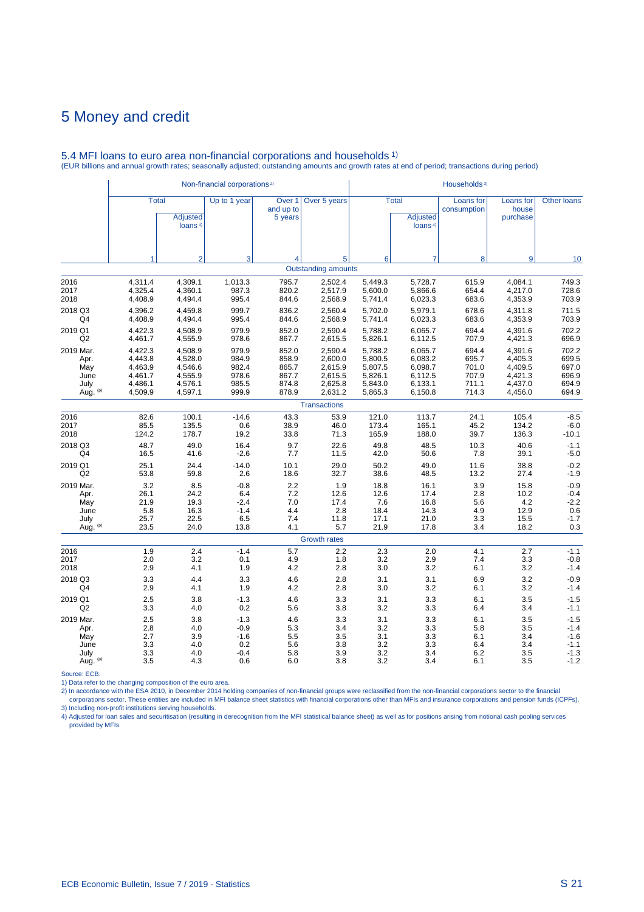|                |              |                                 | Non-financial corporations <sup>2)</sup> |                                           |                            | Households <sup>3)</sup> |                                                        |                          |                                |                    |  |
|----------------|--------------|---------------------------------|------------------------------------------|-------------------------------------------|----------------------------|--------------------------|--------------------------------------------------------|--------------------------|--------------------------------|--------------------|--|
|                | <b>Total</b> | Adjusted<br>loans <sup>4)</sup> | Up to 1 year                             | Over <sub>1</sub><br>and up to<br>5 years | Over 5 years               |                          | <b>Total</b><br><b>Adjusted</b><br>loans <sup>4)</sup> | Loans for<br>consumption | Loans for<br>house<br>purchase | <b>Other loans</b> |  |
|                | 1            | $\overline{2}$                  | 3                                        | 4                                         | 5                          | 6                        | 7                                                      | 8                        | 9                              | 10                 |  |
|                |              |                                 |                                          |                                           | <b>Outstanding amounts</b> |                          |                                                        |                          |                                |                    |  |
| 2016           | 4,311.4      | 4.309.1                         | 1,013.3                                  | 795.7                                     | 2,502.4                    | 5,449.3                  | 5,728.7                                                | 615.9                    | 4,084.1                        | 749.3              |  |
| 2017           | 4,325.4      | 4,360.1                         | 987.3                                    | 820.2                                     | 2,517.9                    | 5,600.0                  | 5,866.6                                                | 654.4                    | 4,217.0                        | 728.6              |  |
| 2018           | 4,408.9      | 4,494.4                         | 995.4                                    | 844.6                                     | 2,568.9                    | 5,741.4                  | 6,023.3                                                | 683.6                    | 4,353.9                        | 703.9              |  |
| 2018 Q3        | 4,396.2      | 4,459.8                         | 999.7                                    | 836.2                                     | 2,560.4                    | 5,702.0                  | 5,979.1                                                | 678.6                    | 4,311.8                        | 711.5              |  |
| Q4             | 4,408.9      | 4,494.4                         | 995.4                                    | 844.6                                     | 2,568.9                    | 5,741.4                  | 6,023.3                                                | 683.6                    | 4,353.9                        | 703.9              |  |
| 2019 Q1        | 4,422.3      | 4,508.9                         | 979.9                                    | 852.0                                     | 2,590.4                    | 5,788.2                  | 6,065.7                                                | 694.4                    | 4,391.6                        | 702.2              |  |
| Q2             | 4,461.7      | 4,555.9                         | 978.6                                    | 867.7                                     | 2,615.5                    | 5,826.1                  | 6,112.5                                                | 707.9                    | 4,421.3                        | 696.9              |  |
| 2019 Mar.      | 4,422.3      | 4,508.9                         | 979.9                                    | 852.0                                     | 2,590.4                    | 5,788.2                  | 6,065.7                                                | 694.4                    | 4,391.6                        | 702.2              |  |
| Apr.           | 4,443.8      | 4,528.0                         | 984.9                                    | 858.9                                     | 2,600.0                    | 5,800.5                  | 6,083.2                                                | 695.7                    | 4,405.3                        | 699.5              |  |
| May            | 4,463.9      | 4,546.6                         | 982.4                                    | 865.7                                     | 2,615.9                    | 5,807.5                  | 6,098.7                                                | 701.0                    | 4,409.5                        | 697.0              |  |
| June           | 4,461.7      | 4,555.9                         | 978.6                                    | 867.7                                     | 2,615.5                    | 5,826.1                  | 6,112.5                                                | 707.9                    | 4,421.3                        | 696.9              |  |
| July           | 4,486.1      | 4,576.1                         | 985.5                                    | 874.8                                     | 2,625.8                    | 5,843.0                  | 6,133.1                                                | 711.1                    | 4,437.0                        | 694.9              |  |
| Aug. (p)       | 4,509.9      | 4,597.1                         | 999.9                                    | 878.9                                     | 2,631.2                    | 5,865.3                  | 6,150.8                                                | 714.3                    | 4,456.0                        | 694.9              |  |
|                |              |                                 |                                          |                                           | <b>Transactions</b>        |                          |                                                        |                          |                                |                    |  |
| 2016           | 82.6         | 100.1                           | $-14.6$                                  | 43.3                                      | 53.9                       | 121.0                    | 113.7                                                  | 24.1                     | 105.4                          | $-8.5$             |  |
| 2017           | 85.5         | 135.5                           | 0.6                                      | 38.9                                      | 46.0                       | 173.4                    | 165.1                                                  | 45.2                     | 134.2                          | $-6.0$             |  |
| 2018           | 124.2        | 178.7                           | 19.2                                     | 33.8                                      | 71.3                       | 165.9                    | 188.0                                                  | 39.7                     | 136.3                          | $-10.1$            |  |
| 2018 Q3        | 48.7         | 49.0                            | 16.4                                     | 9.7                                       | 22.6                       | 49.8                     | 48.5                                                   | 10.3                     | 40.6                           | $-1.1$             |  |
| Q4             | 16.5         | 41.6                            | $-2.6$                                   | 7.7                                       | 11.5                       | 42.0                     | 50.6                                                   | 7.8                      | 39.1                           | $-5.0$             |  |
| 2019 Q1        | 25.1         | 24.4                            | $-14.0$                                  | 10.1                                      | 29.0                       | 50.2                     | 49.0                                                   | 11.6                     | 38.8                           | $-0.2$             |  |
| Q <sub>2</sub> | 53.8         | 59.8                            | 2.6                                      | 18.6                                      | 32.7                       | 38.6                     | 48.5                                                   | 13.2                     | 27.4                           | $-1.9$             |  |
| 2019 Mar.      | 3.2          | 8.5                             | $-0.8$                                   | 2.2                                       | 1.9                        | 18.8                     | 16.1                                                   | 3.9                      | 15.8                           | $-0.9$             |  |
| Apr.           | 26.1         | 24.2                            | 6.4                                      | 7.2                                       | 12.6                       | 12.6                     | 17.4                                                   | 2.8                      | 10.2                           | $-0.4$             |  |
| May            | 21.9         | 19.3                            | $-2.4$                                   | 7.0                                       | 17.4                       | 7.6                      | 16.8                                                   | 5.6                      | 4.2                            | $-2.2$             |  |
| June           | 5.8          | 16.3                            | $-1.4$                                   | 4.4                                       | 2.8                        | 18.4                     | 14.3                                                   | 4.9                      | 12.9                           | 0.6                |  |
| July           | 25.7         | 22.5                            | 6.5                                      | 7.4                                       | 11.8                       | 17.1                     | 21.0                                                   | 3.3                      | 15.5                           | $-1.7$             |  |
| Aug. (p)       | 23.5         | 24.0                            | 13.8                                     | 4.1                                       | 5.7                        | 21.9                     | 17.8                                                   | 3.4                      | 18.2                           | 0.3                |  |
|                |              |                                 |                                          |                                           | <b>Growth rates</b>        |                          |                                                        |                          |                                |                    |  |
| 2016           | 1.9          | 2.4                             | $-1.4$                                   | 5.7                                       | 2.2                        | 2.3                      | 2.0                                                    | 4.1                      | 2.7                            | $-1.1$             |  |
| 2017           | 2.0          | 3.2                             | 0.1                                      | 4.9                                       | 1.8                        | 3.2                      | 2.9                                                    | 7.4                      | 3.3                            | $-0.8$             |  |
| 2018           | 2.9          | 4.1                             | 1.9                                      | 4.2                                       | 2.8                        | 3.0                      | 3.2                                                    | 6.1                      | 3.2                            | $-1.4$             |  |
| 2018 Q3        | 3.3          | 4.4                             | 3.3                                      | 4.6                                       | 2.8                        | 3.1                      | 3.1                                                    | 6.9                      | 3.2                            | $-0.9$             |  |
| Q4             | 2.9          | 4.1                             | 1.9                                      | 4.2                                       | 2.8                        | 3.0                      | 3.2                                                    | 6.1                      | 3.2                            | $-1.4$             |  |
| 2019 Q1        | 2.5          | 3.8                             | $-1.3$                                   | 4.6                                       | 3.3                        | 3.1                      | 3.3                                                    | 6.1                      | 3.5                            | $-1.5$             |  |
| Q2             | 3.3          | 4.0                             | 0.2                                      | 5.6                                       | 3.8                        | 3.2                      | 3.3                                                    | 6.4                      | 3.4                            | $-1.1$             |  |
| 2019 Mar.      | 2.5          | 3.8                             | $-1.3$                                   | 4.6                                       | 3.3                        | 3.1                      | 3.3                                                    | 6.1                      | 3.5                            | $-1.5$             |  |
| Apr.           | 2.8          | 4.0                             | $-0.9$                                   | 5.3                                       | 3.4                        | 3.2                      | 3.3                                                    | 5.8                      | 3.5                            | $-1.4$             |  |
| May            | 2.7          | 3.9                             | $-1.6$                                   | 5.5                                       | 3.5                        | 3.1                      | 3.3                                                    | 6.1                      | 3.4                            | $-1.6$             |  |
| June           | 3.3          | 4.0                             | 0.2                                      | 5.6                                       | 3.8                        | 3.2                      | 3.3                                                    | 6.4                      | 3.4                            | $-1.1$             |  |
| July           | 3.3          | 4.0                             | $-0.4$                                   | 5.8                                       | 3.9                        | 3.2                      | 3.4                                                    | 6.2                      | 3.5                            | $-1.3$             |  |
| Aug. (p)       | 3.5          | 4.3                             | 0.6                                      | 6.0                                       | 3.8                        | 3.2                      | 3.4                                                    | 6.1                      | 3.5                            | $-1.2$             |  |

#### 5.4 MFI loans to euro area non-financial corporations and households 1) (EUR billions and annual growth rates; seasonally adjusted; outstanding amounts and growth rates at end of period; transactions during period)

Source: ECB.<br>2) Data refer to the changing composition of the euro area.<br>2) In accordance with the ESA 2010, in December 2014 holding companies of non-financial groups were reclassified from the non-financial corporations 3) Including non-profit institutions serving households.

4) Adjusted for loan sales and securitisation (resulting in derecognition from the MFI statistical balance sheet) as well as for positions arising from notional cash pooling services provided by MFIs.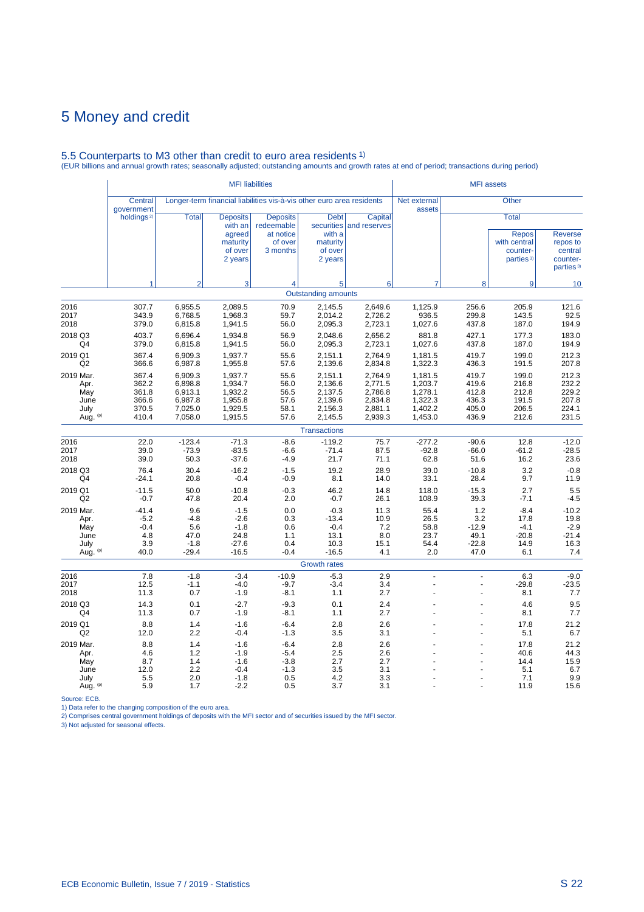# 5.5 Counterparts to M3 other than credit to euro area residents 1) (EUR billions and annual growth rates; seasonally adjusted; outstanding amounts and growth rates at end of period; transactions during period)

|                                                      |                                                    |                                                                | <b>MFI</b> liabilities                                                 |                                                                       |                                                                |                                                                | <b>MFI</b> assets                                              |                                                    |                                                                                   |                                                                            |
|------------------------------------------------------|----------------------------------------------------|----------------------------------------------------------------|------------------------------------------------------------------------|-----------------------------------------------------------------------|----------------------------------------------------------------|----------------------------------------------------------------|----------------------------------------------------------------|----------------------------------------------------|-----------------------------------------------------------------------------------|----------------------------------------------------------------------------|
|                                                      | <b>Central</b><br>government                       |                                                                |                                                                        | Longer-term financial liabilities vis-à-vis other euro area residents |                                                                |                                                                | Net external<br>assets                                         |                                                    | Other                                                                             |                                                                            |
|                                                      | holdings <sup>2)</sup>                             | <b>Total</b>                                                   | <b>Deposits</b><br>with an<br>agreed<br>maturity<br>of over<br>2 years | <b>Deposits</b><br>redeemable<br>at notice<br>of over<br>3 months     | <b>Debt</b><br>with a<br>maturity<br>of over<br>2 years        | Capital<br>securities and reserves                             |                                                                |                                                    | <b>Total</b><br><b>Repos</b><br>with central<br>counter-<br>parties <sup>3)</sup> | <b>Reverse</b><br>repos to<br>central<br>counter-<br>parties <sup>3)</sup> |
|                                                      | 1                                                  | $\overline{2}$                                                 | 3                                                                      | $\overline{4}$                                                        | 5                                                              | 6                                                              | $\overline{7}$                                                 | 8                                                  | 9                                                                                 | 10                                                                         |
|                                                      |                                                    |                                                                |                                                                        |                                                                       | <b>Outstanding amounts</b>                                     |                                                                |                                                                |                                                    |                                                                                   |                                                                            |
| 2016<br>2017<br>2018                                 | 307.7<br>343.9<br>379.0                            | 6,955.5<br>6.768.5<br>6,815.8                                  | 2,089.5<br>1.968.3<br>1,941.5                                          | 70.9<br>59.7<br>56.0                                                  | 2,145.5<br>2.014.2<br>2,095.3                                  | 2,649.6<br>2,726.2<br>2,723.1                                  | 1,125.9<br>936.5<br>1,027.6                                    | 256.6<br>299.8<br>437.8                            | 205.9<br>143.5<br>187.0                                                           | 121.6<br>92.5<br>194.9                                                     |
| 2018 Q3<br>Q4                                        | 403.7<br>379.0                                     | 6,696.4<br>6,815.8                                             | 1,934.8<br>1,941.5                                                     | 56.9<br>56.0                                                          | 2,048.6<br>2,095.3                                             | 2,656.2<br>2,723.1                                             | 881.8<br>1,027.6                                               | 427.1<br>437.8                                     | 177.3<br>187.0                                                                    | 183.0<br>194.9                                                             |
| 2019 Q1<br>Q2                                        | 367.4<br>366.6                                     | 6.909.3<br>6,987.8                                             | 1.937.7<br>1,955.8                                                     | 55.6<br>57.6                                                          | 2,151.1<br>2,139.6                                             | 2,764.9<br>2,834.8                                             | 1,181.5<br>1,322.3                                             | 419.7<br>436.3                                     | 199.0<br>191.5                                                                    | 212.3<br>207.8                                                             |
| 2019 Mar.<br>Apr.<br>May<br>June<br>July<br>Aug. (p) | 367.4<br>362.2<br>361.8<br>366.6<br>370.5<br>410.4 | 6,909.3<br>6,898.8<br>6,913.1<br>6,987.8<br>7,025.0<br>7,058.0 | 1,937.7<br>1,934.7<br>1,932.2<br>1,955.8<br>1,929.5<br>1,915.5         | 55.6<br>56.0<br>56.5<br>57.6<br>58.1<br>57.6                          | 2,151.1<br>2,136.6<br>2,137.5<br>2,139.6<br>2,156.3<br>2,145.5 | 2,764.9<br>2,771.5<br>2,786.8<br>2,834.8<br>2,881.1<br>2,939.3 | 1,181.5<br>1,203.7<br>1,278.1<br>1,322.3<br>1,402.2<br>1,453.0 | 419.7<br>419.6<br>412.8<br>436.3<br>405.0<br>436.9 | 199.0<br>216.8<br>212.8<br>191.5<br>206.5<br>212.6                                | 212.3<br>232.2<br>229.2<br>207.8<br>224.1<br>231.5                         |
|                                                      |                                                    |                                                                |                                                                        |                                                                       | <b>Transactions</b>                                            |                                                                |                                                                |                                                    |                                                                                   |                                                                            |
| 2016<br>2017<br>2018                                 | 22.0<br>39.0<br>39.0                               | $-123.4$<br>$-73.9$<br>50.3                                    | $-71.3$<br>$-83.5$<br>$-37.6$                                          | $-8.6$<br>$-6.6$<br>$-4.9$                                            | $-119.2$<br>$-71.4$<br>21.7                                    | 75.7<br>87.5<br>71.1                                           | $-277.2$<br>$-92.8$<br>62.8                                    | $-90.6$<br>$-66.0$<br>51.6                         | 12.8<br>$-61.2$<br>16.2                                                           | $-12.0$<br>$-28.5$<br>23.6                                                 |
| 2018 Q3<br>Q4                                        | 76.4<br>$-24.1$                                    | 30.4<br>20.8                                                   | $-16.2$<br>$-0.4$                                                      | $-1.5$<br>$-0.9$                                                      | 19.2<br>8.1                                                    | 28.9<br>14.0                                                   | 39.0<br>33.1                                                   | $-10.8$<br>28.4                                    | 3.2<br>9.7                                                                        | $-0.8$<br>11.9                                                             |
| 2019 Q1<br>Q2                                        | $-11.5$<br>$-0.7$                                  | 50.0<br>47.8                                                   | $-10.8$<br>20.4                                                        | $-0.3$<br>2.0                                                         | 46.2<br>$-0.7$                                                 | 14.8<br>26.1                                                   | 118.0<br>108.9                                                 | $-15.3$<br>39.3                                    | 2.7<br>$-7.1$                                                                     | 5.5<br>$-4.5$                                                              |
| 2019 Mar.<br>Apr.<br>May<br>June<br>July<br>Aug. (p) | $-41.4$<br>$-5.2$<br>$-0.4$<br>4.8<br>3.9<br>40.0  | 9.6<br>$-4.8$<br>5.6<br>47.0<br>$-1.8$<br>$-29.4$              | $-1.5$<br>$-2.6$<br>$-1.8$<br>24.8<br>$-27.6$<br>$-16.5$               | 0.0<br>0.3<br>0.6<br>1.1<br>0.4<br>$-0.4$                             | $-0.3$<br>$-13.4$<br>$-0.4$<br>13.1<br>10.3<br>$-16.5$         | 11.3<br>10.9<br>7.2<br>8.0<br>15.1<br>4.1                      | 55.4<br>26.5<br>58.8<br>23.7<br>54.4<br>2.0                    | 1.2<br>3.2<br>$-12.9$<br>49.1<br>$-22.8$<br>47.0   | $-8.4$<br>17.8<br>$-4.1$<br>$-20.8$<br>14.9<br>6.1                                | $-10.2$<br>19.8<br>$-2.9$<br>$-21.4$<br>16.3<br>7.4                        |
|                                                      |                                                    |                                                                |                                                                        |                                                                       | <b>Growth rates</b>                                            |                                                                |                                                                |                                                    |                                                                                   |                                                                            |
| 2016<br>2017<br>2018                                 | 7.8<br>12.5<br>11.3                                | $-1.8$<br>$-1.1$<br>0.7                                        | $-3.4$<br>$-4.0$<br>$-1.9$                                             | $-10.9$<br>$-9.7$<br>$-8.1$                                           | $-5.3$<br>$-3.4$<br>1.1                                        | 2.9<br>3.4<br>2.7                                              | $\overline{a}$<br>$\overline{a}$<br>L,                         | L.<br>ä,<br>ä,                                     | 6.3<br>$-29.8$<br>8.1                                                             | $-9.0$<br>$-23.5$<br>7.7                                                   |
| 2018 Q3<br>Q4                                        | 14.3<br>11.3                                       | 0.1<br>0.7                                                     | $-2.7$<br>$-1.9$                                                       | $-9.3$<br>$-8.1$                                                      | 0.1<br>1.1                                                     | 2.4<br>2.7                                                     | $\overline{a}$                                                 | $\ddot{\phantom{1}}$                               | 4.6<br>8.1                                                                        | 9.5<br>7.7                                                                 |
| 2019 Q1<br>Q <sub>2</sub>                            | 8.8<br>12.0                                        | 1.4<br>2.2                                                     | $-1.6$<br>$-0.4$                                                       | $-6.4$<br>$-1.3$                                                      | 2.8<br>3.5                                                     | 2.6<br>3.1                                                     |                                                                |                                                    | 17.8<br>5.1                                                                       | 21.2<br>6.7                                                                |
| 2019 Mar.<br>Apr.<br>May<br>June<br>July<br>Aug. (p) | 8.8<br>4.6<br>8.7<br>12.0<br>5.5<br>5.9            | 1.4<br>1.2<br>1.4<br>2.2<br>2.0<br>1.7                         | $-1.6$<br>$-1.9$<br>$-1.6$<br>$-0.4$<br>$-1.8$<br>$-2.2$               | $-6.4$<br>$-5.4$<br>$-3.8$<br>$-1.3$<br>0.5<br>0.5                    | 2.8<br>2.5<br>2.7<br>3.5<br>4.2<br>3.7                         | 2.6<br>2.6<br>2.7<br>3.1<br>3.3<br>3.1                         |                                                                |                                                    | 17.8<br>40.6<br>14.4<br>5.1<br>7.1<br>11.9                                        | 21.2<br>44.3<br>15.9<br>6.7<br>9.9<br>15.6                                 |

Source: ECB.<br>1) Data refer to the changing composition of the euro area.<br>2) Comprises central government holdings of deposits with the MFI sector and of securities issued by the MFI sector.<br>3) Not adjusted for seasonal eff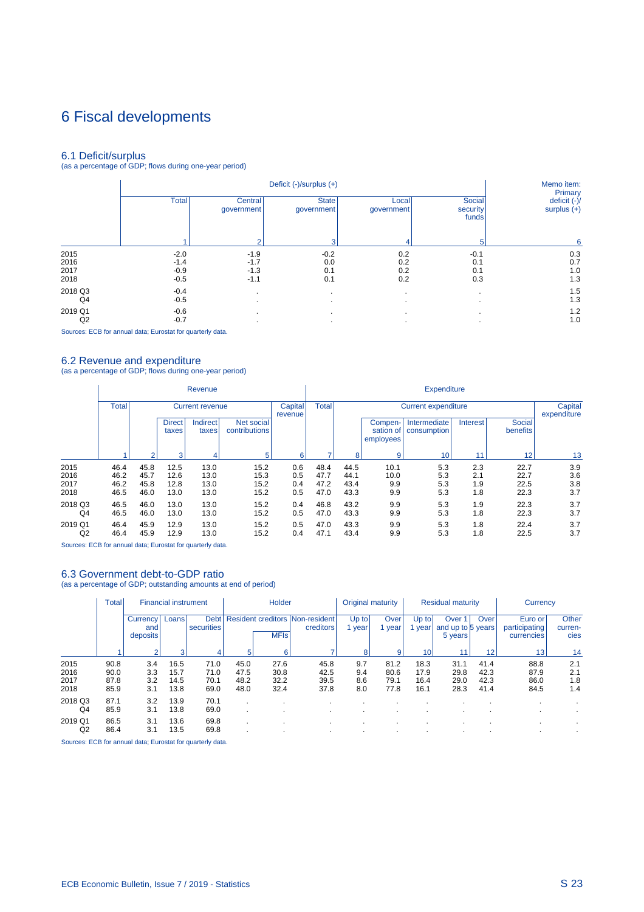## 6 Fiscal developments

6.1 Deficit/surplus (as a percentage of GDP; flows during one-year period)

|         |              |                       | Deficit (-)/surplus (+)    |                     |                             | Memo item:<br>Primary         |
|---------|--------------|-----------------------|----------------------------|---------------------|-----------------------------|-------------------------------|
|         | <b>Total</b> | Central<br>government | <b>State</b><br>government | Local<br>government | Social<br>security<br>funds | deficit (-)/<br>surplus $(+)$ |
|         |              | $\Omega$              | з                          | 4                   | 5                           | 6                             |
| 2015    | $-2.0$       | $-1.9$                | $-0.2$                     | 0.2                 | $-0.1$                      | 0.3                           |
| 2016    | $-1.4$       | $-1.7$                | 0.0                        | 0.2                 | 0.1                         | 0.7                           |
| 2017    | $-0.9$       | $-1.3$                | 0.1                        | 0.2                 | 0.1                         | 1.0                           |
| 2018    | $-0.5$       | $-1.1$                | 0.1                        | 0.2                 | 0.3                         | 1.3                           |
| 2018 Q3 | $-0.4$       | $\cdot$               |                            | $\cdot$             |                             | 1.5                           |
| Q4      | $-0.5$       | $\cdot$               |                            | $\cdot$             |                             | 1.3                           |
| 2019 Q1 | $-0.6$       |                       |                            | $\cdot$             |                             | 1.2                           |
| Q2      | $-0.7$       |                       |                            |                     |                             | 1.0                           |

Sources: ECB for annual data; Eurostat for quarterly data.

6.2 Revenue and expenditure (as a percentage of GDP; flows during one-year period)

|                              |                              |                                   |                              | Revenue                      |                              |                          | <b>Expenditure</b>           |                              |                                   |                             |                          |                              |                          |  |
|------------------------------|------------------------------|-----------------------------------|------------------------------|------------------------------|------------------------------|--------------------------|------------------------------|------------------------------|-----------------------------------|-----------------------------|--------------------------|------------------------------|--------------------------|--|
|                              | <b>Total</b>                 | <b>Current revenue</b><br>revenue |                              |                              |                              |                          | <b>Total</b>                 |                              |                                   | <b>Current expenditure</b>  |                          | Capital<br>expenditure       |                          |  |
|                              |                              |                                   | <b>Direct</b><br>taxes       | <b>Indirect</b><br>taxes     | Net social<br>contributions  |                          |                              |                              | Compen-<br>sation of<br>employees | Intermediate<br>consumption | Interest                 | Social<br>benefits           |                          |  |
|                              |                              | ื                                 | 3                            |                              | 5                            | 6                        |                              | 8                            | 9                                 | 10                          | 11                       | 12                           | 13                       |  |
| 2015<br>2016<br>2017<br>2018 | 46.4<br>46.2<br>46.2<br>46.5 | 45.8<br>45.7<br>45.8<br>46.0      | 12.5<br>12.6<br>12.8<br>13.0 | 13.0<br>13.0<br>13.0<br>13.0 | 15.2<br>15.3<br>15.2<br>15.2 | 0.6<br>0.5<br>0.4<br>0.5 | 48.4<br>47.7<br>47.2<br>47.0 | 44.5<br>44.1<br>43.4<br>43.3 | 10.1<br>10.0<br>9.9<br>9.9        | 5.3<br>5.3<br>5.3<br>5.3    | 2.3<br>2.1<br>1.9<br>1.8 | 22.7<br>22.7<br>22.5<br>22.3 | 3.9<br>3.6<br>3.8<br>3.7 |  |
| 2018 Q3<br>Q4                | 46.5<br>46.5                 | 46.0<br>46.0                      | 13.0<br>13.0                 | 13.0<br>13.0                 | 15.2<br>15.2                 | 0.4<br>0.5               | 46.8<br>47.0                 | 43.2<br>43.3                 | 9.9<br>9.9                        | 5.3<br>5.3                  | 1.9<br>1.8               | 22.3<br>22.3                 | 3.7<br>3.7               |  |
| 2019 Q1<br>Q2                | 46.4<br>46.4                 | 45.9<br>45.9                      | 12.9<br>12.9                 | 13.0<br>13.0                 | 15.2<br>15.2                 | 0.5<br>0.4               | 47.0<br>47.1                 | 43.3<br>43.4                 | 9.9<br>9.9                        | 5.3<br>5.3                  | 1.8<br>1.8               | 22.4<br>22.5                 | 3.7<br>3.7               |  |

Sources: ECB for annual data; Eurostat for quarterly data.

### 6.3 Government debt-to-GDP ratio

(as a percentage of GDP; outstanding amounts at end of period)

|                              | <b>Total</b>                 | <b>Financial instrument</b> |                              | Holder                          |                              |                              | Original maturity                                   |                          | <b>Residual maturity</b>     |                              |                                                   | Currency                     |                                        |                          |
|------------------------------|------------------------------|-----------------------------|------------------------------|---------------------------------|------------------------------|------------------------------|-----------------------------------------------------|--------------------------|------------------------------|------------------------------|---------------------------------------------------|------------------------------|----------------------------------------|--------------------------|
|                              |                              | Currency<br>and<br>deposits | Loans                        | Debt <sup>1</sup><br>securities |                              | <b>MFIs</b>                  | <b>Resident creditors Non-resident</b><br>creditors | Up to<br>year            | Over<br>vear                 | Up to l<br>year              | Over <sup>1</sup><br>and up to 5 years<br>5 years | Over                         | Euro or<br>participating<br>currencies | Other<br>curren-<br>cies |
|                              |                              |                             | 3                            |                                 | 5                            | 6                            |                                                     | 8                        | 9                            | 10                           |                                                   | 12                           | 13                                     | 14                       |
| 2015<br>2016<br>2017<br>2018 | 90.8<br>90.0<br>87.8<br>85.9 | 3.4<br>3.3<br>3.2<br>3.1    | 16.5<br>15.7<br>14.5<br>13.8 | 71.0<br>71.0<br>70.1<br>69.0    | 45.0<br>47.5<br>48.2<br>48.0 | 27.6<br>30.8<br>32.2<br>32.4 | 45.8<br>42.5<br>39.5<br>37.8                        | 9.7<br>9.4<br>8.6<br>8.0 | 81.2<br>80.6<br>79.1<br>77.8 | 18.3<br>17.9<br>16.4<br>16.1 | 31.1<br>29.8<br>29.0<br>28.3                      | 41.4<br>42.3<br>42.3<br>41.4 | 88.8<br>87.9<br>86.0<br>84.5           | 2.1<br>2.1<br>1.8<br>1.4 |
| 2018 Q3<br>Q <sub>4</sub>    | 87.1<br>85.9                 | 3.2<br>3.1                  | 13.9<br>13.8                 | 70.1<br>69.0                    |                              |                              |                                                     |                          |                              | $\cdot$                      |                                                   |                              |                                        |                          |
| 2019 Q1<br>Q2                | 86.5<br>86.4                 | 3.1<br>3.1                  | 13.6<br>13.5                 | 69.8<br>69.8                    |                              |                              |                                                     |                          |                              |                              |                                                   |                              |                                        |                          |

Sources: ECB for annual data; Eurostat for quarterly data.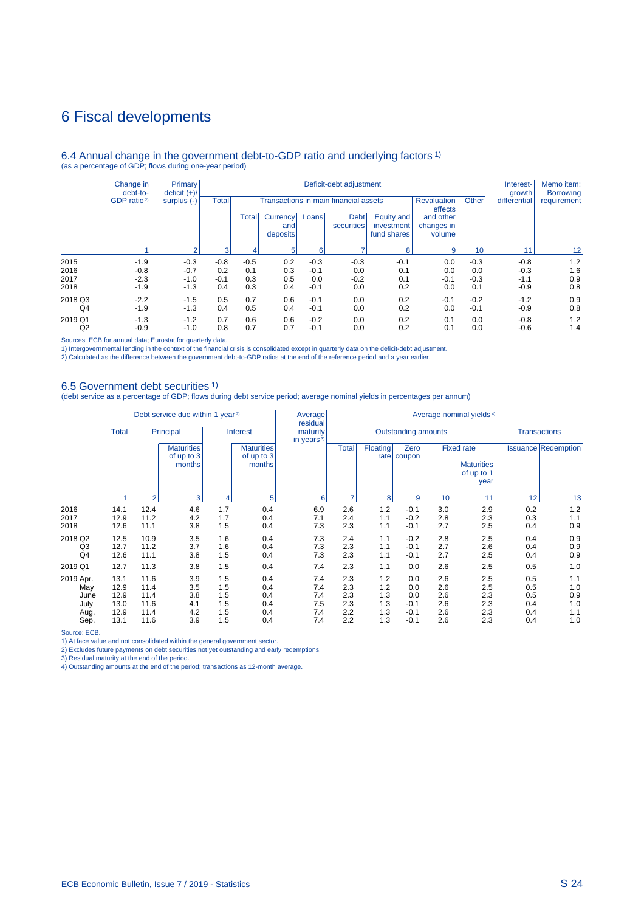### 6 Fiscal developments

#### 6.4 Annual change in the government debt-to-GDP ratio and underlying factors 1) (as a percentage of GDP; flows during one-year period)

|                | Change in<br>debt-to-   | Primary<br>deficit $(+)/$ | Deficit-debt adjustment |        |     |        |        |        |                             |        | Interest-<br>growth       | Memo item:<br><b>Borrowing</b>          |                                   |                                       |  |                               |       |              |             |
|----------------|-------------------------|---------------------------|-------------------------|--------|-----|--------|--------|--------|-----------------------------|--------|---------------------------|-----------------------------------------|-----------------------------------|---------------------------------------|--|-------------------------------|-------|--------------|-------------|
|                | GDP ratio <sup>2)</sup> | surplus $(-)$             |                         |        |     |        |        |        |                             | Total  |                           |                                         |                                   | Transactions in main financial assets |  | <b>Revaluation</b><br>effects | Other | differential | requirement |
|                |                         |                           |                         |        |     |        |        | Total  | Currency<br>and<br>deposits | Loans  | <b>Debt</b><br>securities | Equity and<br>investment<br>fund shares | and other<br>changes in<br>volume |                                       |  |                               |       |              |             |
|                |                         | $\sim$                    | 3                       |        |     | 6      |        | 8      | $\overline{9}$              | 10     | 11                        | $12 \overline{ }$                       |                                   |                                       |  |                               |       |              |             |
| 2015           | $-1.9$                  | $-0.3$                    | $-0.8$                  | $-0.5$ | 0.2 | $-0.3$ | $-0.3$ | $-0.1$ | 0.0                         | $-0.3$ | $-0.8$                    | 1.2                                     |                                   |                                       |  |                               |       |              |             |
| 2016           | $-0.8$                  | $-0.7$                    | 0.2                     | 0.1    | 0.3 | $-0.1$ | 0.0    | 0.1    | 0.0                         | 0.0    | $-0.3$                    | 1.6                                     |                                   |                                       |  |                               |       |              |             |
| 2017           | $-2.3$                  | $-1.0$                    | $-0.1$                  | 0.3    | 0.5 | 0.0    | $-0.2$ | 0.1    | $-0.1$                      | $-0.3$ | $-1.1$                    | 0.9                                     |                                   |                                       |  |                               |       |              |             |
| 2018           | $-1.9$                  | $-1.3$                    | 0.4                     | 0.3    | 0.4 | $-0.1$ | 0.0    | 0.2    | 0.0                         | 0.1    | $-0.9$                    | 0.8                                     |                                   |                                       |  |                               |       |              |             |
| 2018 Q3        | $-2.2$                  | $-1.5$                    | 0.5                     | 0.7    | 0.6 | $-0.1$ | 0.0    | 0.2    | $-0.1$                      | $-0.2$ | $-1.2$                    | 0.9                                     |                                   |                                       |  |                               |       |              |             |
| Q <sub>4</sub> | $-1.9$                  | $-1.3$                    | 0.4                     | 0.5    | 0.4 | $-0.1$ | 0.0    | 0.2    | 0.0                         | $-0.1$ | $-0.9$                    | 0.8                                     |                                   |                                       |  |                               |       |              |             |
| 2019 Q1        | $-1.3$                  | $-1.2$                    | 0.7                     | 0.6    | 0.6 | $-0.2$ | 0.0    | 0.2    | 0.1                         | 0.0    | $-0.8$                    | 1.2                                     |                                   |                                       |  |                               |       |              |             |
| Q <sub>2</sub> | $-0.9$                  | $-1.0$                    | 0.8                     | 0.7    | 0.7 | $-0.1$ | 0.0    | 0.2    | 0.1                         | 0.0    | $-0.6$                    | 1.4                                     |                                   |                                       |  |                               |       |              |             |

Sources: ECB for annual data; Eurostat for quarterly data.

1) Intergovernmental lending in the context of the financial crisis is consolidated except in quarterly data on the deficit-debt adjustment.<br>2) Calculated as the difference between the government debt-to-GDP ratios at the

#### 6.5 Government debt securities 1)

(debt service as a percentage of GDP; flows during debt service period; average nominal yields in percentages per annum)

|                                  | Debt service due within 1 year <sup>2)</sup> |                              |                                           |                          |                                           | Average<br>residual       | Average nominal yields <sup>4)</sup> |                          |                             |                          |                                                              |                          |                            |  |
|----------------------------------|----------------------------------------------|------------------------------|-------------------------------------------|--------------------------|-------------------------------------------|---------------------------|--------------------------------------|--------------------------|-----------------------------|--------------------------|--------------------------------------------------------------|--------------------------|----------------------------|--|
|                                  | <b>Total</b>                                 |                              | Principal                                 |                          | <b>Interest</b>                           | maturity<br>in years $3)$ |                                      | Outstanding amounts      |                             | <b>Transactions</b>      |                                                              |                          |                            |  |
|                                  |                                              |                              | <b>Maturities</b><br>of up to 3<br>months |                          | <b>Maturities</b><br>of up to 3<br>months |                           | <b>Total</b>                         | Floating                 | Zero<br>rate   coupon       |                          | <b>Fixed rate</b><br><b>Maturities</b><br>of up to 1<br>year |                          | <b>Issuance Redemption</b> |  |
|                                  |                                              | $\overline{2}$               | 3                                         | 4                        | 5                                         | 6                         |                                      | 8                        | 9                           | 10                       | 11                                                           | 12                       | 13                         |  |
| 2016<br>2017<br>2018             | 14.1<br>12.9<br>12.6                         | 12.4<br>11.2<br>11.1         | 4.6<br>4.2<br>3.8                         | 1.7<br>1.7<br>1.5        | 0.4<br>0.4<br>0.4                         | 6.9<br>7.1<br>7.3         | 2.6<br>2.4<br>2.3                    | 1.2<br>1.1<br>1.1        | $-0.1$<br>$-0.2$<br>$-0.1$  | 3.0<br>2.8<br>2.7        | 2.9<br>2.3<br>2.5                                            | 0.2<br>0.3<br>0.4        | 1.2<br>1.1<br>0.9          |  |
| 2018 Q2<br>Q3<br>Q <sub>4</sub>  | 12.5<br>12.7<br>12.6                         | 10.9<br>11.2<br>11.1         | 3.5<br>3.7<br>3.8                         | 1.6<br>1.6<br>1.5        | 0.4<br>0.4<br>0.4                         | 7.3<br>7.3<br>7.3         | 2.4<br>2.3<br>2.3                    | 1.1<br>1.1<br>1.1        | $-0.2$<br>$-0.1$<br>$-0.1$  | 2.8<br>2.7<br>2.7        | 2.5<br>2.6<br>2.5                                            | 0.4<br>0.4<br>0.4        | 0.9<br>0.9<br>0.9          |  |
| 2019 Q1                          | 12.7                                         | 11.3                         | 3.8                                       | 1.5                      | 0.4                                       | 7.4                       | 2.3                                  | 1.1                      | 0.0                         | 2.6                      | 2.5                                                          | 0.5                      | 1.0                        |  |
| 2019 Apr.<br>May<br>June<br>July | 13.1<br>12.9<br>12.9<br>13.0                 | 11.6<br>11.4<br>11.4<br>11.6 | 3.9<br>3.5<br>3.8<br>4.1                  | 1.5<br>1.5<br>1.5<br>1.5 | 0.4<br>0.4<br>0.4<br>0.4                  | 7.4<br>7.4<br>7.4<br>7.5  | 2.3<br>2.3<br>2.3<br>2.3             | 1.2<br>1.2<br>1.3<br>1.3 | 0.0<br>0.0<br>0.0<br>$-0.1$ | 2.6<br>2.6<br>2.6<br>2.6 | 2.5<br>2.5<br>2.3<br>2.3                                     | 0.5<br>0.5<br>0.5<br>0.4 | 1.1<br>1.0<br>0.9<br>1.0   |  |
| Aug.<br>Sep.                     | 12.9<br>13.1                                 | 11.4<br>11.6                 | 4.2<br>3.9                                | 1.5<br>1.5               | 0.4<br>0.4                                | 7.4<br>7.4                | 2.2<br>2.2                           | 1.3<br>1.3               | $-0.1$<br>$-0.1$            | 2.6<br>2.6               | 2.3<br>2.3                                                   | 0.4<br>0.4               | 1.1<br>1.0                 |  |

Source: ECB.

1) At face value and not consolidated within the general government sector.

2) Excludes future payments on debt securities not yet outstanding and early redemptions. 3) Residual maturity at the end of the period. 4) Outstanding amounts at the end of the period; transactions as 12-month average.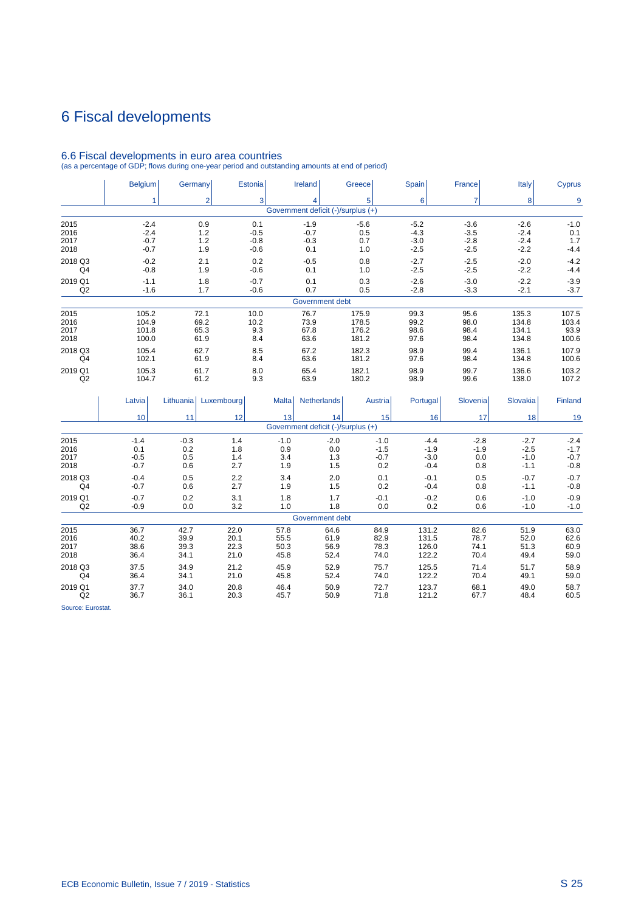## 6 Fiscal developments

#### Government deficit (-)/surplus (+) Belgium Germany Estonia Ireland Greece Spain France Italy Cyprus 1 2 3 4 5 6 7 8 9 2015 -2.4 0.9 0.1 -1.9 -5.6 -5.2 -3.6 -2.6 -1.0 2016 -2.4 1.2 -0.5 -0.7 0.5 -4.3 -3.5 -2.4 0.1 2017 -0.7 1.2 -0.8 -0.3 0.7 -3.0 -2.8 -2.4 1.7 2018 -0.7 1.9 -0.6 0.1 1.0 -2.5 -2.5 -2.2 -4.4 2018 Q3 -0.2 2.1 0.2 -0.5 0.8 -2.7 -2.5 -2.0 -4.2 Q4 -0.8 1.9 -0.6 0.1 1.0 -2.5 -2.5 -2.2 -4.4 2019 Q1 -1.1 1.8 -0.7 0.1 0.3 -2.6 -3.0 -2.2 -3.9 Q2 -1.6 1.7 -0.6 0.7 0.5 -2.8 -3.3 -2.1 -3.7

### 6.6 Fiscal developments in euro area countries

(as a percentage of GDP; flows during one-year period and outstanding amounts at end of period)

| 2018           | 100.0  |           | 61.9       | 8.4          | 63.6                                     | 181.2   | 97.6     | 98.4     | 134.8    | 100.6   |
|----------------|--------|-----------|------------|--------------|------------------------------------------|---------|----------|----------|----------|---------|
| 2018 Q3        | 105.4  |           | 62.7       | 8.5          | 67.2                                     | 182.3   | 98.9     | 99.4     | 136.1    | 107.9   |
| Q <sub>4</sub> | 102.1  |           | 61.9       | 8.4          | 63.6                                     | 181.2   | 97.6     | 98.4     | 134.8    | 100.6   |
| 2019 Q1        | 105.3  |           | 61.7       | 8.0          | 65.4                                     | 182.1   | 98.9     | 99.7     | 136.6    | 103.2   |
| Q2             | 104.7  |           | 61.2       | 9.3          | 63.9                                     | 180.2   | 98.9     | 99.6     | 138.0    | 107.2   |
|                | Latvia | Lithuania | Luxembourg | <b>Malta</b> | <b>Netherlands</b>                       | Austria | Portugal | Slovenia | Slovakia | Finland |
|                | 10     | 11        | 12         | 13           | 14<br>Government deficit (-)/surplus (+) | 15      | 16       | 17       | 18       | 19      |
|                |        |           |            |              |                                          |         |          |          |          |         |
| 2015           | $-1.4$ | $-0.3$    | 1.4        | $-1.0$       | $-2.0$                                   | $-1.0$  | $-4.4$   | $-2.8$   | $-2.7$   | $-2.4$  |
| 2016           | 0.1    | 0.2       | 1.8        | 0.9          | 0.0                                      | $-1.5$  | $-1.9$   | $-1.9$   | $-2.5$   | $-1.7$  |
| 2017           | $-0.5$ | 0.5       | 1.4        | 3.4          | 1.3                                      | $-0.7$  | $-3.0$   | 0.0      | $-1.0$   | $-0.7$  |
| 2018           | $-0.7$ | 0.6       | 2.7        | 1.9          | 1.5                                      | 0.2     | $-0.4$   | 0.8      | $-1.1$   | $-0.8$  |
| 2018 Q3        | $-0.4$ | 0.5       | 2.2        | 3.4          | 2.0                                      | 0.1     | $-0.1$   | 0.5      | $-0.7$   | $-0.7$  |
| Q <sub>4</sub> | $-0.7$ | 0.6       | 2.7        | 1.9          | 1.5                                      | 0.2     | $-0.4$   | 0.8      | $-1.1$   | $-0.8$  |
| 2019 Q1        | $-0.7$ | 0.2       | 3.1        | 1.8          | 1.7                                      | $-0.1$  | $-0.2$   | 0.6      | $-1.0$   | $-0.9$  |
| Q2             | $-0.9$ | 0.0       | 3.2        | 1.0          | 1.8                                      | 0.0     | 0.2      | 0.6      | $-1.0$   | $-1.0$  |
|                |        |           |            |              | Government debt                          |         |          |          |          |         |
| 2015           | 36.7   | 42.7      | 22.0       | 57.8         | 64.6                                     | 84.9    | 131.2    | 82.6     | 51.9     | 63.0    |
| 2016           | 40.2   | 39.9      | 20.1       | 55.5         | 61.9                                     | 82.9    | 131.5    | 78.7     | 52.0     | 62.6    |
| 2017           | 38.6   | 39.3      | 22.3       | 50.3         | 56.9                                     | 78.3    | 126.0    | 74.1     | 51.3     | 60.9    |
| 2018           | 36.4   | 34.1      | 21.0       | 45.8         | 52.4                                     | 74.0    | 122.2    | 70.4     | 49.4     | 59.0    |
| 2018 Q3        | 37.5   | 34.9      | 21.2       | 45.9         | 52.9                                     | 75.7    | 125.5    | 71.4     | 51.7     | 58.9    |
| Q4             | 36.4   | 34.1      | 21.0       | 45.8         | 52.4                                     | 74.0    | 122.2    | 70.4     | 49.1     | 59.0    |
| 2019 Q1        | 37.7   | 34.0      | 20.8       | 46.4         | 50.9                                     | 72.7    | 123.7    | 68.1     | 49.0     | 58.7    |
| Q2             | 36.7   | 36.1      | 20.3       | 45.7         | 50.9                                     | 71.8    | 121.2    | 67.7     | 48.4     | 60.5    |

Government debt 2015 105.2 72.1 10.0 76.7 175.9 99.3 95.6 135.3 107.5 2016 104.9 69.2 10.2 73.9 178.5 99.2 98.0 134.8 103.4 2017 101.8 65.3 9.3 67.8 176.2 98.6 98.4 134.1 93.9

Source: Eurostat.